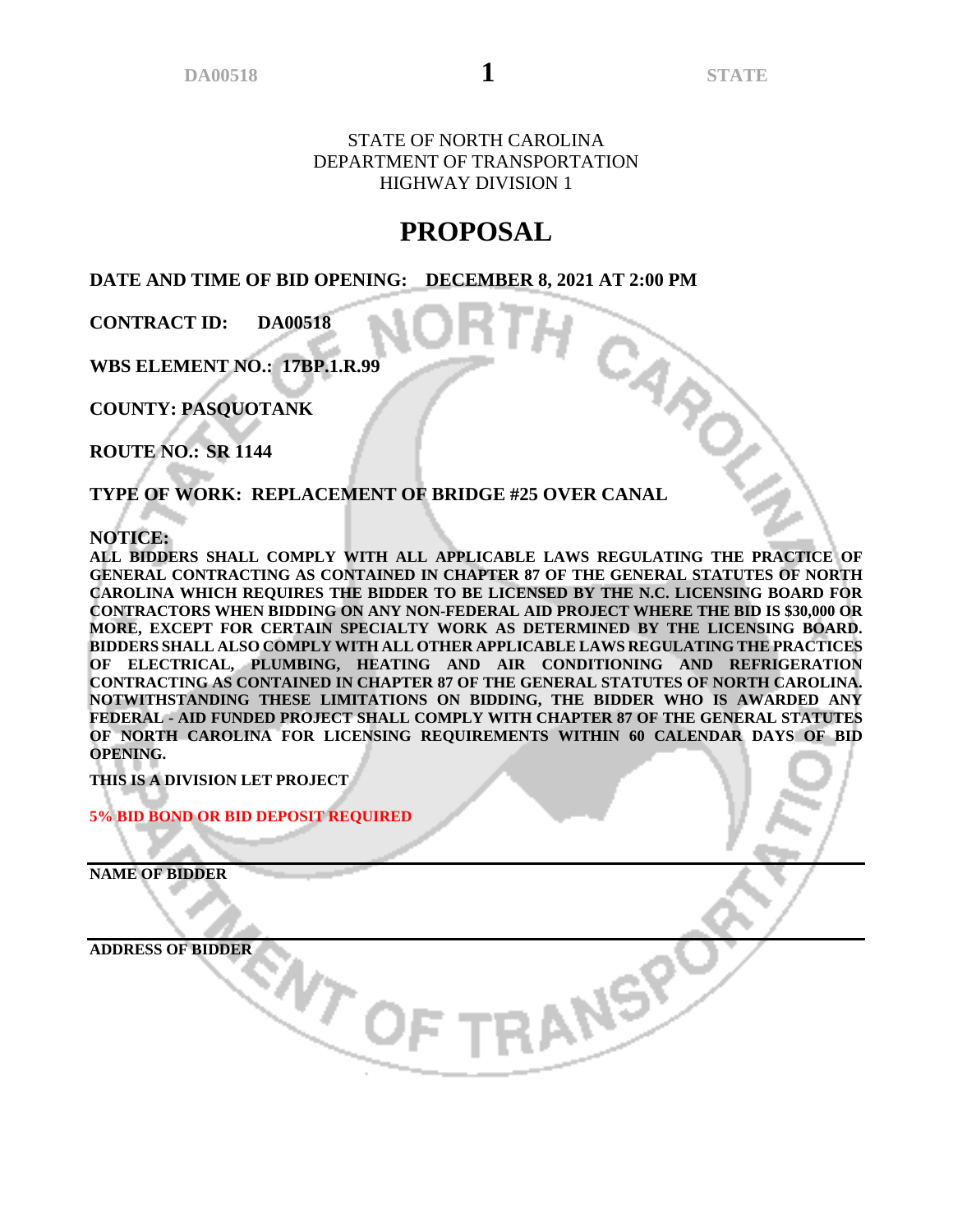CARO

STATE OF NORTH CAROLINA DEPARTMENT OF TRANSPORTATION HIGHWAY DIVISION 1

# **PROPOSAL**

**DATE AND TIME OF BID OPENING: DECEMBER 8, 2021 AT 2:00 PM**

**CONTRACT ID: DA00518**

**WBS ELEMENT NO.: 17BP.1.R.99**

**COUNTY: PASQUOTANK**

**ROUTE NO.: SR 1144**

**TYPE OF WORK: REPLACEMENT OF BRIDGE #25 OVER CANAL**

 $\sigma_{\rm c}$ 

**NOTICE:**

**ALL BIDDERS SHALL COMPLY WITH ALL APPLICABLE LAWS REGULATING THE PRACTICE OF GENERAL CONTRACTING AS CONTAINED IN CHAPTER 87 OF THE GENERAL STATUTES OF NORTH CAROLINA WHICH REQUIRES THE BIDDER TO BE LICENSED BY THE N.C. LICENSING BOARD FOR CONTRACTORS WHEN BIDDING ON ANY NON-FEDERAL AID PROJECT WHERE THE BID IS \$30,000 OR MORE, EXCEPT FOR CERTAIN SPECIALTY WORK AS DETERMINED BY THE LICENSING BOARD. BIDDERS SHALL ALSO COMPLY WITH ALL OTHER APPLICABLE LAWS REGULATING THE PRACTICES OF ELECTRICAL, PLUMBING, HEATING AND AIR CONDITIONING AND REFRIGERATION CONTRACTING AS CONTAINED IN CHAPTER 87 OF THE GENERAL STATUTES OF NORTH CAROLINA. NOTWITHSTANDING THESE LIMITATIONS ON BIDDING, THE BIDDER WHO IS AWARDED ANY FEDERAL - AID FUNDED PROJECT SHALL COMPLY WITH CHAPTER 87 OF THE GENERAL STATUTES OF NORTH CAROLINA FOR LICENSING REQUIREMENTS WITHIN 60 CALENDAR DAYS OF BID OPENING.**

RANSP

**THIS IS A DIVISION LET PROJECT**

**5% BID BOND OR BID DEPOSIT REQUIRED**

**NAME OF BIDDER**

**ADDRESS OF BIDDER**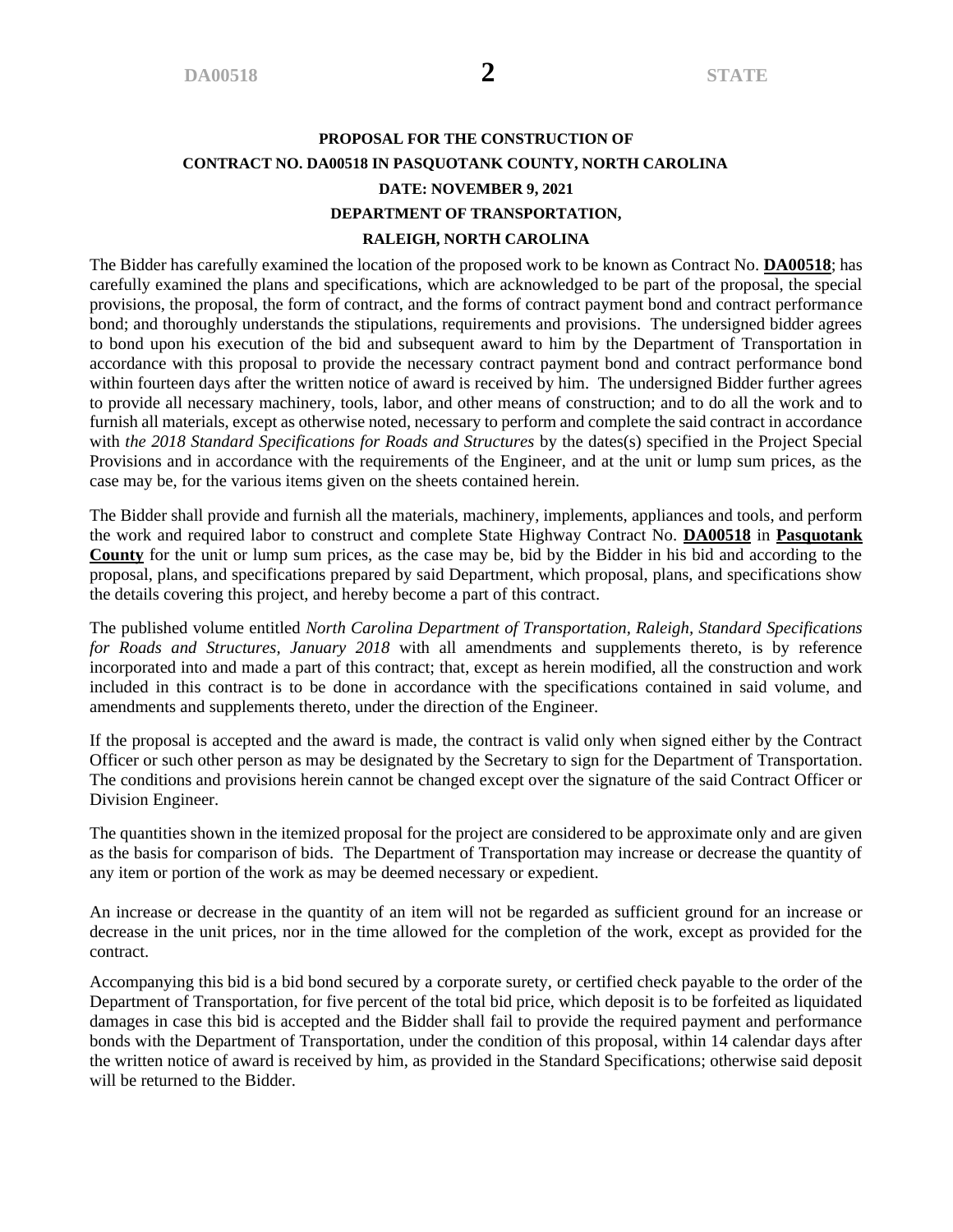# **PROPOSAL FOR THE CONSTRUCTION OF CONTRACT NO. DA00518 IN PASQUOTANK COUNTY, NORTH CAROLINA DATE: NOVEMBER 9, 2021 DEPARTMENT OF TRANSPORTATION, RALEIGH, NORTH CAROLINA**

The Bidder has carefully examined the location of the proposed work to be known as Contract No. **DA00518**; has carefully examined the plans and specifications, which are acknowledged to be part of the proposal, the special provisions, the proposal, the form of contract, and the forms of contract payment bond and contract performance bond; and thoroughly understands the stipulations, requirements and provisions. The undersigned bidder agrees to bond upon his execution of the bid and subsequent award to him by the Department of Transportation in accordance with this proposal to provide the necessary contract payment bond and contract performance bond within fourteen days after the written notice of award is received by him. The undersigned Bidder further agrees to provide all necessary machinery, tools, labor, and other means of construction; and to do all the work and to furnish all materials, except as otherwise noted, necessary to perform and complete the said contract in accordance with *the 2018 Standard Specifications for Roads and Structures* by the dates(s) specified in the Project Special Provisions and in accordance with the requirements of the Engineer, and at the unit or lump sum prices, as the case may be, for the various items given on the sheets contained herein.

The Bidder shall provide and furnish all the materials, machinery, implements, appliances and tools, and perform the work and required labor to construct and complete State Highway Contract No. **DA00518** in **Pasquotank County** for the unit or lump sum prices, as the case may be, bid by the Bidder in his bid and according to the proposal, plans, and specifications prepared by said Department, which proposal, plans, and specifications show the details covering this project, and hereby become a part of this contract.

The published volume entitled *North Carolina Department of Transportation, Raleigh, Standard Specifications for Roads and Structures, January 2018* with all amendments and supplements thereto, is by reference incorporated into and made a part of this contract; that, except as herein modified, all the construction and work included in this contract is to be done in accordance with the specifications contained in said volume, and amendments and supplements thereto, under the direction of the Engineer.

If the proposal is accepted and the award is made, the contract is valid only when signed either by the Contract Officer or such other person as may be designated by the Secretary to sign for the Department of Transportation. The conditions and provisions herein cannot be changed except over the signature of the said Contract Officer or Division Engineer.

The quantities shown in the itemized proposal for the project are considered to be approximate only and are given as the basis for comparison of bids. The Department of Transportation may increase or decrease the quantity of any item or portion of the work as may be deemed necessary or expedient.

An increase or decrease in the quantity of an item will not be regarded as sufficient ground for an increase or decrease in the unit prices, nor in the time allowed for the completion of the work, except as provided for the contract.

Accompanying this bid is a bid bond secured by a corporate surety, or certified check payable to the order of the Department of Transportation, for five percent of the total bid price, which deposit is to be forfeited as liquidated damages in case this bid is accepted and the Bidder shall fail to provide the required payment and performance bonds with the Department of Transportation, under the condition of this proposal, within 14 calendar days after the written notice of award is received by him, as provided in the Standard Specifications; otherwise said deposit will be returned to the Bidder.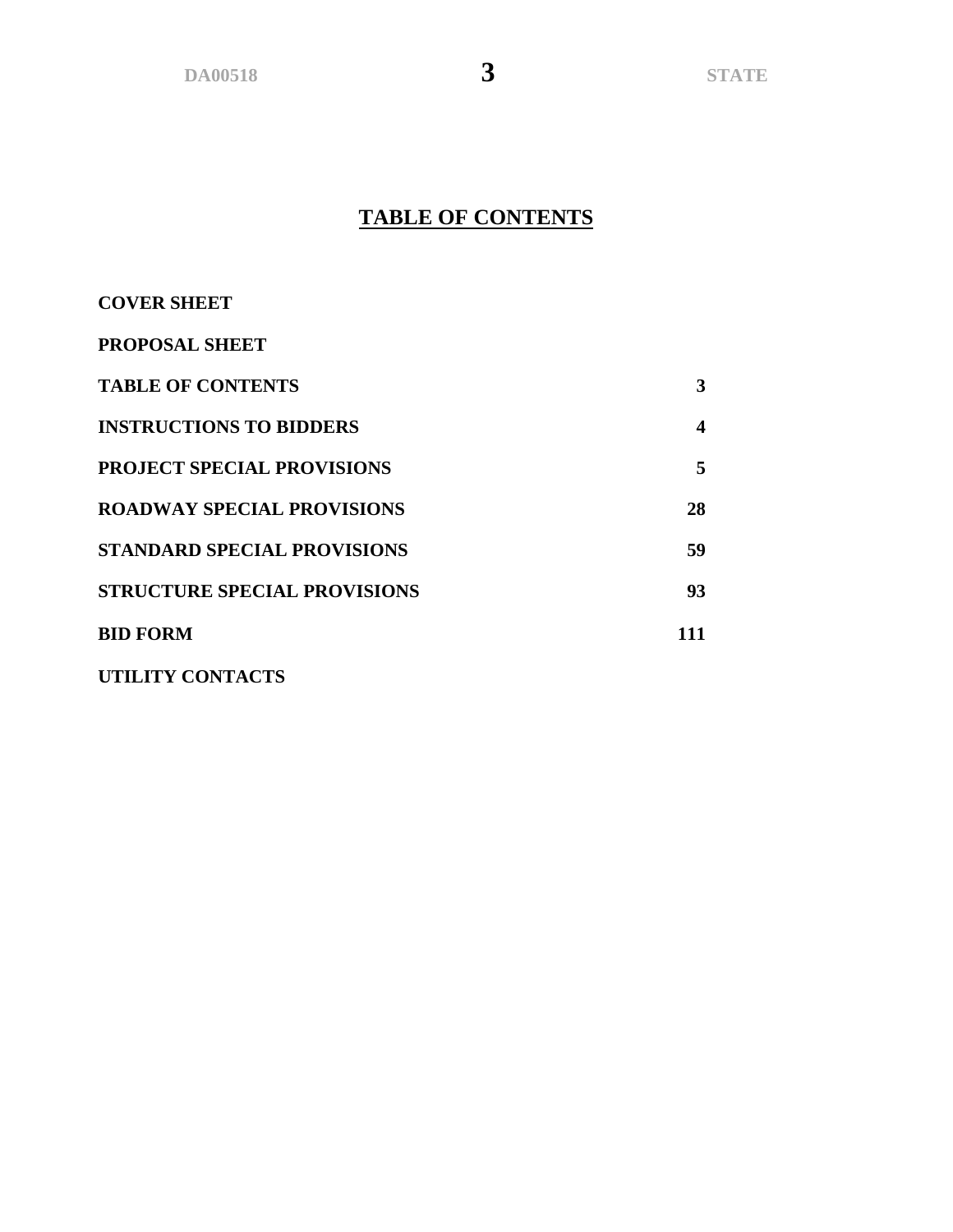**DA00518 3 STATE**

# **TABLE OF CONTENTS**

| <b>COVER SHEET</b>                  |                  |
|-------------------------------------|------------------|
| <b>PROPOSAL SHEET</b>               |                  |
| <b>TABLE OF CONTENTS</b>            | 3                |
| <b>INSTRUCTIONS TO BIDDERS</b>      | $\boldsymbol{4}$ |
| <b>PROJECT SPECIAL PROVISIONS</b>   | 5                |
| <b>ROADWAY SPECIAL PROVISIONS</b>   | 28               |
| <b>STANDARD SPECIAL PROVISIONS</b>  | 59               |
| <b>STRUCTURE SPECIAL PROVISIONS</b> | 93               |
| <b>BID FORM</b>                     | 111              |
| UTILITY CONTACTS                    |                  |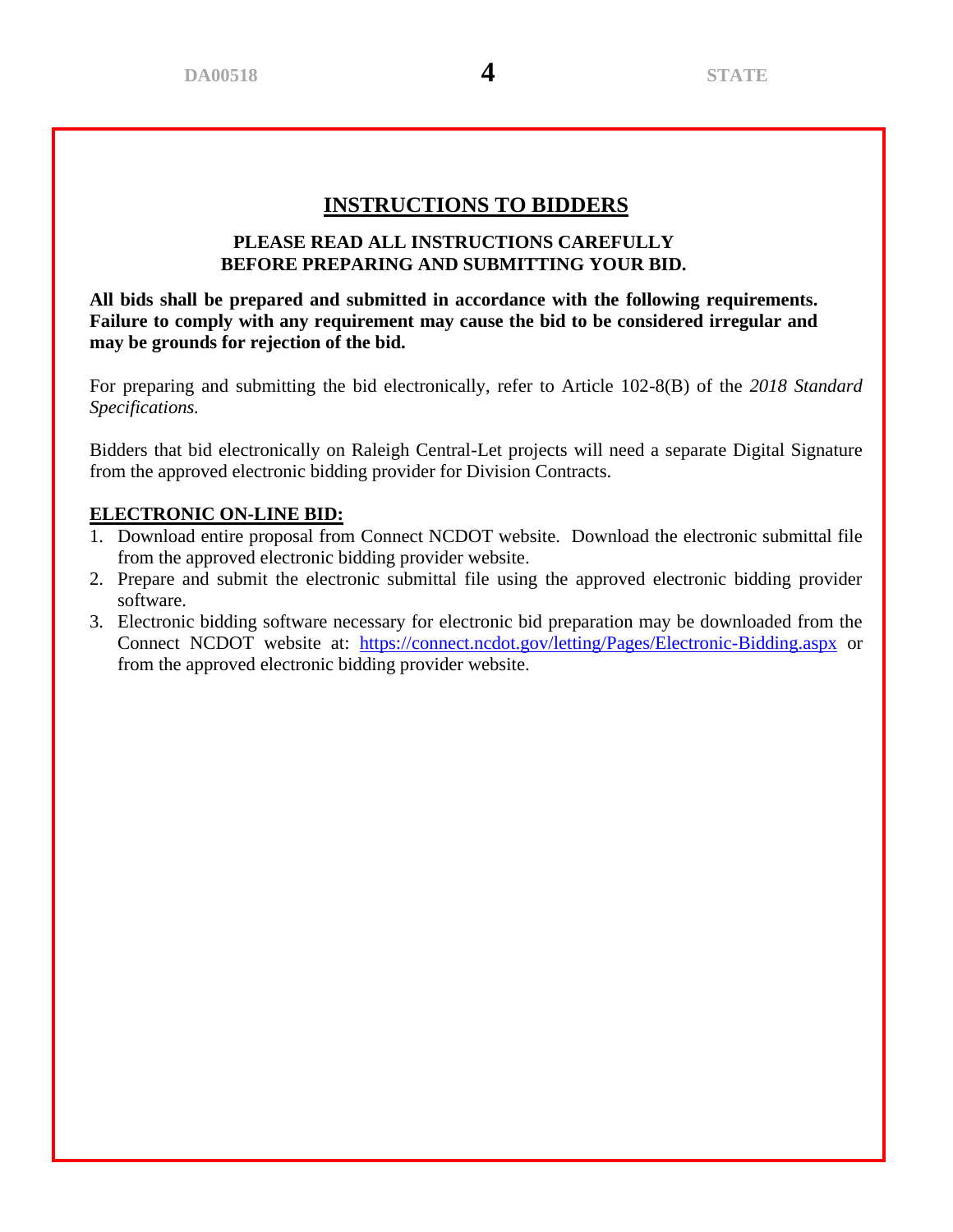# **INSTRUCTIONS TO BIDDERS**

### **PLEASE READ ALL INSTRUCTIONS CAREFULLY BEFORE PREPARING AND SUBMITTING YOUR BID.**

**All bids shall be prepared and submitted in accordance with the following requirements. Failure to comply with any requirement may cause the bid to be considered irregular and may be grounds for rejection of the bid.**

For preparing and submitting the bid electronically, refer to Article 102-8(B) of the *2018 Standard Specifications.* 

Bidders that bid electronically on Raleigh Central-Let projects will need a separate Digital Signature from the approved electronic bidding provider for Division Contracts.

#### **ELECTRONIC ON-LINE BID:**

- 1. Download entire proposal from Connect NCDOT website. Download the electronic submittal file from the approved electronic bidding provider website.
- 2. Prepare and submit the electronic submittal file using the approved electronic bidding provider software.
- 3. Electronic bidding software necessary for electronic bid preparation may be downloaded from the Connect NCDOT website at: <https://connect.ncdot.gov/letting/Pages/Electronic-Bidding.aspx> or from the approved electronic bidding provider website.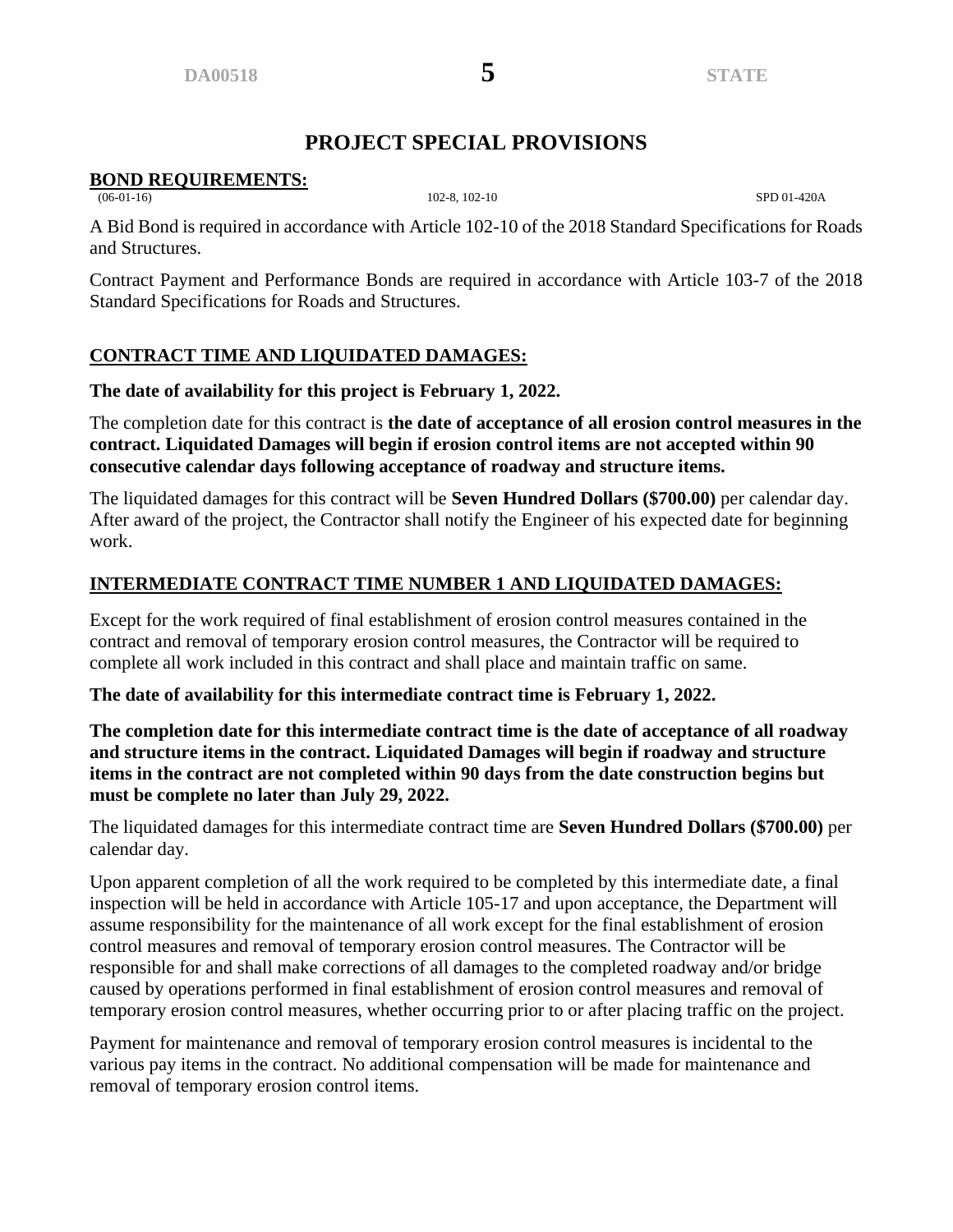# **PROJECT SPECIAL PROVISIONS**

# **BOND REQUIREMENTS:**<br>(06-01-16)

(06-01-16) 102-8, 102-10 SPD 01-420A

A Bid Bond is required in accordance with Article 102-10 of the 2018 Standard Specifications for Roads and Structures.

Contract Payment and Performance Bonds are required in accordance with Article 103-7 of the 2018 Standard Specifications for Roads and Structures.

# **CONTRACT TIME AND LIQUIDATED DAMAGES:**

### **The date of availability for this project is February 1, 2022.**

The completion date for this contract is **the date of acceptance of all erosion control measures in the contract. Liquidated Damages will begin if erosion control items are not accepted within 90 consecutive calendar days following acceptance of roadway and structure items.**

The liquidated damages for this contract will be **Seven Hundred Dollars (\$700.00)** per calendar day. After award of the project, the Contractor shall notify the Engineer of his expected date for beginning work.

# **INTERMEDIATE CONTRACT TIME NUMBER 1 AND LIQUIDATED DAMAGES:**

Except for the work required of final establishment of erosion control measures contained in the contract and removal of temporary erosion control measures, the Contractor will be required to complete all work included in this contract and shall place and maintain traffic on same.

**The date of availability for this intermediate contract time is February 1, 2022.**

**The completion date for this intermediate contract time is the date of acceptance of all roadway and structure items in the contract. Liquidated Damages will begin if roadway and structure items in the contract are not completed within 90 days from the date construction begins but must be complete no later than July 29, 2022.**

The liquidated damages for this intermediate contract time are **Seven Hundred Dollars (\$700.00)** per calendar day.

Upon apparent completion of all the work required to be completed by this intermediate date, a final inspection will be held in accordance with Article 105-17 and upon acceptance, the Department will assume responsibility for the maintenance of all work except for the final establishment of erosion control measures and removal of temporary erosion control measures. The Contractor will be responsible for and shall make corrections of all damages to the completed roadway and/or bridge caused by operations performed in final establishment of erosion control measures and removal of temporary erosion control measures, whether occurring prior to or after placing traffic on the project.

Payment for maintenance and removal of temporary erosion control measures is incidental to the various pay items in the contract. No additional compensation will be made for maintenance and removal of temporary erosion control items.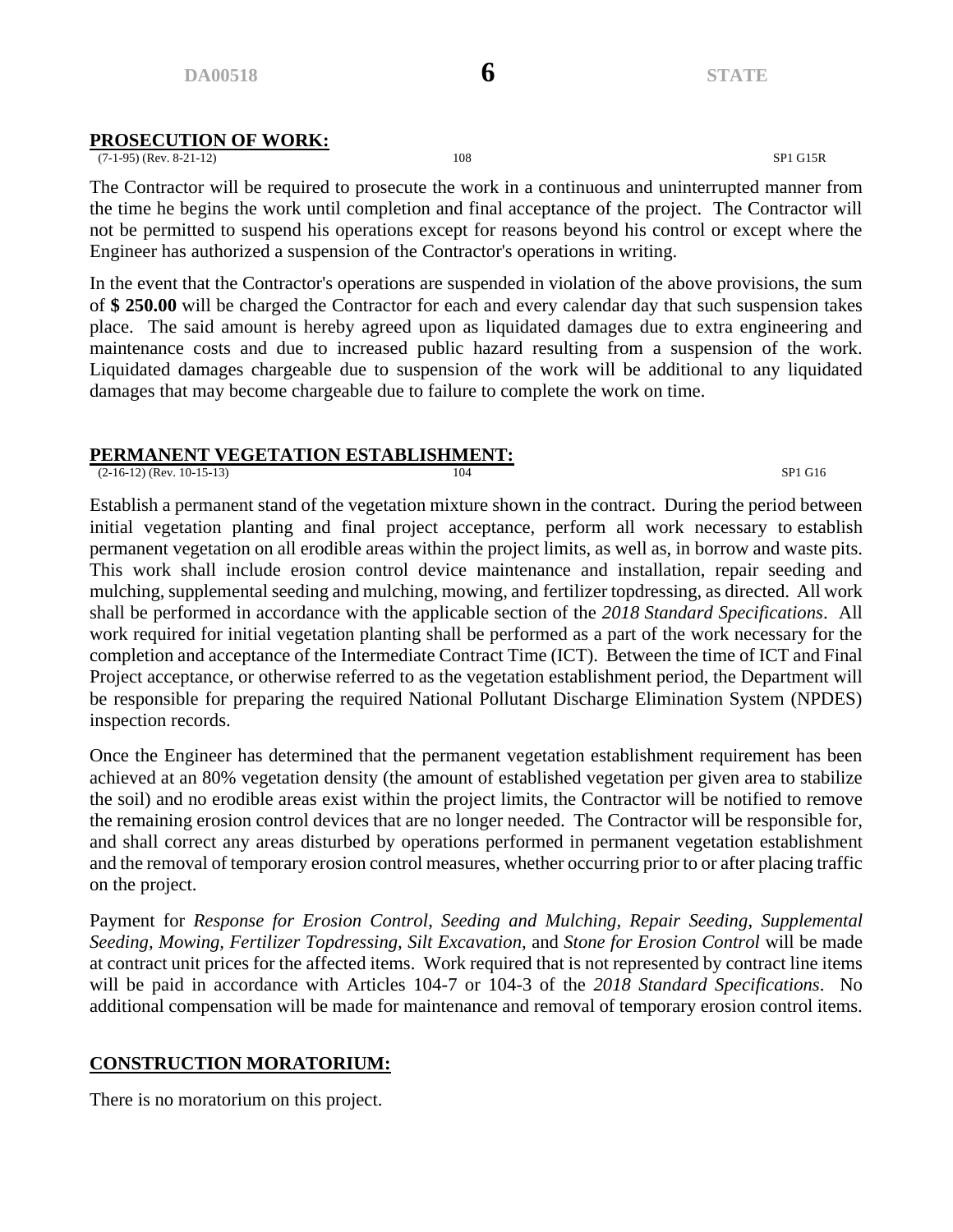#### **PROSECUTION OF WORK:**

(7-1-95) (Rev. 8-21-12) 108 SP1 G15R

The Contractor will be required to prosecute the work in a continuous and uninterrupted manner from the time he begins the work until completion and final acceptance of the project. The Contractor will not be permitted to suspend his operations except for reasons beyond his control or except where the Engineer has authorized a suspension of the Contractor's operations in writing.

In the event that the Contractor's operations are suspended in violation of the above provisions, the sum of **\$ 250.00** will be charged the Contractor for each and every calendar day that such suspension takes place. The said amount is hereby agreed upon as liquidated damages due to extra engineering and maintenance costs and due to increased public hazard resulting from a suspension of the work. Liquidated damages chargeable due to suspension of the work will be additional to any liquidated damages that may become chargeable due to failure to complete the work on time.

#### **PERMANENT VEGETATION ESTABLISHMENT:**

(2-16-12) (Rev. 10-15-13) 104 SP1 G16

Establish a permanent stand of the vegetation mixture shown in the contract. During the period between initial vegetation planting and final project acceptance, perform all work necessary to establish permanent vegetation on all erodible areas within the project limits, as well as, in borrow and waste pits. This work shall include erosion control device maintenance and installation, repair seeding and mulching, supplemental seeding and mulching, mowing, and fertilizer topdressing, as directed. All work shall be performed in accordance with the applicable section of the *2018 Standard Specifications*. All work required for initial vegetation planting shall be performed as a part of the work necessary for the completion and acceptance of the Intermediate Contract Time (ICT). Between the time of ICT and Final Project acceptance, or otherwise referred to as the vegetation establishment period, the Department will be responsible for preparing the required National Pollutant Discharge Elimination System (NPDES) inspection records.

Once the Engineer has determined that the permanent vegetation establishment requirement has been achieved at an 80% vegetation density (the amount of established vegetation per given area to stabilize the soil) and no erodible areas exist within the project limits, the Contractor will be notified to remove the remaining erosion control devices that are no longer needed. The Contractor will be responsible for, and shall correct any areas disturbed by operations performed in permanent vegetation establishment and the removal of temporary erosion control measures, whether occurring prior to or after placing traffic on the project.

Payment for *Response for Erosion Control*, *Seeding and Mulching, Repair Seeding*, *Supplemental Seeding, Mowing, Fertilizer Topdressing, Silt Excavation,* and *Stone for Erosion Control* will be made at contract unit prices for the affected items. Work required that is not represented by contract line items will be paid in accordance with Articles 104-7 or 104-3 of the *2018 Standard Specifications*. No additional compensation will be made for maintenance and removal of temporary erosion control items.

#### **CONSTRUCTION MORATORIUM:**

There is no moratorium on this project.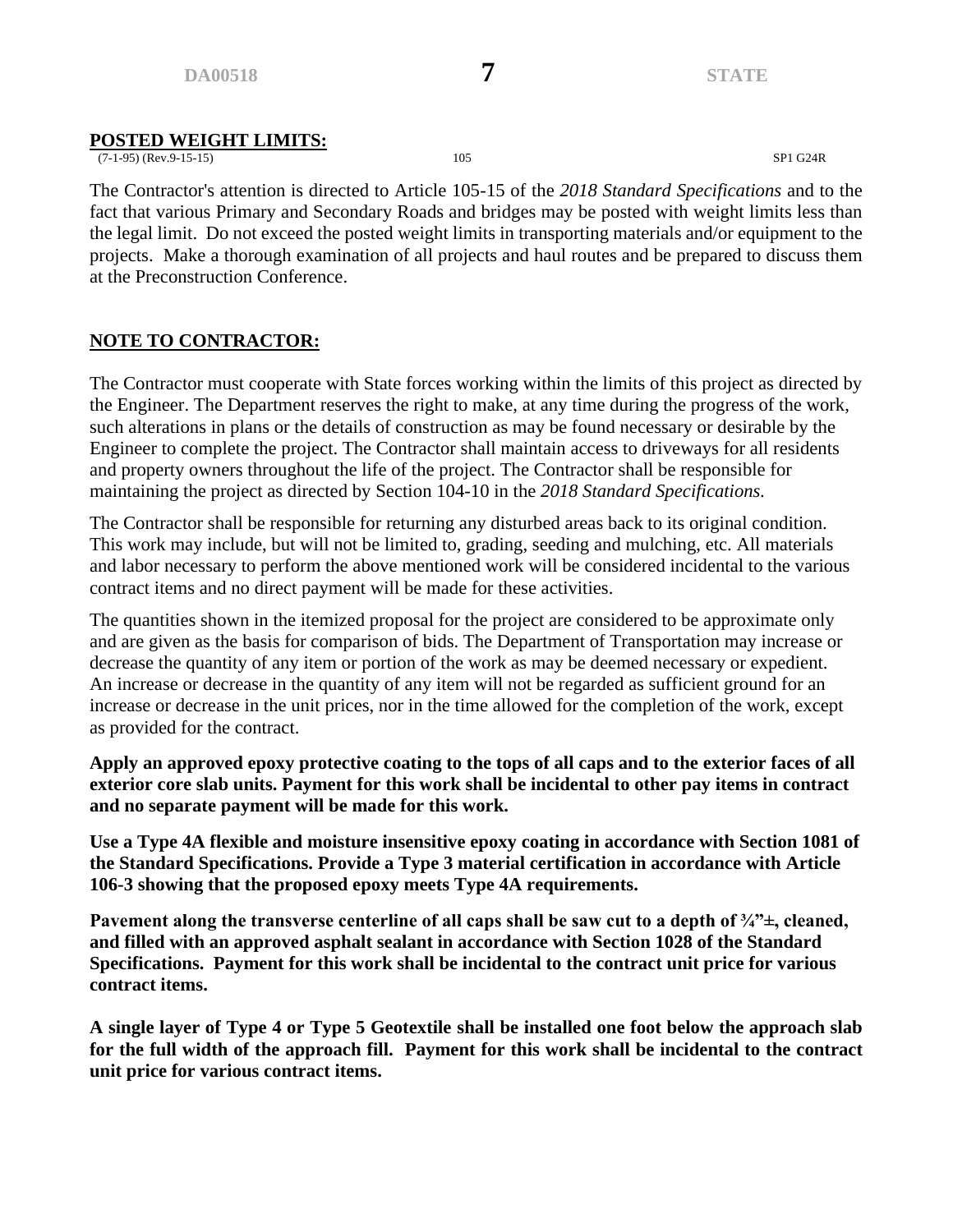#### **POSTED WEIGHT LIMITS:**

(7-1-95) (Rev.9-15-15) 105 SP1 G24R

The Contractor's attention is directed to Article 105-15 of the *2018 Standard Specifications* and to the fact that various Primary and Secondary Roads and bridges may be posted with weight limits less than the legal limit. Do not exceed the posted weight limits in transporting materials and/or equipment to the projects. Make a thorough examination of all projects and haul routes and be prepared to discuss them at the Preconstruction Conference.

# **NOTE TO CONTRACTOR:**

The Contractor must cooperate with State forces working within the limits of this project as directed by the Engineer. The Department reserves the right to make, at any time during the progress of the work, such alterations in plans or the details of construction as may be found necessary or desirable by the Engineer to complete the project. The Contractor shall maintain access to driveways for all residents and property owners throughout the life of the project. The Contractor shall be responsible for maintaining the project as directed by Section 104-10 in the *2018 Standard Specifications.*

The Contractor shall be responsible for returning any disturbed areas back to its original condition. This work may include, but will not be limited to, grading, seeding and mulching, etc. All materials and labor necessary to perform the above mentioned work will be considered incidental to the various contract items and no direct payment will be made for these activities.

The quantities shown in the itemized proposal for the project are considered to be approximate only and are given as the basis for comparison of bids. The Department of Transportation may increase or decrease the quantity of any item or portion of the work as may be deemed necessary or expedient. An increase or decrease in the quantity of any item will not be regarded as sufficient ground for an increase or decrease in the unit prices, nor in the time allowed for the completion of the work, except as provided for the contract.

**Apply an approved epoxy protective coating to the tops of all caps and to the exterior faces of all exterior core slab units. Payment for this work shall be incidental to other pay items in contract and no separate payment will be made for this work.**

**Use a Type 4A flexible and moisture insensitive epoxy coating in accordance with Section 1081 of the Standard Specifications. Provide a Type 3 material certification in accordance with Article 106-3 showing that the proposed epoxy meets Type 4A requirements.**

**Pavement along the transverse centerline of all caps shall be saw cut to a depth of ¾"±, cleaned, and filled with an approved asphalt sealant in accordance with Section 1028 of the Standard Specifications. Payment for this work shall be incidental to the contract unit price for various contract items.**

**A single layer of Type 4 or Type 5 Geotextile shall be installed one foot below the approach slab for the full width of the approach fill. Payment for this work shall be incidental to the contract unit price for various contract items.**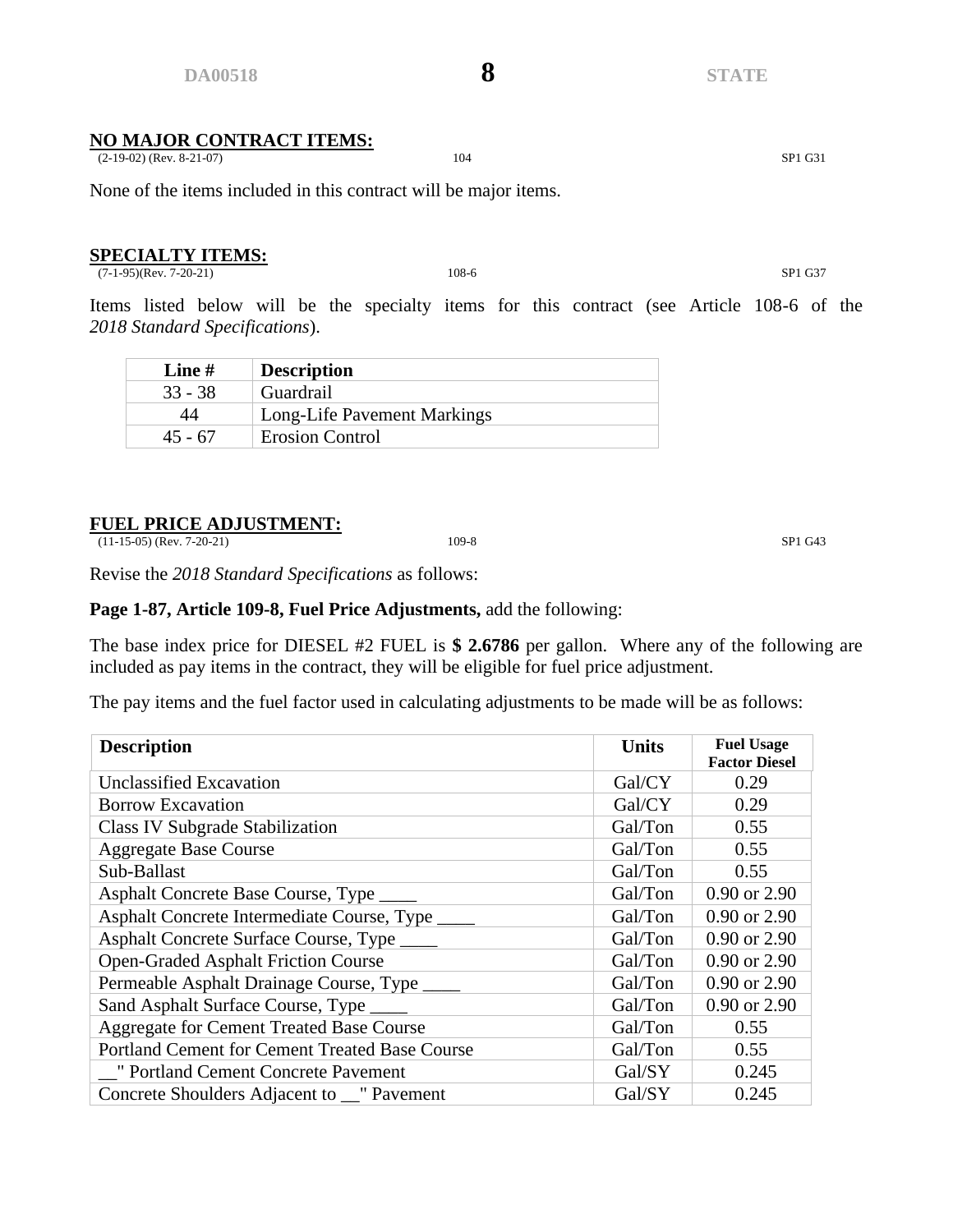#### **NO MAJOR CONTRACT ITEMS:**

(2-19-02) (Rev. 8-21-07) 104 SP1 G31

None of the items included in this contract will be major items.

#### **SPECIALTY ITEMS:**

(7-1-95)(Rev. 7-20-21) 108-6 SP1 G37

Items listed below will be the specialty items for this contract (see Article 108-6 of the *2018 Standard Specifications*).

| Line $#$  | <b>Description</b>          |
|-----------|-----------------------------|
| $33 - 38$ | Guardrail                   |
| 44        | Long-Life Pavement Markings |
| $45 - 67$ | <b>Erosion Control</b>      |

#### **FUEL PRICE ADJUSTMENT:**

(11-15-05) (Rev. 7-20-21) 109-8 SP1 G43

Revise the *2018 Standard Specifications* as follows:

#### **Page 1-87, Article 109-8, Fuel Price Adjustments,** add the following:

The base index price for DIESEL #2 FUEL is **\$ 2.6786** per gallon. Where any of the following are included as pay items in the contract, they will be eligible for fuel price adjustment.

The pay items and the fuel factor used in calculating adjustments to be made will be as follows:

| <b>Description</b>                                    | <b>Units</b> | <b>Fuel Usage</b><br><b>Factor Diesel</b> |
|-------------------------------------------------------|--------------|-------------------------------------------|
| <b>Unclassified Excavation</b>                        | Gal/CY       | 0.29                                      |
| <b>Borrow Excavation</b>                              | Gal/CY       | 0.29                                      |
| <b>Class IV Subgrade Stabilization</b>                | Gal/Ton      | 0.55                                      |
| <b>Aggregate Base Course</b>                          | Gal/Ton      | 0.55                                      |
| Sub-Ballast                                           | Gal/Ton      | 0.55                                      |
| Asphalt Concrete Base Course, Type _____              | Gal/Ton      | 0.90 or 2.90                              |
| Asphalt Concrete Intermediate Course, Type            | Gal/Ton      | 0.90 or 2.90                              |
| Asphalt Concrete Surface Course, Type _____           | Gal/Ton      | 0.90 or 2.90                              |
| <b>Open-Graded Asphalt Friction Course</b>            | Gal/Ton      | 0.90 or 2.90                              |
| Permeable Asphalt Drainage Course, Type               | Gal/Ton      | 0.90 or 2.90                              |
| Sand Asphalt Surface Course, Type                     | Gal/Ton      | 0.90 or 2.90                              |
| Aggregate for Cement Treated Base Course              | Gal/Ton      | 0.55                                      |
| <b>Portland Cement for Cement Treated Base Course</b> | Gal/Ton      | 0.55                                      |
| " Portland Cement Concrete Pavement                   | Gal/SY       | 0.245                                     |
| Concrete Shoulders Adjacent to __" Pavement           | Gal/SY       | 0.245                                     |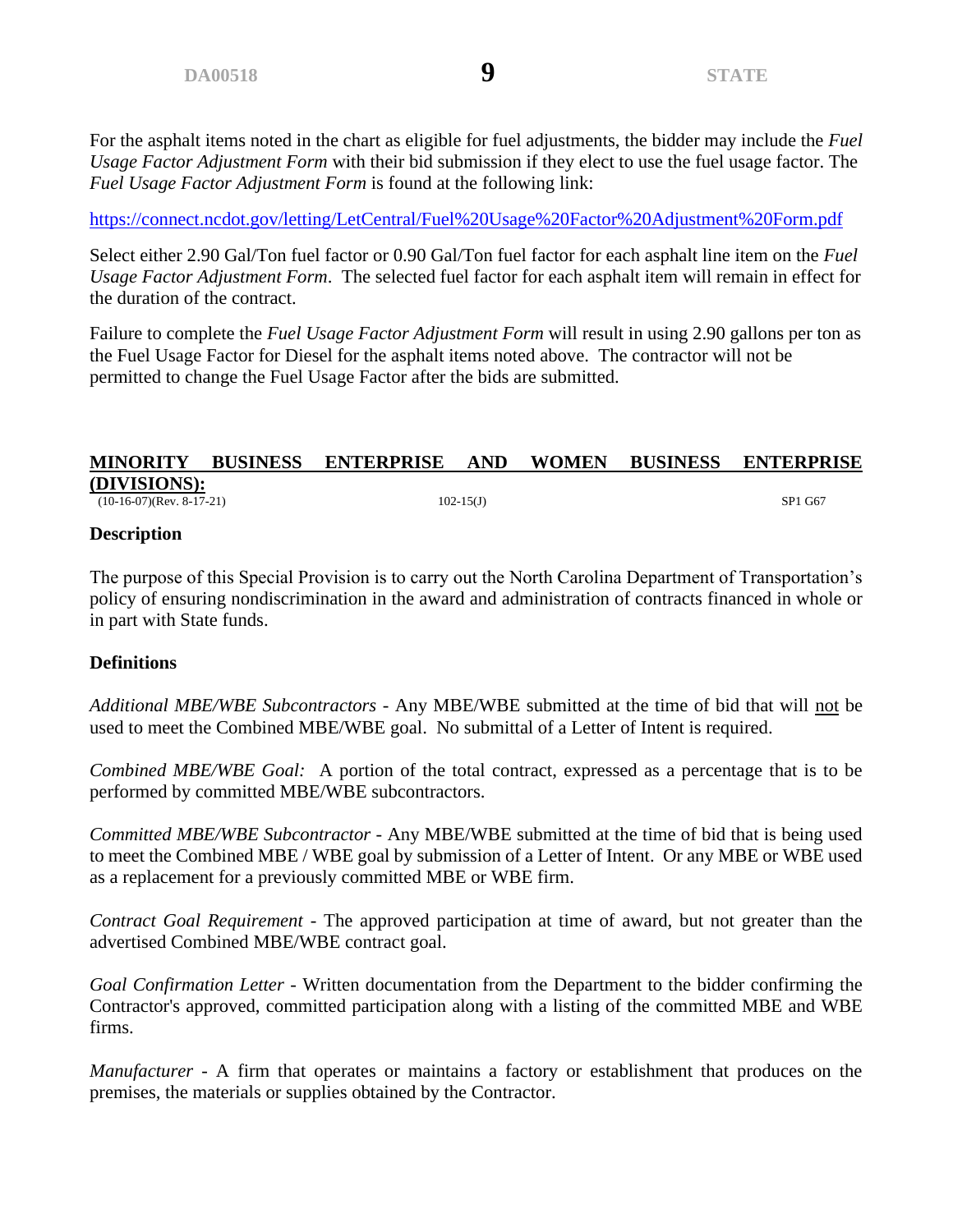<https://connect.ncdot.gov/letting/LetCentral/Fuel%20Usage%20Factor%20Adjustment%20Form.pdf>

Select either 2.90 Gal/Ton fuel factor or 0.90 Gal/Ton fuel factor for each asphalt line item on the *Fuel Usage Factor Adjustment Form*. The selected fuel factor for each asphalt item will remain in effect for the duration of the contract.

Failure to complete the *Fuel Usage Factor Adjustment Form* will result in using 2.90 gallons per ton as the Fuel Usage Factor for Diesel for the asphalt items noted above. The contractor will not be permitted to change the Fuel Usage Factor after the bids are submitted.

#### **MINORITY BUSINESS ENTERPRISE AND WOMEN BUSINESS ENTERPRISE (DIVISIONS):**  $(10-16-07)(\text{Rev. } 8-17-21)$  SP1 G67

# **Description**

The purpose of this Special Provision is to carry out the North Carolina Department of Transportation's policy of ensuring nondiscrimination in the award and administration of contracts financed in whole or in part with State funds.

# **Definitions**

*Additional MBE/WBE Subcontractors* - Any MBE/WBE submitted at the time of bid that will not be used to meet the Combined MBE/WBE goal. No submittal of a Letter of Intent is required.

*Combined MBE/WBE Goal:* A portion of the total contract, expressed as a percentage that is to be performed by committed MBE/WBE subcontractors.

*Committed MBE/WBE Subcontractor* - Any MBE/WBE submitted at the time of bid that is being used to meet the Combined MBE / WBE goal by submission of a Letter of Intent. Or any MBE or WBE used as a replacement for a previously committed MBE or WBE firm.

*Contract Goal Requirement* - The approved participation at time of award, but not greater than the advertised Combined MBE/WBE contract goal.

*Goal Confirmation Letter -* Written documentation from the Department to the bidder confirming the Contractor's approved, committed participation along with a listing of the committed MBE and WBE firms.

*Manufacturer* - A firm that operates or maintains a factory or establishment that produces on the premises, the materials or supplies obtained by the Contractor.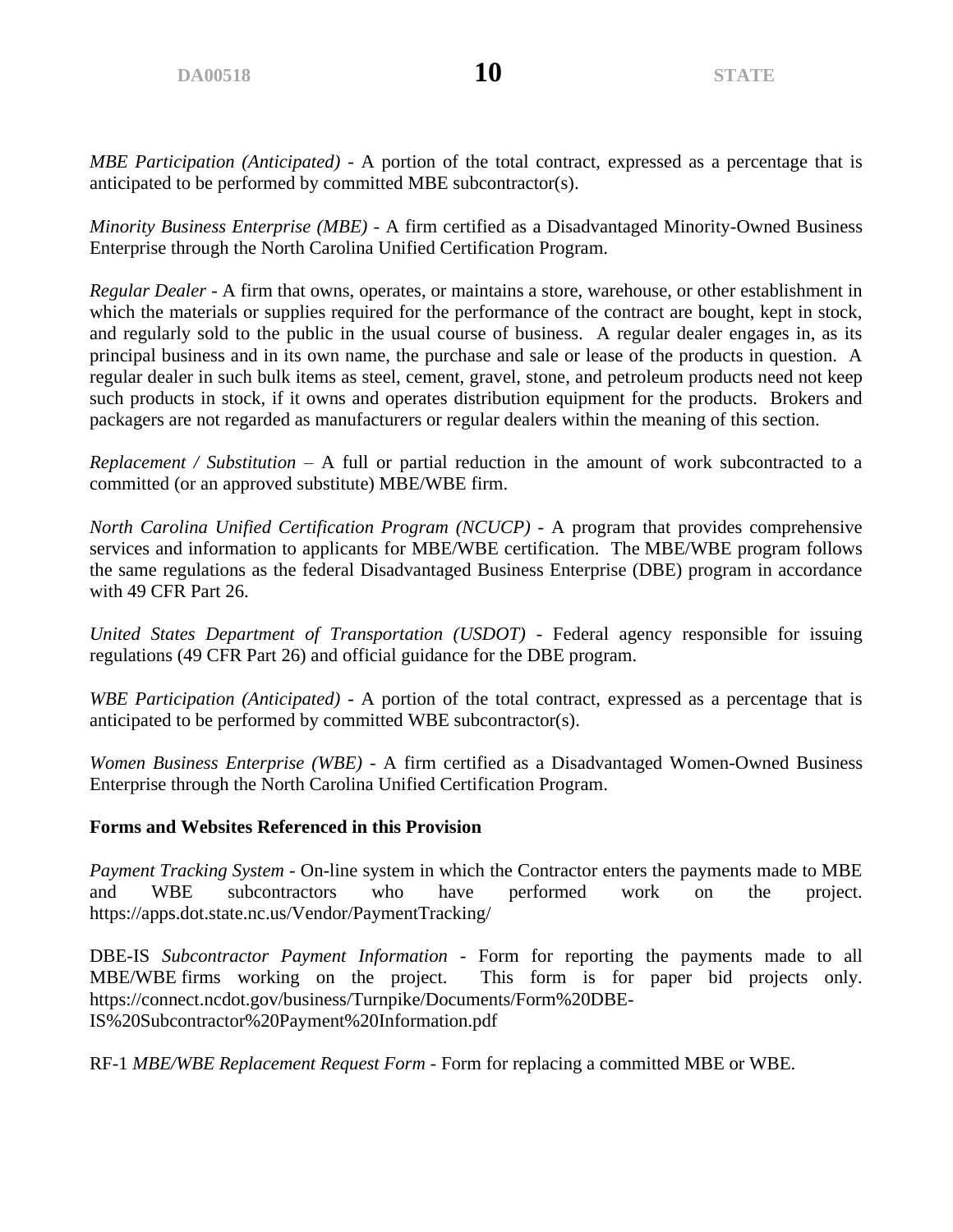*MBE Participation (Anticipated) -* A portion of the total contract, expressed as a percentage that is anticipated to be performed by committed MBE subcontractor(s).

*Minority Business Enterprise (MBE)* - A firm certified as a Disadvantaged Minority-Owned Business Enterprise through the North Carolina Unified Certification Program.

*Regular Dealer* - A firm that owns, operates, or maintains a store, warehouse, or other establishment in which the materials or supplies required for the performance of the contract are bought, kept in stock, and regularly sold to the public in the usual course of business. A regular dealer engages in, as its principal business and in its own name, the purchase and sale or lease of the products in question. A regular dealer in such bulk items as steel, cement, gravel, stone, and petroleum products need not keep such products in stock, if it owns and operates distribution equipment for the products. Brokers and packagers are not regarded as manufacturers or regular dealers within the meaning of this section.

*Replacement / Substitution* – A full or partial reduction in the amount of work subcontracted to a committed (or an approved substitute) MBE/WBE firm.

*North Carolina Unified Certification Pr*o*gram (NCUCP)* - A program that provides comprehensive services and information to applicants for MBE/WBE certification. The MBE/WBE program follows the same regulations as the federal Disadvantaged Business Enterprise (DBE) program in accordance with 49 CFR Part 26.

*United States Department of Transportation (USDOT)* - Federal agency responsible for issuing regulations (49 CFR Part 26) and official guidance for the DBE program.

*WBE Participation (Anticipated) -* A portion of the total contract, expressed as a percentage that is anticipated to be performed by committed WBE subcontractor(s).

*Women Business Enterprise (WBE)* - A firm certified as a Disadvantaged Women-Owned Business Enterprise through the North Carolina Unified Certification Program.

#### **Forms and Websites Referenced in this Provision**

*Payment Tracking System* - On-line system in which the Contractor enters the payments made to MBE and WBE subcontractors who have performed work on the project. <https://apps.dot.state.nc.us/Vendor/PaymentTracking/>

DBE-IS *Subcontractor Payment Information* - Form for reporting the payments made to all MBE/WBE firms working on the project. This form is for paper bid projects only. https://connect.ncdot.gov/business/Turnpike/Documents/Form%20DBE-IS%20Subcontractor%20Payment%20Information.pdf

RF-1 *MBE/WBE Replacement Request Form* - Form for replacing a committed MBE or WBE.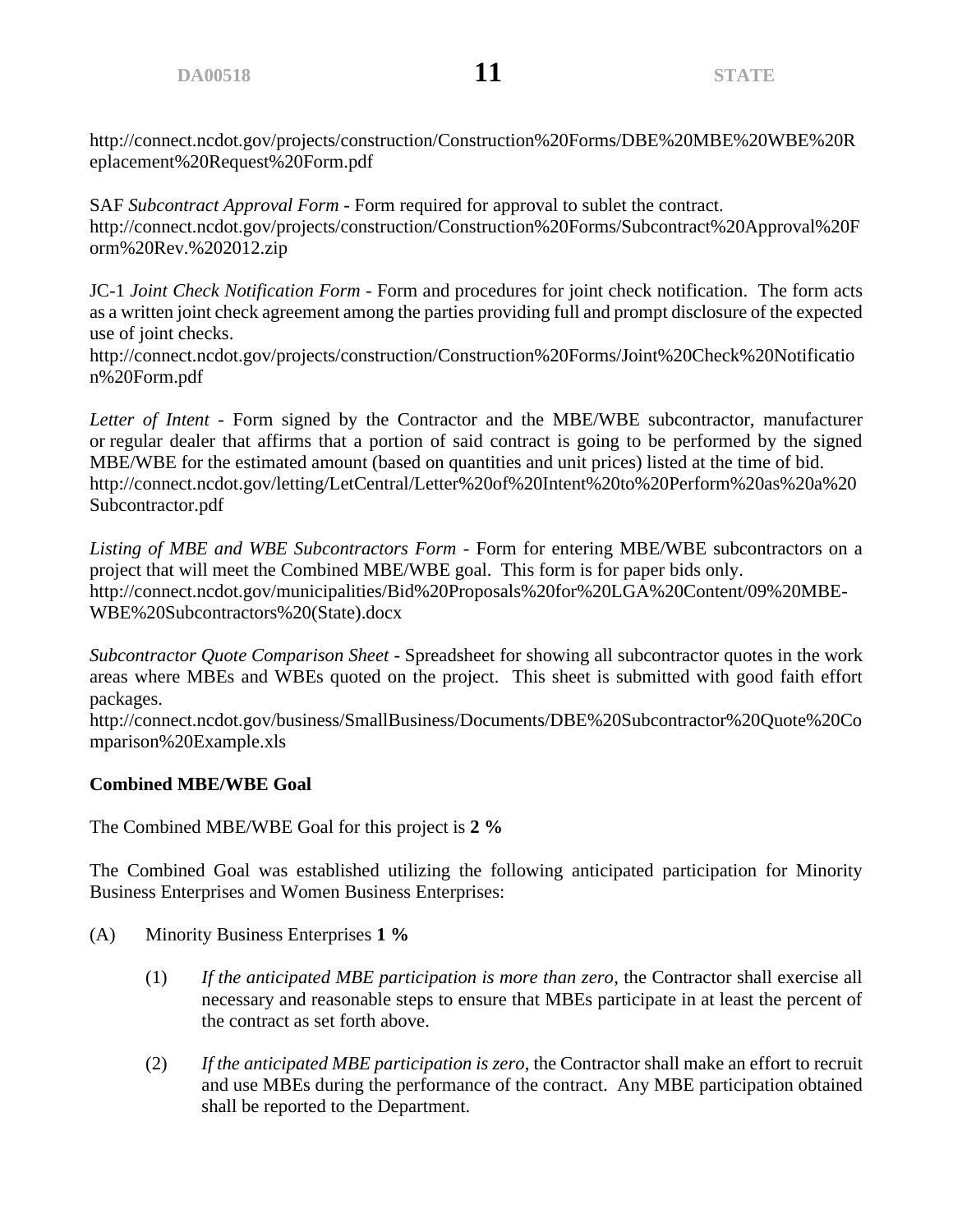http://connect.ncdot.gov/projects/construction/Construction%20Forms/DBE%20MBE%20WBE%20R eplacement%20Request%20Form.pdf

SAF *Subcontract Approval Form* - Form required for approval to sublet the contract. http://connect.ncdot.gov/projects/construction/Construction%20Forms/Subcontract%20Approval%20F orm%20Rev.%202012.zip

JC-1 *Joint Check Notification Form* - Form and procedures for joint check notification. The form acts as a written joint check agreement among the parties providing full and prompt disclosure of the expected use of joint checks.

http://connect.ncdot.gov/projects/construction/Construction%20Forms/Joint%20Check%20Notificatio n%20Form.pdf

*Letter of Intent* - Form signed by the Contractor and the MBE/WBE subcontractor, manufacturer or regular dealer that affirms that a portion of said contract is going to be performed by the signed MBE/WBE for the estimated amount (based on quantities and unit prices) listed at the time of bid. http://connect.ncdot.gov/letting/LetCentral/Letter%20of%20Intent%20to%20Perform%20as%20a%20 Subcontractor.pdf

*Listing of MBE and WBE Subcontractors Form -* Form for entering MBE/WBE subcontractors on a project that will meet the Combined MBE/WBE goal. This form is for paper bids only. http://connect.ncdot.gov/municipalities/Bid%20Proposals%20for%20LGA%20Content/09%20MBE-WBE%20Subcontractors%20(State).docx

*Subcontractor Quote Comparison Sheet -* Spreadsheet for showing all subcontractor quotes in the work areas where MBEs and WBEs quoted on the project. This sheet is submitted with good faith effort packages.

http://connect.ncdot.gov/business/SmallBusiness/Documents/DBE%20Subcontractor%20Quote%20Co mparison%20Example.xls

# **Combined MBE/WBE Goal**

The Combined MBE/WBE Goal for this project is **2 %**

The Combined Goal was established utilizing the following anticipated participation for Minority Business Enterprises and Women Business Enterprises:

- (A) Minority Business Enterprises **1 %**
	- (1) *If the anticipated MBE participation is more than zero*, the Contractor shall exercise all necessary and reasonable steps to ensure that MBEs participate in at least the percent of the contract as set forth above.
	- (2) *If the anticipated MBE participation is zero*, the Contractor shall make an effort to recruit and use MBEs during the performance of the contract. Any MBE participation obtained shall be reported to the Department.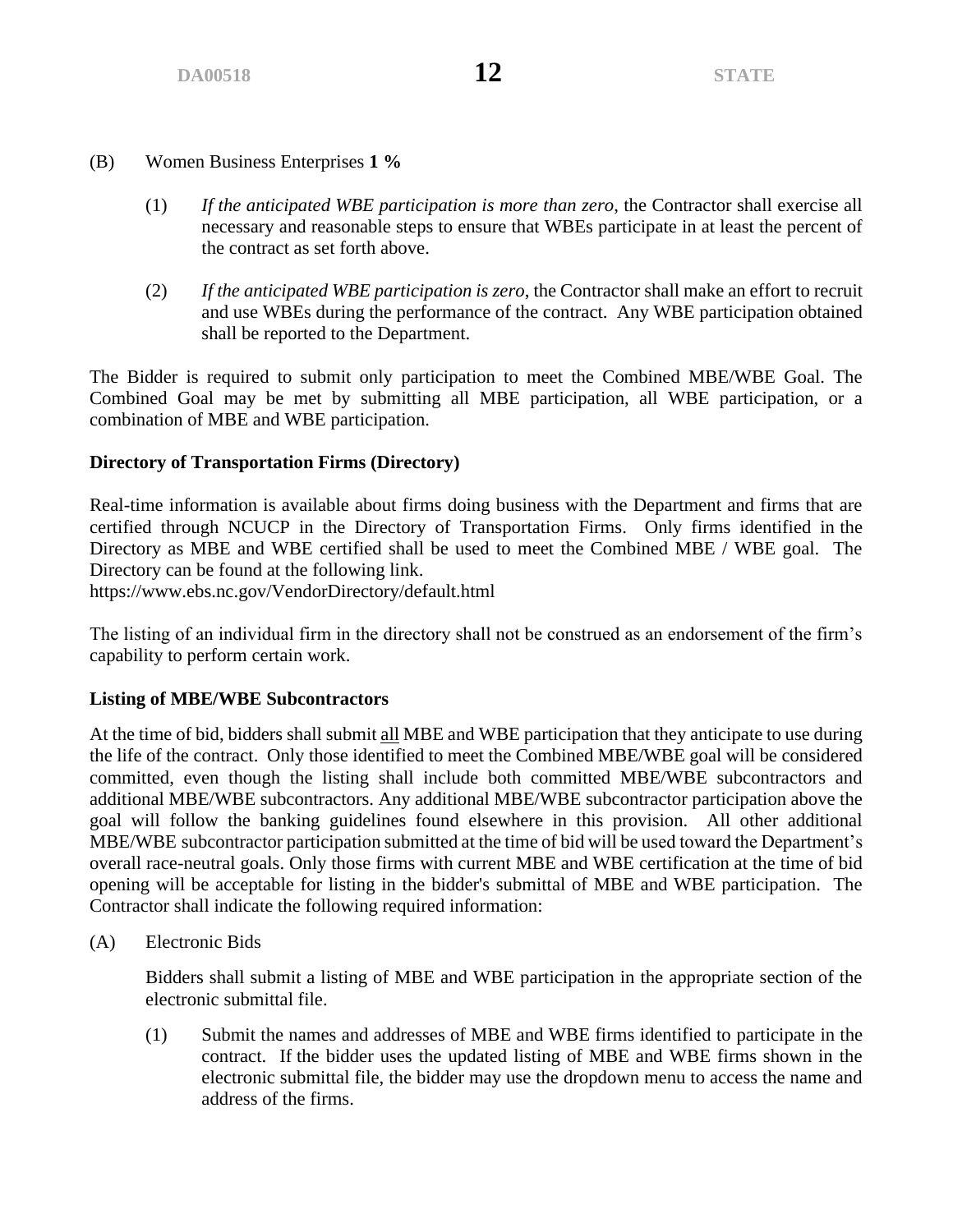- (B) Women Business Enterprises **1 %**
	- (1) *If the anticipated WBE participation is more than zero*, the Contractor shall exercise all necessary and reasonable steps to ensure that WBEs participate in at least the percent of the contract as set forth above.
	- (2) *If the anticipated WBE participation is zero*, the Contractor shall make an effort to recruit and use WBEs during the performance of the contract. Any WBE participation obtained shall be reported to the Department.

The Bidder is required to submit only participation to meet the Combined MBE/WBE Goal. The Combined Goal may be met by submitting all MBE participation, all WBE participation, or a combination of MBE and WBE participation.

#### **Directory of Transportation Firms (Directory)**

Real-time information is available about firms doing business with the Department and firms that are certified through NCUCP in the Directory of Transportation Firms. Only firms identified in the Directory as MBE and WBE certified shall be used to meet the Combined MBE / WBE goal. The Directory can be found at the following link.

https://www.ebs.nc.gov/VendorDirectory/default.html

The listing of an individual firm in the directory shall not be construed as an endorsement of the firm's capability to perform certain work.

#### **Listing of MBE/WBE Subcontractors**

At the time of bid, bidders shall submit all MBE and WBE participation that they anticipate to use during the life of the contract. Only those identified to meet the Combined MBE/WBE goal will be considered committed, even though the listing shall include both committed MBE/WBE subcontractors and additional MBE/WBE subcontractors. Any additional MBE/WBE subcontractor participation above the goal will follow the banking guidelines found elsewhere in this provision. All other additional MBE/WBE subcontractor participation submitted at the time of bid will be used toward the Department's overall race-neutral goals. Only those firms with current MBE and WBE certification at the time of bid opening will be acceptable for listing in the bidder's submittal of MBE and WBE participation. The Contractor shall indicate the following required information:

(A) Electronic Bids

Bidders shall submit a listing of MBE and WBE participation in the appropriate section of the electronic submittal file.

(1) Submit the names and addresses of MBE and WBE firms identified to participate in the contract. If the bidder uses the updated listing of MBE and WBE firms shown in the electronic submittal file, the bidder may use the dropdown menu to access the name and address of the firms.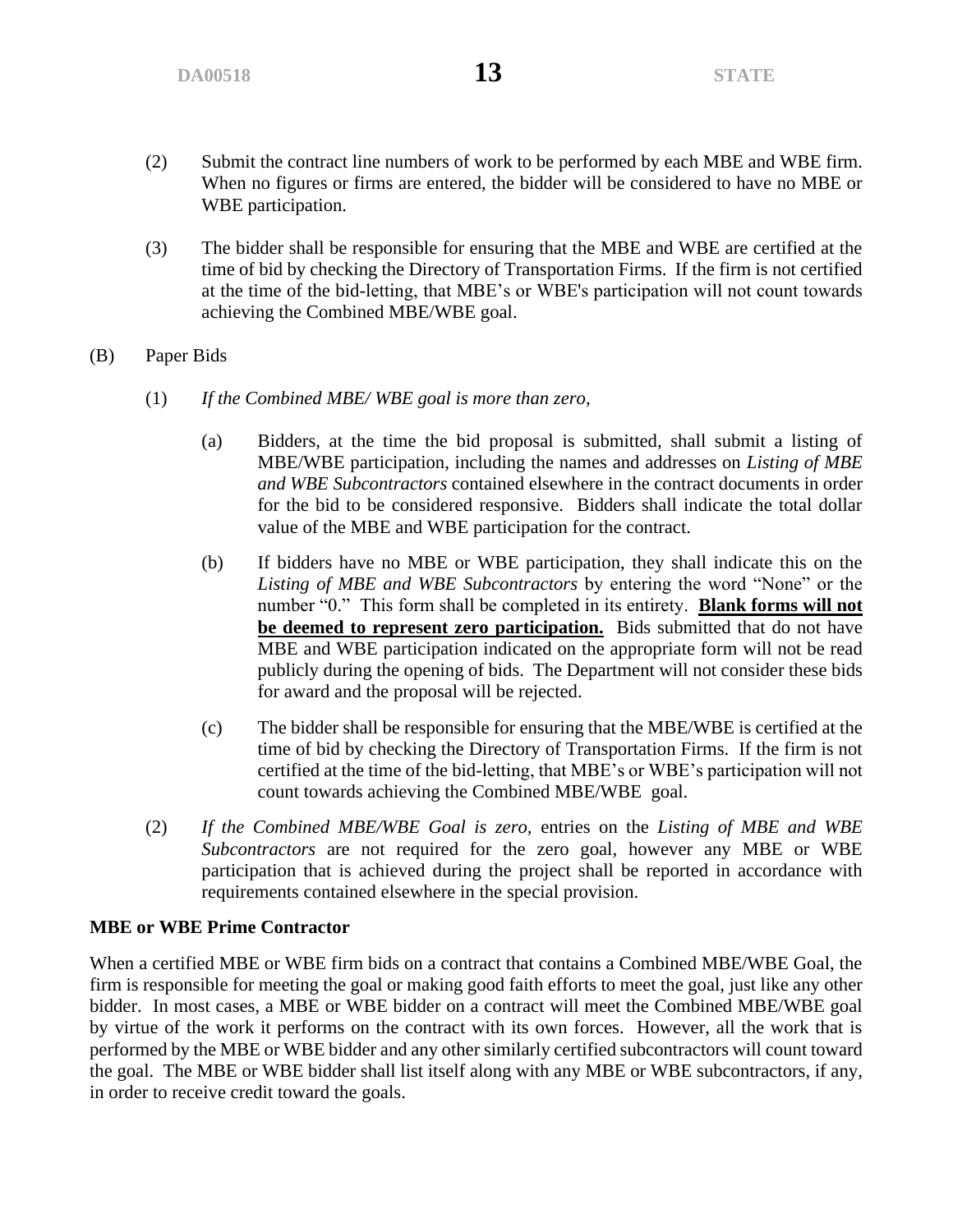- (2) Submit the contract line numbers of work to be performed by each MBE and WBE firm. When no figures or firms are entered, the bidder will be considered to have no MBE or WBE participation.
- (3) The bidder shall be responsible for ensuring that the MBE and WBE are certified at the time of bid by checking the Directory of Transportation Firms. If the firm is not certified at the time of the bid-letting, that MBE's or WBE's participation will not count towards achieving the Combined MBE/WBE goal.
- (B) Paper Bids
	- (1) *If the Combined MBE/ WBE goal is more than zero,*
		- (a) Bidders, at the time the bid proposal is submitted, shall submit a listing of MBE/WBE participation, including the names and addresses on *Listing of MBE and WBE Subcontractors* contained elsewhere in the contract documents in order for the bid to be considered responsive. Bidders shall indicate the total dollar value of the MBE and WBE participation for the contract.
		- (b) If bidders have no MBE or WBE participation, they shall indicate this on the *Listing of MBE and WBE Subcontractors* by entering the word "None" or the number "0." This form shall be completed in its entirety. **Blank forms will not be deemed to represent zero participation.** Bids submitted that do not have MBE and WBE participation indicated on the appropriate form will not be read publicly during the opening of bids. The Department will not consider these bids for award and the proposal will be rejected.
		- (c) The bidder shall be responsible for ensuring that the MBE/WBE is certified at the time of bid by checking the Directory of Transportation Firms. If the firm is not certified at the time of the bid-letting, that MBE's or WBE's participation will not count towards achieving the Combined MBE/WBE goal.
	- (2) *If the Combined MBE/WBE Goal is zero,* entries on the *Listing of MBE and WBE Subcontractors* are not required for the zero goal, however any MBE or WBE participation that is achieved during the project shall be reported in accordance with requirements contained elsewhere in the special provision.

#### **MBE or WBE Prime Contractor**

When a certified MBE or WBE firm bids on a contract that contains a Combined MBE/WBE Goal, the firm is responsible for meeting the goal or making good faith efforts to meet the goal, just like any other bidder. In most cases, a MBE or WBE bidder on a contract will meet the Combined MBE/WBE goal by virtue of the work it performs on the contract with its own forces. However, all the work that is performed by the MBE or WBE bidder and any other similarly certified subcontractors will count toward the goal. The MBE or WBE bidder shall list itself along with any MBE or WBE subcontractors, if any, in order to receive credit toward the goals.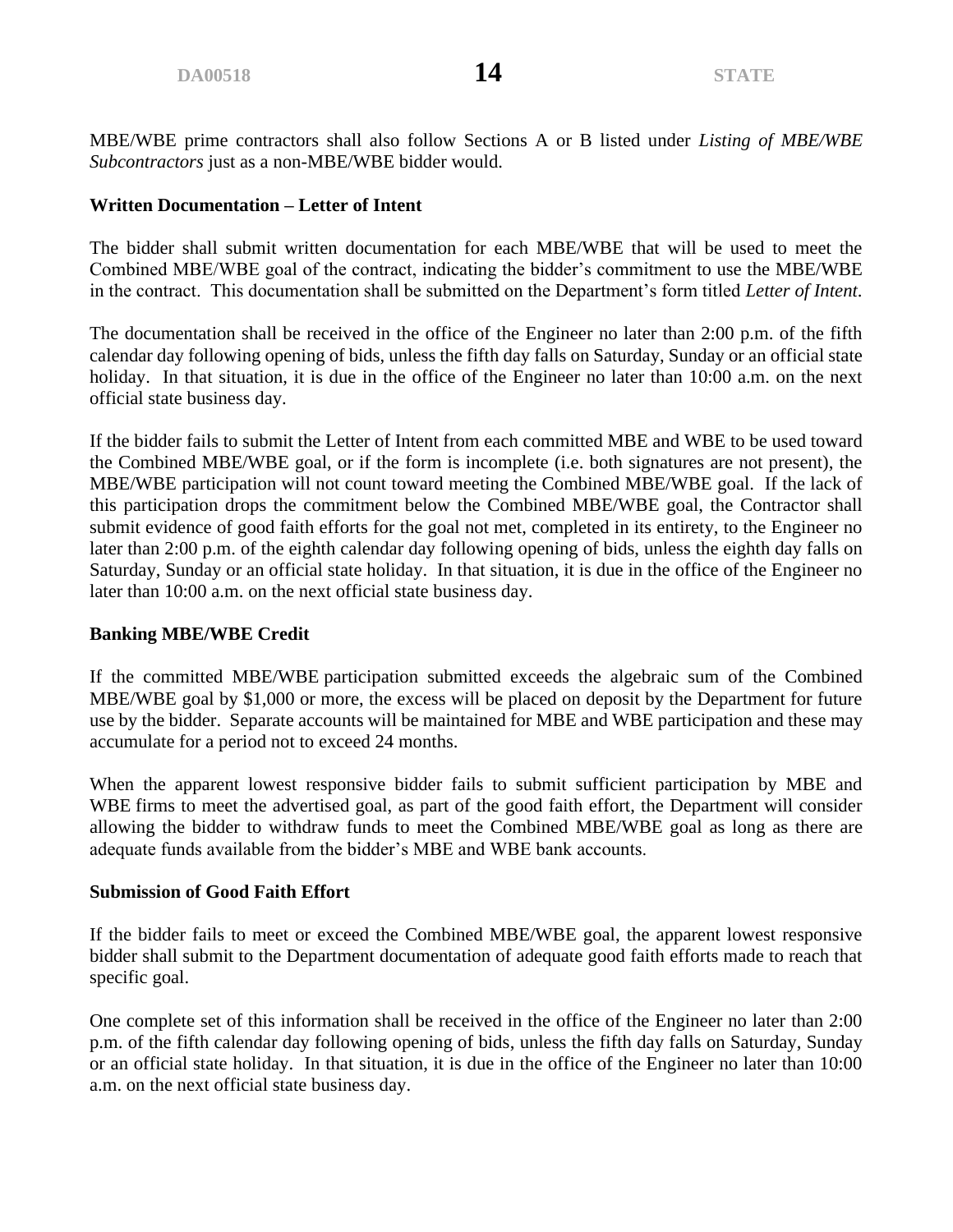MBE/WBE prime contractors shall also follow Sections A or B listed under *Listing of MBE/WBE Subcontractors* just as a non-MBE/WBE bidder would.

### **Written Documentation – Letter of Intent**

The bidder shall submit written documentation for each MBE/WBE that will be used to meet the Combined MBE/WBE goal of the contract, indicating the bidder's commitment to use the MBE/WBE in the contract. This documentation shall be submitted on the Department's form titled *Letter of Intent*.

The documentation shall be received in the office of the Engineer no later than 2:00 p.m. of the fifth calendar day following opening of bids, unless the fifth day falls on Saturday, Sunday or an official state holiday. In that situation, it is due in the office of the Engineer no later than 10:00 a.m. on the next official state business day.

If the bidder fails to submit the Letter of Intent from each committed MBE and WBE to be used toward the Combined MBE/WBE goal, or if the form is incomplete (i.e. both signatures are not present), the MBE/WBE participation will not count toward meeting the Combined MBE/WBE goal. If the lack of this participation drops the commitment below the Combined MBE/WBE goal, the Contractor shall submit evidence of good faith efforts for the goal not met, completed in its entirety, to the Engineer no later than 2:00 p.m. of the eighth calendar day following opening of bids, unless the eighth day falls on Saturday, Sunday or an official state holiday. In that situation, it is due in the office of the Engineer no later than 10:00 a.m. on the next official state business day.

#### **Banking MBE/WBE Credit**

If the committed MBE/WBE participation submitted exceeds the algebraic sum of the Combined MBE/WBE goal by \$1,000 or more, the excess will be placed on deposit by the Department for future use by the bidder. Separate accounts will be maintained for MBE and WBE participation and these may accumulate for a period not to exceed 24 months.

When the apparent lowest responsive bidder fails to submit sufficient participation by MBE and WBE firms to meet the advertised goal, as part of the good faith effort, the Department will consider allowing the bidder to withdraw funds to meet the Combined MBE/WBE goal as long as there are adequate funds available from the bidder's MBE and WBE bank accounts.

#### **Submission of Good Faith Effort**

If the bidder fails to meet or exceed the Combined MBE/WBE goal, the apparent lowest responsive bidder shall submit to the Department documentation of adequate good faith efforts made to reach that specific goal.

One complete set of this information shall be received in the office of the Engineer no later than 2:00 p.m. of the fifth calendar day following opening of bids, unless the fifth day falls on Saturday, Sunday or an official state holiday. In that situation, it is due in the office of the Engineer no later than 10:00 a.m. on the next official state business day.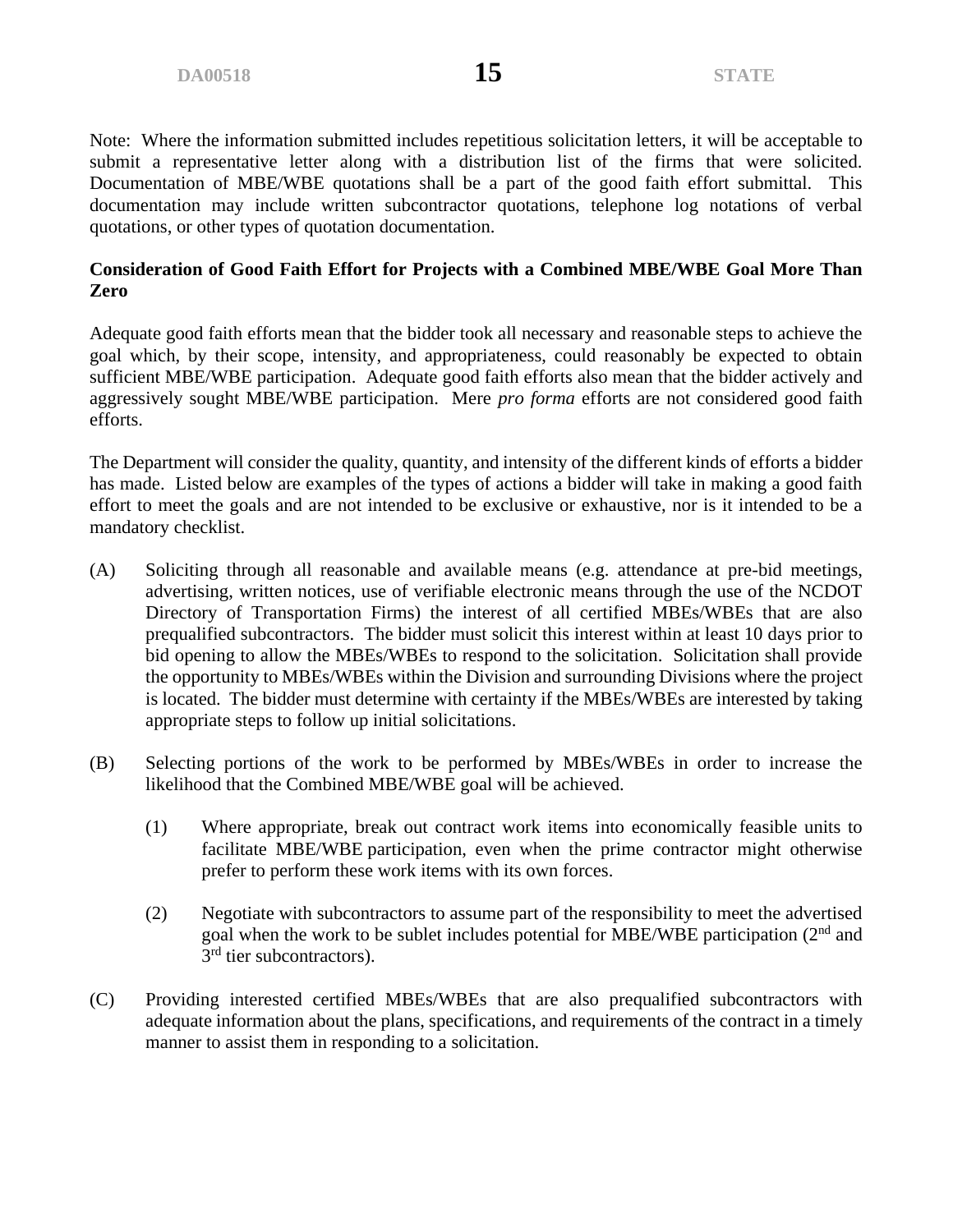Note: Where the information submitted includes repetitious solicitation letters, it will be acceptable to submit a representative letter along with a distribution list of the firms that were solicited. Documentation of MBE/WBE quotations shall be a part of the good faith effort submittal. This documentation may include written subcontractor quotations, telephone log notations of verbal quotations, or other types of quotation documentation.

# **Consideration of Good Faith Effort for Projects with a Combined MBE/WBE Goal More Than Zero**

Adequate good faith efforts mean that the bidder took all necessary and reasonable steps to achieve the goal which, by their scope, intensity, and appropriateness, could reasonably be expected to obtain sufficient MBE/WBE participation. Adequate good faith efforts also mean that the bidder actively and aggressively sought MBE/WBE participation. Mere *pro forma* efforts are not considered good faith efforts.

The Department will consider the quality, quantity, and intensity of the different kinds of efforts a bidder has made. Listed below are examples of the types of actions a bidder will take in making a good faith effort to meet the goals and are not intended to be exclusive or exhaustive, nor is it intended to be a mandatory checklist.

- (A) Soliciting through all reasonable and available means (e.g. attendance at pre-bid meetings, advertising, written notices, use of verifiable electronic means through the use of the NCDOT Directory of Transportation Firms) the interest of all certified MBEs/WBEs that are also prequalified subcontractors. The bidder must solicit this interest within at least 10 days prior to bid opening to allow the MBEs/WBEs to respond to the solicitation. Solicitation shall provide the opportunity to MBEs/WBEs within the Division and surrounding Divisions where the project is located. The bidder must determine with certainty if the MBEs/WBEs are interested by taking appropriate steps to follow up initial solicitations.
- (B) Selecting portions of the work to be performed by MBEs/WBEs in order to increase the likelihood that the Combined MBE/WBE goal will be achieved.
	- (1) Where appropriate, break out contract work items into economically feasible units to facilitate MBE/WBE participation, even when the prime contractor might otherwise prefer to perform these work items with its own forces.
	- (2) Negotiate with subcontractors to assume part of the responsibility to meet the advertised goal when the work to be sublet includes potential for MBE/WBE participation (2nd and 3<sup>rd</sup> tier subcontractors).
- (C) Providing interested certified MBEs/WBEs that are also prequalified subcontractors with adequate information about the plans, specifications, and requirements of the contract in a timely manner to assist them in responding to a solicitation.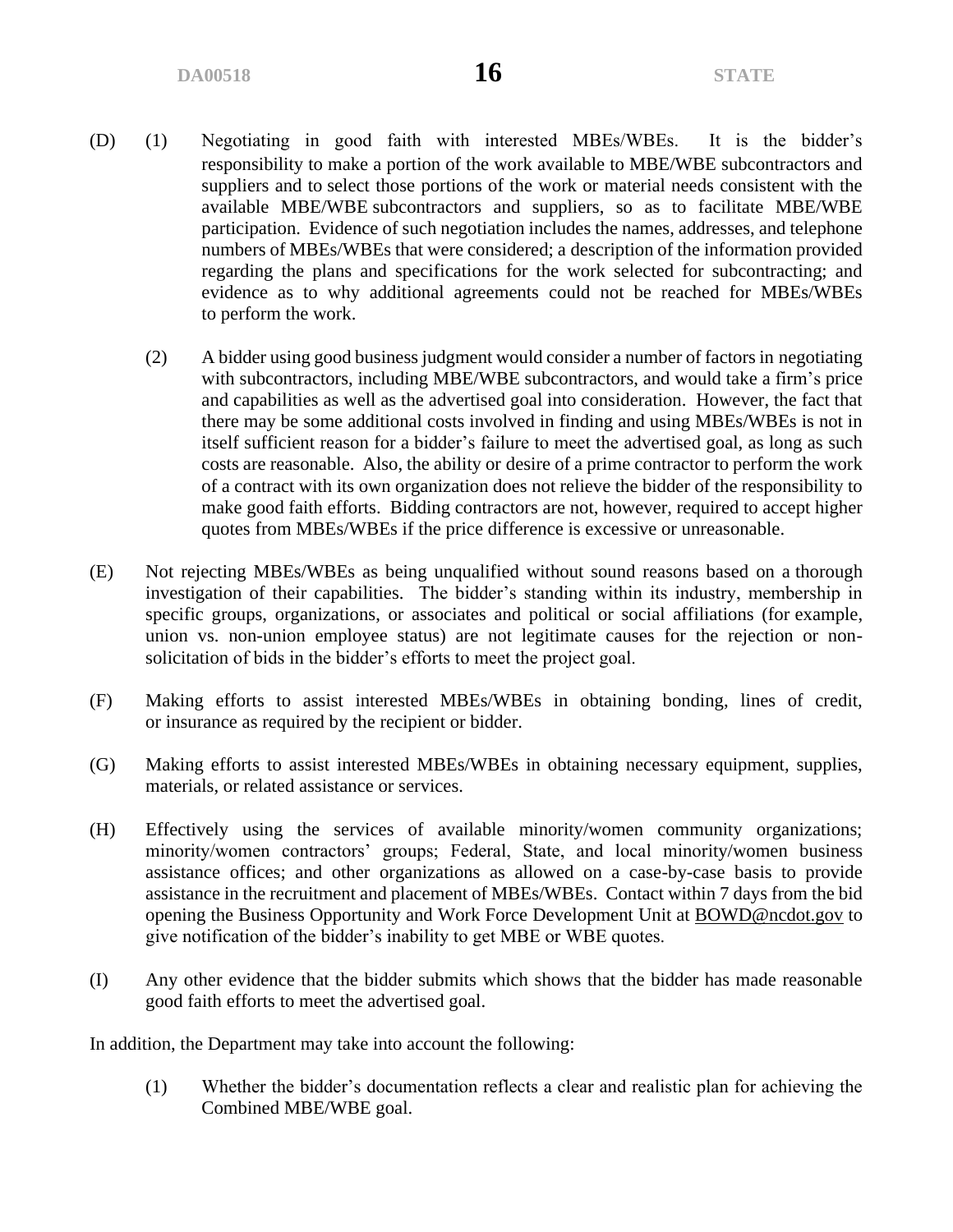- (D) (1) Negotiating in good faith with interested MBEs/WBEs. It is the bidder's responsibility to make a portion of the work available to MBE/WBE subcontractors and suppliers and to select those portions of the work or material needs consistent with the available MBE/WBE subcontractors and suppliers, so as to facilitate MBE/WBE participation. Evidence of such negotiation includes the names, addresses, and telephone numbers of MBEs/WBEs that were considered; a description of the information provided regarding the plans and specifications for the work selected for subcontracting; and evidence as to why additional agreements could not be reached for MBEs/WBEs to perform the work.
	- (2) A bidder using good business judgment would consider a number of factors in negotiating with subcontractors, including MBE/WBE subcontractors, and would take a firm's price and capabilities as well as the advertised goal into consideration. However, the fact that there may be some additional costs involved in finding and using MBEs/WBEs is not in itself sufficient reason for a bidder's failure to meet the advertised goal, as long as such costs are reasonable. Also, the ability or desire of a prime contractor to perform the work of a contract with its own organization does not relieve the bidder of the responsibility to make good faith efforts. Bidding contractors are not, however, required to accept higher quotes from MBEs/WBEs if the price difference is excessive or unreasonable.
- (E) Not rejecting MBEs/WBEs as being unqualified without sound reasons based on a thorough investigation of their capabilities. The bidder's standing within its industry, membership in specific groups, organizations, or associates and political or social affiliations (for example, union vs. non-union employee status) are not legitimate causes for the rejection or nonsolicitation of bids in the bidder's efforts to meet the project goal.
- (F) Making efforts to assist interested MBEs/WBEs in obtaining bonding, lines of credit, or insurance as required by the recipient or bidder.
- (G) Making efforts to assist interested MBEs/WBEs in obtaining necessary equipment, supplies, materials, or related assistance or services.
- (H) Effectively using the services of available minority/women community organizations; minority/women contractors' groups; Federal, State, and local minority/women business assistance offices; and other organizations as allowed on a case-by-case basis to provide assistance in the recruitment and placement of MBEs/WBEs. Contact within 7 days from the bid opening the Business Opportunity and Work Force Development Unit at [BOWD@ncdot.gov](mailto:BOWD@ncdot.gov) to give notification of the bidder's inability to get MBE or WBE quotes.
- (I) Any other evidence that the bidder submits which shows that the bidder has made reasonable good faith efforts to meet the advertised goal.

In addition, the Department may take into account the following:

(1) Whether the bidder's documentation reflects a clear and realistic plan for achieving the Combined MBE/WBE goal.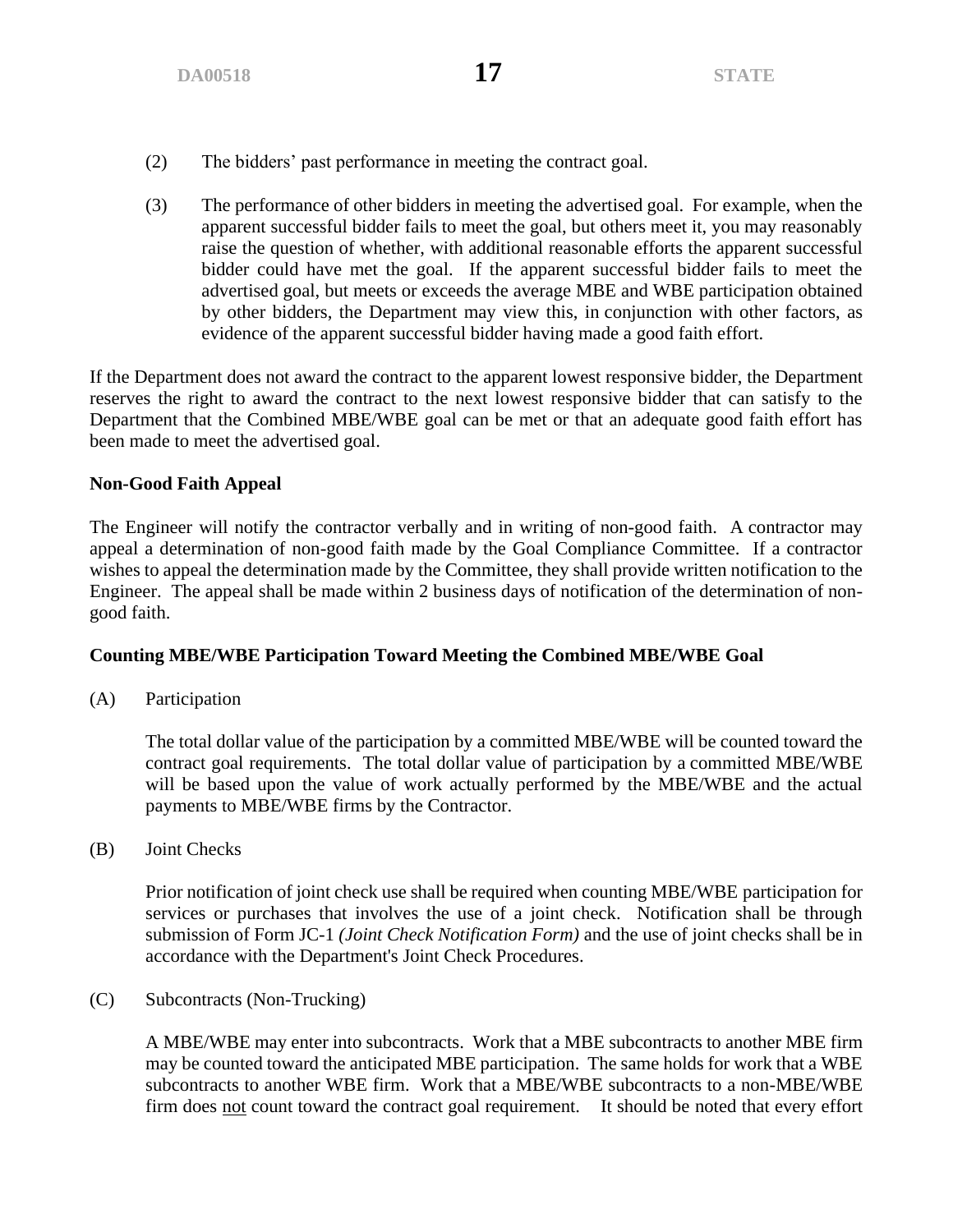- (2) The bidders' past performance in meeting the contract goal.
- (3) The performance of other bidders in meeting the advertised goal. For example, when the apparent successful bidder fails to meet the goal, but others meet it, you may reasonably raise the question of whether, with additional reasonable efforts the apparent successful bidder could have met the goal. If the apparent successful bidder fails to meet the advertised goal, but meets or exceeds the average MBE and WBE participation obtained by other bidders, the Department may view this, in conjunction with other factors, as evidence of the apparent successful bidder having made a good faith effort.

If the Department does not award the contract to the apparent lowest responsive bidder, the Department reserves the right to award the contract to the next lowest responsive bidder that can satisfy to the Department that the Combined MBE/WBE goal can be met or that an adequate good faith effort has been made to meet the advertised goal.

### **Non-Good Faith Appeal**

The Engineer will notify the contractor verbally and in writing of non-good faith. A contractor may appeal a determination of non-good faith made by the Goal Compliance Committee. If a contractor wishes to appeal the determination made by the Committee, they shall provide written notification to the Engineer. The appeal shall be made within 2 business days of notification of the determination of nongood faith.

# **Counting MBE/WBE Participation Toward Meeting the Combined MBE/WBE Goal**

(A) Participation

The total dollar value of the participation by a committed MBE/WBE will be counted toward the contract goal requirements. The total dollar value of participation by a committed MBE/WBE will be based upon the value of work actually performed by the MBE/WBE and the actual payments to MBE/WBE firms by the Contractor.

(B) Joint Checks

Prior notification of joint check use shall be required when counting MBE/WBE participation for services or purchases that involves the use of a joint check. Notification shall be through submission of Form JC-1 *(Joint Check Notification Form)* and the use of joint checks shall be in accordance with the Department's Joint Check Procedures.

(C) Subcontracts (Non-Trucking)

A MBE/WBE may enter into subcontracts. Work that a MBE subcontracts to another MBE firm may be counted toward the anticipated MBE participation. The same holds for work that a WBE subcontracts to another WBE firm. Work that a MBE/WBE subcontracts to a non-MBE/WBE firm does not count toward the contract goal requirement. It should be noted that every effort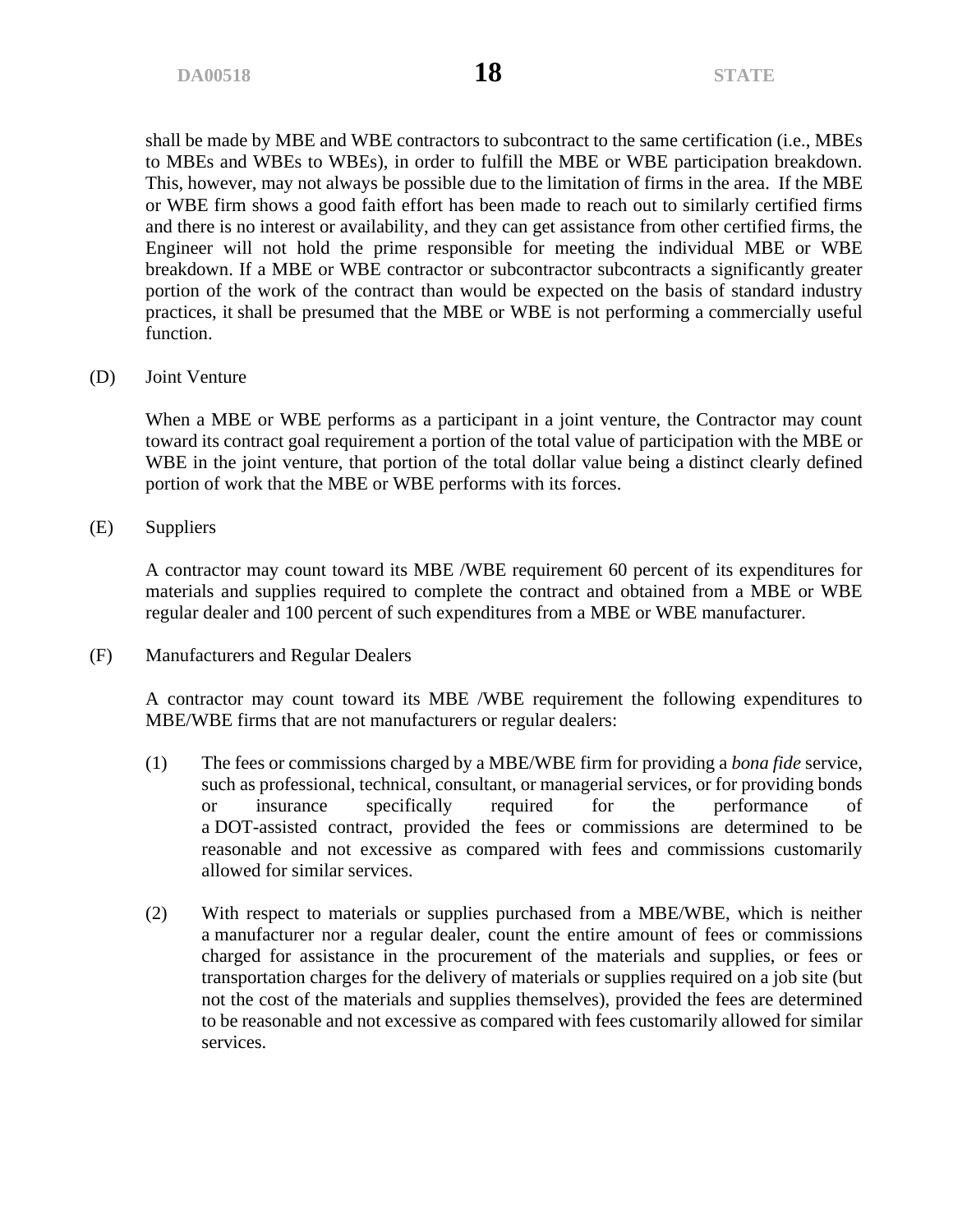shall be made by MBE and WBE contractors to subcontract to the same certification (i.e., MBEs to MBEs and WBEs to WBEs), in order to fulfill the MBE or WBE participation breakdown. This, however, may not always be possible due to the limitation of firms in the area. If the MBE or WBE firm shows a good faith effort has been made to reach out to similarly certified firms and there is no interest or availability, and they can get assistance from other certified firms, the Engineer will not hold the prime responsible for meeting the individual MBE or WBE breakdown. If a MBE or WBE contractor or subcontractor subcontracts a significantly greater portion of the work of the contract than would be expected on the basis of standard industry practices, it shall be presumed that the MBE or WBE is not performing a commercially useful function.

(D) Joint Venture

When a MBE or WBE performs as a participant in a joint venture, the Contractor may count toward its contract goal requirement a portion of the total value of participation with the MBE or WBE in the joint venture, that portion of the total dollar value being a distinct clearly defined portion of work that the MBE or WBE performs with its forces.

(E) Suppliers

A contractor may count toward its MBE /WBE requirement 60 percent of its expenditures for materials and supplies required to complete the contract and obtained from a MBE or WBE regular dealer and 100 percent of such expenditures from a MBE or WBE manufacturer.

(F) Manufacturers and Regular Dealers

A contractor may count toward its MBE /WBE requirement the following expenditures to MBE/WBE firms that are not manufacturers or regular dealers:

- (1) The fees or commissions charged by a MBE/WBE firm for providing a *bona fide* service, such as professional, technical, consultant, or managerial services, or for providing bonds or insurance specifically required for the performance of a DOT-assisted contract, provided the fees or commissions are determined to be reasonable and not excessive as compared with fees and commissions customarily allowed for similar services.
- (2) With respect to materials or supplies purchased from a MBE/WBE, which is neither a manufacturer nor a regular dealer, count the entire amount of fees or commissions charged for assistance in the procurement of the materials and supplies, or fees or transportation charges for the delivery of materials or supplies required on a job site (but not the cost of the materials and supplies themselves), provided the fees are determined to be reasonable and not excessive as compared with fees customarily allowed for similar services.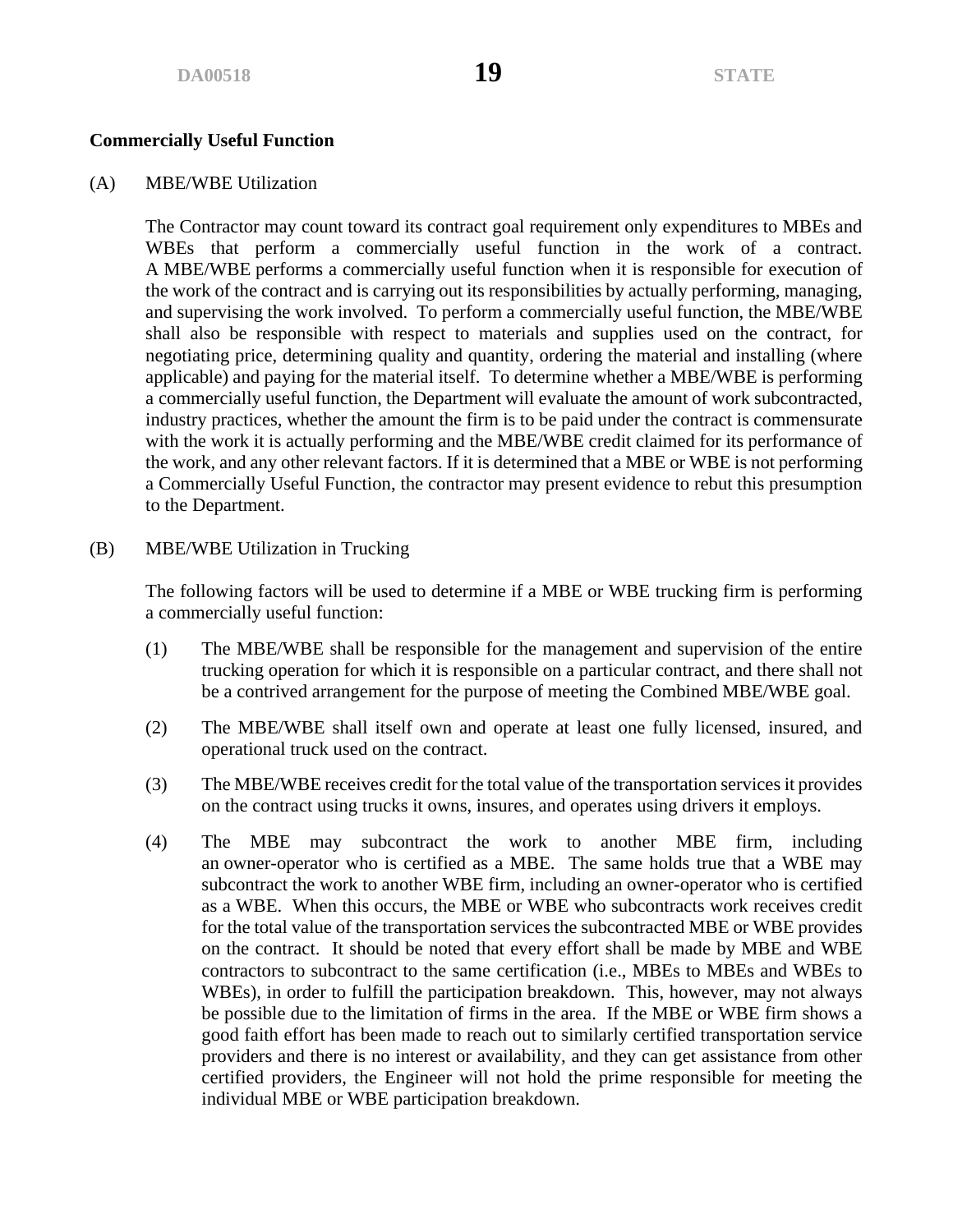#### **Commercially Useful Function**

#### (A) MBE/WBE Utilization

The Contractor may count toward its contract goal requirement only expenditures to MBEs and WBEs that perform a commercially useful function in the work of a contract. A MBE/WBE performs a commercially useful function when it is responsible for execution of the work of the contract and is carrying out its responsibilities by actually performing, managing, and supervising the work involved. To perform a commercially useful function, the MBE/WBE shall also be responsible with respect to materials and supplies used on the contract, for negotiating price, determining quality and quantity, ordering the material and installing (where applicable) and paying for the material itself. To determine whether a MBE/WBE is performing a commercially useful function, the Department will evaluate the amount of work subcontracted, industry practices, whether the amount the firm is to be paid under the contract is commensurate with the work it is actually performing and the MBE/WBE credit claimed for its performance of the work, and any other relevant factors. If it is determined that a MBE or WBE is not performing a Commercially Useful Function, the contractor may present evidence to rebut this presumption to the Department.

(B) MBE/WBE Utilization in Trucking

The following factors will be used to determine if a MBE or WBE trucking firm is performing a commercially useful function:

- (1) The MBE/WBE shall be responsible for the management and supervision of the entire trucking operation for which it is responsible on a particular contract, and there shall not be a contrived arrangement for the purpose of meeting the Combined MBE/WBE goal.
- (2) The MBE/WBE shall itself own and operate at least one fully licensed, insured, and operational truck used on the contract.
- (3) The MBE/WBE receives credit for the total value of the transportation services it provides on the contract using trucks it owns, insures, and operates using drivers it employs.
- (4) The MBE may subcontract the work to another MBE firm, including an owner-operator who is certified as a MBE. The same holds true that a WBE may subcontract the work to another WBE firm, including an owner-operator who is certified as a WBE. When this occurs, the MBE or WBE who subcontracts work receives credit for the total value of the transportation services the subcontracted MBE or WBE provides on the contract. It should be noted that every effort shall be made by MBE and WBE contractors to subcontract to the same certification (i.e., MBEs to MBEs and WBEs to WBEs), in order to fulfill the participation breakdown. This, however, may not always be possible due to the limitation of firms in the area. If the MBE or WBE firm shows a good faith effort has been made to reach out to similarly certified transportation service providers and there is no interest or availability, and they can get assistance from other certified providers, the Engineer will not hold the prime responsible for meeting the individual MBE or WBE participation breakdown.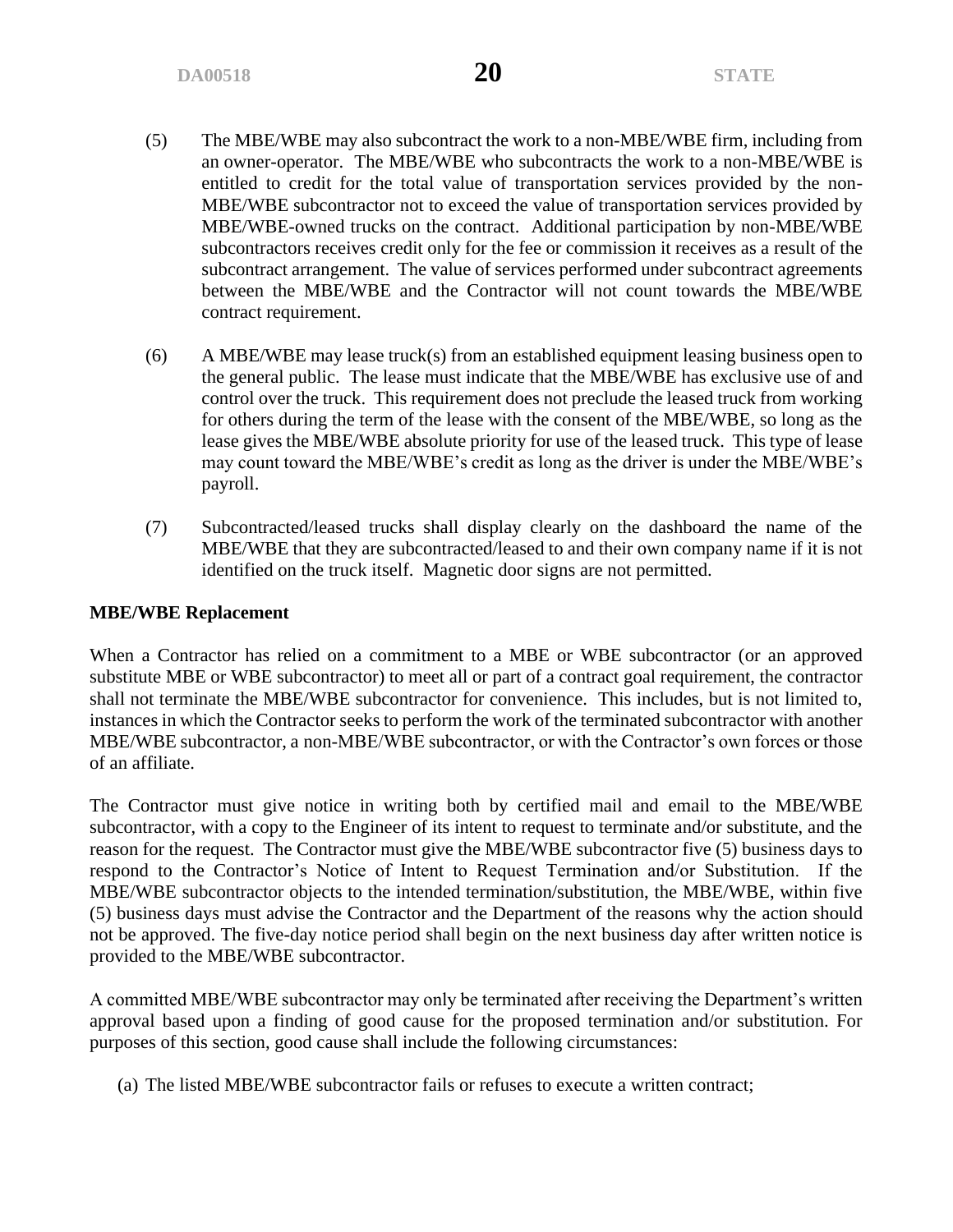- (5) The MBE/WBE may also subcontract the work to a non-MBE/WBE firm, including from an owner-operator. The MBE/WBE who subcontracts the work to a non-MBE/WBE is entitled to credit for the total value of transportation services provided by the non-MBE/WBE subcontractor not to exceed the value of transportation services provided by MBE/WBE-owned trucks on the contract. Additional participation by non-MBE/WBE subcontractors receives credit only for the fee or commission it receives as a result of the subcontract arrangement. The value of services performed under subcontract agreements between the MBE/WBE and the Contractor will not count towards the MBE/WBE contract requirement.
- (6) A MBE/WBE may lease truck(s) from an established equipment leasing business open to the general public. The lease must indicate that the MBE/WBE has exclusive use of and control over the truck. This requirement does not preclude the leased truck from working for others during the term of the lease with the consent of the MBE/WBE, so long as the lease gives the MBE/WBE absolute priority for use of the leased truck. This type of lease may count toward the MBE/WBE's credit as long as the driver is under the MBE/WBE's payroll.
- (7) Subcontracted/leased trucks shall display clearly on the dashboard the name of the MBE/WBE that they are subcontracted/leased to and their own company name if it is not identified on the truck itself. Magnetic door signs are not permitted.

#### **MBE/WBE Replacement**

When a Contractor has relied on a commitment to a MBE or WBE subcontractor (or an approved substitute MBE or WBE subcontractor) to meet all or part of a contract goal requirement, the contractor shall not terminate the MBE/WBE subcontractor for convenience. This includes, but is not limited to, instances in which the Contractor seeks to perform the work of the terminated subcontractor with another MBE/WBE subcontractor, a non-MBE/WBE subcontractor, or with the Contractor's own forces or those of an affiliate.

The Contractor must give notice in writing both by certified mail and email to the MBE/WBE subcontractor, with a copy to the Engineer of its intent to request to terminate and/or substitute, and the reason for the request. The Contractor must give the MBE/WBE subcontractor five (5) business days to respond to the Contractor's Notice of Intent to Request Termination and/or Substitution. If the MBE/WBE subcontractor objects to the intended termination/substitution, the MBE/WBE, within five (5) business days must advise the Contractor and the Department of the reasons why the action should not be approved. The five-day notice period shall begin on the next business day after written notice is provided to the MBE/WBE subcontractor.

A committed MBE/WBE subcontractor may only be terminated after receiving the Department's written approval based upon a finding of good cause for the proposed termination and/or substitution. For purposes of this section, good cause shall include the following circumstances:

(a) The listed MBE/WBE subcontractor fails or refuses to execute a written contract;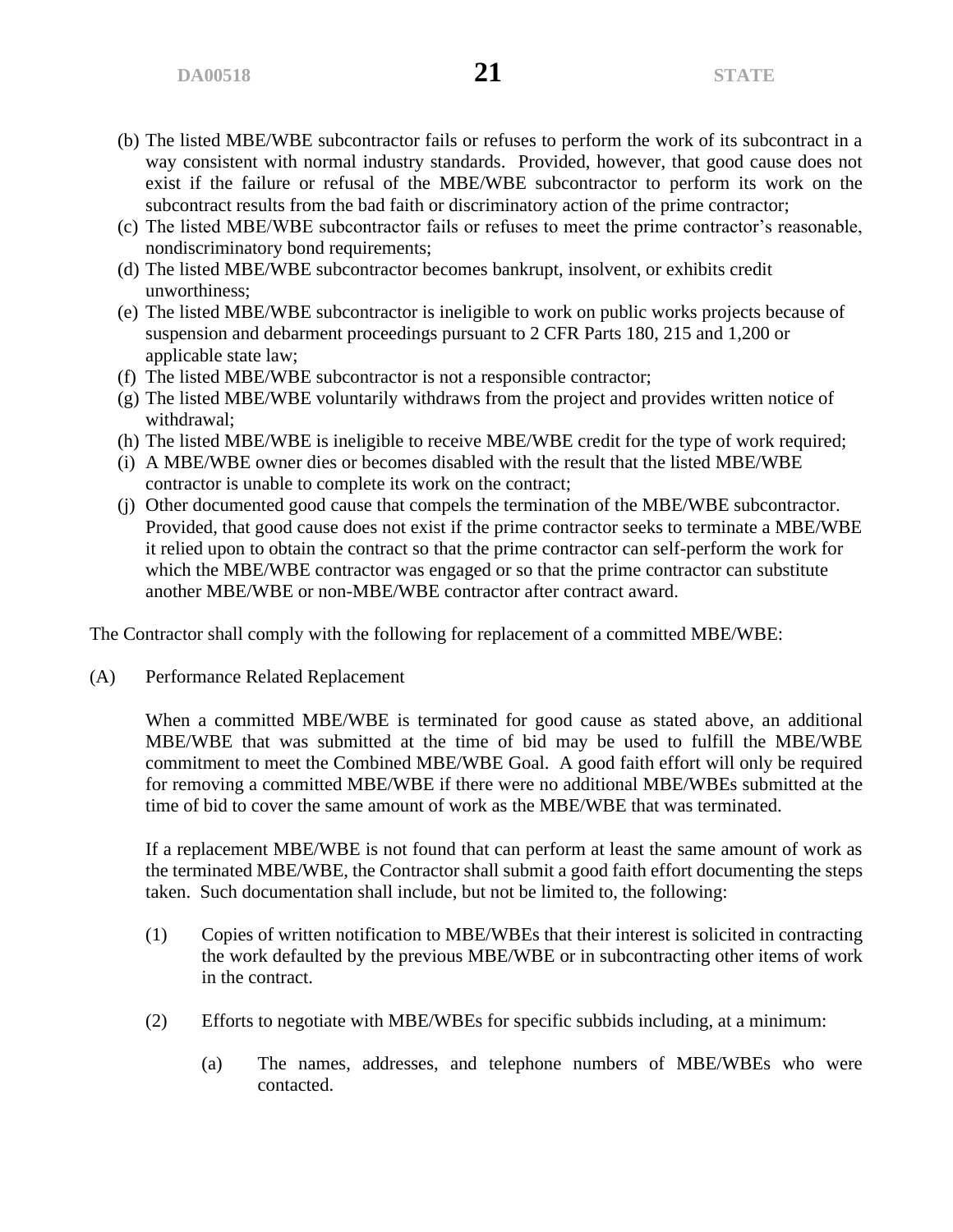- (b) The listed MBE/WBE subcontractor fails or refuses to perform the work of its subcontract in a way consistent with normal industry standards. Provided, however, that good cause does not exist if the failure or refusal of the MBE/WBE subcontractor to perform its work on the subcontract results from the bad faith or discriminatory action of the prime contractor;
- (c) The listed MBE/WBE subcontractor fails or refuses to meet the prime contractor's reasonable, nondiscriminatory bond requirements;
- (d) The listed MBE/WBE subcontractor becomes bankrupt, insolvent, or exhibits credit unworthiness;
- (e) The listed MBE/WBE subcontractor is ineligible to work on public works projects because of suspension and debarment proceedings pursuant to 2 CFR Parts 180, 215 and 1,200 or applicable state law;
- (f) The listed MBE/WBE subcontractor is not a responsible contractor;
- (g) The listed MBE/WBE voluntarily withdraws from the project and provides written notice of withdrawal;
- (h) The listed MBE/WBE is ineligible to receive MBE/WBE credit for the type of work required;
- (i) A MBE/WBE owner dies or becomes disabled with the result that the listed MBE/WBE contractor is unable to complete its work on the contract;
- (j) Other documented good cause that compels the termination of the MBE/WBE subcontractor. Provided, that good cause does not exist if the prime contractor seeks to terminate a MBE/WBE it relied upon to obtain the contract so that the prime contractor can self-perform the work for which the MBE/WBE contractor was engaged or so that the prime contractor can substitute another MBE/WBE or non-MBE/WBE contractor after contract award.

The Contractor shall comply with the following for replacement of a committed MBE/WBE:

(A) Performance Related Replacement

When a committed MBE/WBE is terminated for good cause as stated above, an additional MBE/WBE that was submitted at the time of bid may be used to fulfill the MBE/WBE commitment to meet the Combined MBE/WBE Goal. A good faith effort will only be required for removing a committed MBE/WBE if there were no additional MBE/WBEs submitted at the time of bid to cover the same amount of work as the MBE/WBE that was terminated.

If a replacement MBE/WBE is not found that can perform at least the same amount of work as the terminated MBE/WBE, the Contractor shall submit a good faith effort documenting the steps taken. Such documentation shall include, but not be limited to, the following:

- (1) Copies of written notification to MBE/WBEs that their interest is solicited in contracting the work defaulted by the previous MBE/WBE or in subcontracting other items of work in the contract.
- (2) Efforts to negotiate with MBE/WBEs for specific subbids including, at a minimum:
	- (a) The names, addresses, and telephone numbers of MBE/WBEs who were contacted.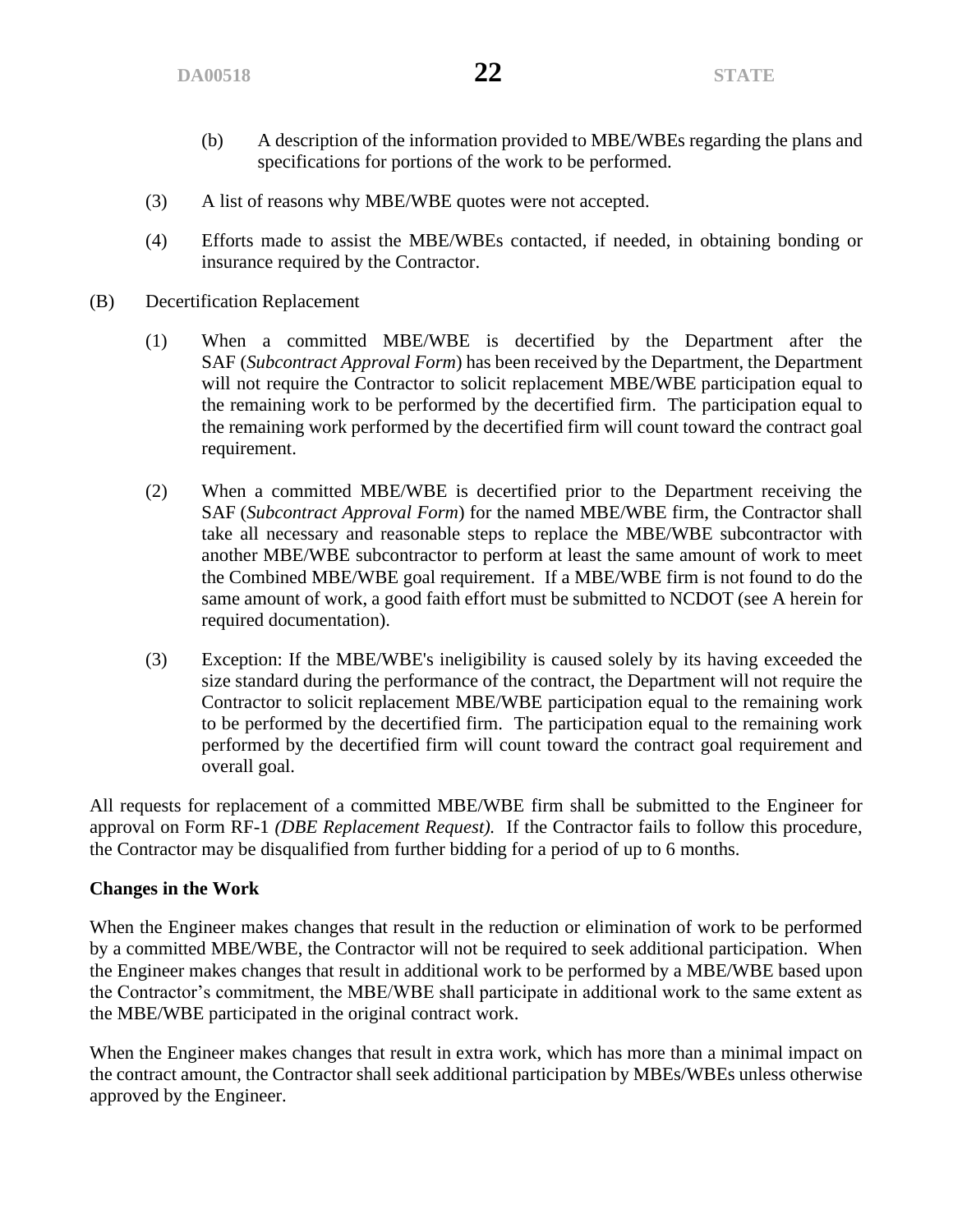- (b) A description of the information provided to MBE/WBEs regarding the plans and specifications for portions of the work to be performed.
- (3) A list of reasons why MBE/WBE quotes were not accepted.
- (4) Efforts made to assist the MBE/WBEs contacted, if needed, in obtaining bonding or insurance required by the Contractor.
- (B) Decertification Replacement
	- (1) When a committed MBE/WBE is decertified by the Department after the SAF (*Subcontract Approval Form*) has been received by the Department, the Department will not require the Contractor to solicit replacement MBE/WBE participation equal to the remaining work to be performed by the decertified firm. The participation equal to the remaining work performed by the decertified firm will count toward the contract goal requirement.
	- (2) When a committed MBE/WBE is decertified prior to the Department receiving the SAF (*Subcontract Approval Form*) for the named MBE/WBE firm, the Contractor shall take all necessary and reasonable steps to replace the MBE/WBE subcontractor with another MBE/WBE subcontractor to perform at least the same amount of work to meet the Combined MBE/WBE goal requirement. If a MBE/WBE firm is not found to do the same amount of work, a good faith effort must be submitted to NCDOT (see A herein for required documentation).
	- (3) Exception: If the MBE/WBE's ineligibility is caused solely by its having exceeded the size standard during the performance of the contract, the Department will not require the Contractor to solicit replacement MBE/WBE participation equal to the remaining work to be performed by the decertified firm. The participation equal to the remaining work performed by the decertified firm will count toward the contract goal requirement and overall goal.

All requests for replacement of a committed MBE/WBE firm shall be submitted to the Engineer for approval on Form RF-1 *(DBE Replacement Request).* If the Contractor fails to follow this procedure, the Contractor may be disqualified from further bidding for a period of up to 6 months.

#### **Changes in the Work**

When the Engineer makes changes that result in the reduction or elimination of work to be performed by a committed MBE/WBE, the Contractor will not be required to seek additional participation. When the Engineer makes changes that result in additional work to be performed by a MBE/WBE based upon the Contractor's commitment, the MBE/WBE shall participate in additional work to the same extent as the MBE/WBE participated in the original contract work.

When the Engineer makes changes that result in extra work, which has more than a minimal impact on the contract amount, the Contractor shall seek additional participation by MBEs/WBEs unless otherwise approved by the Engineer.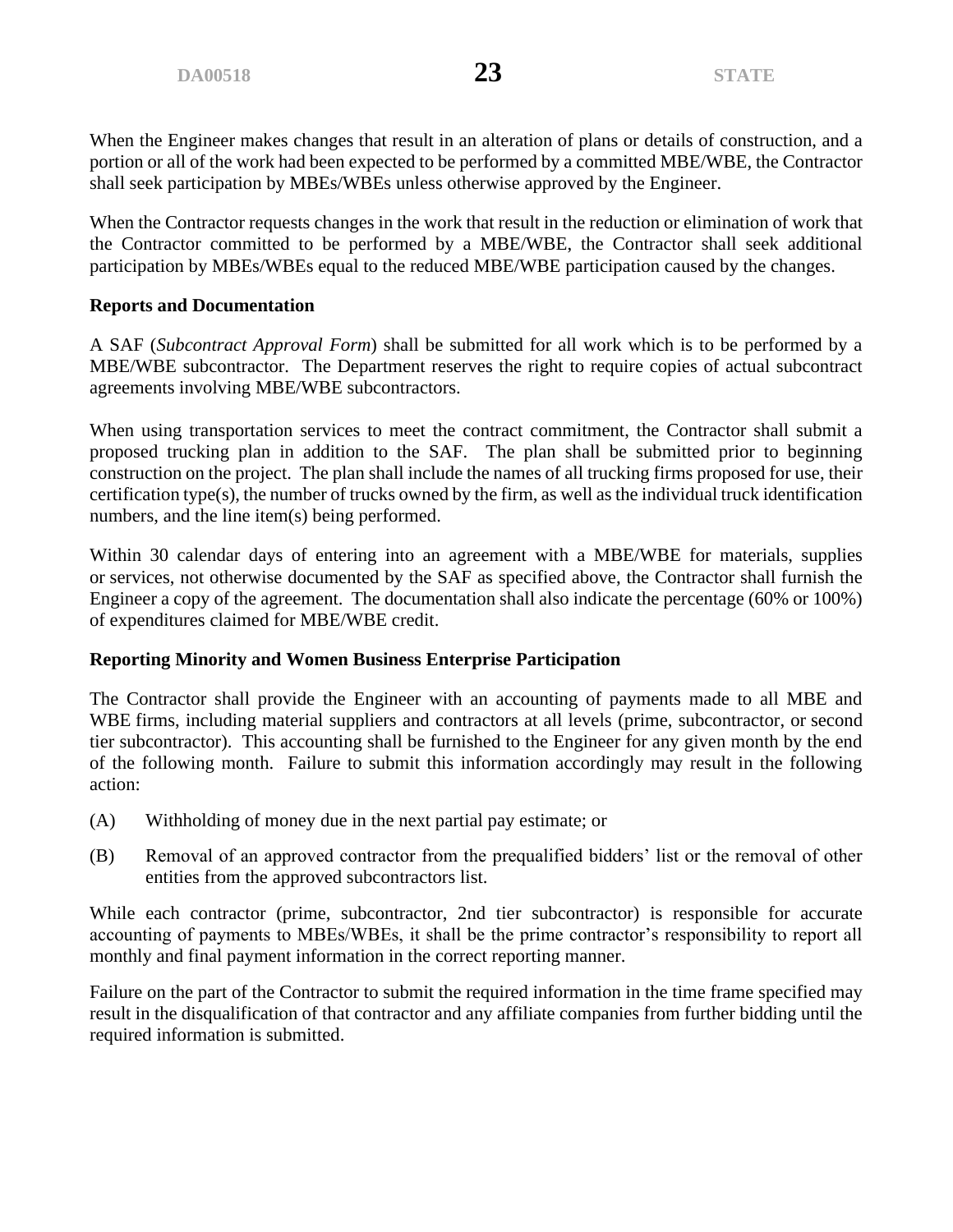When the Engineer makes changes that result in an alteration of plans or details of construction, and a portion or all of the work had been expected to be performed by a committed MBE/WBE, the Contractor shall seek participation by MBEs/WBEs unless otherwise approved by the Engineer.

When the Contractor requests changes in the work that result in the reduction or elimination of work that the Contractor committed to be performed by a MBE/WBE, the Contractor shall seek additional participation by MBEs/WBEs equal to the reduced MBE/WBE participation caused by the changes.

### **Reports and Documentation**

A SAF (*Subcontract Approval Form*) shall be submitted for all work which is to be performed by a MBE/WBE subcontractor. The Department reserves the right to require copies of actual subcontract agreements involving MBE/WBE subcontractors.

When using transportation services to meet the contract commitment, the Contractor shall submit a proposed trucking plan in addition to the SAF. The plan shall be submitted prior to beginning construction on the project. The plan shall include the names of all trucking firms proposed for use, their certification type(s), the number of trucks owned by the firm, as well as the individual truck identification numbers, and the line item(s) being performed.

Within 30 calendar days of entering into an agreement with a MBE/WBE for materials, supplies or services, not otherwise documented by the SAF as specified above, the Contractor shall furnish the Engineer a copy of the agreement. The documentation shall also indicate the percentage (60% or 100%) of expenditures claimed for MBE/WBE credit.

# **Reporting Minority and Women Business Enterprise Participation**

The Contractor shall provide the Engineer with an accounting of payments made to all MBE and WBE firms, including material suppliers and contractors at all levels (prime, subcontractor, or second tier subcontractor). This accounting shall be furnished to the Engineer for any given month by the end of the following month. Failure to submit this information accordingly may result in the following action:

- (A) Withholding of money due in the next partial pay estimate; or
- (B) Removal of an approved contractor from the prequalified bidders' list or the removal of other entities from the approved subcontractors list.

While each contractor (prime, subcontractor, 2nd tier subcontractor) is responsible for accurate accounting of payments to MBEs/WBEs, it shall be the prime contractor's responsibility to report all monthly and final payment information in the correct reporting manner.

Failure on the part of the Contractor to submit the required information in the time frame specified may result in the disqualification of that contractor and any affiliate companies from further bidding until the required information is submitted.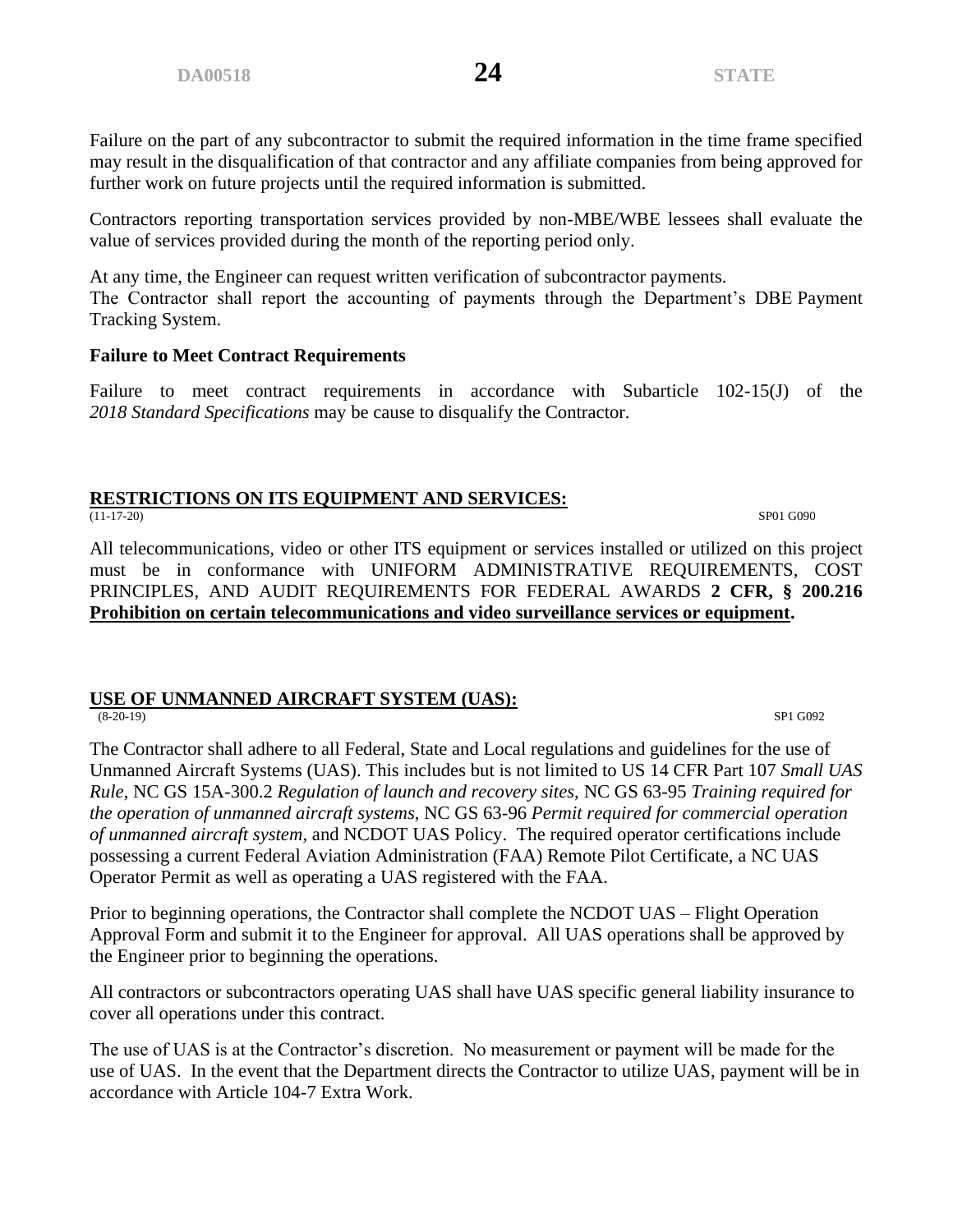Failure on the part of any subcontractor to submit the required information in the time frame specified may result in the disqualification of that contractor and any affiliate companies from being approved for further work on future projects until the required information is submitted.

Contractors reporting transportation services provided by non-MBE/WBE lessees shall evaluate the value of services provided during the month of the reporting period only.

At any time, the Engineer can request written verification of subcontractor payments. The Contractor shall report the accounting of payments through the Department's DBE Payment Tracking System.

#### **Failure to Meet Contract Requirements**

Failure to meet contract requirements in accordance with Subarticle 102-15(J) of the *2018 Standard Specifications* may be cause to disqualify the Contractor.

# **RESTRICTIONS ON ITS EQUIPMENT AND SERVICES:**<br>(11-17-20)

(11-17-20) SP01 G090

All telecommunications, video or other ITS equipment or services installed or utilized on this project must be in conformance with UNIFORM ADMINISTRATIVE REQUIREMENTS, COST PRINCIPLES, AND AUDIT REQUIREMENTS FOR FEDERAL AWARDS **2 CFR, § 200.216 Prohibition on certain telecommunications and video surveillance services or equipment.**

#### **USE OF UNMANNED AIRCRAFT SYSTEM (UAS):**<br>(8-20-19) (8-20-19) SP1 G092

The Contractor shall adhere to all Federal, State and Local regulations and guidelines for the use of Unmanned Aircraft Systems (UAS). This includes but is not limited to US 14 CFR Part 107 *Small UAS Rule*, NC GS 15A-300.2 *Regulation of launch and recovery sites,* NC GS 63-95 *Training required for the operation of unmanned aircraft systems*, NC GS 63-96 *Permit required for commercial operation of unmanned aircraft system,* and NCDOT UAS Policy. The required operator certifications include possessing a current Federal Aviation Administration (FAA) Remote Pilot Certificate, a NC UAS Operator Permit as well as operating a UAS registered with the FAA.

Prior to beginning operations, the Contractor shall complete the NCDOT UAS – Flight Operation Approval Form and submit it to the Engineer for approval. All UAS operations shall be approved by the Engineer prior to beginning the operations.

All contractors or subcontractors operating UAS shall have UAS specific general liability insurance to cover all operations under this contract.

The use of UAS is at the Contractor's discretion. No measurement or payment will be made for the use of UAS. In the event that the Department directs the Contractor to utilize UAS, payment will be in accordance with Article 104-7 Extra Work.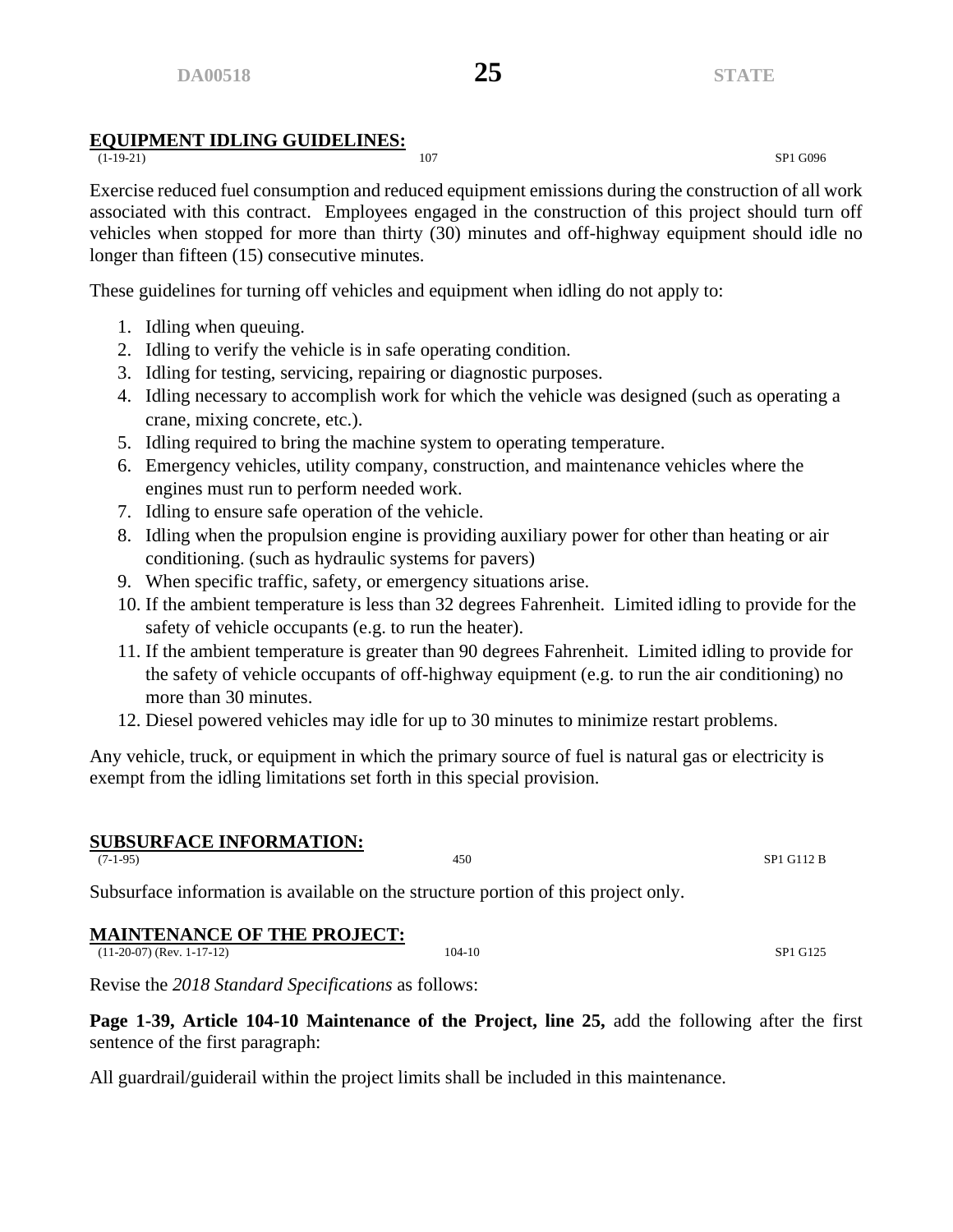# **EQUIPMENT IDLING GUIDELINES:**

(1-19-21) 107 SP1 G096

Exercise reduced fuel consumption and reduced equipment emissions during the construction of all work associated with this contract. Employees engaged in the construction of this project should turn off vehicles when stopped for more than thirty (30) minutes and off-highway equipment should idle no longer than fifteen (15) consecutive minutes.

These guidelines for turning off vehicles and equipment when idling do not apply to:

- 1. Idling when queuing.
- 2. Idling to verify the vehicle is in safe operating condition.
- 3. Idling for testing, servicing, repairing or diagnostic purposes.
- 4. Idling necessary to accomplish work for which the vehicle was designed (such as operating a crane, mixing concrete, etc.).
- 5. Idling required to bring the machine system to operating temperature.
- 6. Emergency vehicles, utility company, construction, and maintenance vehicles where the engines must run to perform needed work.
- 7. Idling to ensure safe operation of the vehicle.
- 8. Idling when the propulsion engine is providing auxiliary power for other than heating or air conditioning. (such as hydraulic systems for pavers)
- 9. When specific traffic, safety, or emergency situations arise.
- 10. If the ambient temperature is less than 32 degrees Fahrenheit. Limited idling to provide for the safety of vehicle occupants (e.g. to run the heater).
- 11. If the ambient temperature is greater than 90 degrees Fahrenheit. Limited idling to provide for the safety of vehicle occupants of off-highway equipment (e.g. to run the air conditioning) no more than 30 minutes.
- 12. Diesel powered vehicles may idle for up to 30 minutes to minimize restart problems.

Any vehicle, truck, or equipment in which the primary source of fuel is natural gas or electricity is exempt from the idling limitations set forth in this special provision.

# **SUBSURFACE INFORMATION:**<br>(7-1-95)

 $(7-1-95)$  SP1 G112 B

Subsurface information is available on the structure portion of this project only.

# **MAINTENANCE OF THE PROJECT:**

(11-20-07) (Rev. 1-17-12) 104-10 SP1 G125

Revise the *2018 Standard Specifications* as follows:

**Page 1-39, Article 104-10 Maintenance of the Project, line 25,** add the following after the first sentence of the first paragraph:

All guardrail/guiderail within the project limits shall be included in this maintenance.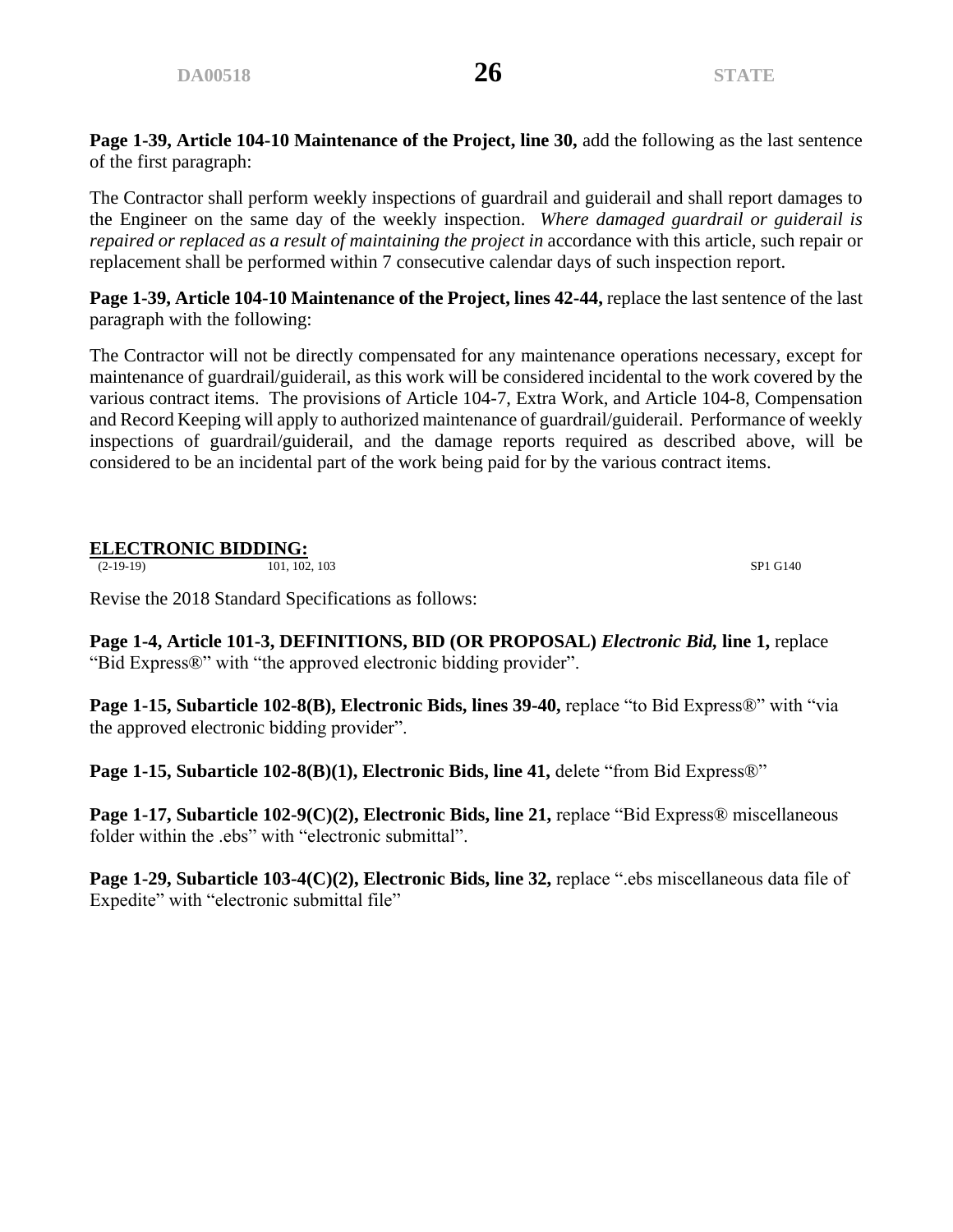**Page 1-39, Article 104-10 Maintenance of the Project, line 30,** add the following as the last sentence of the first paragraph:

The Contractor shall perform weekly inspections of guardrail and guiderail and shall report damages to the Engineer on the same day of the weekly inspection. *Where damaged guardrail or guiderail is repaired or replaced as a result of maintaining the project in* accordance with this article, such repair or replacement shall be performed within 7 consecutive calendar days of such inspection report.

**Page 1-39, Article 104-10 Maintenance of the Project, lines 42-44,** replace the last sentence of the last paragraph with the following:

The Contractor will not be directly compensated for any maintenance operations necessary, except for maintenance of guardrail/guiderail, as this work will be considered incidental to the work covered by the various contract items. The provisions of Article 104-7, Extra Work, and Article 104-8, Compensation and Record Keeping will apply to authorized maintenance of guardrail/guiderail. Performance of weekly inspections of guardrail/guiderail, and the damage reports required as described above, will be considered to be an incidental part of the work being paid for by the various contract items.

# **ELECTRONIC BIDDING:**<br>(2-19-19) 101, 102, 103

(2-19-19) 101, 102, 103 SP1 G140

Revise the 2018 Standard Specifications as follows:

**Page 1-4, Article 101-3, DEFINITIONS, BID (OR PROPOSAL)** *Electronic Bid,* **line 1,** replace "Bid Express®" with "the approved electronic bidding provider".

**Page 1-15, Subarticle 102-8(B), Electronic Bids, lines 39-40,** replace "to Bid Express®" with "via the approved electronic bidding provider".

**Page 1-15, Subarticle 102-8(B)(1), Electronic Bids, line 41, delete "from Bid Express®"** 

**Page 1-17, Subarticle 102-9(C)(2), Electronic Bids, line 21, replace "Bid Express® miscellaneous** folder within the .ebs" with "electronic submittal".

**Page 1-29, Subarticle 103-4(C)(2), Electronic Bids, line 32,** replace ".ebs miscellaneous data file of Expedite" with "electronic submittal file"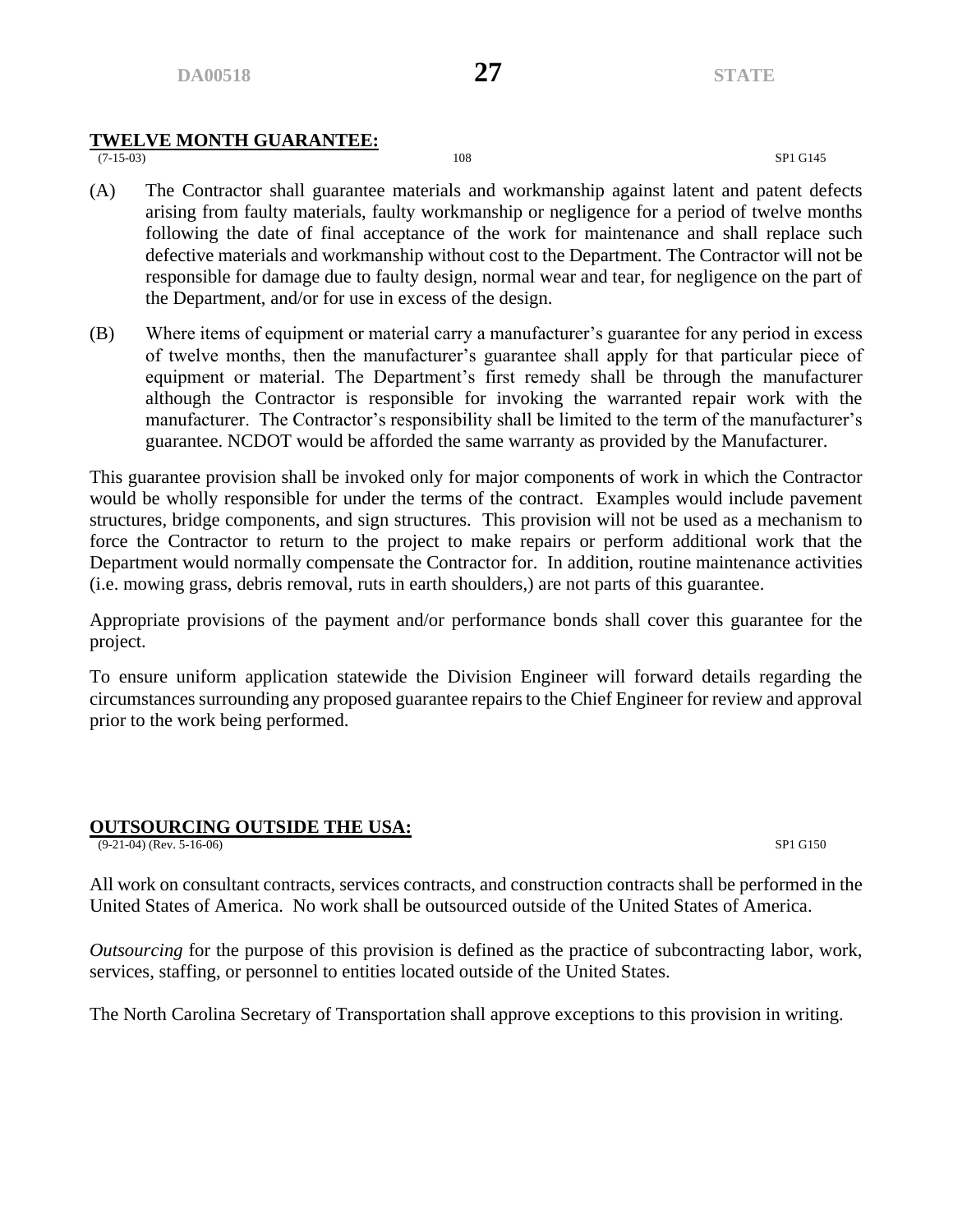# **TWELVE MONTH GUARANTEE:**

(7-15-03) 108 SP1 G145

- (A) The Contractor shall guarantee materials and workmanship against latent and patent defects arising from faulty materials, faulty workmanship or negligence for a period of twelve months following the date of final acceptance of the work for maintenance and shall replace such defective materials and workmanship without cost to the Department. The Contractor will not be responsible for damage due to faulty design, normal wear and tear, for negligence on the part of the Department, and/or for use in excess of the design.
- (B) Where items of equipment or material carry a manufacturer's guarantee for any period in excess of twelve months, then the manufacturer's guarantee shall apply for that particular piece of equipment or material. The Department's first remedy shall be through the manufacturer although the Contractor is responsible for invoking the warranted repair work with the manufacturer. The Contractor's responsibility shall be limited to the term of the manufacturer's guarantee. NCDOT would be afforded the same warranty as provided by the Manufacturer.

This guarantee provision shall be invoked only for major components of work in which the Contractor would be wholly responsible for under the terms of the contract. Examples would include pavement structures, bridge components, and sign structures. This provision will not be used as a mechanism to force the Contractor to return to the project to make repairs or perform additional work that the Department would normally compensate the Contractor for. In addition, routine maintenance activities (i.e. mowing grass, debris removal, ruts in earth shoulders,) are not parts of this guarantee.

Appropriate provisions of the payment and/or performance bonds shall cover this guarantee for the project.

To ensure uniform application statewide the Division Engineer will forward details regarding the circumstances surrounding any proposed guarantee repairs to the Chief Engineer for review and approval prior to the work being performed.

### **OUTSOURCING OUTSIDE THE USA:**

(9-21-04) (Rev. 5-16-06) SP1 G150

All work on consultant contracts, services contracts, and construction contracts shall be performed in the United States of America. No work shall be outsourced outside of the United States of America.

*Outsourcing* for the purpose of this provision is defined as the practice of subcontracting labor, work, services, staffing, or personnel to entities located outside of the United States.

The North Carolina Secretary of Transportation shall approve exceptions to this provision in writing.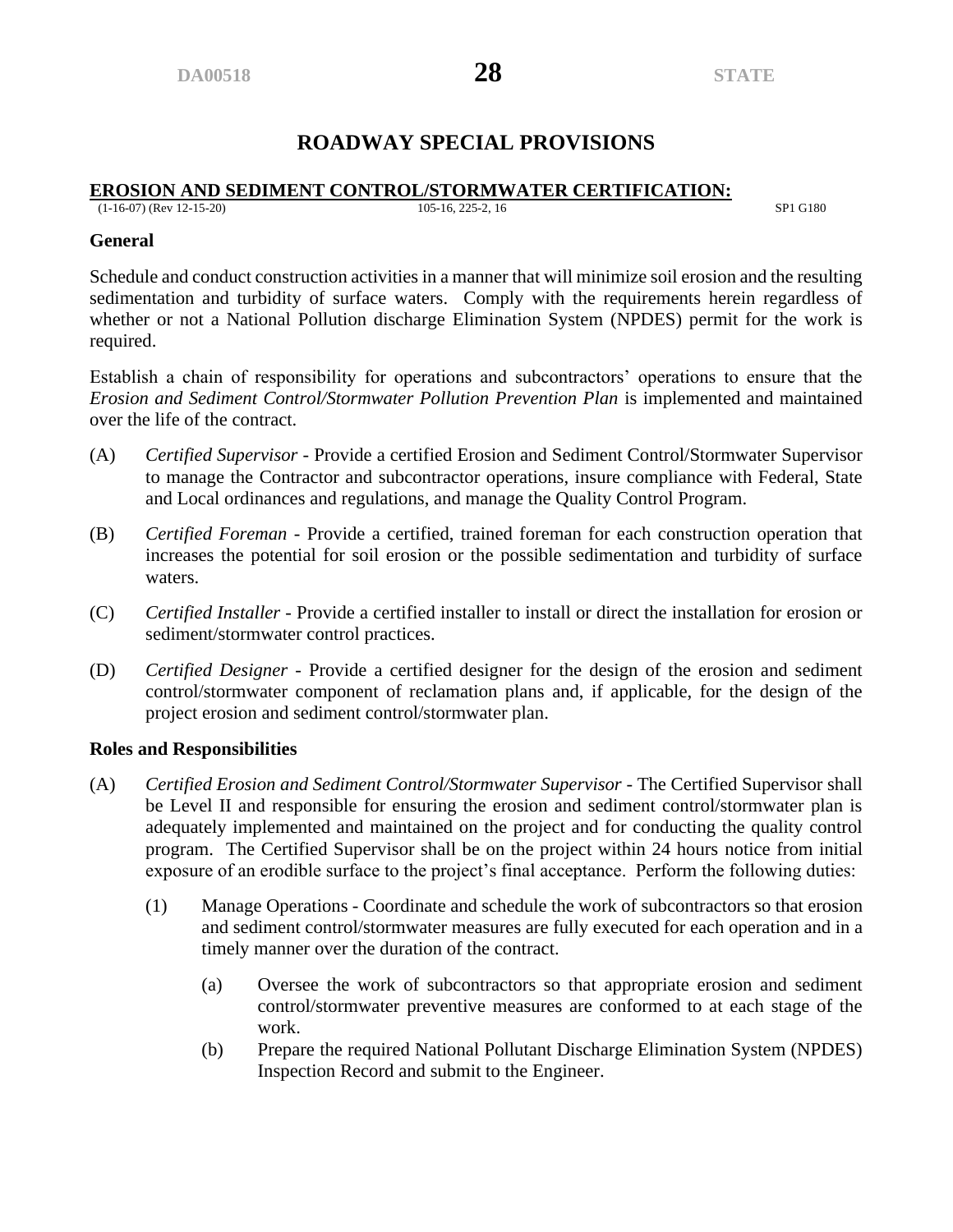# **ROADWAY SPECIAL PROVISIONS**

#### **EROSION AND SEDIMENT CONTROL/STORMWATER CERTIFICATION:**<br>(1-16-07) (Rev 12-15-20) (1-16-07) (Rev 12-15-20) 105-16, 225-2, 16 SP1 G180

#### **General**

Schedule and conduct construction activities in a manner that will minimize soil erosion and the resulting sedimentation and turbidity of surface waters. Comply with the requirements herein regardless of whether or not a National Pollution discharge Elimination System (NPDES) permit for the work is required.

Establish a chain of responsibility for operations and subcontractors' operations to ensure that the *Erosion and Sediment Control/Stormwater Pollution Prevention Plan* is implemented and maintained over the life of the contract.

- (A) *Certified Supervisor* Provide a certified Erosion and Sediment Control/Stormwater Supervisor to manage the Contractor and subcontractor operations, insure compliance with Federal, State and Local ordinances and regulations, and manage the Quality Control Program.
- (B) *Certified Foreman* Provide a certified, trained foreman for each construction operation that increases the potential for soil erosion or the possible sedimentation and turbidity of surface waters.
- (C) *Certified Installer* Provide a certified installer to install or direct the installation for erosion or sediment/stormwater control practices.
- (D) *Certified Designer* Provide a certified designer for the design of the erosion and sediment control/stormwater component of reclamation plans and, if applicable, for the design of the project erosion and sediment control/stormwater plan.

#### **Roles and Responsibilities**

- (A) *Certified Erosion and Sediment Control/Stormwater Supervisor* The Certified Supervisor shall be Level II and responsible for ensuring the erosion and sediment control/stormwater plan is adequately implemented and maintained on the project and for conducting the quality control program. The Certified Supervisor shall be on the project within 24 hours notice from initial exposure of an erodible surface to the project's final acceptance. Perform the following duties:
	- (1) Manage Operations Coordinate and schedule the work of subcontractors so that erosion and sediment control/stormwater measures are fully executed for each operation and in a timely manner over the duration of the contract.
		- (a) Oversee the work of subcontractors so that appropriate erosion and sediment control/stormwater preventive measures are conformed to at each stage of the work.
		- (b) Prepare the required National Pollutant Discharge Elimination System (NPDES) Inspection Record and submit to the Engineer.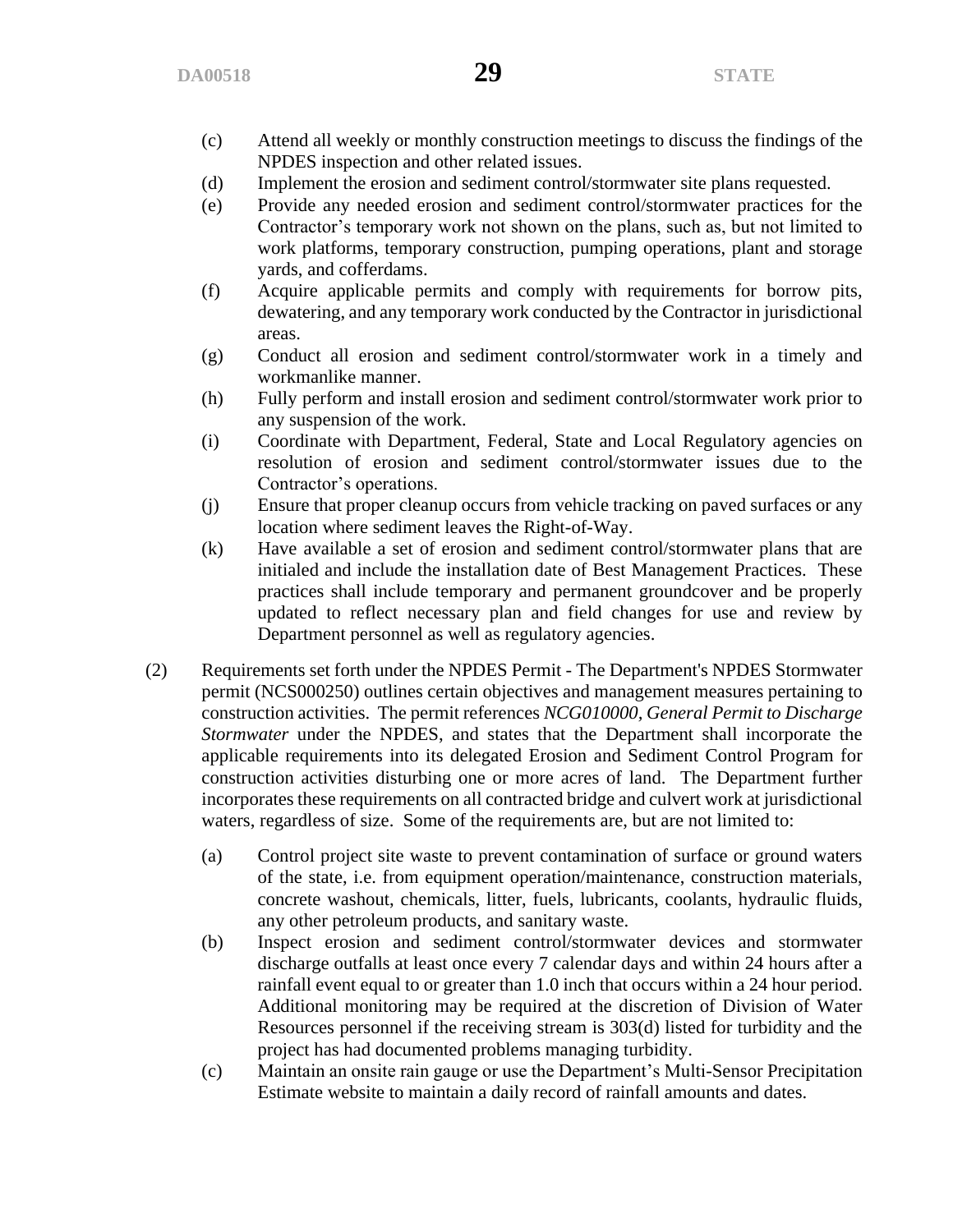- (c) Attend all weekly or monthly construction meetings to discuss the findings of the NPDES inspection and other related issues.
- (d) Implement the erosion and sediment control/stormwater site plans requested.
- (e) Provide any needed erosion and sediment control/stormwater practices for the Contractor's temporary work not shown on the plans, such as, but not limited to work platforms, temporary construction, pumping operations, plant and storage yards, and cofferdams.
- (f) Acquire applicable permits and comply with requirements for borrow pits, dewatering, and any temporary work conducted by the Contractor in jurisdictional areas.
- (g) Conduct all erosion and sediment control/stormwater work in a timely and workmanlike manner.
- (h) Fully perform and install erosion and sediment control/stormwater work prior to any suspension of the work.
- (i) Coordinate with Department, Federal, State and Local Regulatory agencies on resolution of erosion and sediment control/stormwater issues due to the Contractor's operations.
- (j) Ensure that proper cleanup occurs from vehicle tracking on paved surfaces or any location where sediment leaves the Right-of-Way.
- (k) Have available a set of erosion and sediment control/stormwater plans that are initialed and include the installation date of Best Management Practices. These practices shall include temporary and permanent groundcover and be properly updated to reflect necessary plan and field changes for use and review by Department personnel as well as regulatory agencies.
- (2) Requirements set forth under the NPDES Permit The Department's NPDES Stormwater permit (NCS000250) outlines certain objectives and management measures pertaining to construction activities. The permit references *NCG010000, General Permit to Discharge Stormwater* under the NPDES, and states that the Department shall incorporate the applicable requirements into its delegated Erosion and Sediment Control Program for construction activities disturbing one or more acres of land. The Department further incorporates these requirements on all contracted bridge and culvert work at jurisdictional waters, regardless of size. Some of the requirements are, but are not limited to:
	- (a) Control project site waste to prevent contamination of surface or ground waters of the state, i.e. from equipment operation/maintenance, construction materials, concrete washout, chemicals, litter, fuels, lubricants, coolants, hydraulic fluids, any other petroleum products, and sanitary waste.
	- (b) Inspect erosion and sediment control/stormwater devices and stormwater discharge outfalls at least once every 7 calendar days and within 24 hours after a rainfall event equal to or greater than 1.0 inch that occurs within a 24 hour period. Additional monitoring may be required at the discretion of Division of Water Resources personnel if the receiving stream is 303(d) listed for turbidity and the project has had documented problems managing turbidity.
	- (c) Maintain an onsite rain gauge or use the Department's Multi-Sensor Precipitation Estimate website to maintain a daily record of rainfall amounts and dates.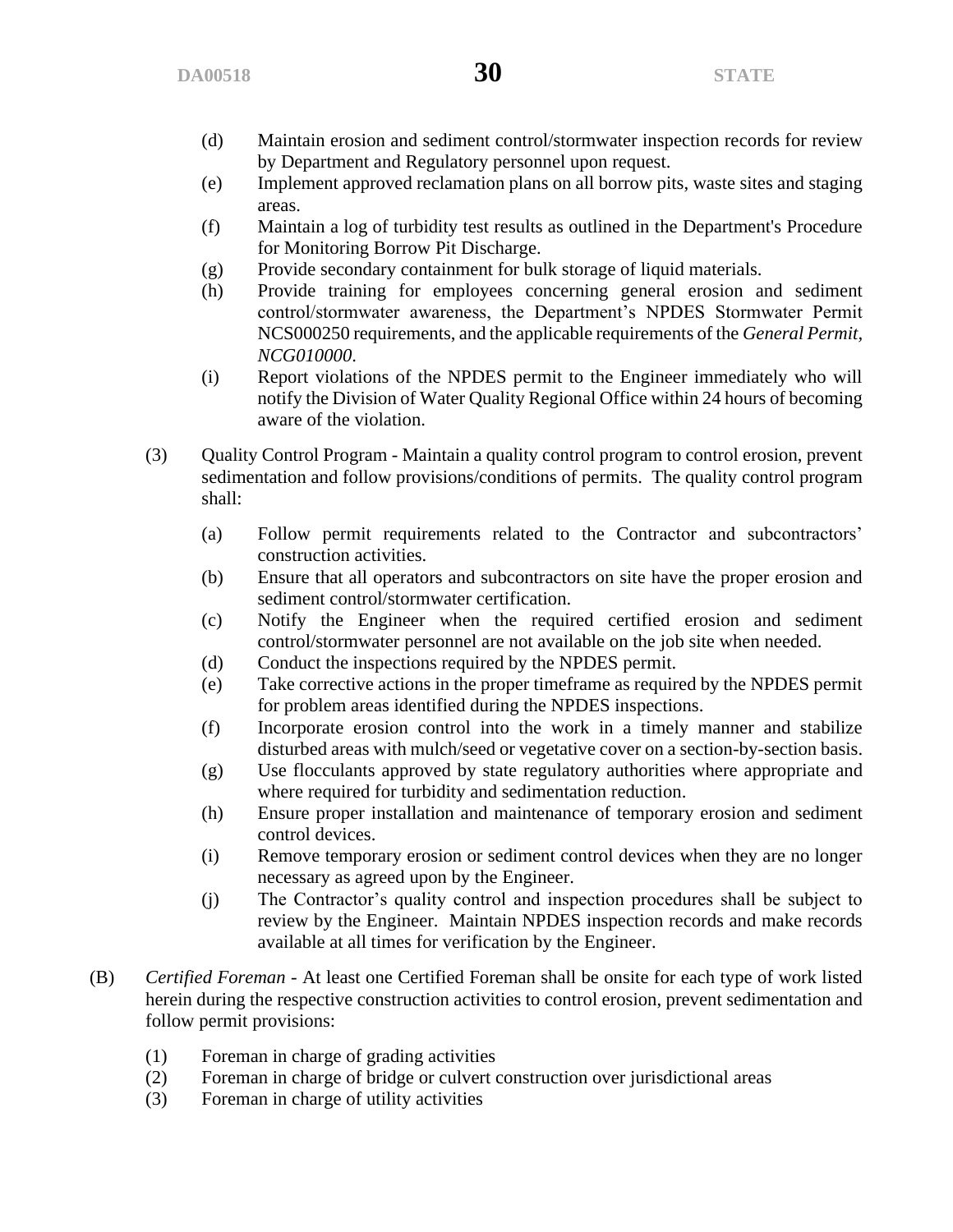- (d) Maintain erosion and sediment control/stormwater inspection records for review by Department and Regulatory personnel upon request.
- (e) Implement approved reclamation plans on all borrow pits, waste sites and staging areas.
- (f) Maintain a log of turbidity test results as outlined in the Department's Procedure for Monitoring Borrow Pit Discharge.
- (g) Provide secondary containment for bulk storage of liquid materials.
- (h) Provide training for employees concerning general erosion and sediment control/stormwater awareness, the Department's NPDES Stormwater Permit NCS000250 requirements, and the applicable requirements of the *General Permit, NCG010000*.
- (i) Report violations of the NPDES permit to the Engineer immediately who will notify the Division of Water Quality Regional Office within 24 hours of becoming aware of the violation.
- (3) Quality Control Program Maintain a quality control program to control erosion, prevent sedimentation and follow provisions/conditions of permits. The quality control program shall:
	- (a) Follow permit requirements related to the Contractor and subcontractors' construction activities.
	- (b) Ensure that all operators and subcontractors on site have the proper erosion and sediment control/stormwater certification.
	- (c) Notify the Engineer when the required certified erosion and sediment control/stormwater personnel are not available on the job site when needed.
	- (d) Conduct the inspections required by the NPDES permit.
	- (e) Take corrective actions in the proper timeframe as required by the NPDES permit for problem areas identified during the NPDES inspections.
	- (f) Incorporate erosion control into the work in a timely manner and stabilize disturbed areas with mulch/seed or vegetative cover on a section-by-section basis.
	- (g) Use flocculants approved by state regulatory authorities where appropriate and where required for turbidity and sedimentation reduction.
	- (h) Ensure proper installation and maintenance of temporary erosion and sediment control devices.
	- (i) Remove temporary erosion or sediment control devices when they are no longer necessary as agreed upon by the Engineer.
	- (j) The Contractor's quality control and inspection procedures shall be subject to review by the Engineer. Maintain NPDES inspection records and make records available at all times for verification by the Engineer.
- (B) *Certified Foreman*  At least one Certified Foreman shall be onsite for each type of work listed herein during the respective construction activities to control erosion, prevent sedimentation and follow permit provisions:
	- (1) Foreman in charge of grading activities
	- (2) Foreman in charge of bridge or culvert construction over jurisdictional areas
	- (3) Foreman in charge of utility activities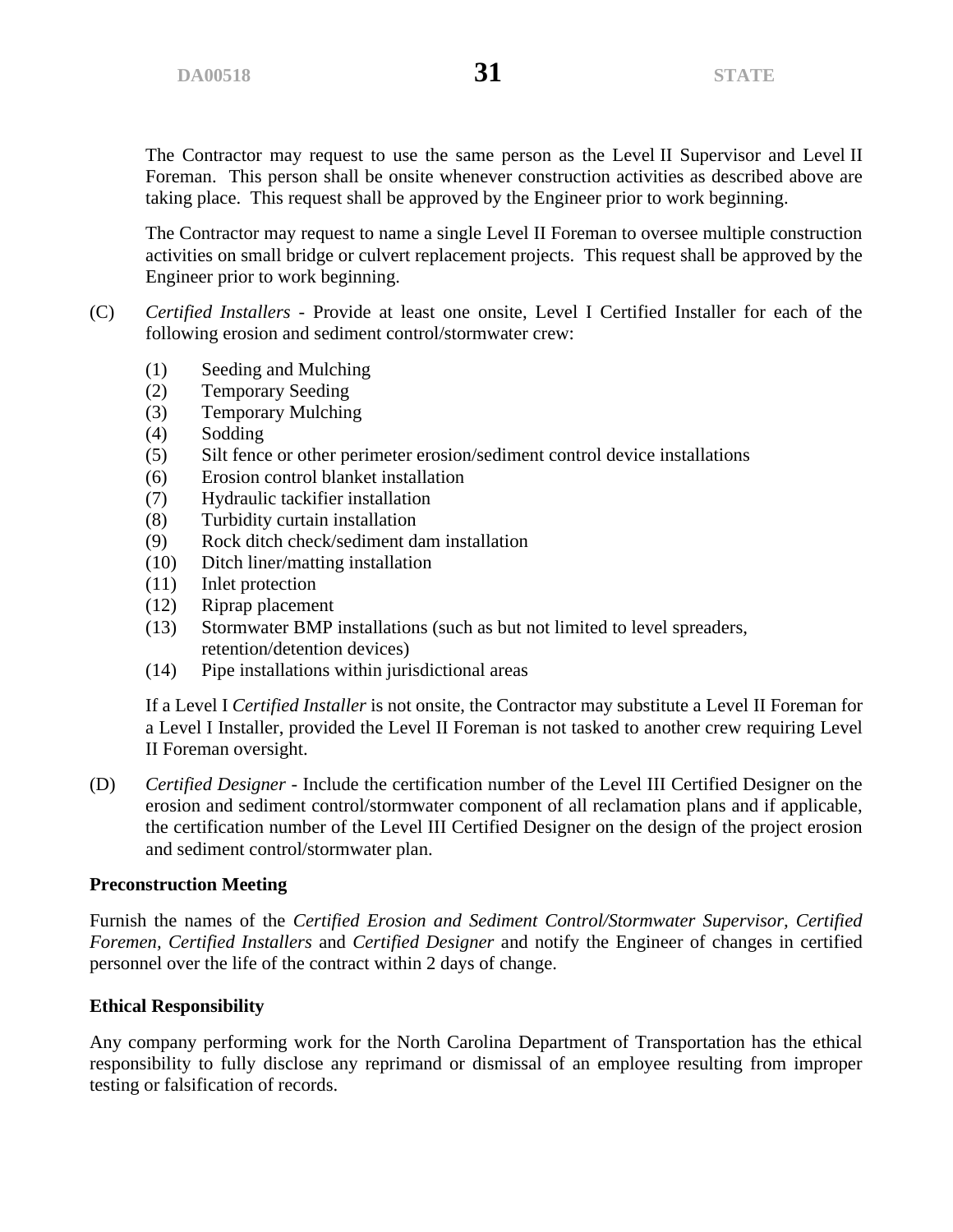The Contractor may request to use the same person as the Level II Supervisor and Level II Foreman. This person shall be onsite whenever construction activities as described above are taking place. This request shall be approved by the Engineer prior to work beginning.

The Contractor may request to name a single Level II Foreman to oversee multiple construction activities on small bridge or culvert replacement projects. This request shall be approved by the Engineer prior to work beginning.

- (C) *Certified Installers* Provide at least one onsite, Level I Certified Installer for each of the following erosion and sediment control/stormwater crew:
	- (1) Seeding and Mulching
	- (2) Temporary Seeding
	- (3) Temporary Mulching
	- (4) Sodding
	- (5) Silt fence or other perimeter erosion/sediment control device installations
	- (6) Erosion control blanket installation
	- (7) Hydraulic tackifier installation
	- (8) Turbidity curtain installation
	- (9) Rock ditch check/sediment dam installation
	- (10) Ditch liner/matting installation
	- (11) Inlet protection
	- (12) Riprap placement
	- (13) Stormwater BMP installations (such as but not limited to level spreaders, retention/detention devices)
	- (14) Pipe installations within jurisdictional areas

If a Level I *Certified Installer* is not onsite, the Contractor may substitute a Level II Foreman for a Level I Installer, provided the Level II Foreman is not tasked to another crew requiring Level II Foreman oversight.

(D) *Certified Designer* - Include the certification number of the Level III Certified Designer on the erosion and sediment control/stormwater component of all reclamation plans and if applicable, the certification number of the Level III Certified Designer on the design of the project erosion and sediment control/stormwater plan.

#### **Preconstruction Meeting**

Furnish the names of the *Certified Erosion and Sediment Control/Stormwater Supervisor, Certified Foremen, Certified Installers* and *Certified Designer* and notify the Engineer of changes in certified personnel over the life of the contract within 2 days of change.

#### **Ethical Responsibility**

Any company performing work for the North Carolina Department of Transportation has the ethical responsibility to fully disclose any reprimand or dismissal of an employee resulting from improper testing or falsification of records.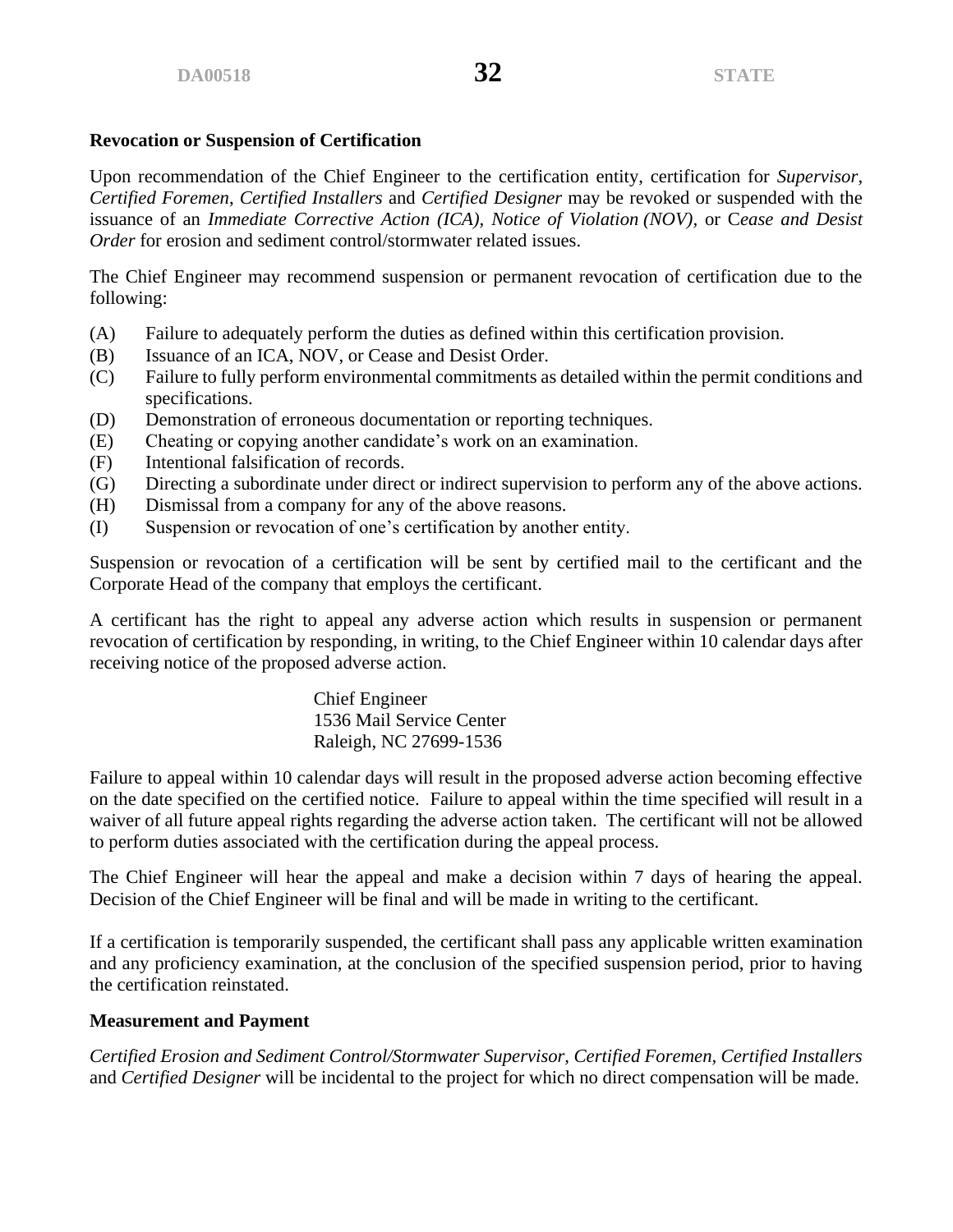### **Revocation or Suspension of Certification**

Upon recommendation of the Chief Engineer to the certification entity, certification for *Supervisor*, *Certified Foremen*, *Certified Installers* and *Certified Designer* may be revoked or suspended with the issuance of an *Immediate Corrective Action (ICA), Notice of Violation (NOV),* or C*ease and Desist Order* for erosion and sediment control/stormwater related issues.

The Chief Engineer may recommend suspension or permanent revocation of certification due to the following:

- (A) Failure to adequately perform the duties as defined within this certification provision.
- (B) Issuance of an ICA, NOV, or Cease and Desist Order.
- (C) Failure to fully perform environmental commitments as detailed within the permit conditions and specifications.
- (D) Demonstration of erroneous documentation or reporting techniques.
- (E) Cheating or copying another candidate's work on an examination.
- (F) Intentional falsification of records.
- (G) Directing a subordinate under direct or indirect supervision to perform any of the above actions.
- (H) Dismissal from a company for any of the above reasons.
- (I) Suspension or revocation of one's certification by another entity.

Suspension or revocation of a certification will be sent by certified mail to the certificant and the Corporate Head of the company that employs the certificant.

A certificant has the right to appeal any adverse action which results in suspension or permanent revocation of certification by responding, in writing, to the Chief Engineer within 10 calendar days after receiving notice of the proposed adverse action.

> Chief Engineer 1536 Mail Service Center Raleigh, NC 27699-1536

Failure to appeal within 10 calendar days will result in the proposed adverse action becoming effective on the date specified on the certified notice. Failure to appeal within the time specified will result in a waiver of all future appeal rights regarding the adverse action taken. The certificant will not be allowed to perform duties associated with the certification during the appeal process.

The Chief Engineer will hear the appeal and make a decision within 7 days of hearing the appeal. Decision of the Chief Engineer will be final and will be made in writing to the certificant.

If a certification is temporarily suspended, the certificant shall pass any applicable written examination and any proficiency examination, at the conclusion of the specified suspension period, prior to having the certification reinstated.

# **Measurement and Payment**

*Certified Erosion and Sediment Control/Stormwater Supervisor, Certified Foremen, Certified Installers*  and *Certified Designer* will be incidental to the project for which no direct compensation will be made.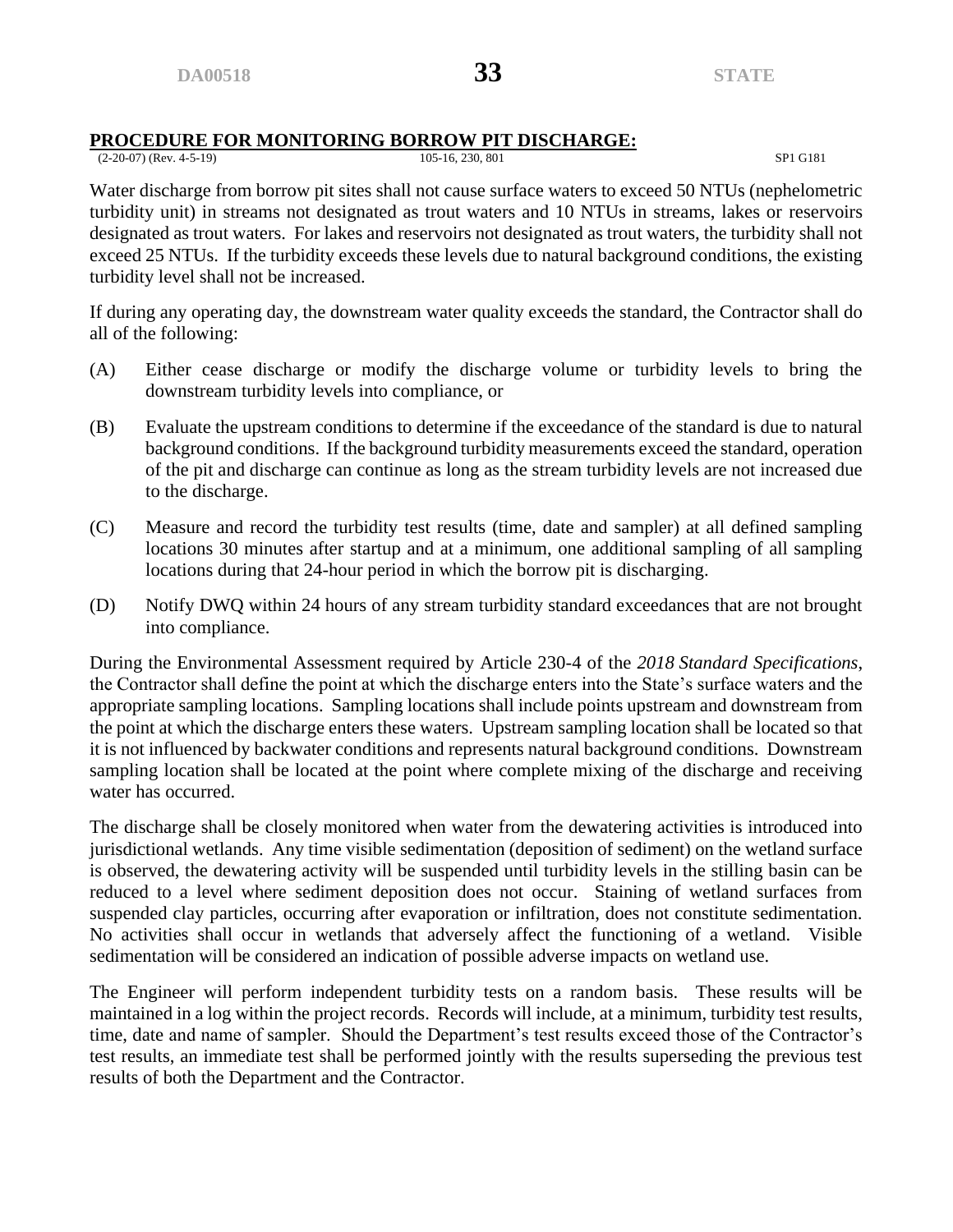# **PROCEDURE FOR MONITORING BORROW PIT DISCHARGE:**<br>(2-20-07) (Rev. 4-5-19)

(2-20-07) (Rev. 4-5-19) 105-16, 230, 801 SP1 G181

Water discharge from borrow pit sites shall not cause surface waters to exceed 50 NTUs (nephelometric turbidity unit) in streams not designated as trout waters and 10 NTUs in streams, lakes or reservoirs designated as trout waters. For lakes and reservoirs not designated as trout waters, the turbidity shall not exceed 25 NTUs. If the turbidity exceeds these levels due to natural background conditions, the existing turbidity level shall not be increased.

If during any operating day, the downstream water quality exceeds the standard, the Contractor shall do all of the following:

- (A) Either cease discharge or modify the discharge volume or turbidity levels to bring the downstream turbidity levels into compliance, or
- (B) Evaluate the upstream conditions to determine if the exceedance of the standard is due to natural background conditions. If the background turbidity measurements exceed the standard, operation of the pit and discharge can continue as long as the stream turbidity levels are not increased due to the discharge.
- (C) Measure and record the turbidity test results (time, date and sampler) at all defined sampling locations 30 minutes after startup and at a minimum, one additional sampling of all sampling locations during that 24-hour period in which the borrow pit is discharging.
- (D) Notify DWQ within 24 hours of any stream turbidity standard exceedances that are not brought into compliance.

During the Environmental Assessment required by Article 230-4 of the *2018 Standard Specifications*, the Contractor shall define the point at which the discharge enters into the State's surface waters and the appropriate sampling locations. Sampling locations shall include points upstream and downstream from the point at which the discharge enters these waters. Upstream sampling location shall be located so that it is not influenced by backwater conditions and represents natural background conditions. Downstream sampling location shall be located at the point where complete mixing of the discharge and receiving water has occurred.

The discharge shall be closely monitored when water from the dewatering activities is introduced into jurisdictional wetlands. Any time visible sedimentation (deposition of sediment) on the wetland surface is observed, the dewatering activity will be suspended until turbidity levels in the stilling basin can be reduced to a level where sediment deposition does not occur. Staining of wetland surfaces from suspended clay particles, occurring after evaporation or infiltration, does not constitute sedimentation. No activities shall occur in wetlands that adversely affect the functioning of a wetland. Visible sedimentation will be considered an indication of possible adverse impacts on wetland use.

The Engineer will perform independent turbidity tests on a random basis. These results will be maintained in a log within the project records. Records will include, at a minimum, turbidity test results, time, date and name of sampler. Should the Department's test results exceed those of the Contractor's test results, an immediate test shall be performed jointly with the results superseding the previous test results of both the Department and the Contractor.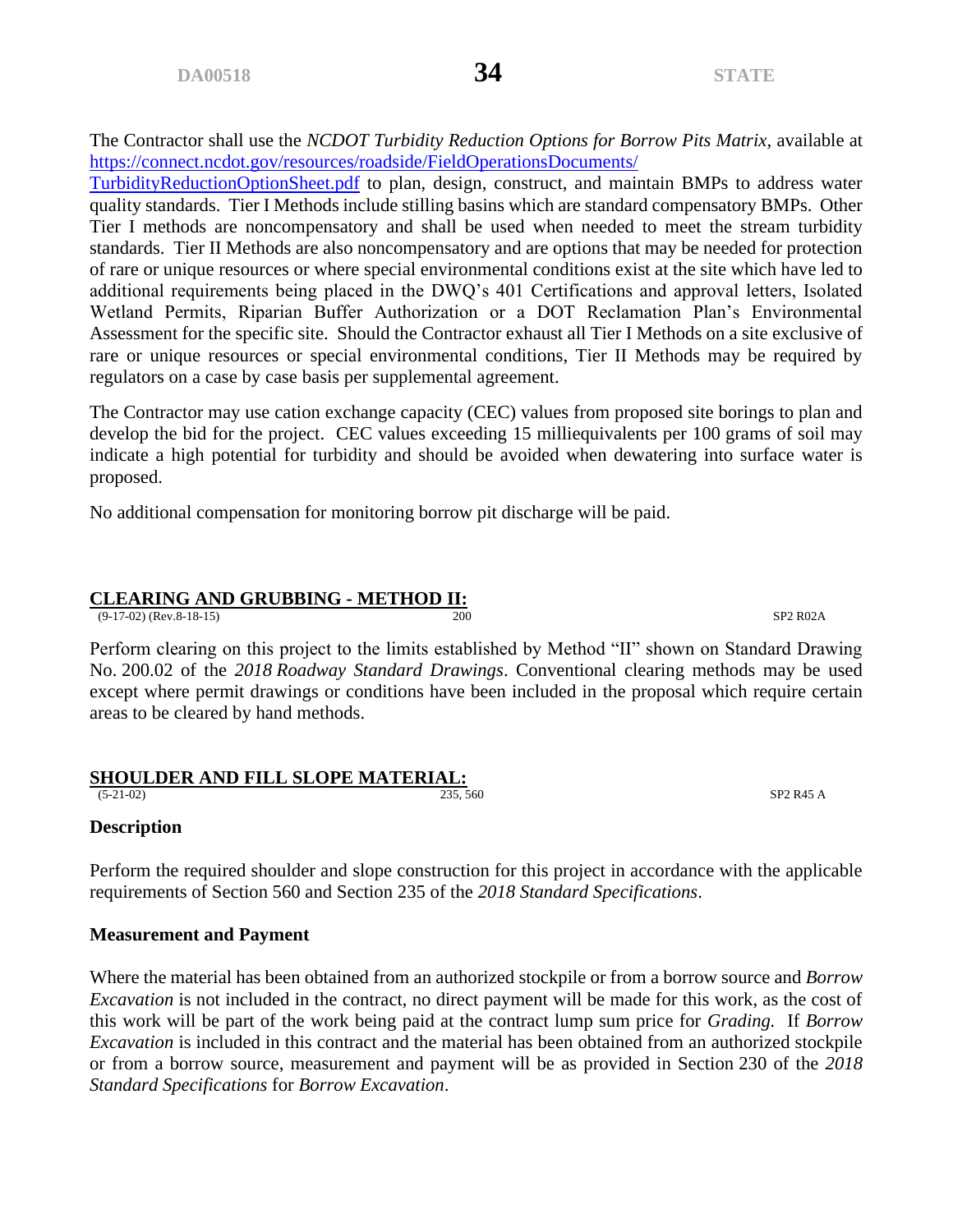The Contractor shall use the *NCDOT Turbidity Reduction Options for Borrow Pits Matrix*, available at [https://connect.ncdot.gov/resources/roadside/FieldOperationsDocuments/](https://connect.ncdot.gov/resources/roadside/FieldOperationsDocuments/%0bTurbidityReductionOptionSheet.pdf)

[TurbidityReductionOptionSheet.pdf](https://connect.ncdot.gov/resources/roadside/FieldOperationsDocuments/%0bTurbidityReductionOptionSheet.pdf) to plan, design, construct, and maintain BMPs to address water quality standards. Tier I Methods include stilling basins which are standard compensatory BMPs. Other Tier I methods are noncompensatory and shall be used when needed to meet the stream turbidity standards. Tier II Methods are also noncompensatory and are options that may be needed for protection of rare or unique resources or where special environmental conditions exist at the site which have led to additional requirements being placed in the DWQ's 401 Certifications and approval letters, Isolated Wetland Permits, Riparian Buffer Authorization or a DOT Reclamation Plan's Environmental Assessment for the specific site. Should the Contractor exhaust all Tier I Methods on a site exclusive of rare or unique resources or special environmental conditions, Tier II Methods may be required by regulators on a case by case basis per supplemental agreement.

The Contractor may use cation exchange capacity (CEC) values from proposed site borings to plan and develop the bid for the project. CEC values exceeding 15 milliequivalents per 100 grams of soil may indicate a high potential for turbidity and should be avoided when dewatering into surface water is proposed.

No additional compensation for monitoring borrow pit discharge will be paid.

#### **CLEARING AND GRUBBING - METHOD II:**

(9-17-02) (Rev.8-18-15) 200 SP2 R02A

Perform clearing on this project to the limits established by Method "II" shown on Standard Drawing No. 200.02 of the *2018 Roadway Standard Drawings*. Conventional clearing methods may be used except where permit drawings or conditions have been included in the proposal which require certain areas to be cleared by hand methods.

#### **SHOULDER AND FILL SLOPE MATERIAL:**

#### **Description**

Perform the required shoulder and slope construction for this project in accordance with the applicable requirements of Section 560 and Section 235 of the *2018 Standard Specifications*.

#### **Measurement and Payment**

Where the material has been obtained from an authorized stockpile or from a borrow source and *Borrow Excavation* is not included in the contract, no direct payment will be made for this work, as the cost of this work will be part of the work being paid at the contract lump sum price for *Grading.* If *Borrow Excavation* is included in this contract and the material has been obtained from an authorized stockpile or from a borrow source, measurement and payment will be as provided in Section 230 of the *2018 Standard Specifications* for *Borrow Excavation*.

(5-21-02) 235, 560 SP2 R45 A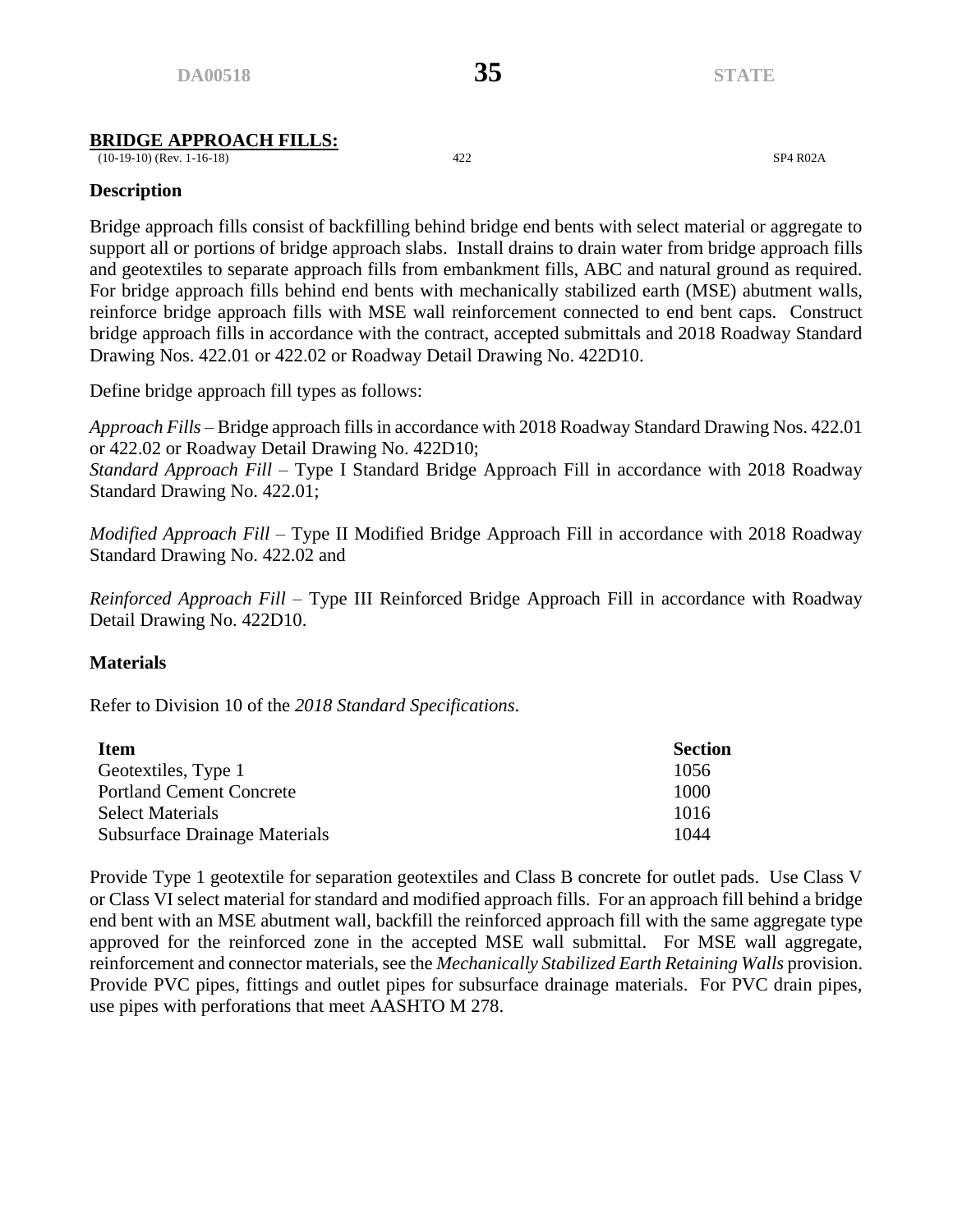### **BRIDGE APPROACH FILLS:**

(10-19-10) (Rev. 1-16-18) 422 SP4 R02A

### **Description**

Bridge approach fills consist of backfilling behind bridge end bents with select material or aggregate to support all or portions of bridge approach slabs. Install drains to drain water from bridge approach fills and geotextiles to separate approach fills from embankment fills, ABC and natural ground as required. For bridge approach fills behind end bents with mechanically stabilized earth (MSE) abutment walls, reinforce bridge approach fills with MSE wall reinforcement connected to end bent caps. Construct bridge approach fills in accordance with the contract, accepted submittals and 2018 Roadway Standard Drawing Nos. 422.01 or 422.02 or Roadway Detail Drawing No. 422D10.

Define bridge approach fill types as follows:

*Approach Fills* – Bridge approach fills in accordance with 2018 Roadway Standard Drawing Nos. 422.01 or 422.02 or Roadway Detail Drawing No. 422D10;

*Standard Approach Fill* – Type I Standard Bridge Approach Fill in accordance with 2018 Roadway Standard Drawing No. 422.01;

*Modified Approach Fill* – Type II Modified Bridge Approach Fill in accordance with 2018 Roadway Standard Drawing No. 422.02 and

*Reinforced Approach Fill* – Type III Reinforced Bridge Approach Fill in accordance with Roadway Detail Drawing No. 422D10.

#### **Materials**

Refer to Division 10 of the *2018 Standard Specifications*.

| <b>Item</b>                          | <b>Section</b> |
|--------------------------------------|----------------|
| Geotextiles, Type 1                  | 1056           |
| <b>Portland Cement Concrete</b>      | 1000           |
| <b>Select Materials</b>              | 1016           |
| <b>Subsurface Drainage Materials</b> | 1044           |

Provide Type 1 geotextile for separation geotextiles and Class B concrete for outlet pads. Use Class V or Class VI select material for standard and modified approach fills. For an approach fill behind a bridge end bent with an MSE abutment wall, backfill the reinforced approach fill with the same aggregate type approved for the reinforced zone in the accepted MSE wall submittal. For MSE wall aggregate, reinforcement and connector materials, see the *Mechanically Stabilized Earth Retaining Walls* provision. Provide PVC pipes, fittings and outlet pipes for subsurface drainage materials. For PVC drain pipes, use pipes with perforations that meet AASHTO M 278.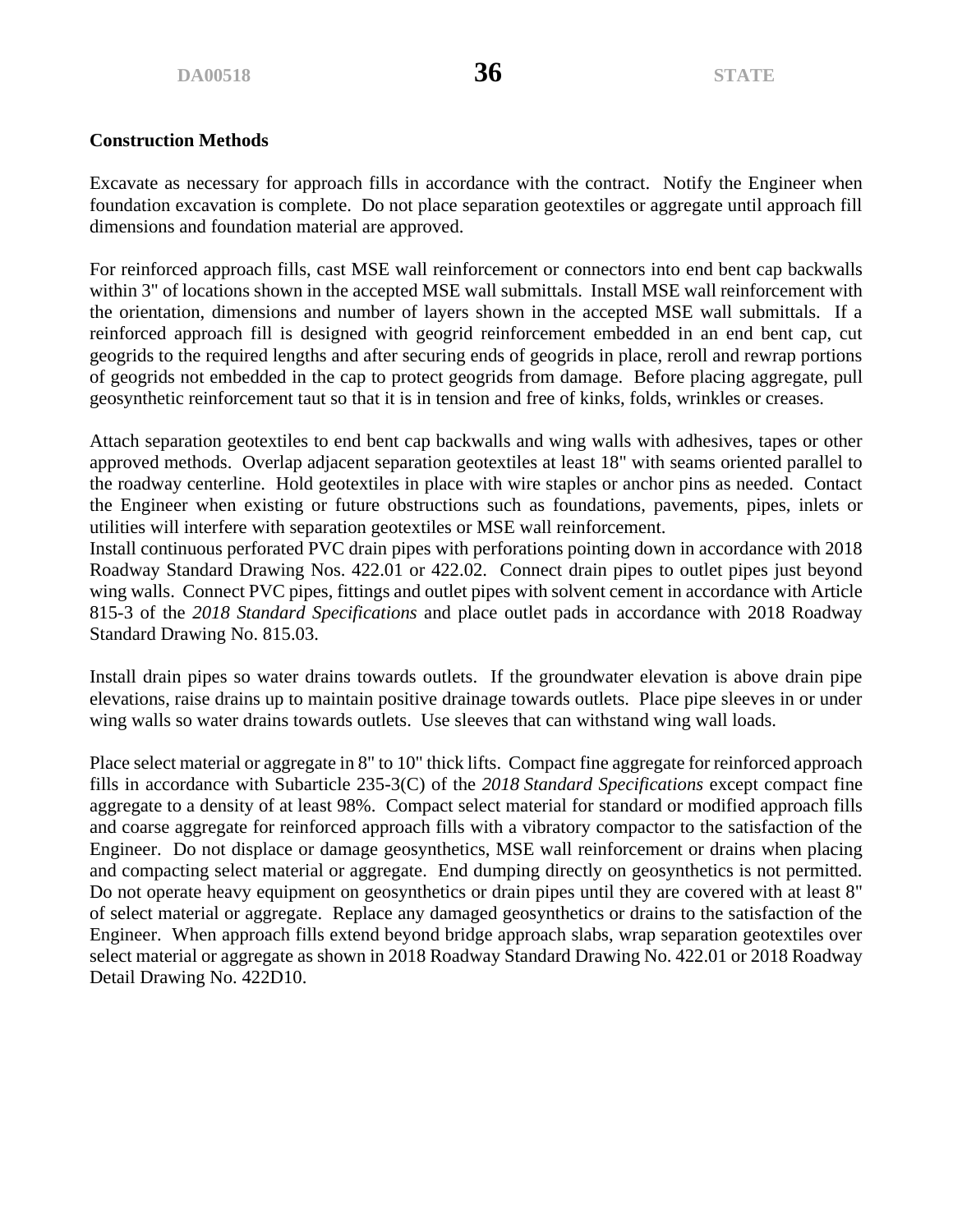#### **Construction Methods**

Excavate as necessary for approach fills in accordance with the contract. Notify the Engineer when foundation excavation is complete. Do not place separation geotextiles or aggregate until approach fill dimensions and foundation material are approved.

For reinforced approach fills, cast MSE wall reinforcement or connectors into end bent cap backwalls within 3" of locations shown in the accepted MSE wall submittals. Install MSE wall reinforcement with the orientation, dimensions and number of layers shown in the accepted MSE wall submittals. If a reinforced approach fill is designed with geogrid reinforcement embedded in an end bent cap, cut geogrids to the required lengths and after securing ends of geogrids in place, reroll and rewrap portions of geogrids not embedded in the cap to protect geogrids from damage. Before placing aggregate, pull geosynthetic reinforcement taut so that it is in tension and free of kinks, folds, wrinkles or creases.

Attach separation geotextiles to end bent cap backwalls and wing walls with adhesives, tapes or other approved methods. Overlap adjacent separation geotextiles at least 18" with seams oriented parallel to the roadway centerline. Hold geotextiles in place with wire staples or anchor pins as needed. Contact the Engineer when existing or future obstructions such as foundations, pavements, pipes, inlets or utilities will interfere with separation geotextiles or MSE wall reinforcement.

Install continuous perforated PVC drain pipes with perforations pointing down in accordance with 2018 Roadway Standard Drawing Nos. 422.01 or 422.02. Connect drain pipes to outlet pipes just beyond wing walls. Connect PVC pipes, fittings and outlet pipes with solvent cement in accordance with Article 815-3 of the *2018 Standard Specifications* and place outlet pads in accordance with 2018 Roadway Standard Drawing No. 815.03.

Install drain pipes so water drains towards outlets. If the groundwater elevation is above drain pipe elevations, raise drains up to maintain positive drainage towards outlets. Place pipe sleeves in or under wing walls so water drains towards outlets. Use sleeves that can withstand wing wall loads.

Place select material or aggregate in 8" to 10" thick lifts. Compact fine aggregate for reinforced approach fills in accordance with Subarticle 235-3(C) of the *2018 Standard Specifications* except compact fine aggregate to a density of at least 98%. Compact select material for standard or modified approach fills and coarse aggregate for reinforced approach fills with a vibratory compactor to the satisfaction of the Engineer. Do not displace or damage geosynthetics, MSE wall reinforcement or drains when placing and compacting select material or aggregate. End dumping directly on geosynthetics is not permitted. Do not operate heavy equipment on geosynthetics or drain pipes until they are covered with at least 8" of select material or aggregate. Replace any damaged geosynthetics or drains to the satisfaction of the Engineer. When approach fills extend beyond bridge approach slabs, wrap separation geotextiles over select material or aggregate as shown in 2018 Roadway Standard Drawing No. 422.01 or 2018 Roadway Detail Drawing No. 422D10.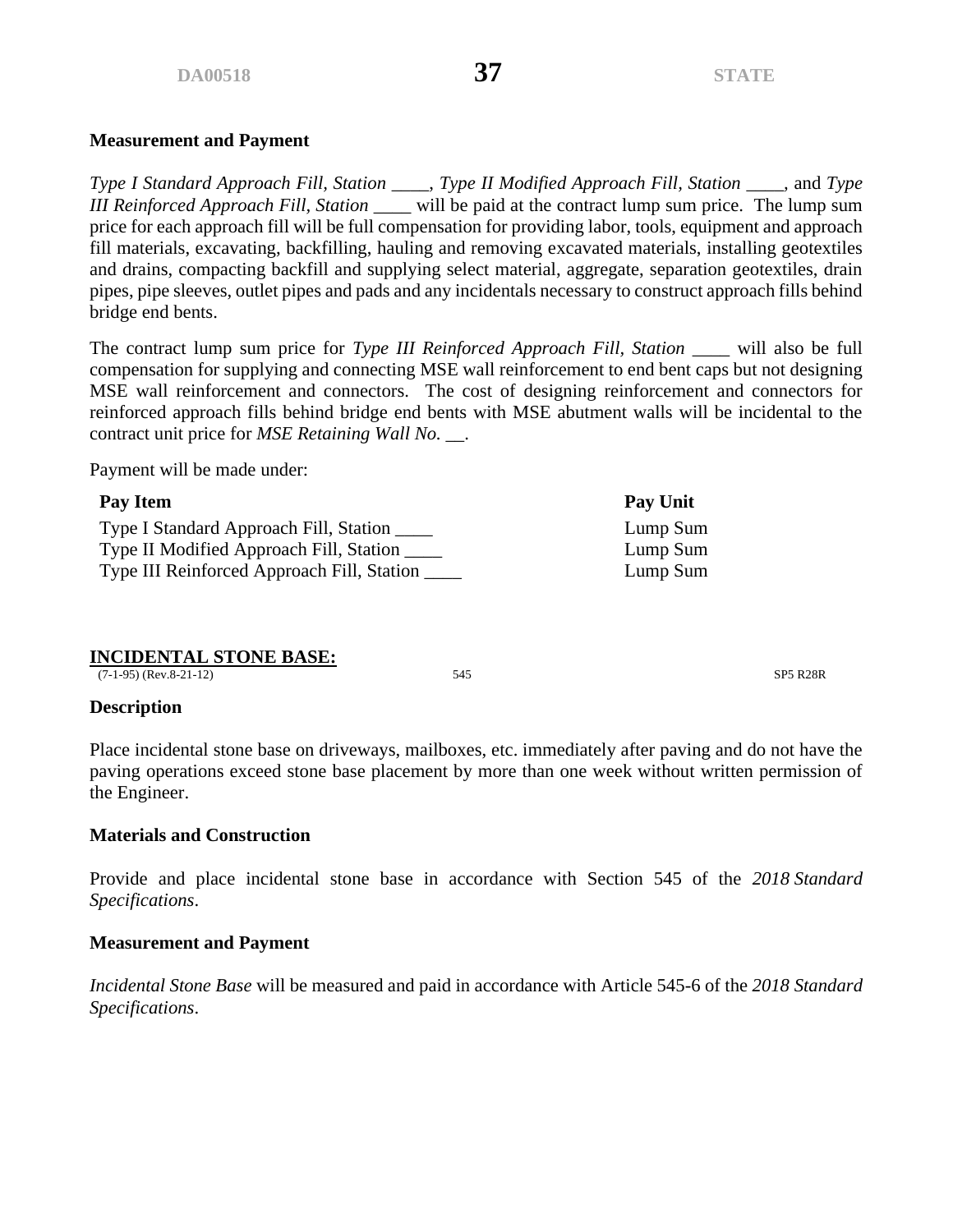#### **Measurement and Payment**

*Type I Standard Approach Fill, Station \_\_\_\_*, *Type II Modified Approach Fill, Station \_\_\_\_,* and *Type III Reinforced Approach Fill, Station \_\_\_\_* will be paid at the contract lump sum price. The lump sum price for each approach fill will be full compensation for providing labor, tools, equipment and approach fill materials, excavating, backfilling, hauling and removing excavated materials, installing geotextiles and drains, compacting backfill and supplying select material, aggregate, separation geotextiles, drain pipes, pipe sleeves, outlet pipes and pads and any incidentals necessary to construct approach fills behind bridge end bents.

The contract lump sum price for *Type III Reinforced Approach Fill, Station \_\_\_\_* will also be full compensation for supplying and connecting MSE wall reinforcement to end bent caps but not designing MSE wall reinforcement and connectors. The cost of designing reinforcement and connectors for reinforced approach fills behind bridge end bents with MSE abutment walls will be incidental to the contract unit price for *MSE Retaining Wall No. \_\_*.

Payment will be made under:

| Pay Item                                   | <b>Pay Unit</b> |
|--------------------------------------------|-----------------|
| Type I Standard Approach Fill, Station     | Lump Sum        |
| Type II Modified Approach Fill, Station    | Lump Sum        |
| Type III Reinforced Approach Fill, Station | Lump Sum        |

# **INCIDENTAL STONE BASE:**

(7-1-95) (Rev.8-21-12) 545 SP5 R28R

#### **Description**

Place incidental stone base on driveways, mailboxes, etc. immediately after paving and do not have the paving operations exceed stone base placement by more than one week without written permission of the Engineer.

# **Materials and Construction**

Provide and place incidental stone base in accordance with Section 545 of the *2018 Standard Specifications*.

# **Measurement and Payment**

*Incidental Stone Base* will be measured and paid in accordance with Article 545-6 of the *2018 Standard Specifications*.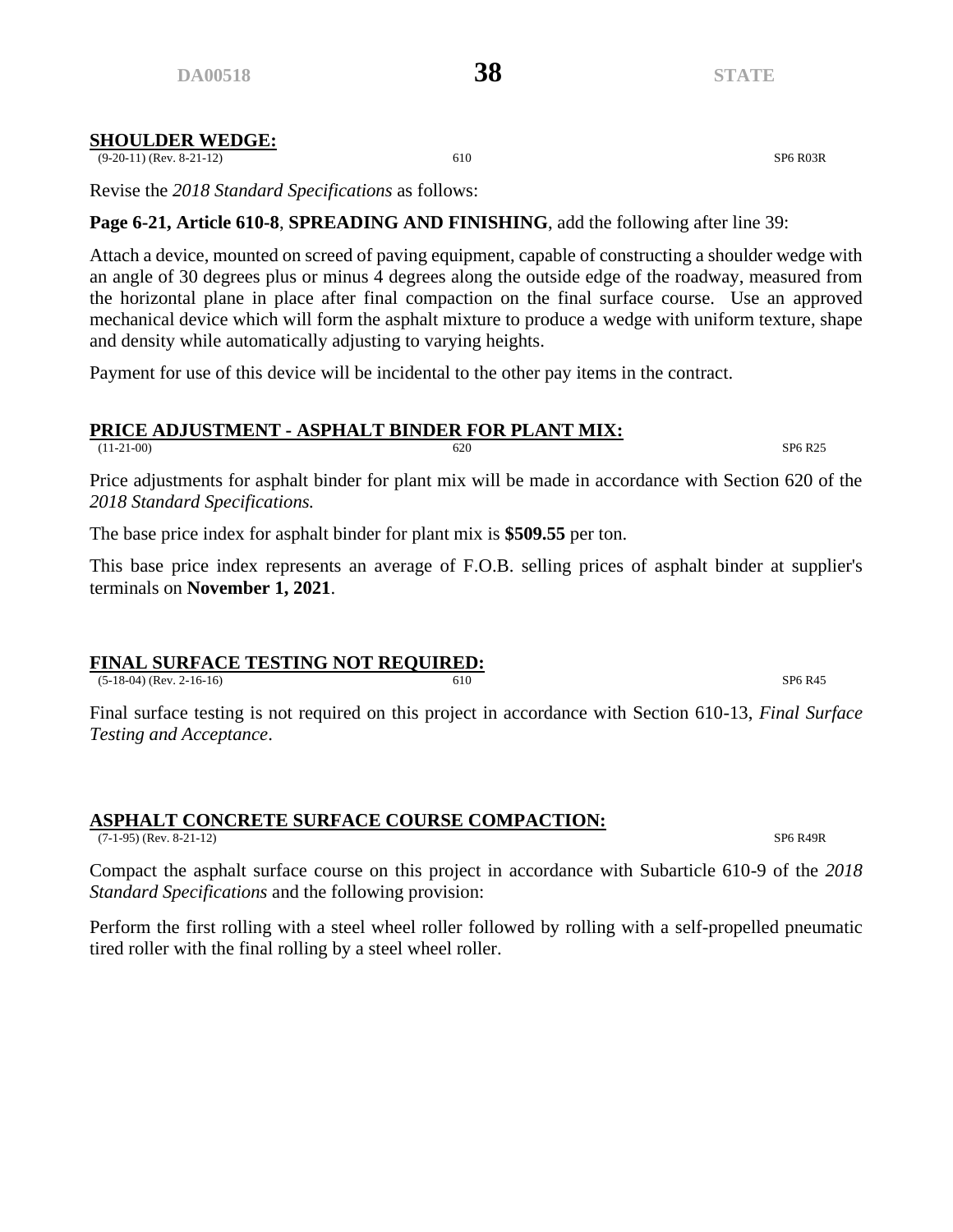#### **SHOULDER WEDGE:**

(9-20-11) (Rev. 8-21-12) 610 SP6 R03R

Revise the *2018 Standard Specifications* as follows:

# **Page 6-21, Article 610-8**, **SPREADING AND FINISHING**, add the following after line 39:

Attach a device, mounted on screed of paving equipment, capable of constructing a shoulder wedge with an angle of 30 degrees plus or minus 4 degrees along the outside edge of the roadway, measured from the horizontal plane in place after final compaction on the final surface course. Use an approved mechanical device which will form the asphalt mixture to produce a wedge with uniform texture, shape and density while automatically adjusting to varying heights.

Payment for use of this device will be incidental to the other pay items in the contract.

# **PRICE ADJUSTMENT - ASPHALT BINDER FOR PLANT MIX:**

(11-21-00) SP6 R25

Price adjustments for asphalt binder for plant mix will be made in accordance with Section 620 of the *2018 Standard Specifications.*

The base price index for asphalt binder for plant mix is **\$509.55** per ton.

This base price index represents an average of F.O.B. selling prices of asphalt binder at supplier's terminals on **November 1, 2021**.

# **FINAL SURFACE TESTING NOT REQUIRED:**

 $(5-18-04)$  (Rev. 2-16-16) SP6 R45

Final surface testing is not required on this project in accordance with Section 610-13, *Final Surface Testing and Acceptance*.

#### **ASPHALT CONCRETE SURFACE COURSE COMPACTION:** (7-1-95) (Rev. 8-21-12) SP6 R49R

Compact the asphalt surface course on this project in accordance with Subarticle 610-9 of the *2018 Standard Specifications* and the following provision:

Perform the first rolling with a steel wheel roller followed by rolling with a self-propelled pneumatic tired roller with the final rolling by a steel wheel roller.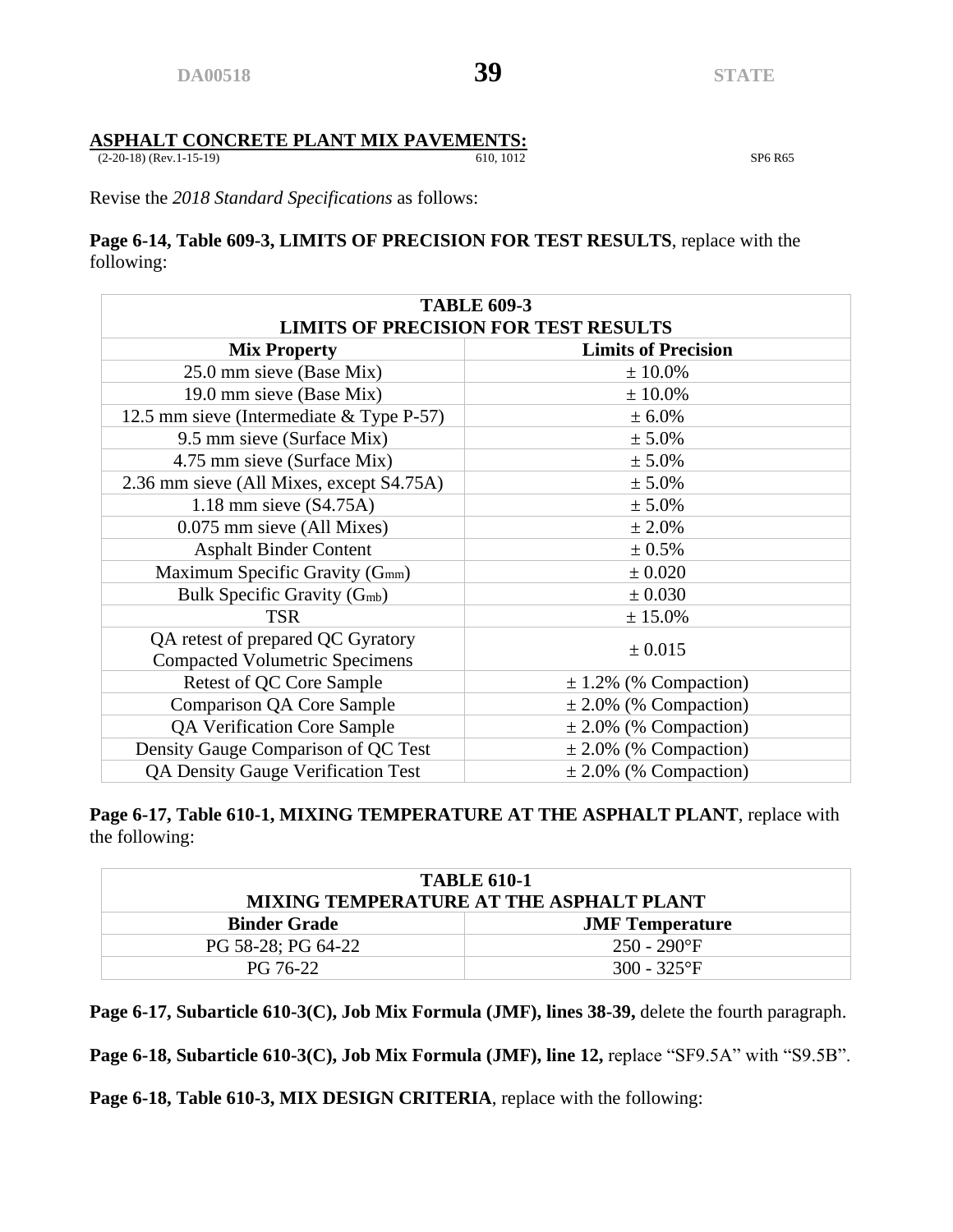# **ASPHALT CONCRETE PLANT MIX PAVEMENTS:**<br>(2-20-18) (Rev.1-15-19)<br>(610, 1012)

(2-20-18) (Rev.1-15-19) 610, 1012 SP6 R65

Revise the *2018 Standard Specifications* as follows:

# **Page 6-14, Table 609-3, LIMITS OF PRECISION FOR TEST RESULTS**, replace with the following:

| <b>TABLE 609-3</b>                                                         |                            |  |  |  |  |  |  |
|----------------------------------------------------------------------------|----------------------------|--|--|--|--|--|--|
| <b>LIMITS OF PRECISION FOR TEST RESULTS</b>                                |                            |  |  |  |  |  |  |
| <b>Mix Property</b>                                                        | <b>Limits of Precision</b> |  |  |  |  |  |  |
| 25.0 mm sieve (Base Mix)                                                   | ± 10.0%                    |  |  |  |  |  |  |
| 19.0 mm sieve (Base Mix)                                                   | $± 10.0\%$                 |  |  |  |  |  |  |
| 12.5 mm sieve (Intermediate & Type P-57)                                   | ± 6.0%                     |  |  |  |  |  |  |
| 9.5 mm sieve (Surface Mix)                                                 | $± 5.0\%$                  |  |  |  |  |  |  |
| 4.75 mm sieve (Surface Mix)                                                | ± 5.0%                     |  |  |  |  |  |  |
| 2.36 mm sieve (All Mixes, except S4.75A)                                   | $± 5.0\%$                  |  |  |  |  |  |  |
| 1.18 mm sieve $(S4.75A)$                                                   | ± 5.0%                     |  |  |  |  |  |  |
| 0.075 mm sieve (All Mixes)                                                 | ± 2.0%                     |  |  |  |  |  |  |
| <b>Asphalt Binder Content</b>                                              | ± 0.5%                     |  |  |  |  |  |  |
| Maximum Specific Gravity (G <sub>mm</sub> )                                | $\pm 0.020$                |  |  |  |  |  |  |
| Bulk Specific Gravity (G <sub>mb</sub> )                                   | ± 0.030                    |  |  |  |  |  |  |
| <b>TSR</b>                                                                 | ± 15.0%                    |  |  |  |  |  |  |
| QA retest of prepared QC Gyratory<br><b>Compacted Volumetric Specimens</b> | ± 0.015                    |  |  |  |  |  |  |
| Retest of QC Core Sample                                                   | $\pm$ 1.2% (% Compaction)  |  |  |  |  |  |  |
| Comparison QA Core Sample                                                  | $\pm 2.0\%$ (% Compaction) |  |  |  |  |  |  |
| QA Verification Core Sample                                                | $\pm$ 2.0% (% Compaction)  |  |  |  |  |  |  |
| Density Gauge Comparison of QC Test                                        | $\pm 2.0\%$ (% Compaction) |  |  |  |  |  |  |
| <b>QA Density Gauge Verification Test</b>                                  | $\pm 2.0\%$ (% Compaction) |  |  |  |  |  |  |

**Page 6-17, Table 610-1, MIXING TEMPERATURE AT THE ASPHALT PLANT**, replace with the following:

| <b>TABLE 610-1</b><br>MIXING TEMPERATURE AT THE ASPHALT PLANT |                |  |  |  |  |
|---------------------------------------------------------------|----------------|--|--|--|--|
| <b>Binder Grade</b><br><b>JMF</b> Temperature                 |                |  |  |  |  |
| PG 58-28; PG 64-22                                            | $250 - 290$ °F |  |  |  |  |
| PG 76-22                                                      | 300 - 325°F    |  |  |  |  |

**Page 6-17, Subarticle 610-3(C), Job Mix Formula (JMF), lines 38-39,** delete the fourth paragraph.

**Page 6-18, Subarticle 610-3(C), Job Mix Formula (JMF), line 12,** replace "SF9.5A" with "S9.5B".

**Page 6-18, Table 610-3, MIX DESIGN CRITERIA**, replace with the following: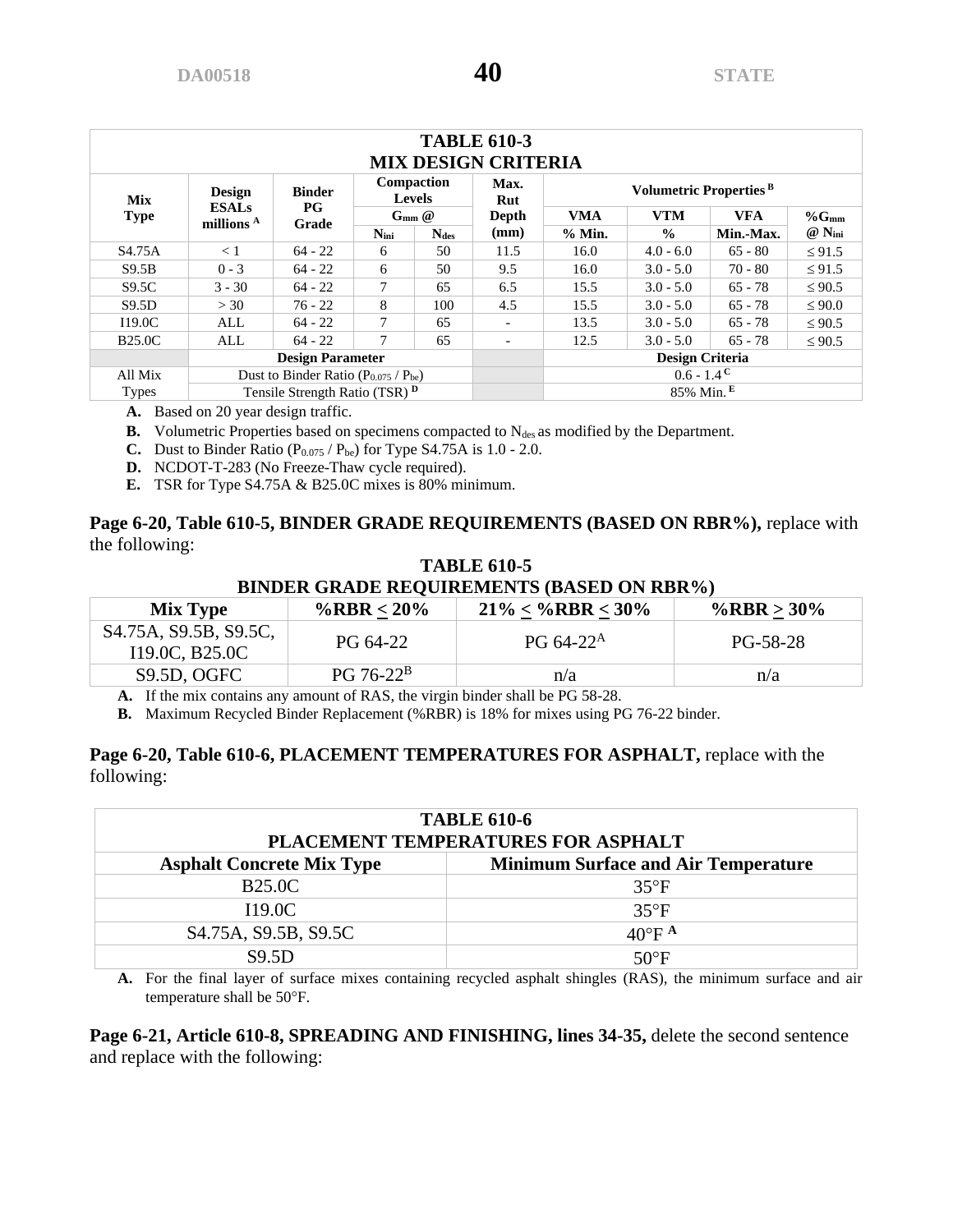| <b>TABLE 610-3</b><br><b>MIX DESIGN CRITERIA</b> |                                             |                      |               |                             |                          |                                    |                          |           |                      |
|--------------------------------------------------|---------------------------------------------|----------------------|---------------|-----------------------------|--------------------------|------------------------------------|--------------------------|-----------|----------------------|
| <b>Mix</b>                                       | Design                                      | <b>Binder</b>        |               | Compaction<br><b>Levels</b> | Max.<br>Rut              | Volumetric Properties <sup>B</sup> |                          |           |                      |
| <b>Type</b>                                      | <b>ESALs</b><br>millions <sup>A</sup>       | $_{\rm PG}$<br>Grade |               | $G_{mm}$ $@$                | Depth                    | <b>VMA</b>                         | <b>VTM</b><br><b>VFA</b> |           |                      |
|                                                  |                                             |                      | $N_{\rm ini}$ | <b>Ndes</b>                 | (mm)                     | % Min.                             | $\frac{0}{0}$            | Min.-Max. | $@$ N <sub>ini</sub> |
| S <sub>4.75</sub> A                              | < 1                                         | $64 - 22$            | 6             | 50                          | 11.5                     | 16.0                               | $4.0 - 6.0$              | $65 - 80$ | $\leq 91.5$          |
| S9.5B                                            | $0 - 3$                                     | $64 - 22$            | 6             | 50                          | 9.5                      | 16.0                               | $3.0 - 5.0$              | $70 - 80$ | $\leq 91.5$          |
| S9.5C                                            | $3 - 30$                                    | $64 - 22$            | 7             | 65                          | 6.5                      | 15.5                               | $3.0 - 5.0$              | $65 - 78$ | $\leq 90.5$          |
| S9.5D                                            | >30                                         | $76 - 22$            | 8             | 100                         | 4.5                      | 15.5                               | $3.0 - 5.0$              | $65 - 78$ | $\leq 90.0$          |
| 119.0C                                           | ALL                                         | $64 - 22$            | 7             | 65                          | $\overline{\phantom{a}}$ | 13.5                               | $3.0 - 5.0$              | $65 - 78$ | $\leq 90.5$          |
| <b>B25.0C</b>                                    | ALL                                         | $64 - 22$            | 7             | 65                          | $\overline{\phantom{a}}$ | 12.5                               | $3.0 - 5.0$              | $65 - 78$ | $\leq 90.5$          |
| <b>Design Parameter</b>                          |                                             |                      |               |                             |                          |                                    | <b>Design Criteria</b>   |           |                      |
| All Mix                                          | Dust to Binder Ratio $(P_{0.075} / P_{be})$ |                      |               |                             |                          |                                    | $0.6 - 1.4^{\degree}$    |           |                      |
| <b>Types</b>                                     | Tensile Strength Ratio (TSR) <sup>D</sup>   |                      |               |                             |                          |                                    | $85\%$ Min. <sup>E</sup> |           |                      |

**A.** Based on 20 year design traffic.

**B.** Volumetric Properties based on specimens compacted to  $N_{des}$  as modified by the Department.

- **C.** Dust to Binder Ratio  $(P_{0.075} / P_{be})$  for Type S4.75A is 1.0 2.0.
- **D.** NCDOT-T-283 (No Freeze-Thaw cycle required).
- **E.** TSR for Type S4.75A & B25.0C mixes is 80% minimum.

#### **Page 6-20, Table 610-5, BINDER GRADE REQUIREMENTS (BASED ON RBR%),** replace with the following:

# **TABLE 610-5 BINDER GRADE REQUIREMENTS (BASED ON RBR%)**

| <b>Mix Type</b>                                                                | %RBR < $20\%$ | $21\% < \%$ RBR < 30% | %RBR > $30\%$ |
|--------------------------------------------------------------------------------|---------------|-----------------------|---------------|
| S <sub>4.75</sub> A, S <sub>9.5</sub> B, S <sub>9.5</sub> C,<br>I19.0C, B25.0C | PG 64-22      | $PG 64-22^A$          | PG-58-28      |
| S9.5D, OGFC                                                                    | $PG 76-22^B$  | n/a                   | n/a           |

**A.** If the mix contains any amount of RAS, the virgin binder shall be PG 58-28.

**B.** Maximum Recycled Binder Replacement (%RBR) is 18% for mixes using PG 76-22 binder.

#### **Page 6-20, Table 610-6, PLACEMENT TEMPERATURES FOR ASPHALT,** replace with the following:

| <b>TABLE 610-6</b><br>PLACEMENT TEMPERATURES FOR ASPHALT                       |                             |  |  |  |  |
|--------------------------------------------------------------------------------|-----------------------------|--|--|--|--|
| <b>Minimum Surface and Air Temperature</b><br><b>Asphalt Concrete Mix Type</b> |                             |  |  |  |  |
| <b>B25.0C</b>                                                                  | $35^{\circ}F$               |  |  |  |  |
| I19.0C                                                                         | $35^{\circ}F$               |  |  |  |  |
| S <sub>4.75</sub> A, S <sub>9.5</sub> B, S <sub>9.5</sub> C                    | $40^{\circ}$ F <sup>A</sup> |  |  |  |  |
| <b>S9.5D</b>                                                                   | $50^{\circ}$ F              |  |  |  |  |

**A.** For the final layer of surface mixes containing recycled asphalt shingles (RAS), the minimum surface and air temperature shall be 50°F.

**Page 6-21, Article 610-8, SPREADING AND FINISHING, lines 34-35,** delete the second sentence and replace with the following: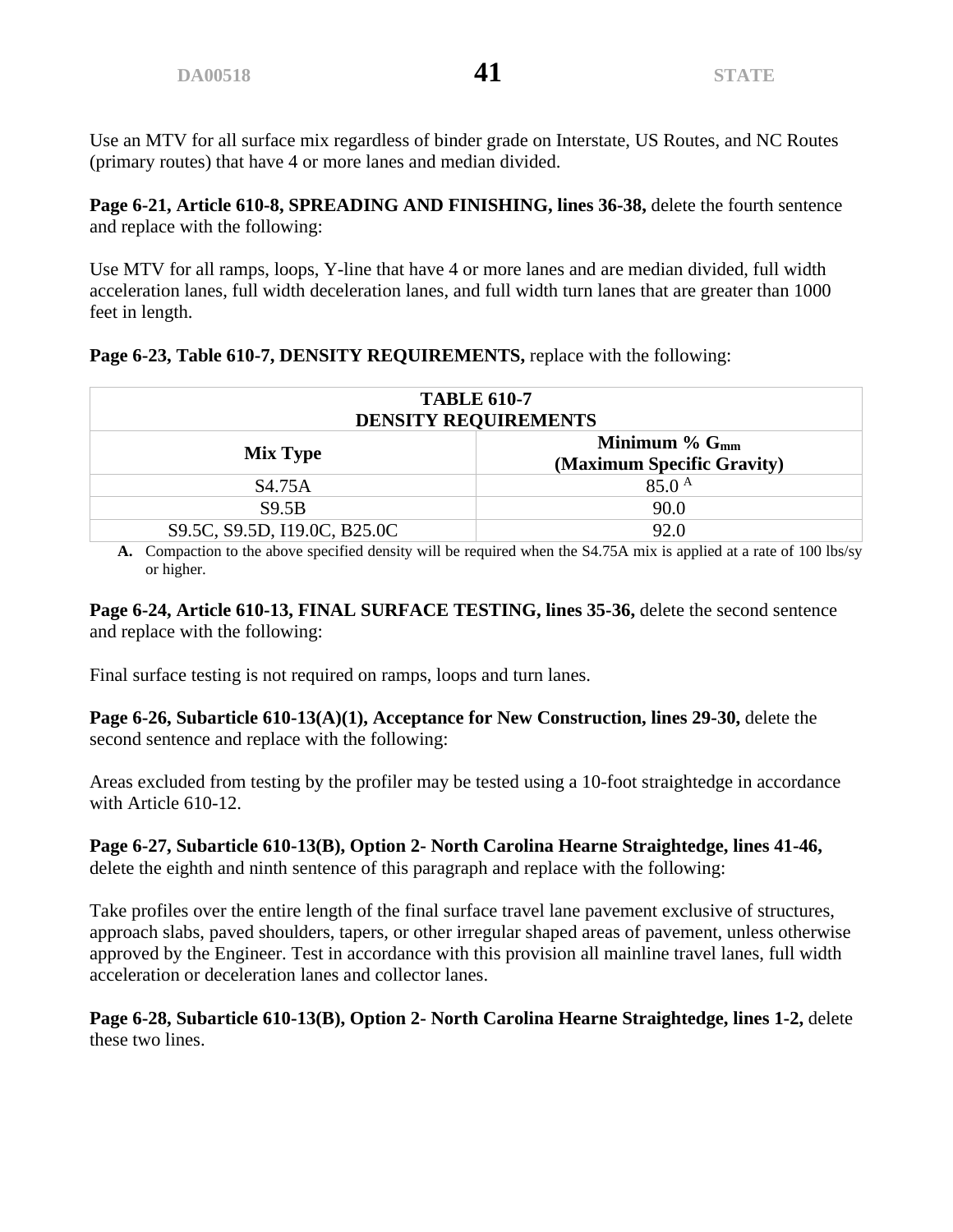Use an MTV for all surface mix regardless of binder grade on Interstate, US Routes, and NC Routes (primary routes) that have 4 or more lanes and median divided.

**Page 6-21, Article 610-8, SPREADING AND FINISHING, lines 36-38,** delete the fourth sentence and replace with the following:

Use MTV for all ramps, loops, Y-line that have 4 or more lanes and are median divided, full width acceleration lanes, full width deceleration lanes, and full width turn lanes that are greater than 1000 feet in length.

|  |  | Page 6-23, Table 610-7, DENSITY REQUIREMENTS, replace with the following: |
|--|--|---------------------------------------------------------------------------|
|  |  |                                                                           |

| <b>TABLE 610-7</b><br><b>DENSITY REQUIREMENTS</b>               |                   |  |  |  |  |
|-----------------------------------------------------------------|-------------------|--|--|--|--|
| Minimum $\%$ $G_{mm}$<br>Mix Type<br>(Maximum Specific Gravity) |                   |  |  |  |  |
| S4.75A                                                          | $85.0^{\text{A}}$ |  |  |  |  |
| S9.5B                                                           | 90.0              |  |  |  |  |
| S9.5C, S9.5D, I19.0C, B25.0C                                    | 92.0              |  |  |  |  |

**A.** Compaction to the above specified density will be required when the S4.75A mix is applied at a rate of 100 lbs/sy or higher.

**Page 6-24, Article 610-13, FINAL SURFACE TESTING, lines 35-36,** delete the second sentence and replace with the following:

Final surface testing is not required on ramps, loops and turn lanes.

Page 6-26, Subarticle 610-13(A)(1), Acceptance for New Construction, lines 29-30, delete the second sentence and replace with the following:

Areas excluded from testing by the profiler may be tested using a 10-foot straightedge in accordance with Article 610-12.

#### **Page 6-27, Subarticle 610-13(B), Option 2- North Carolina Hearne Straightedge, lines 41-46,**  delete the eighth and ninth sentence of this paragraph and replace with the following:

Take profiles over the entire length of the final surface travel lane pavement exclusive of structures, approach slabs, paved shoulders, tapers, or other irregular shaped areas of pavement, unless otherwise approved by the Engineer. Test in accordance with this provision all mainline travel lanes, full width acceleration or deceleration lanes and collector lanes.

**Page 6-28, Subarticle 610-13(B), Option 2- North Carolina Hearne Straightedge, lines 1-2,** delete these two lines.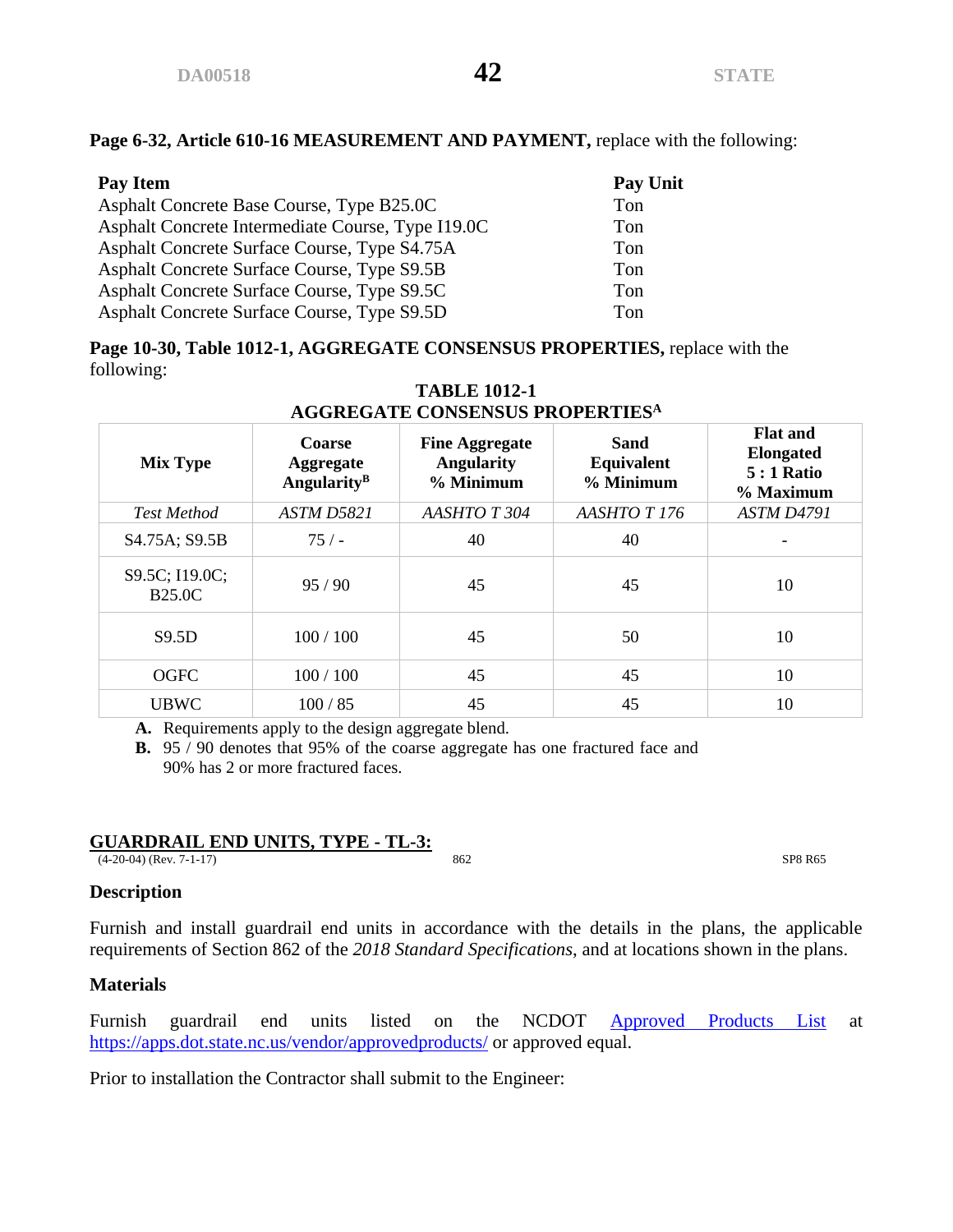#### **Page 6-32, Article 610-16 MEASUREMENT AND PAYMENT,** replace with the following:

| Pay Item                                          | <b>Pay Unit</b> |
|---------------------------------------------------|-----------------|
| Asphalt Concrete Base Course, Type B25.0C         | Ton             |
| Asphalt Concrete Intermediate Course, Type I19.0C | Ton             |
| Asphalt Concrete Surface Course, Type S4.75A      | Ton             |
| Asphalt Concrete Surface Course, Type S9.5B       | Ton             |
| Asphalt Concrete Surface Course, Type S9.5C       | Ton             |
| Asphalt Concrete Surface Course, Type S9.5D       | Ton             |

**Page 10-30, Table 1012-1, AGGREGATE CONSENSUS PROPERTIES,** replace with the following:

| AGGKEGATE CONSENSOS FROFERTIES'' |                                                              |                                                         |                                 |                                                                        |  |  |  |  |
|----------------------------------|--------------------------------------------------------------|---------------------------------------------------------|---------------------------------|------------------------------------------------------------------------|--|--|--|--|
| <b>Mix Type</b>                  | <b>Coarse</b><br><b>Aggregate</b><br>Angularity <sup>B</sup> | <b>Fine Aggregate</b><br><b>Angularity</b><br>% Minimum | Sand<br>Equivalent<br>% Minimum | <b>Flat and</b><br><b>Elongated</b><br><b>5</b> : 1 Ratio<br>% Maximum |  |  |  |  |
| <b>Test Method</b>               | ASTM D5821                                                   | AASHTOT 304                                             | AASHTOT176                      | ASTM D4791                                                             |  |  |  |  |
| S4.75A; S9.5B                    | 75/                                                          | 40                                                      | 40                              |                                                                        |  |  |  |  |
| S9.5C; I19.0C;<br><b>B25.0C</b>  | 95/90                                                        | 45                                                      | 45                              | 10                                                                     |  |  |  |  |
| S9.5D                            | 100/100                                                      | 45                                                      | 50                              | 10                                                                     |  |  |  |  |
| <b>OGFC</b>                      | 100/100                                                      | 45                                                      | 45                              | 10                                                                     |  |  |  |  |
| <b>UBWC</b>                      | 100/85                                                       | 45                                                      | 45                              | 10                                                                     |  |  |  |  |

#### **TABLE 1012-1 AGGREGATE CONSENSUS PROPERTIES<sup>A</sup>**

**A.** Requirements apply to the design aggregate blend.

**B.** 95 / 90 denotes that 95% of the coarse aggregate has one fractured face and 90% has 2 or more fractured faces.

#### **GUARDRAIL END UNITS, TYPE - TL-3:**

(4-20-04) (Rev. 7-1-17) 862 SP8 R65

#### **Description**

Furnish and install guardrail end units in accordance with the details in the plans, the applicable requirements of Section 862 of the *2018 Standard Specifications*, and at locations shown in the plans.

# **Materials**

Furnish guardrail end units listed on the NCDOT [Approved Products List](https://apps.dot.state.nc.us/vendor/approvedproducts/) at <https://apps.dot.state.nc.us/vendor/approvedproducts/> or approved equal.

Prior to installation the Contractor shall submit to the Engineer: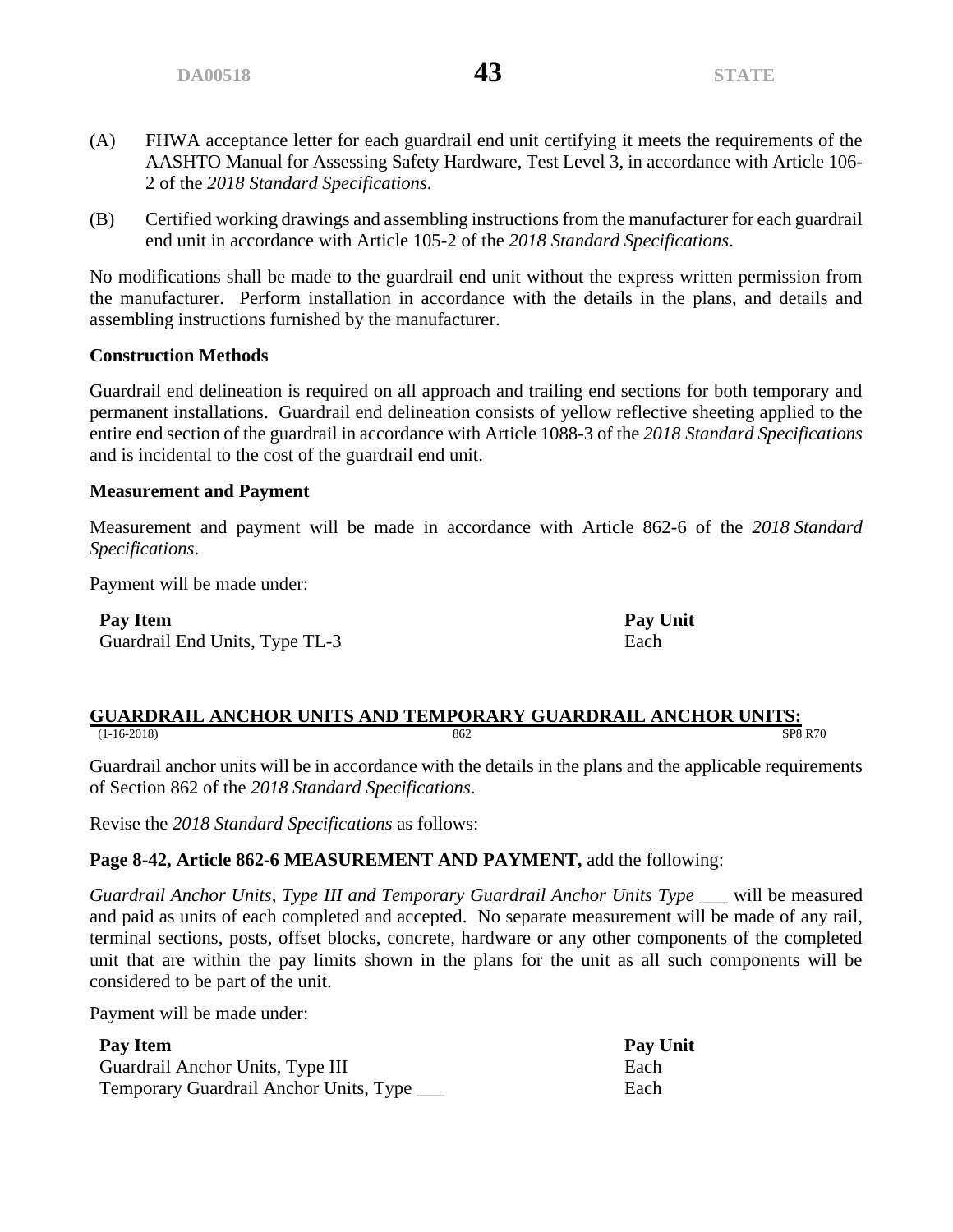- (A) FHWA acceptance letter for each guardrail end unit certifying it meets the requirements of the AASHTO Manual for Assessing Safety Hardware, Test Level 3, in accordance with Article 106- 2 of the *2018 Standard Specifications*.
- (B) Certified working drawings and assembling instructions from the manufacturer for each guardrail end unit in accordance with Article 105-2 of the *2018 Standard Specifications*.

No modifications shall be made to the guardrail end unit without the express written permission from the manufacturer. Perform installation in accordance with the details in the plans, and details and assembling instructions furnished by the manufacturer.

# **Construction Methods**

Guardrail end delineation is required on all approach and trailing end sections for both temporary and permanent installations. Guardrail end delineation consists of yellow reflective sheeting applied to the entire end section of the guardrail in accordance with Article 1088-3 of the *2018 Standard Specifications* and is incidental to the cost of the guardrail end unit.

# **Measurement and Payment**

Measurement and payment will be made in accordance with Article 862-6 of the *2018 Standard Specifications*.

Payment will be made under:

**Pay Item Pay Unit** Guardrail End Units, Type TL-3 Each

#### **GUARDRAIL ANCHOR UNITS AND TEMPORARY GUARDRAIL ANCHOR UNITS:**<br>
862<br>
862<br>
898 R70 (1-16-2018) 862 SP8 R70

Guardrail anchor units will be in accordance with the details in the plans and the applicable requirements of Section 862 of the *2018 Standard Specifications*.

Revise the *2018 Standard Specifications* as follows:

# **Page 8-42, Article 862-6 MEASUREMENT AND PAYMENT,** add the following:

*Guardrail Anchor Units, Type III and Temporary Guardrail Anchor Units Type \_\_\_* will be measured and paid as units of each completed and accepted. No separate measurement will be made of any rail, terminal sections, posts, offset blocks, concrete, hardware or any other components of the completed unit that are within the pay limits shown in the plans for the unit as all such components will be considered to be part of the unit.

Payment will be made under:

| Pay Item                                    | <b>Pay Unit</b> |
|---------------------------------------------|-----------------|
| Guardrail Anchor Units, Type III            | Each            |
| Temporary Guardrail Anchor Units, Type ____ | Each            |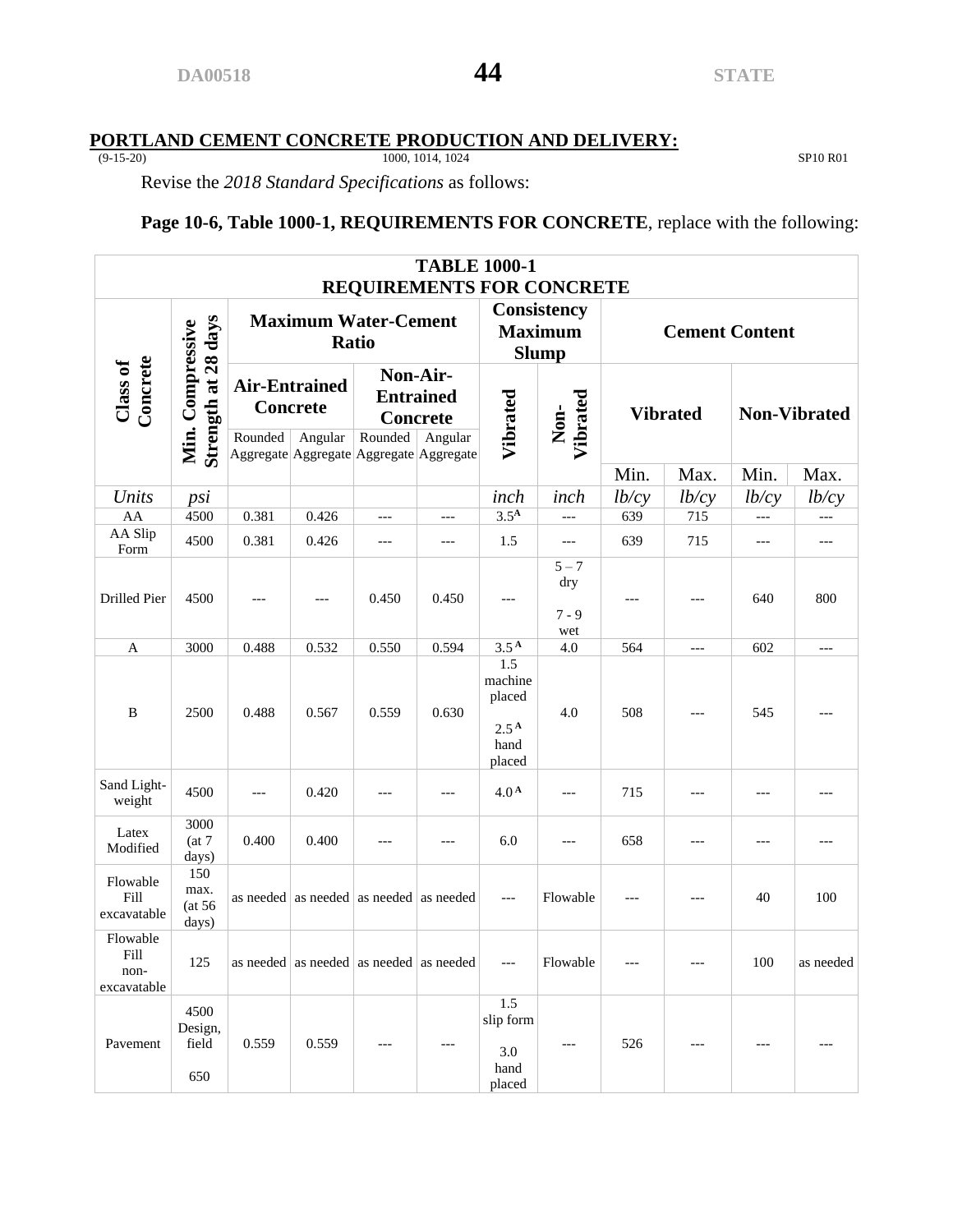#### **PORTLAND CEMENT CONCRETE PRODUCTION AND DELIVERY:**

(9-15-20) 1000, 1014, 1024 SP10 R01

Revise the *2018 Standard Specifications* as follows:

# **Page 10-6, Table 1000-1, REQUIREMENTS FOR CONCRETE**, replace with the following:

| <b>TABLE 1000-1</b><br><b>REQUIREMENTS FOR CONCRETE</b> |                                         |                                             |                                               |                                             |                     |                                                                |                                  |                  |                       |                 |           |                     |
|---------------------------------------------------------|-----------------------------------------|---------------------------------------------|-----------------------------------------------|---------------------------------------------|---------------------|----------------------------------------------------------------|----------------------------------|------------------|-----------------------|-----------------|-----------|---------------------|
|                                                         |                                         | <b>Maximum Water-Cement</b><br><b>Ratio</b> |                                               |                                             |                     | Consistency<br><b>Maximum</b><br><b>Slump</b>                  |                                  |                  | <b>Cement Content</b> |                 |           |                     |
| Concrete<br>Class of                                    | Strength at 28 days<br>Min. Compressive |                                             | Rounded                                       | <b>Air-Entrained</b><br>Concrete<br>Angular | Non-Air-<br>Rounded | <b>Entrained</b><br><b>Concrete</b><br>Angular                 | Vibrated                         | Vibrated<br>Non- |                       | <b>Vibrated</b> |           | <b>Non-Vibrated</b> |
|                                                         |                                         |                                             | Aggregate Aggregate Aggregate Aggregate       |                                             |                     |                                                                |                                  | Min.             | Max.                  | Min.            | Max.      |                     |
| Units                                                   | psi                                     |                                             |                                               |                                             |                     | inch                                                           | inch                             | lb/cy            | lb/cy                 | lb/cy           | lb/cy     |                     |
| AA                                                      | 4500                                    | 0.381                                       | 0.426                                         | $---$                                       | $---$               | 3.5 <sup>A</sup>                                               | $---$                            | 639              | 715                   | ---             | ---       |                     |
| AA Slip<br>Form                                         | 4500                                    | 0.381                                       | 0.426                                         | ---                                         | ---                 | 1.5                                                            | $---$                            | 639              | 715                   | ---             | ---       |                     |
| Drilled Pier                                            | 4500                                    |                                             | ---                                           | 0.450                                       | 0.450               | ---                                                            | $5 - 7$<br>dry<br>$7 - 9$<br>wet | $---$            | $---$                 | 640             | 800       |                     |
| A                                                       | 3000                                    | 0.488                                       | 0.532                                         | 0.550                                       | 0.594               | 3.5 <sup>A</sup>                                               | 4.0                              | 564              | $---$                 | 602             | $---$     |                     |
| B                                                       | 2500                                    | 0.488                                       | 0.567                                         | 0.559                                       | 0.630               | 1.5<br>machine<br>placed<br>2.5 <sup>A</sup><br>hand<br>placed | 4.0                              | 508              | $---$                 | 545             | ---       |                     |
| Sand Light-<br>weight                                   | 4500                                    | ---                                         | 0.420                                         | $---$                                       | $---$               | 4.0 <sup>A</sup>                                               | $---$                            | 715              |                       | ---             | ---       |                     |
| Latex<br>Modified                                       | 3000<br>(at 7)<br>days)                 | 0.400                                       | 0.400                                         | ---                                         | $---$               | 6.0                                                            | ---                              | 658              | ---                   | ---             | ---       |                     |
| Flowable<br>Fill<br>excavatable                         | 150<br>max.<br>(at 56)<br>days)         |                                             | as needed   as needed   as needed   as needed |                                             |                     | $---$                                                          | Flowable                         | $---$            | $---$                 | 40              | 100       |                     |
| Flowable<br>Fill<br>non-<br>excavatable                 | 125                                     |                                             | as needed as needed as needed as needed       |                                             |                     | $---$                                                          | Flowable                         | $---$            | ---                   | 100             | as needed |                     |
| Pavement                                                | 4500<br>Design,<br>field<br>650         | 0.559                                       | 0.559                                         | $---$                                       | $---$               | 1.5<br>slip form<br>3.0<br>hand<br>placed                      | $---$                            | 526              | ---                   | ---             | $---$     |                     |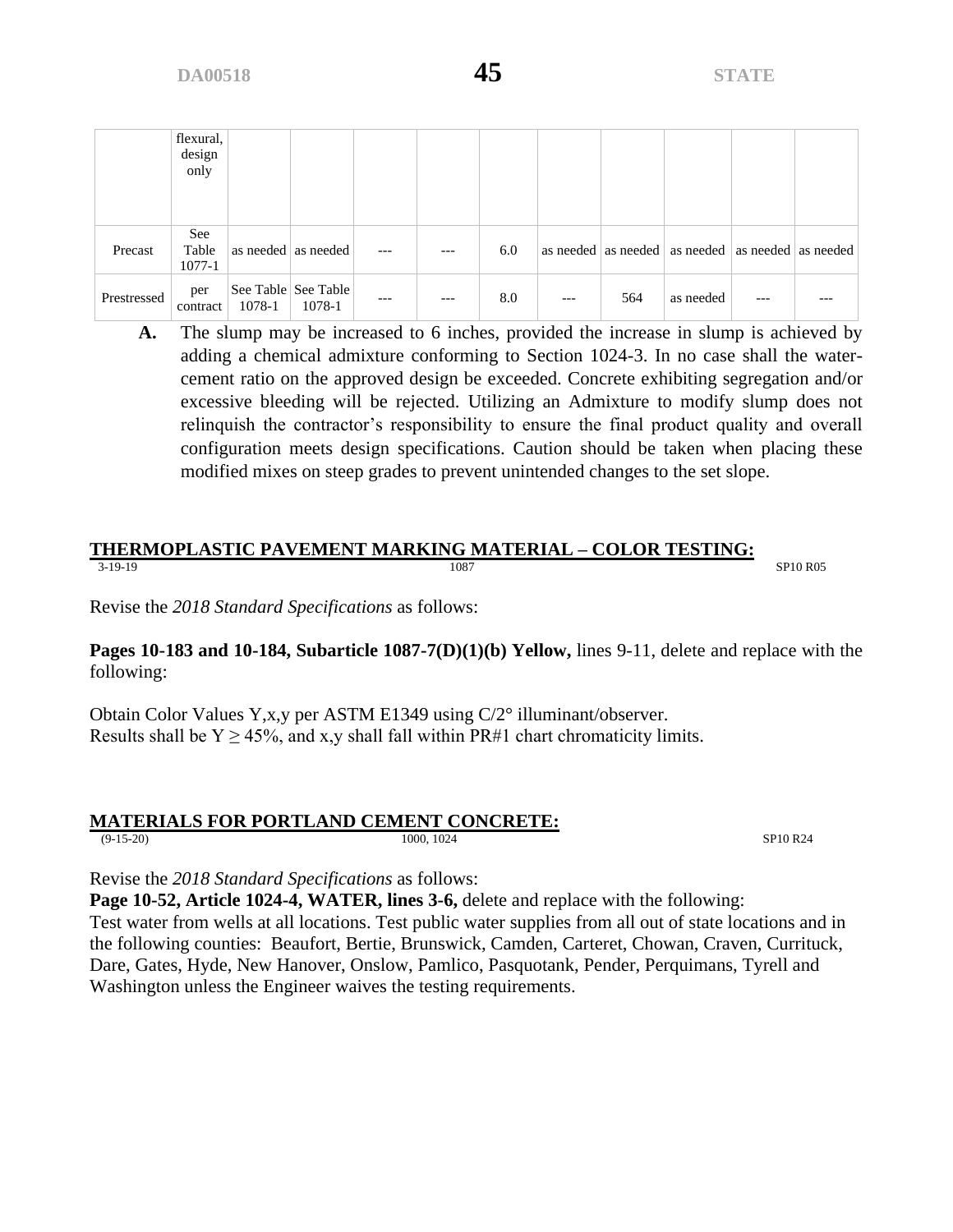|             | flexural,<br>design<br>only |        |                               |     |       |     |       |     |                                                           |     |  |
|-------------|-----------------------------|--------|-------------------------------|-----|-------|-----|-------|-----|-----------------------------------------------------------|-----|--|
| Precast     | See<br>Table<br>$1077 - 1$  |        | as needed as needed           | --- | $---$ | 6.0 |       |     | as needed   as needed   as needed   as needed   as needed |     |  |
| Prestressed | per<br>contract             | 1078-1 | See Table See Table<br>1078-1 | --- | $---$ | 8.0 | $---$ | 564 | as needed                                                 | --- |  |

**A.** The slump may be increased to 6 inches, provided the increase in slump is achieved by adding a chemical admixture conforming to Section 1024-3. In no case shall the watercement ratio on the approved design be exceeded. Concrete exhibiting segregation and/or excessive bleeding will be rejected. Utilizing an Admixture to modify slump does not relinquish the contractor's responsibility to ensure the final product quality and overall configuration meets design specifications. Caution should be taken when placing these modified mixes on steep grades to prevent unintended changes to the set slope.

#### **THERMOPLASTIC PAVEMENT MARKING MATERIAL – COLOR TESTING:** 3-19-19 SP10 R05

Revise the *2018 Standard Specifications* as follows:

**Pages 10-183 and 10-184, Subarticle 1087-7(D)(1)(b) Yellow,** lines 9-11, delete and replace with the following:

Obtain Color Values Y,x,y per ASTM E1349 using C/2° illuminant/observer. Results shall be  $Y \ge 45\%$ , and x,y shall fall within PR#1 chart chromaticity limits.

# **MATERIALS FOR PORTLAND CEMENT CONCRETE:**

(9-15-20) 1000, 1024 SP10 R24

Revise the *2018 Standard Specifications* as follows:

**Page 10-52, Article 1024-4, WATER, lines 3-6,** delete and replace with the following:

Test water from wells at all locations. Test public water supplies from all out of state locations and in the following counties: Beaufort, Bertie, Brunswick, Camden, Carteret, Chowan, Craven, Currituck, Dare, Gates, Hyde, New Hanover, Onslow, Pamlico, Pasquotank, Pender, Perquimans, Tyrell and Washington unless the Engineer waives the testing requirements.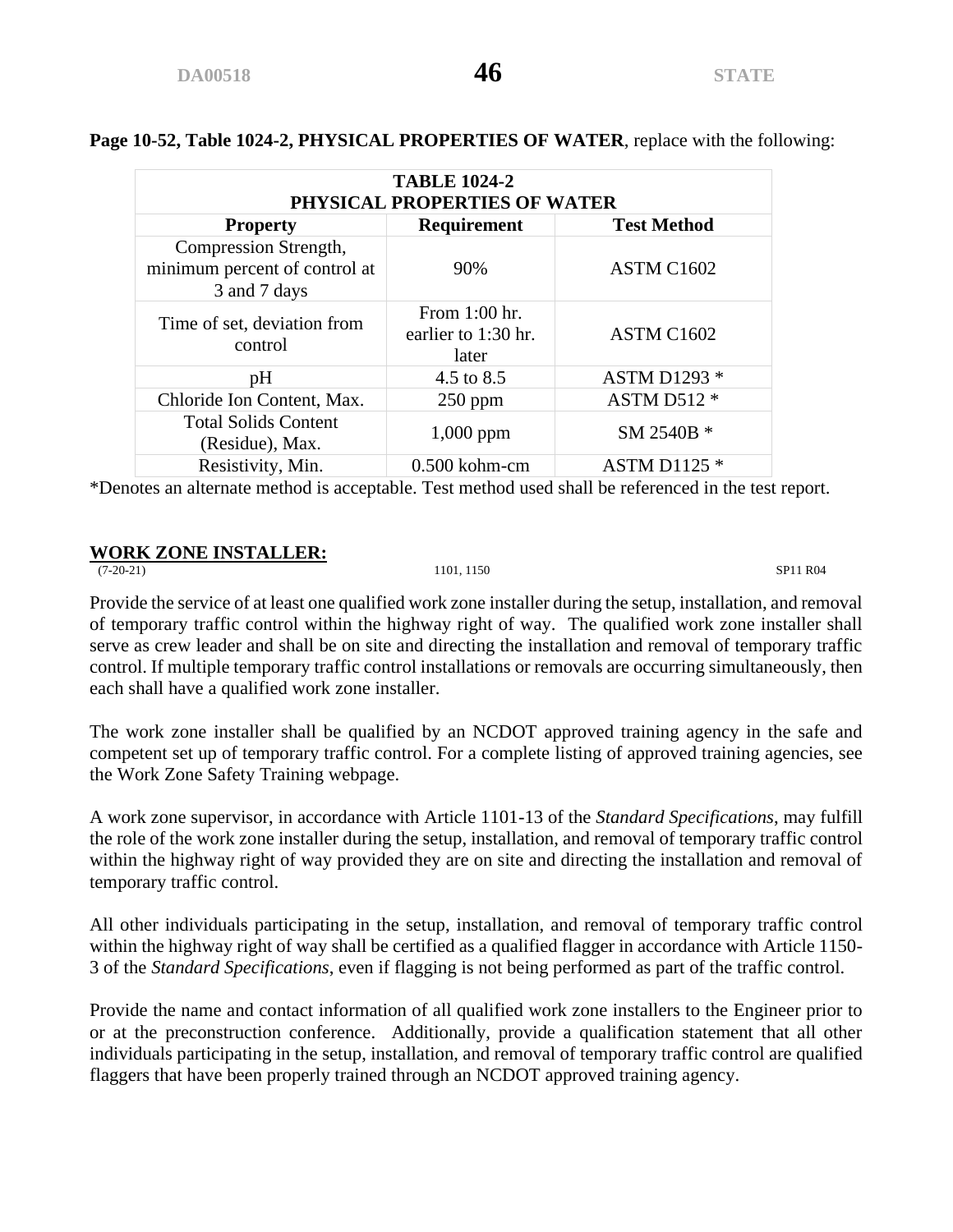| Page 10-52, Table 1024-2, PHYSICAL PROPERTIES OF WATER, replace with the following: |  |
|-------------------------------------------------------------------------------------|--|
|-------------------------------------------------------------------------------------|--|

| <b>TABLE 1024-2</b><br>PHYSICAL PROPERTIES OF WATER                    |                                               |                     |  |  |  |  |
|------------------------------------------------------------------------|-----------------------------------------------|---------------------|--|--|--|--|
| <b>Test Method</b><br><b>Requirement</b><br><b>Property</b>            |                                               |                     |  |  |  |  |
| Compression Strength,<br>minimum percent of control at<br>3 and 7 days | 90%                                           | ASTM C1602          |  |  |  |  |
| Time of set, deviation from<br>control                                 | From 1:00 hr.<br>earlier to 1:30 hr.<br>later | ASTM C1602          |  |  |  |  |
| pH                                                                     | 4.5 to 8.5                                    | <b>ASTM D1293 *</b> |  |  |  |  |
| Chloride Ion Content, Max.                                             | $250$ ppm                                     | ASTM D512 *         |  |  |  |  |
| <b>Total Solids Content</b><br>(Residue), Max.                         | $1,000$ ppm                                   | SM 2540B *          |  |  |  |  |
| Resistivity, Min.                                                      | $0.500$ kohm-cm                               | <b>ASTM D1125 *</b> |  |  |  |  |

\*Denotes an alternate method is acceptable. Test method used shall be referenced in the test report.

# **WORK ZONE INSTALLER:**<br>(7-20-21)

(7-20-21) 1101, 1150 SP11 R04

Provide the service of at least one qualified work zone installer during the setup, installation, and removal of temporary traffic control within the highway right of way. The qualified work zone installer shall serve as crew leader and shall be on site and directing the installation and removal of temporary traffic control. If multiple temporary traffic control installations or removals are occurring simultaneously, then each shall have a qualified work zone installer.

The work zone installer shall be qualified by an NCDOT approved training agency in the safe and competent set up of temporary traffic control. For a complete listing of approved training agencies, see the Work Zone Safety Training webpage.

A work zone supervisor, in accordance with Article 1101-13 of the *Standard Specifications*, may fulfill the role of the work zone installer during the setup, installation, and removal of temporary traffic control within the highway right of way provided they are on site and directing the installation and removal of temporary traffic control.

All other individuals participating in the setup, installation, and removal of temporary traffic control within the highway right of way shall be certified as a qualified flagger in accordance with Article 1150- 3 of the *Standard Specifications*, even if flagging is not being performed as part of the traffic control.

Provide the name and contact information of all qualified work zone installers to the Engineer prior to or at the preconstruction conference. Additionally, provide a qualification statement that all other individuals participating in the setup, installation, and removal of temporary traffic control are qualified flaggers that have been properly trained through an NCDOT approved training agency.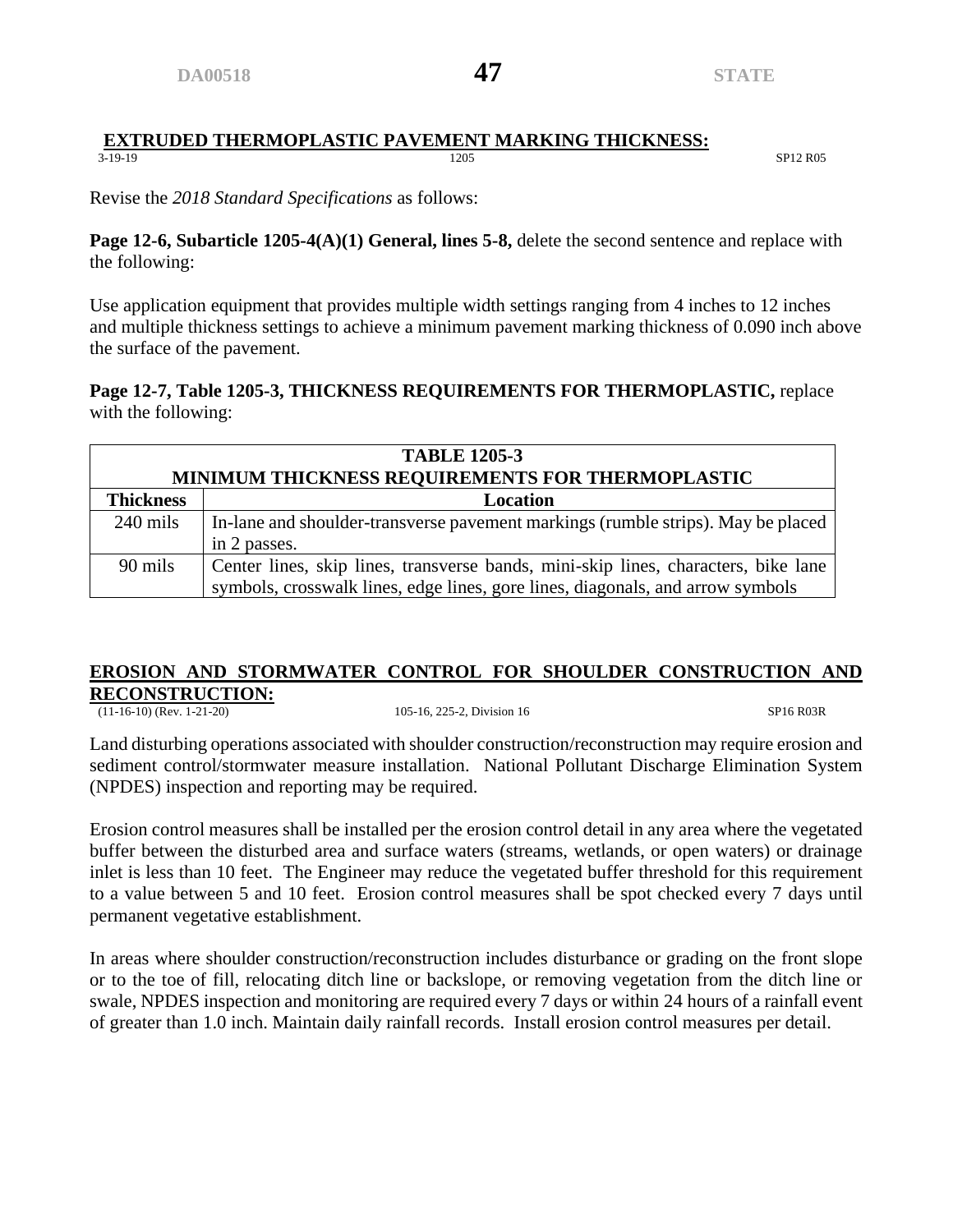#### **EXTRUDED THERMOPLASTIC PAVEMENT MARKING THICKNESS:**<br> $\frac{1205}{1205}$ 3-19-19 SP12 R05 SP12 R05

Revise the *2018 Standard Specifications* as follows:

**Page 12-6, Subarticle 1205-4(A)(1) General, lines 5-8,** delete the second sentence and replace with the following:

Use application equipment that provides multiple width settings ranging from 4 inches to 12 inches and multiple thickness settings to achieve a minimum pavement marking thickness of 0.090 inch above the surface of the pavement.

# **Page 12-7, Table 1205-3, THICKNESS REQUIREMENTS FOR THERMOPLASTIC,** replace with the following:

| <b>TABLE 1205-3</b>                                     |                                                                                    |  |  |  |  |
|---------------------------------------------------------|------------------------------------------------------------------------------------|--|--|--|--|
| <b>MINIMUM THICKNESS REQUIREMENTS FOR THERMOPLASTIC</b> |                                                                                    |  |  |  |  |
| <b>Thickness</b><br>Location                            |                                                                                    |  |  |  |  |
| $240$ mils                                              | In-lane and shoulder-transverse pavement markings (rumble strips). May be placed   |  |  |  |  |
|                                                         | in 2 passes.                                                                       |  |  |  |  |
| 90 mils                                                 | Center lines, skip lines, transverse bands, mini-skip lines, characters, bike lane |  |  |  |  |
|                                                         | symbols, crosswalk lines, edge lines, gore lines, diagonals, and arrow symbols     |  |  |  |  |

# **EROSION AND STORMWATER CONTROL FOR SHOULDER CONSTRUCTION AND RECONSTRUCTION:**

(11-16-10) (Rev. 1-21-20) 105-16, 225-2, Division 16 SP16 R03R

Land disturbing operations associated with shoulder construction/reconstruction may require erosion and sediment control/stormwater measure installation. National Pollutant Discharge Elimination System (NPDES) inspection and reporting may be required.

Erosion control measures shall be installed per the erosion control detail in any area where the vegetated buffer between the disturbed area and surface waters (streams, wetlands, or open waters) or drainage inlet is less than 10 feet. The Engineer may reduce the vegetated buffer threshold for this requirement to a value between 5 and 10 feet. Erosion control measures shall be spot checked every 7 days until permanent vegetative establishment.

In areas where shoulder construction/reconstruction includes disturbance or grading on the front slope or to the toe of fill, relocating ditch line or backslope, or removing vegetation from the ditch line or swale, NPDES inspection and monitoring are required every 7 days or within 24 hours of a rainfall event of greater than 1.0 inch. Maintain daily rainfall records. Install erosion control measures per detail.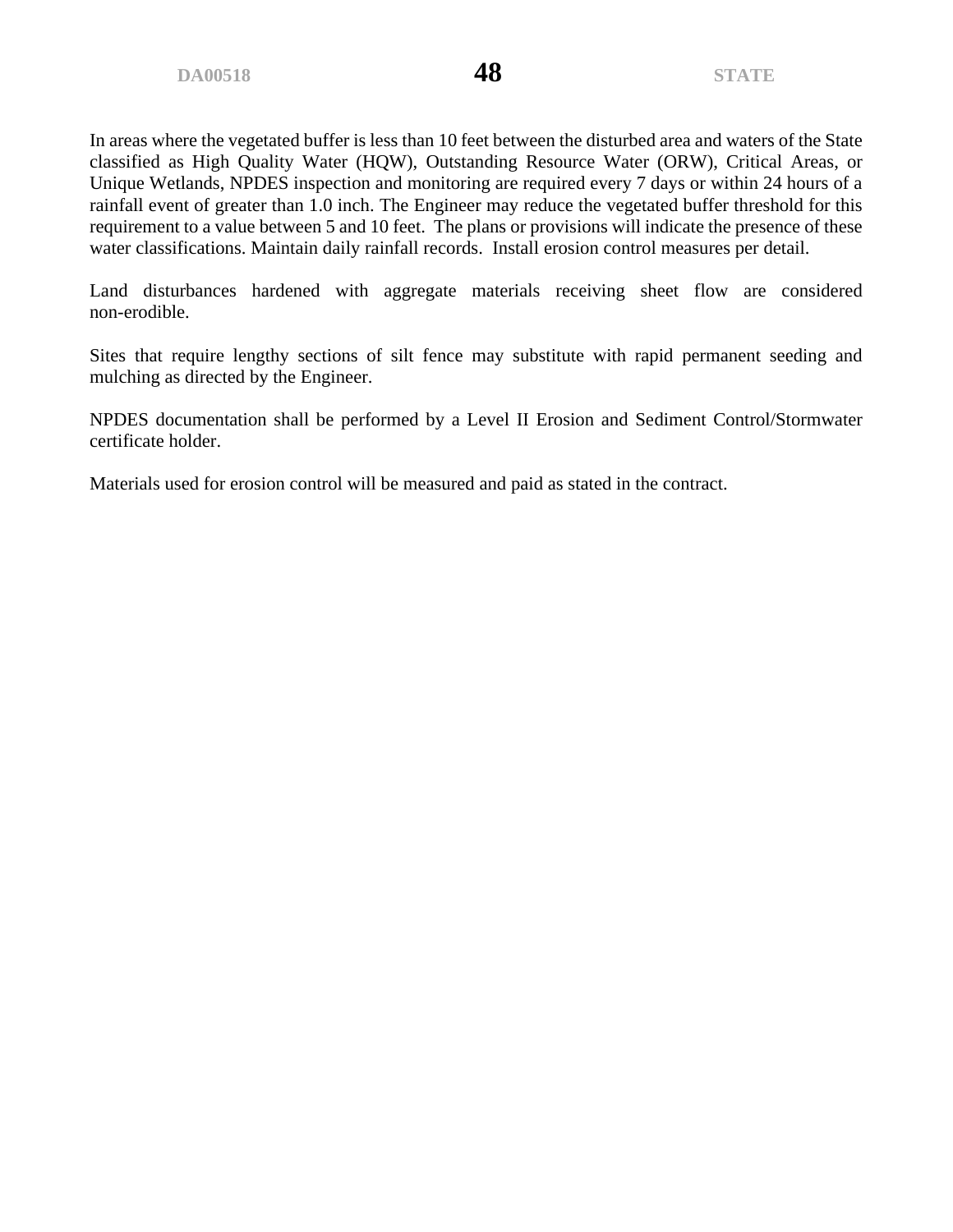In areas where the vegetated buffer is less than 10 feet between the disturbed area and waters of the State classified as High Quality Water (HQW), Outstanding Resource Water (ORW), Critical Areas, or Unique Wetlands, NPDES inspection and monitoring are required every 7 days or within 24 hours of a rainfall event of greater than 1.0 inch. The Engineer may reduce the vegetated buffer threshold for this requirement to a value between 5 and 10 feet. The plans or provisions will indicate the presence of these water classifications. Maintain daily rainfall records. Install erosion control measures per detail.

Land disturbances hardened with aggregate materials receiving sheet flow are considered non-erodible.

Sites that require lengthy sections of silt fence may substitute with rapid permanent seeding and mulching as directed by the Engineer.

NPDES documentation shall be performed by a Level II Erosion and Sediment Control/Stormwater certificate holder.

Materials used for erosion control will be measured and paid as stated in the contract.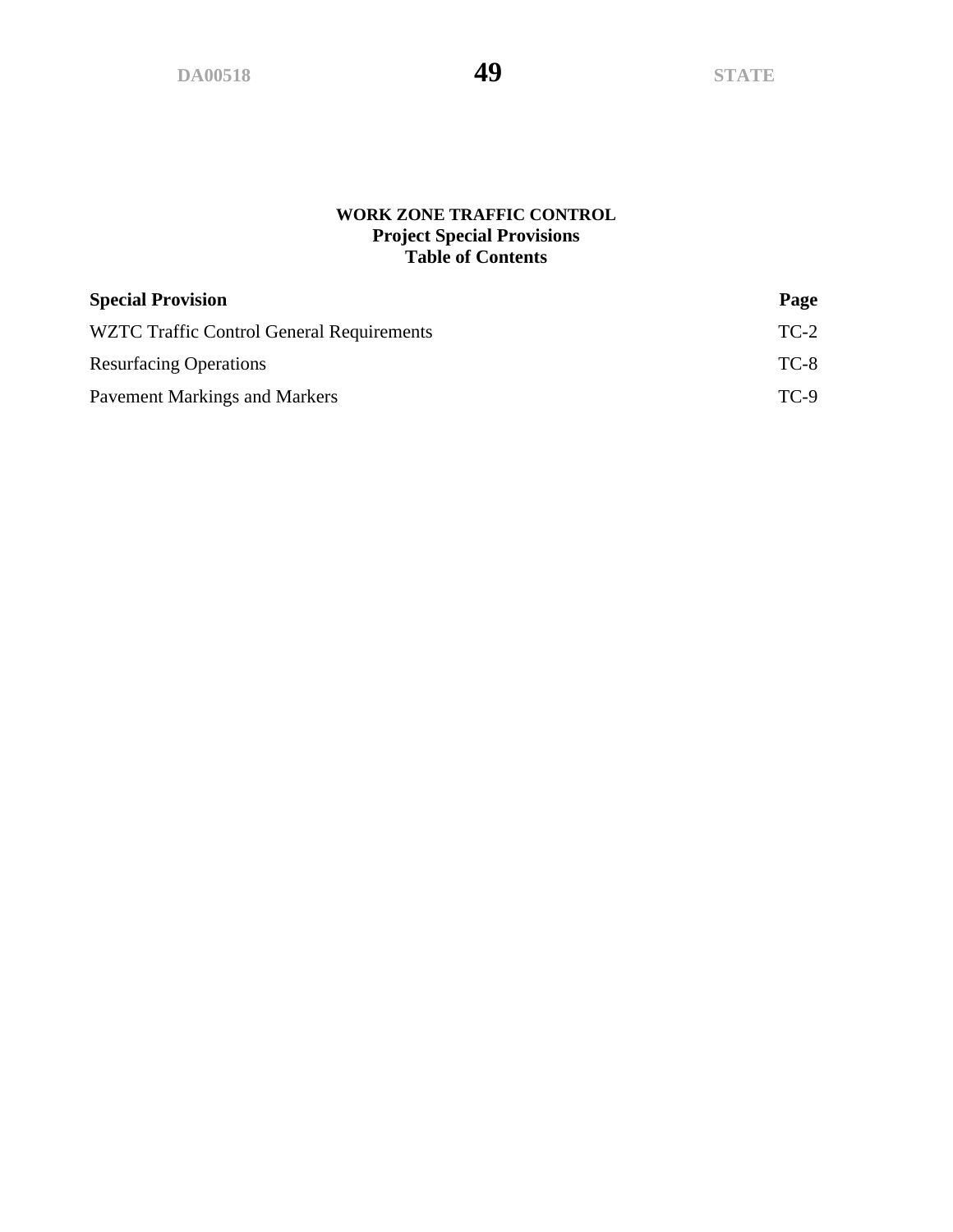# **WORK ZONE TRAFFIC CONTROL Project Special Provisions Table of Contents**

| <b>Special Provision</b>                  | Page   |
|-------------------------------------------|--------|
| WZTC Traffic Control General Requirements | $TC-2$ |
| <b>Resurfacing Operations</b>             | $TC-8$ |
| <b>Pavement Markings and Markers</b>      | $TC-9$ |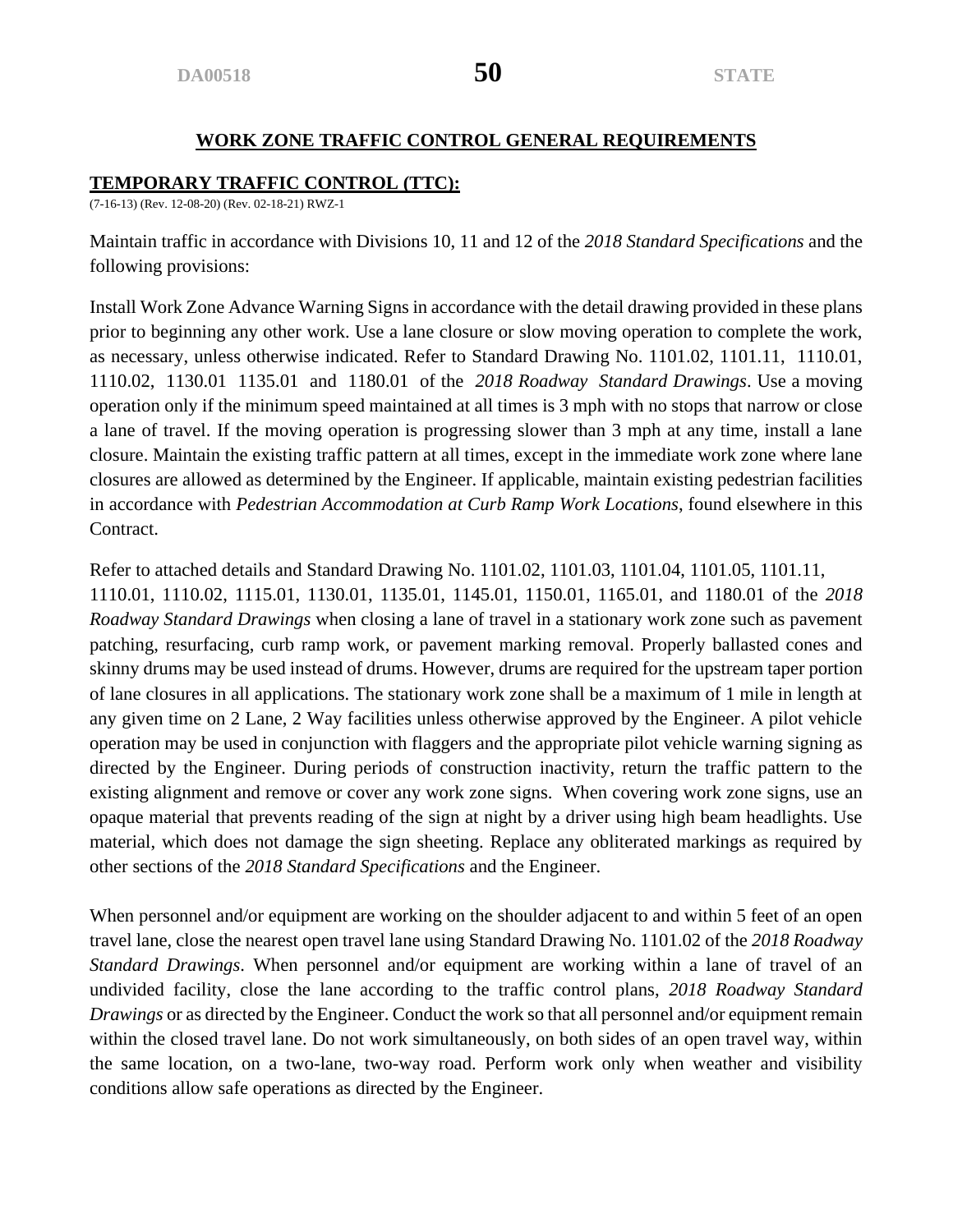# **WORK ZONE TRAFFIC CONTROL GENERAL REQUIREMENTS**

#### **TEMPORARY TRAFFIC CONTROL (TTC):**

(7-16-13) (Rev. 12-08-20) (Rev. 02-18-21) RWZ-1

Maintain traffic in accordance with Divisions 10, 11 and 12 of the *2018 Standard Specifications* and the following provisions:

Install Work Zone Advance Warning Signs in accordance with the detail drawing provided in these plans prior to beginning any other work. Use a lane closure or slow moving operation to complete the work, as necessary, unless otherwise indicated. Refer to Standard Drawing No. 1101.02, 1101.11, 1110.01, 1110.02, 1130.01 1135.01 and 1180.01 of the *2018 Roadway Standard Drawings*. Use a moving operation only if the minimum speed maintained at all times is 3 mph with no stops that narrow or close a lane of travel. If the moving operation is progressing slower than 3 mph at any time, install a lane closure. Maintain the existing traffic pattern at all times, except in the immediate work zone where lane closures are allowed as determined by the Engineer. If applicable, maintain existing pedestrian facilities in accordance with *Pedestrian Accommodation at Curb Ramp Work Locations*, found elsewhere in this Contract.

Refer to attached details and Standard Drawing No. 1101.02, 1101.03, 1101.04, 1101.05, 1101.11, 1110.01, 1110.02, 1115.01, 1130.01, 1135.01, 1145.01, 1150.01, 1165.01, and 1180.01 of the *2018 Roadway Standard Drawings* when closing a lane of travel in a stationary work zone such as pavement patching, resurfacing, curb ramp work, or pavement marking removal. Properly ballasted cones and skinny drums may be used instead of drums. However, drums are required for the upstream taper portion of lane closures in all applications. The stationary work zone shall be a maximum of 1 mile in length at any given time on 2 Lane, 2 Way facilities unless otherwise approved by the Engineer. A pilot vehicle operation may be used in conjunction with flaggers and the appropriate pilot vehicle warning signing as directed by the Engineer. During periods of construction inactivity, return the traffic pattern to the existing alignment and remove or cover any work zone signs. When covering work zone signs, use an opaque material that prevents reading of the sign at night by a driver using high beam headlights. Use material, which does not damage the sign sheeting. Replace any obliterated markings as required by other sections of the *2018 Standard Specifications* and the Engineer.

When personnel and/or equipment are working on the shoulder adjacent to and within 5 feet of an open travel lane, close the nearest open travel lane using Standard Drawing No. 1101.02 of the *2018 Roadway Standard Drawings*. When personnel and/or equipment are working within a lane of travel of an undivided facility, close the lane according to the traffic control plans, *2018 Roadway Standard Drawings* or as directed by the Engineer. Conduct the work so that all personnel and/or equipment remain within the closed travel lane. Do not work simultaneously, on both sides of an open travel way, within the same location, on a two-lane, two-way road. Perform work only when weather and visibility conditions allow safe operations as directed by the Engineer.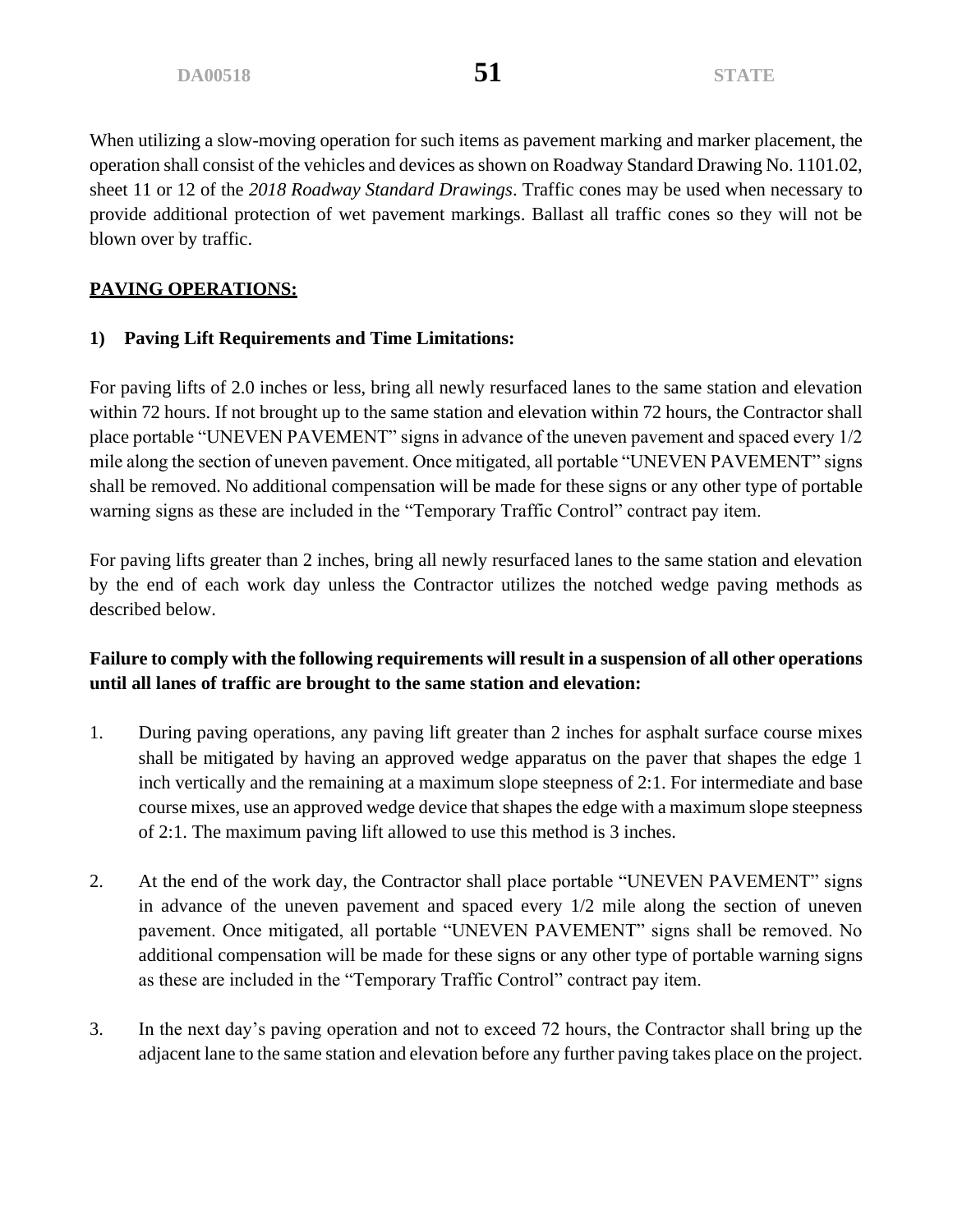When utilizing a slow-moving operation for such items as pavement marking and marker placement, the operation shall consist of the vehicles and devices as shown on Roadway Standard Drawing No. 1101.02, sheet 11 or 12 of the *2018 Roadway Standard Drawings*. Traffic cones may be used when necessary to provide additional protection of wet pavement markings. Ballast all traffic cones so they will not be blown over by traffic.

# **PAVING OPERATIONS:**

# **1) Paving Lift Requirements and Time Limitations:**

For paving lifts of 2.0 inches or less, bring all newly resurfaced lanes to the same station and elevation within 72 hours. If not brought up to the same station and elevation within 72 hours, the Contractor shall place portable "UNEVEN PAVEMENT" signs in advance of the uneven pavement and spaced every 1/2 mile along the section of uneven pavement. Once mitigated, all portable "UNEVEN PAVEMENT" signs shall be removed. No additional compensation will be made for these signs or any other type of portable warning signs as these are included in the "Temporary Traffic Control" contract pay item.

For paving lifts greater than 2 inches, bring all newly resurfaced lanes to the same station and elevation by the end of each work day unless the Contractor utilizes the notched wedge paving methods as described below.

# **Failure to comply with the following requirements will result in a suspension of all other operations until all lanes of traffic are brought to the same station and elevation:**

- 1. During paving operations, any paving lift greater than 2 inches for asphalt surface course mixes shall be mitigated by having an approved wedge apparatus on the paver that shapes the edge 1 inch vertically and the remaining at a maximum slope steepness of 2:1. For intermediate and base course mixes, use an approved wedge device that shapes the edge with a maximum slope steepness of 2:1. The maximum paving lift allowed to use this method is 3 inches.
- 2. At the end of the work day, the Contractor shall place portable "UNEVEN PAVEMENT" signs in advance of the uneven pavement and spaced every 1/2 mile along the section of uneven pavement. Once mitigated, all portable "UNEVEN PAVEMENT" signs shall be removed. No additional compensation will be made for these signs or any other type of portable warning signs as these are included in the "Temporary Traffic Control" contract pay item.
- 3. In the next day's paving operation and not to exceed 72 hours, the Contractor shall bring up the adjacent lane to the same station and elevation before any further paving takes place on the project.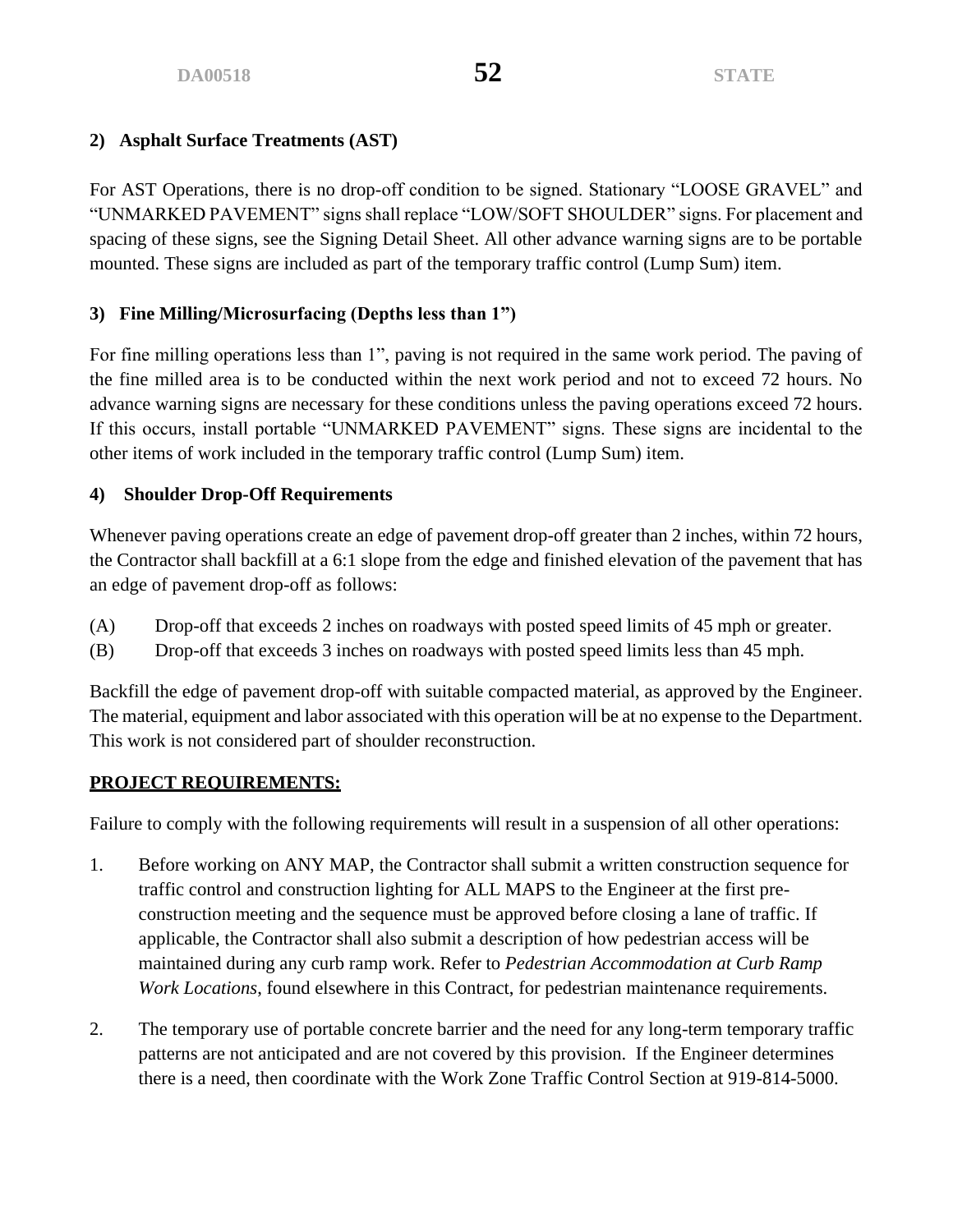# **2) Asphalt Surface Treatments (AST)**

For AST Operations, there is no drop-off condition to be signed. Stationary "LOOSE GRAVEL" and "UNMARKED PAVEMENT" signs shall replace "LOW/SOFT SHOULDER" signs. For placement and spacing of these signs, see the Signing Detail Sheet. All other advance warning signs are to be portable mounted. These signs are included as part of the temporary traffic control (Lump Sum) item.

# **3) Fine Milling/Microsurfacing (Depths less than 1")**

For fine milling operations less than 1", paving is not required in the same work period. The paving of the fine milled area is to be conducted within the next work period and not to exceed 72 hours. No advance warning signs are necessary for these conditions unless the paving operations exceed 72 hours. If this occurs, install portable "UNMARKED PAVEMENT" signs. These signs are incidental to the other items of work included in the temporary traffic control (Lump Sum) item.

# **4) Shoulder Drop-Off Requirements**

Whenever paving operations create an edge of pavement drop-off greater than 2 inches, within 72 hours, the Contractor shall backfill at a 6:1 slope from the edge and finished elevation of the pavement that has an edge of pavement drop-off as follows:

- (A) Drop-off that exceeds 2 inches on roadways with posted speed limits of 45 mph or greater.
- (B) Drop-off that exceeds 3 inches on roadways with posted speed limits less than 45 mph.

Backfill the edge of pavement drop-off with suitable compacted material, as approved by the Engineer. The material, equipment and labor associated with this operation will be at no expense to the Department. This work is not considered part of shoulder reconstruction.

# **PROJECT REQUIREMENTS:**

Failure to comply with the following requirements will result in a suspension of all other operations:

- 1. Before working on ANY MAP, the Contractor shall submit a written construction sequence for traffic control and construction lighting for ALL MAPS to the Engineer at the first preconstruction meeting and the sequence must be approved before closing a lane of traffic. If applicable, the Contractor shall also submit a description of how pedestrian access will be maintained during any curb ramp work. Refer to *Pedestrian Accommodation at Curb Ramp Work Locations*, found elsewhere in this Contract, for pedestrian maintenance requirements.
- 2. The temporary use of portable concrete barrier and the need for any long-term temporary traffic patterns are not anticipated and are not covered by this provision. If the Engineer determines there is a need, then coordinate with the Work Zone Traffic Control Section at 919-814-5000.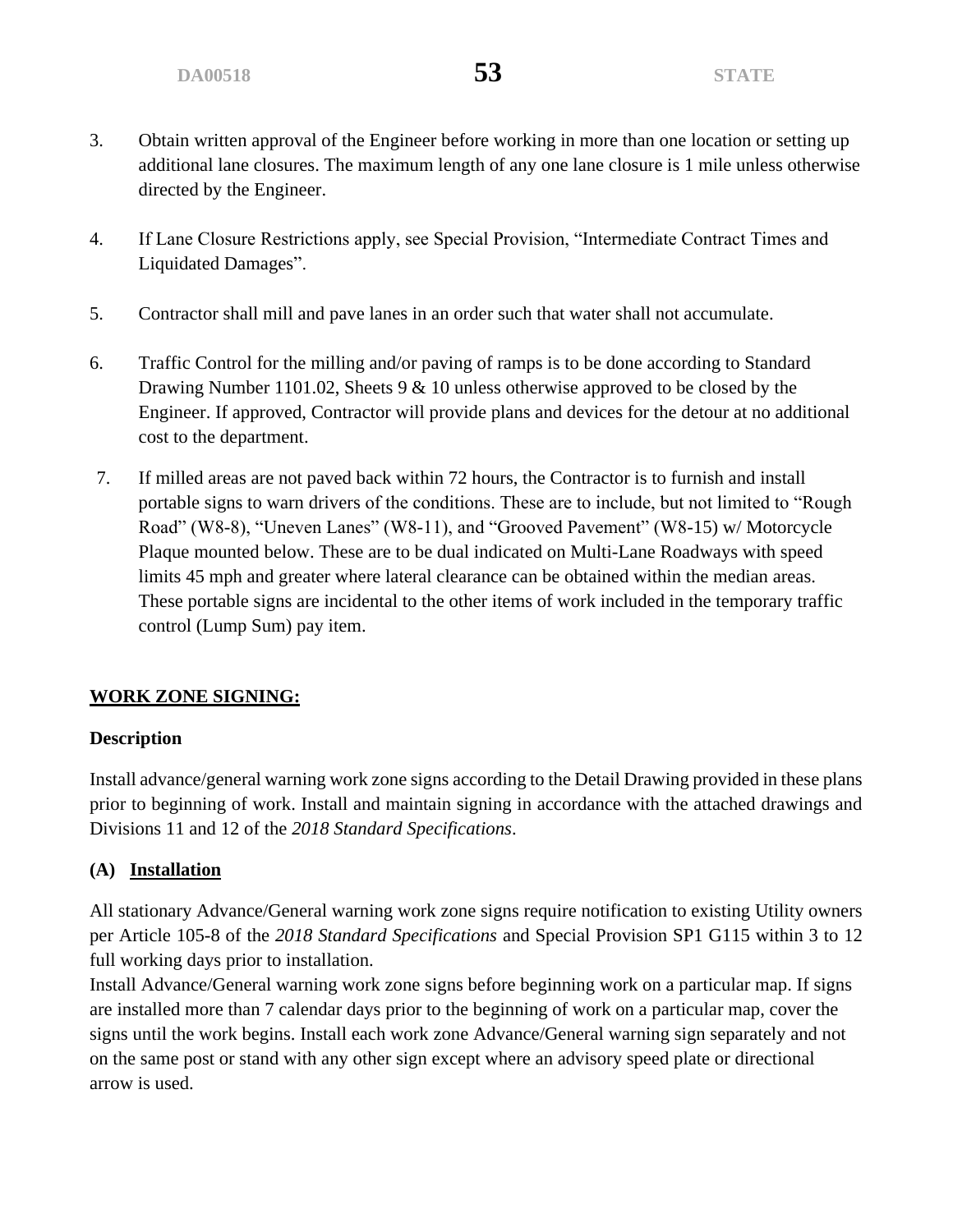- 3. Obtain written approval of the Engineer before working in more than one location or setting up additional lane closures. The maximum length of any one lane closure is 1 mile unless otherwise directed by the Engineer.
- 4. If Lane Closure Restrictions apply, see Special Provision, "Intermediate Contract Times and Liquidated Damages".
- 5. Contractor shall mill and pave lanes in an order such that water shall not accumulate.
- 6. Traffic Control for the milling and/or paving of ramps is to be done according to Standard Drawing Number 1101.02, Sheets 9 & 10 unless otherwise approved to be closed by the Engineer. If approved, Contractor will provide plans and devices for the detour at no additional cost to the department.
- 7. If milled areas are not paved back within 72 hours, the Contractor is to furnish and install portable signs to warn drivers of the conditions. These are to include, but not limited to "Rough Road" (W8-8), "Uneven Lanes" (W8-11), and "Grooved Pavement" (W8-15) w/ Motorcycle Plaque mounted below. These are to be dual indicated on Multi-Lane Roadways with speed limits 45 mph and greater where lateral clearance can be obtained within the median areas. These portable signs are incidental to the other items of work included in the temporary traffic control (Lump Sum) pay item.

# **WORK ZONE SIGNING:**

# **Description**

Install advance/general warning work zone signs according to the Detail Drawing provided in these plans prior to beginning of work. Install and maintain signing in accordance with the attached drawings and Divisions 11 and 12 of the *2018 Standard Specifications*.

# **(A) Installation**

All stationary Advance/General warning work zone signs require notification to existing Utility owners per Article 105-8 of the *2018 Standard Specifications* and Special Provision SP1 G115 within 3 to 12 full working days prior to installation.

Install Advance/General warning work zone signs before beginning work on a particular map. If signs are installed more than 7 calendar days prior to the beginning of work on a particular map, cover the signs until the work begins. Install each work zone Advance/General warning sign separately and not on the same post or stand with any other sign except where an advisory speed plate or directional arrow is used.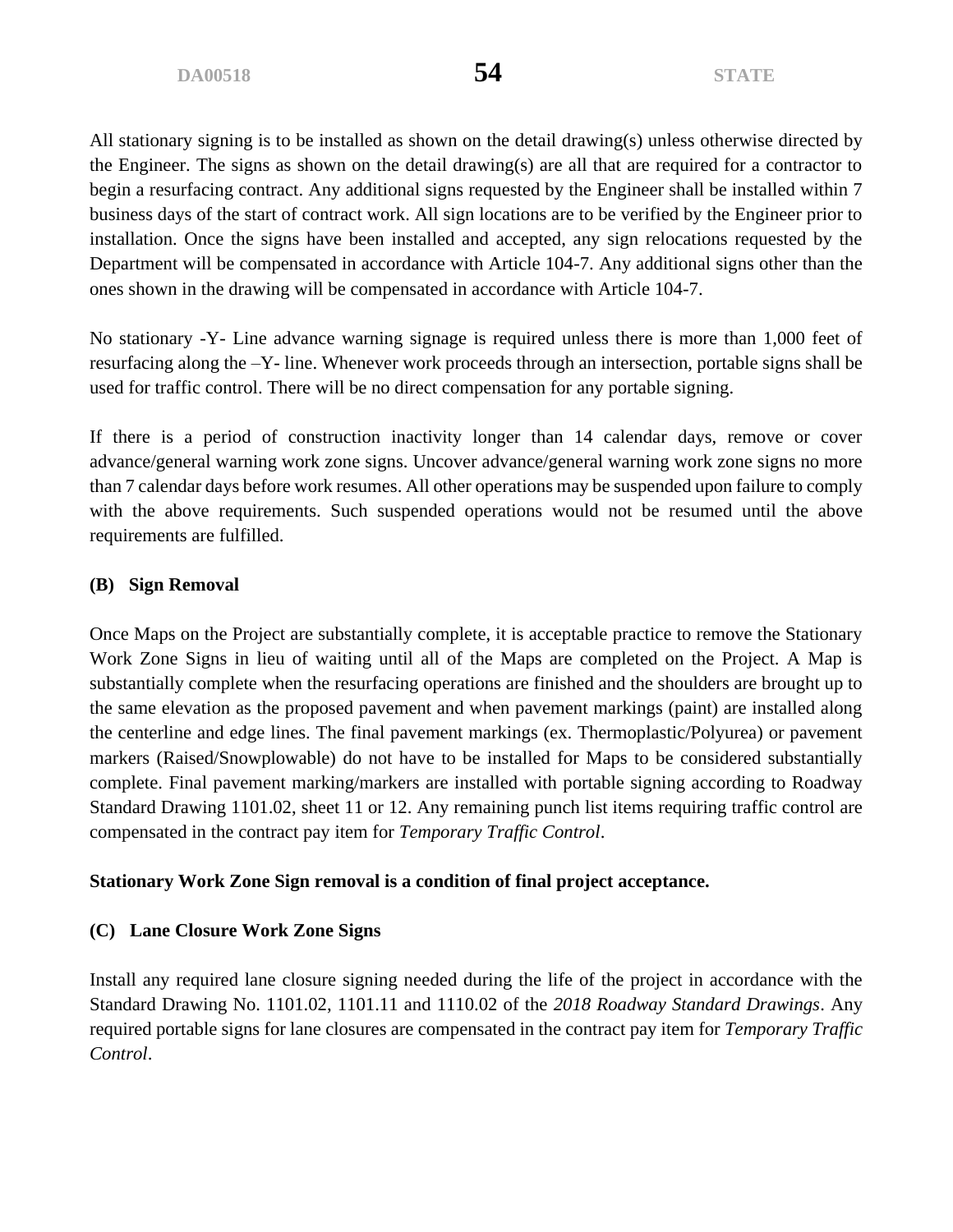All stationary signing is to be installed as shown on the detail drawing(s) unless otherwise directed by the Engineer. The signs as shown on the detail drawing(s) are all that are required for a contractor to begin a resurfacing contract. Any additional signs requested by the Engineer shall be installed within 7 business days of the start of contract work. All sign locations are to be verified by the Engineer prior to installation. Once the signs have been installed and accepted, any sign relocations requested by the Department will be compensated in accordance with Article 104-7. Any additional signs other than the ones shown in the drawing will be compensated in accordance with Article 104-7.

No stationary -Y- Line advance warning signage is required unless there is more than 1,000 feet of resurfacing along the –Y- line. Whenever work proceeds through an intersection, portable signs shall be used for traffic control. There will be no direct compensation for any portable signing.

If there is a period of construction inactivity longer than 14 calendar days, remove or cover advance/general warning work zone signs. Uncover advance/general warning work zone signs no more than 7 calendar days before work resumes. All other operations may be suspended upon failure to comply with the above requirements. Such suspended operations would not be resumed until the above requirements are fulfilled.

# **(B) Sign Removal**

Once Maps on the Project are substantially complete, it is acceptable practice to remove the Stationary Work Zone Signs in lieu of waiting until all of the Maps are completed on the Project. A Map is substantially complete when the resurfacing operations are finished and the shoulders are brought up to the same elevation as the proposed pavement and when pavement markings (paint) are installed along the centerline and edge lines. The final pavement markings (ex. Thermoplastic/Polyurea) or pavement markers (Raised/Snowplowable) do not have to be installed for Maps to be considered substantially complete. Final pavement marking/markers are installed with portable signing according to Roadway Standard Drawing 1101.02, sheet 11 or 12. Any remaining punch list items requiring traffic control are compensated in the contract pay item for *Temporary Traffic Control*.

# **Stationary Work Zone Sign removal is a condition of final project acceptance.**

# **(C) Lane Closure Work Zone Signs**

Install any required lane closure signing needed during the life of the project in accordance with the Standard Drawing No. 1101.02, 1101.11 and 1110.02 of the *2018 Roadway Standard Drawings*. Any required portable signs for lane closures are compensated in the contract pay item for *Temporary Traffic Control*.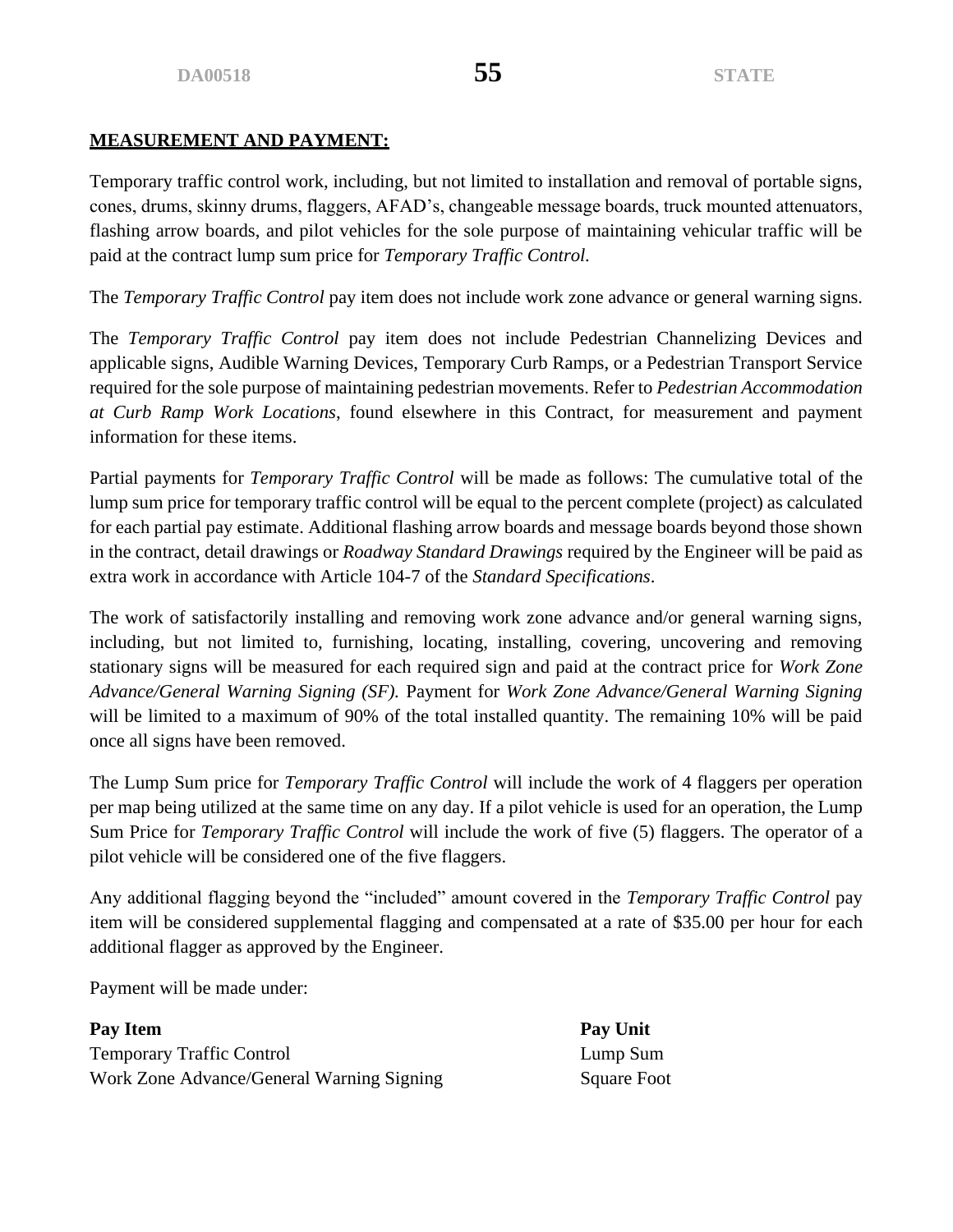# **MEASUREMENT AND PAYMENT:**

Temporary traffic control work, including, but not limited to installation and removal of portable signs, cones, drums, skinny drums, flaggers, AFAD's, changeable message boards, truck mounted attenuators, flashing arrow boards, and pilot vehicles for the sole purpose of maintaining vehicular traffic will be paid at the contract lump sum price for *Temporary Traffic Control.* 

The *Temporary Traffic Control* pay item does not include work zone advance or general warning signs.

The *Temporary Traffic Control* pay item does not include Pedestrian Channelizing Devices and applicable signs, Audible Warning Devices, Temporary Curb Ramps, or a Pedestrian Transport Service required for the sole purpose of maintaining pedestrian movements. Refer to *Pedestrian Accommodation at Curb Ramp Work Locations*, found elsewhere in this Contract, for measurement and payment information for these items.

Partial payments for *Temporary Traffic Control* will be made as follows: The cumulative total of the lump sum price for temporary traffic control will be equal to the percent complete (project) as calculated for each partial pay estimate. Additional flashing arrow boards and message boards beyond those shown in the contract, detail drawings or *Roadway Standard Drawings* required by the Engineer will be paid as extra work in accordance with Article 104-7 of the *Standard Specifications*.

The work of satisfactorily installing and removing work zone advance and/or general warning signs, including, but not limited to, furnishing, locating, installing, covering, uncovering and removing stationary signs will be measured for each required sign and paid at the contract price for *Work Zone Advance/General Warning Signing (SF).* Payment for *Work Zone Advance/General Warning Signing*  will be limited to a maximum of 90% of the total installed quantity. The remaining 10% will be paid once all signs have been removed.

The Lump Sum price for *Temporary Traffic Control* will include the work of 4 flaggers per operation per map being utilized at the same time on any day. If a pilot vehicle is used for an operation, the Lump Sum Price for *Temporary Traffic Control* will include the work of five (5) flaggers. The operator of a pilot vehicle will be considered one of the five flaggers.

Any additional flagging beyond the "included" amount covered in the *Temporary Traffic Control* pay item will be considered supplemental flagging and compensated at a rate of \$35.00 per hour for each additional flagger as approved by the Engineer.

Payment will be made under:

**Pay Item Pay Unit** Temporary Traffic Control Lump Sum Work Zone Advance/General Warning Signing Square Foot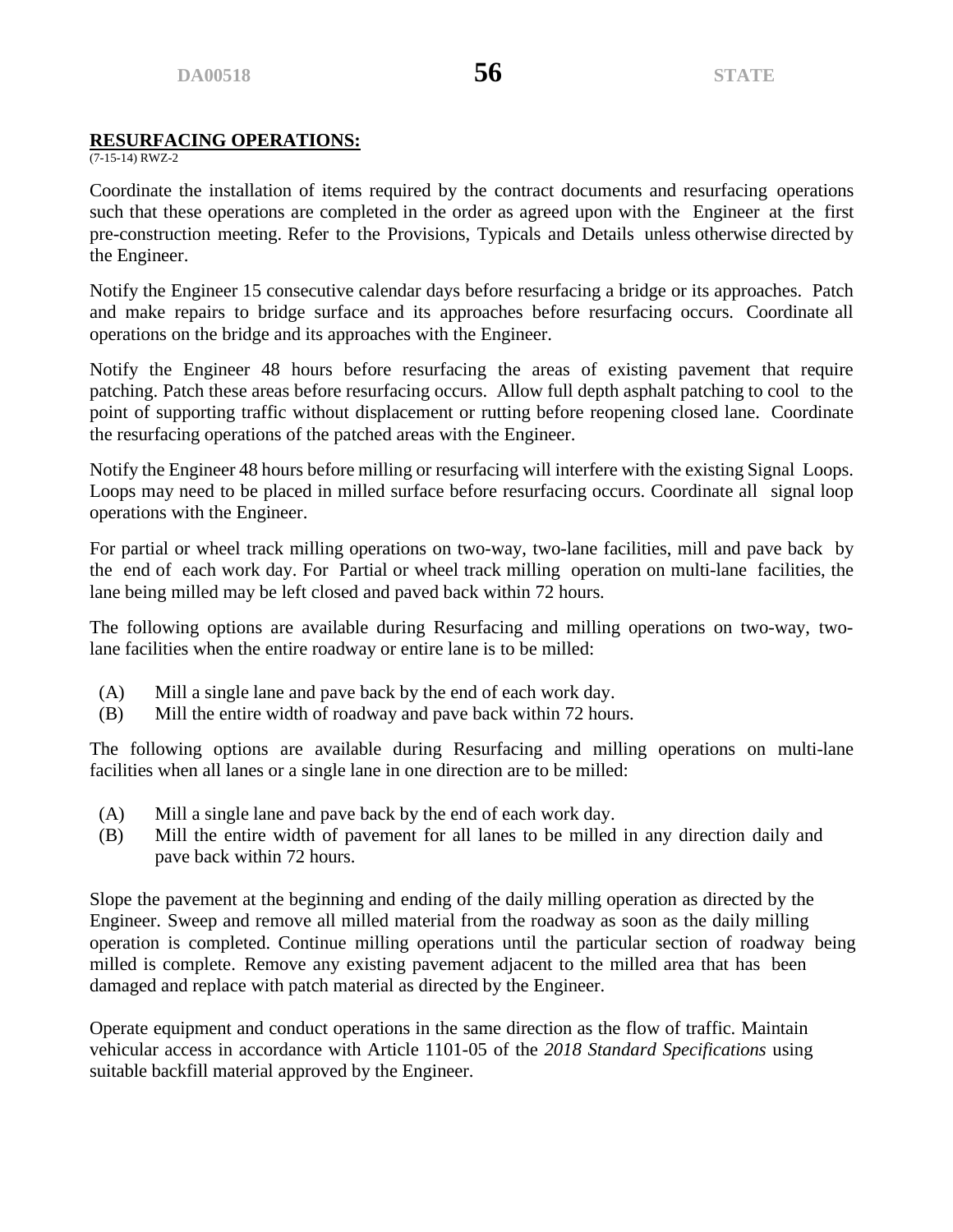# **RESURFACING OPERATIONS:**

 $(7-15-14)$  RWZ-2

Coordinate the installation of items required by the contract documents and resurfacing operations such that these operations are completed in the order as agreed upon with the Engineer at the first pre-construction meeting. Refer to the Provisions, Typicals and Details unless otherwise directed by the Engineer.

Notify the Engineer 15 consecutive calendar days before resurfacing a bridge or its approaches. Patch and make repairs to bridge surface and its approaches before resurfacing occurs. Coordinate all operations on the bridge and its approaches with the Engineer.

Notify the Engineer 48 hours before resurfacing the areas of existing pavement that require patching. Patch these areas before resurfacing occurs. Allow full depth asphalt patching to cool to the point of supporting traffic without displacement or rutting before reopening closed lane. Coordinate the resurfacing operations of the patched areas with the Engineer.

Notify the Engineer 48 hours before milling or resurfacing will interfere with the existing Signal Loops. Loops may need to be placed in milled surface before resurfacing occurs. Coordinate all signal loop operations with the Engineer.

For partial or wheel track milling operations on two-way, two-lane facilities, mill and pave back by the end of each work day. For Partial or wheel track milling operation on multi-lane facilities, the lane being milled may be left closed and paved back within 72 hours.

The following options are available during Resurfacing and milling operations on two-way, twolane facilities when the entire roadway or entire lane is to be milled:

- (A) Mill a single lane and pave back by the end of each work day.
- (B) Mill the entire width of roadway and pave back within 72 hours.

The following options are available during Resurfacing and milling operations on multi-lane facilities when all lanes or a single lane in one direction are to be milled:

- (A) Mill a single lane and pave back by the end of each work day.
- (B) Mill the entire width of pavement for all lanes to be milled in any direction daily and pave back within 72 hours.

Slope the pavement at the beginning and ending of the daily milling operation as directed by the Engineer. Sweep and remove all milled material from the roadway as soon as the daily milling operation is completed. Continue milling operations until the particular section of roadway being milled is complete. Remove any existing pavement adjacent to the milled area that has been damaged and replace with patch material as directed by the Engineer.

Operate equipment and conduct operations in the same direction as the flow of traffic. Maintain vehicular access in accordance with Article 1101-05 of the *2018 Standard Specifications* using suitable backfill material approved by the Engineer.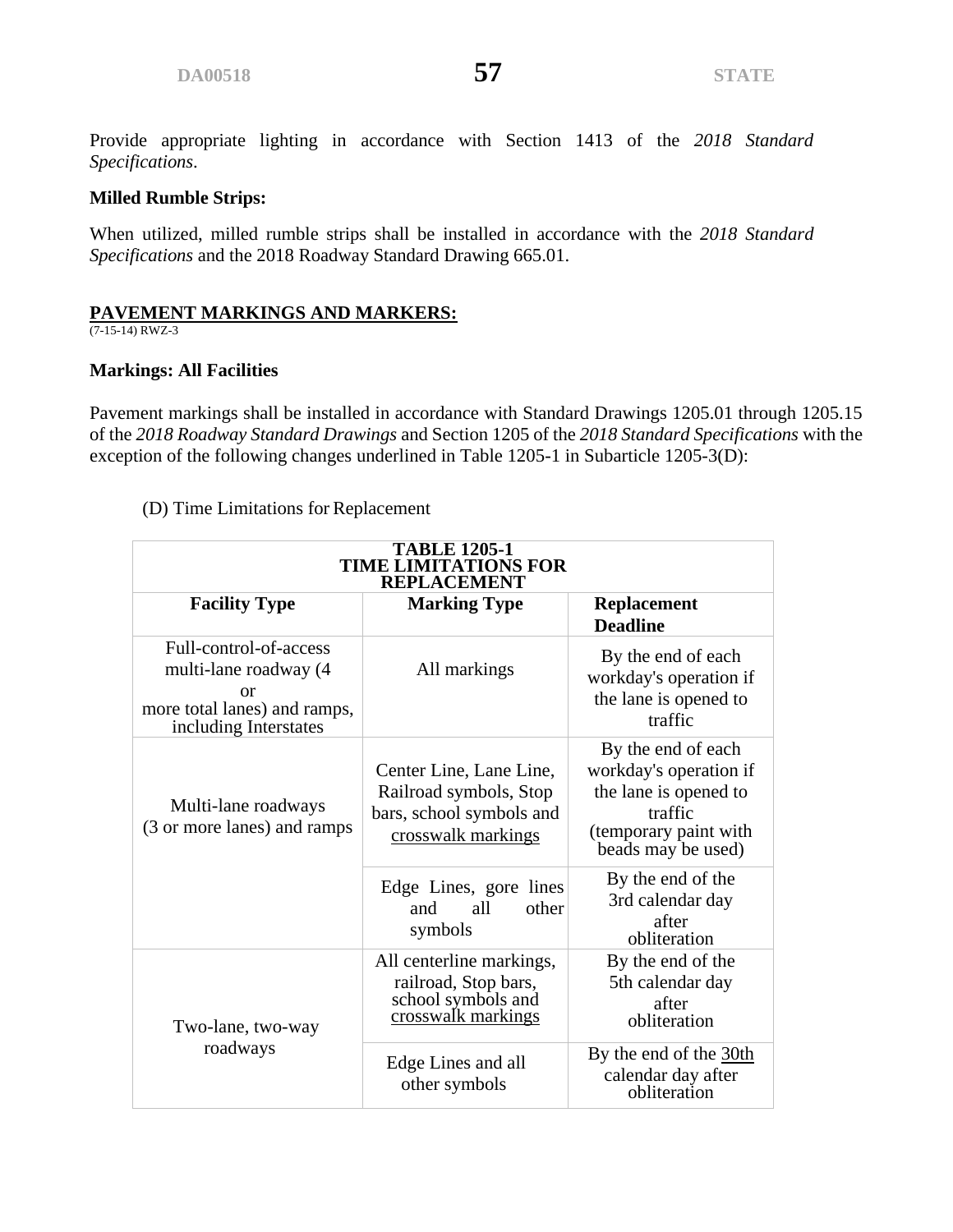Provide appropriate lighting in accordance with Section 1413 of the *2018 Standard Specifications*.

# **Milled Rumble Strips:**

When utilized, milled rumble strips shall be installed in accordance with the *2018 Standard Specifications* and the 2018 Roadway Standard Drawing 665.01.

# **PAVEMENT MARKINGS AND MARKERS:**

(7-15-14) RWZ-3

# **Markings: All Facilities**

Pavement markings shall be installed in accordance with Standard Drawings 1205.01 through 1205.15 of the *2018 Roadway Standard Drawings* and Section 1205 of the *2018 Standard Specifications* with the exception of the following changes underlined in Table 1205-1 in Subarticle 1205-3(D):

# (D) Time Limitations for Replacement

| <b>TABLE 1205-1</b><br><b>TIME LIMITATIONS FOR</b><br><b>REPLACEMENT</b>                                              |                                                                                                     |                                                                                                                                 |  |  |  |
|-----------------------------------------------------------------------------------------------------------------------|-----------------------------------------------------------------------------------------------------|---------------------------------------------------------------------------------------------------------------------------------|--|--|--|
| <b>Facility Type</b>                                                                                                  | <b>Marking Type</b>                                                                                 | <b>Replacement</b><br><b>Deadline</b>                                                                                           |  |  |  |
| Full-control-of-access<br>multi-lane roadway (4<br><b>or</b><br>more total lanes) and ramps,<br>including Interstates | All markings                                                                                        | By the end of each<br>workday's operation if<br>the lane is opened to<br>traffic                                                |  |  |  |
| Multi-lane roadways<br>(3 or more lanes) and ramps                                                                    | Center Line, Lane Line,<br>Railroad symbols, Stop<br>bars, school symbols and<br>crosswalk markings | By the end of each<br>workday's operation if<br>the lane is opened to<br>traffic<br>(temporary paint with<br>beads may be used) |  |  |  |
|                                                                                                                       | Edge Lines, gore lines<br>all<br>other<br>and<br>symbols                                            | By the end of the<br>3rd calendar day<br>after<br>obliteration                                                                  |  |  |  |
| Two-lane, two-way                                                                                                     | All centerline markings,<br>railroad, Stop bars,<br>school symbols and<br>crosswalk markings        | By the end of the<br>5th calendar day<br>after<br>obliteration                                                                  |  |  |  |
| roadways                                                                                                              | Edge Lines and all<br>other symbols                                                                 | By the end of the 30th<br>calendar day after<br>obliteration                                                                    |  |  |  |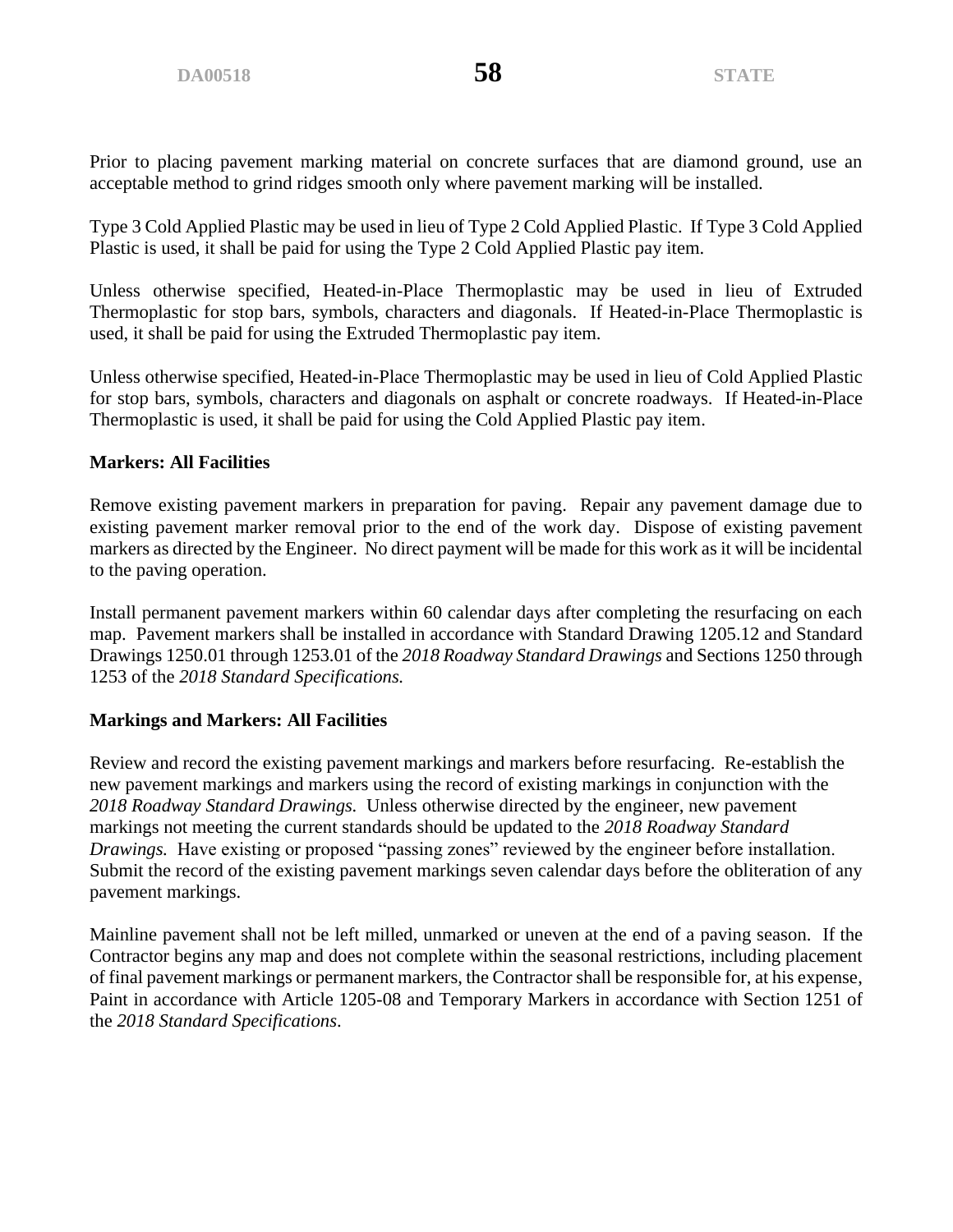Prior to placing pavement marking material on concrete surfaces that are diamond ground, use an acceptable method to grind ridges smooth only where pavement marking will be installed.

Type 3 Cold Applied Plastic may be used in lieu of Type 2 Cold Applied Plastic. If Type 3 Cold Applied Plastic is used, it shall be paid for using the Type 2 Cold Applied Plastic pay item.

Unless otherwise specified, Heated-in-Place Thermoplastic may be used in lieu of Extruded Thermoplastic for stop bars, symbols, characters and diagonals. If Heated-in-Place Thermoplastic is used, it shall be paid for using the Extruded Thermoplastic pay item.

Unless otherwise specified, Heated-in-Place Thermoplastic may be used in lieu of Cold Applied Plastic for stop bars, symbols, characters and diagonals on asphalt or concrete roadways. If Heated-in-Place Thermoplastic is used, it shall be paid for using the Cold Applied Plastic pay item.

# **Markers: All Facilities**

Remove existing pavement markers in preparation for paving. Repair any pavement damage due to existing pavement marker removal prior to the end of the work day. Dispose of existing pavement markers as directed by the Engineer. No direct payment will be made for this work as it will be incidental to the paving operation.

Install permanent pavement markers within 60 calendar days after completing the resurfacing on each map. Pavement markers shall be installed in accordance with Standard Drawing 1205.12 and Standard Drawings 1250.01 through 1253.01 of the *2018 Roadway Standard Drawings* and Sections 1250 through 1253 of the *2018 Standard Specifications.*

# **Markings and Markers: All Facilities**

Review and record the existing pavement markings and markers before resurfacing. Re-establish the new pavement markings and markers using the record of existing markings in conjunction with the *2018 Roadway Standard Drawings.* Unless otherwise directed by the engineer, new pavement markings not meeting the current standards should be updated to the *2018 Roadway Standard Drawings.* Have existing or proposed "passing zones" reviewed by the engineer before installation. Submit the record of the existing pavement markings seven calendar days before the obliteration of any pavement markings.

Mainline pavement shall not be left milled, unmarked or uneven at the end of a paving season. If the Contractor begins any map and does not complete within the seasonal restrictions, including placement of final pavement markings or permanent markers, the Contractor shall be responsible for, at his expense, Paint in accordance with Article 1205-08 and Temporary Markers in accordance with Section 1251 of the *2018 Standard Specifications*.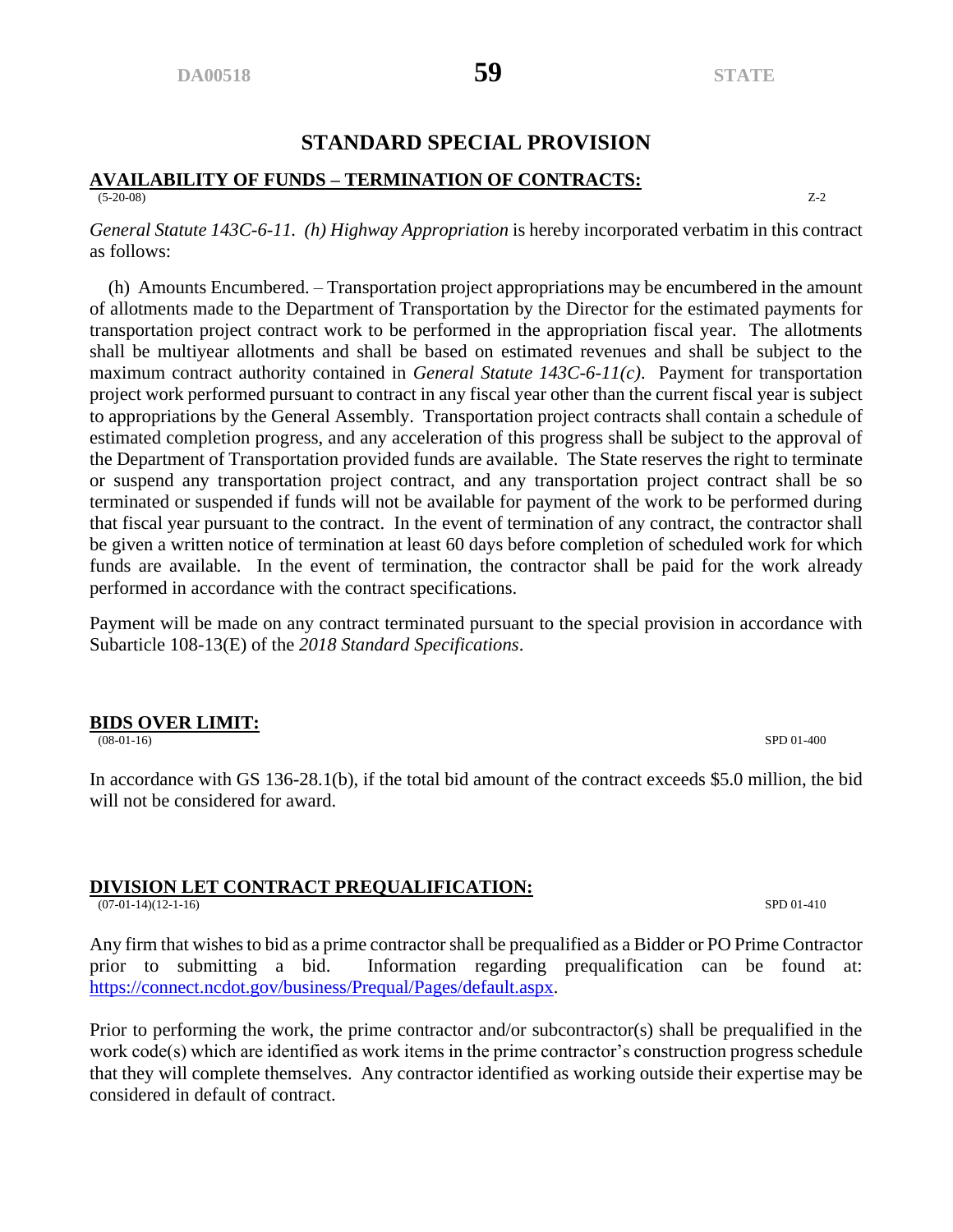# **STANDARD SPECIAL PROVISION**

#### **AVAILABILITY OF FUNDS – TERMINATION OF CONTRACTS:** (5-20-08) Z-2

*General Statute 143C-6-11. (h) Highway Appropriation* is hereby incorporated verbatim in this contract as follows:

 (h) Amounts Encumbered. – Transportation project appropriations may be encumbered in the amount of allotments made to the Department of Transportation by the Director for the estimated payments for transportation project contract work to be performed in the appropriation fiscal year. The allotments shall be multiyear allotments and shall be based on estimated revenues and shall be subject to the maximum contract authority contained in *General Statute 143C-6-11(c)*. Payment for transportation project work performed pursuant to contract in any fiscal year other than the current fiscal year is subject to appropriations by the General Assembly. Transportation project contracts shall contain a schedule of estimated completion progress, and any acceleration of this progress shall be subject to the approval of the Department of Transportation provided funds are available. The State reserves the right to terminate or suspend any transportation project contract, and any transportation project contract shall be so terminated or suspended if funds will not be available for payment of the work to be performed during that fiscal year pursuant to the contract. In the event of termination of any contract, the contractor shall be given a written notice of termination at least 60 days before completion of scheduled work for which funds are available. In the event of termination, the contractor shall be paid for the work already performed in accordance with the contract specifications.

Payment will be made on any contract terminated pursuant to the special provision in accordance with Subarticle 108-13(E) of the *2018 Standard Specifications*.

# **BIDS OVER LIMIT:**

(08-01-16) SPD 01-400

In accordance with GS 136-28.1(b), if the total bid amount of the contract exceeds \$5.0 million, the bid will not be considered for award.

#### **DIVISION LET CONTRACT PREQUALIFICATION:**

(07-01-14)(12-1-16) SPD 01-410

Any firm that wishes to bid as a prime contractor shall be prequalified as a Bidder or PO Prime Contractor prior to submitting a bid. Information regarding prequalification can be found at: [https://connect.ncdot.gov/business/Prequal/Pages/default.aspx.](https://connect.ncdot.gov/business/Prequal/Pages/default.aspx)

Prior to performing the work, the prime contractor and/or subcontractor(s) shall be prequalified in the work code(s) which are identified as work items in the prime contractor's construction progress schedule that they will complete themselves. Any contractor identified as working outside their expertise may be considered in default of contract.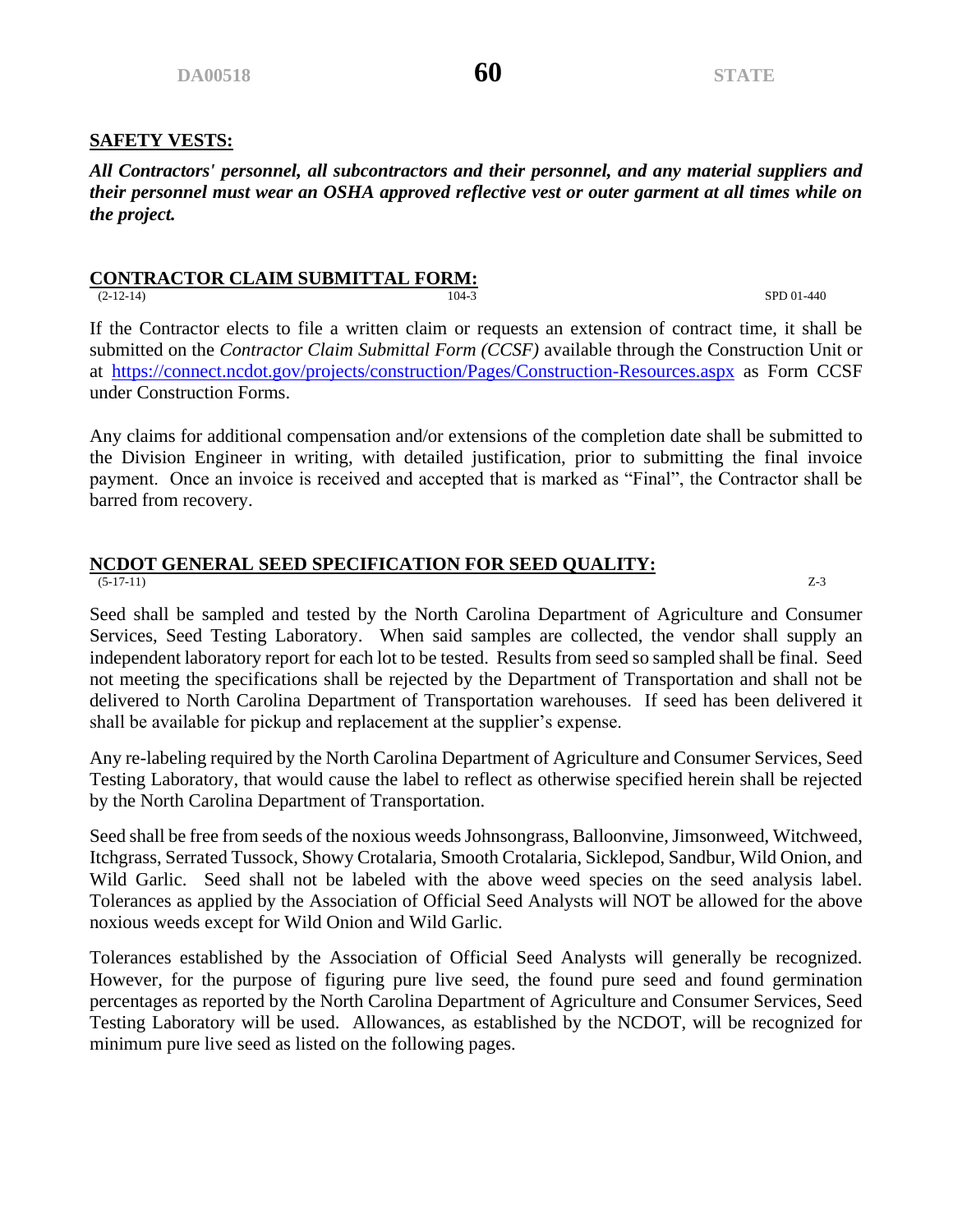#### **SAFETY VESTS:**

*All Contractors' personnel, all subcontractors and their personnel, and any material suppliers and their personnel must wear an OSHA approved reflective vest or outer garment at all times while on the project.* 

# **CONTRACTOR CLAIM SUBMITTAL FORM:**

(2-12-14) SPD 01-440

If the Contractor elects to file a written claim or requests an extension of contract time, it shall be submitted on the *Contractor Claim Submittal Form (CCSF)* available through the Construction Unit or at <https://connect.ncdot.gov/projects/construction/Pages/Construction-Resources.aspx> as Form CCSF under Construction Forms.

Any claims for additional compensation and/or extensions of the completion date shall be submitted to the Division Engineer in writing, with detailed justification, prior to submitting the final invoice payment. Once an invoice is received and accepted that is marked as "Final", the Contractor shall be barred from recovery.

#### **NCDOT GENERAL SEED SPECIFICATION FOR SEED QUALITY:**  $(5-17-11)$   $Z-3$

Seed shall be sampled and tested by the North Carolina Department of Agriculture and Consumer Services, Seed Testing Laboratory. When said samples are collected, the vendor shall supply an independent laboratory report for each lot to be tested. Results from seed so sampled shall be final. Seed not meeting the specifications shall be rejected by the Department of Transportation and shall not be delivered to North Carolina Department of Transportation warehouses. If seed has been delivered it shall be available for pickup and replacement at the supplier's expense.

Any re-labeling required by the North Carolina Department of Agriculture and Consumer Services, Seed Testing Laboratory, that would cause the label to reflect as otherwise specified herein shall be rejected by the North Carolina Department of Transportation.

Seed shall be free from seeds of the noxious weeds Johnsongrass, Balloonvine, Jimsonweed, Witchweed, Itchgrass, Serrated Tussock, Showy Crotalaria, Smooth Crotalaria, Sicklepod, Sandbur, Wild Onion, and Wild Garlic. Seed shall not be labeled with the above weed species on the seed analysis label. Tolerances as applied by the Association of Official Seed Analysts will NOT be allowed for the above noxious weeds except for Wild Onion and Wild Garlic.

Tolerances established by the Association of Official Seed Analysts will generally be recognized. However, for the purpose of figuring pure live seed, the found pure seed and found germination percentages as reported by the North Carolina Department of Agriculture and Consumer Services, Seed Testing Laboratory will be used. Allowances, as established by the NCDOT, will be recognized for minimum pure live seed as listed on the following pages.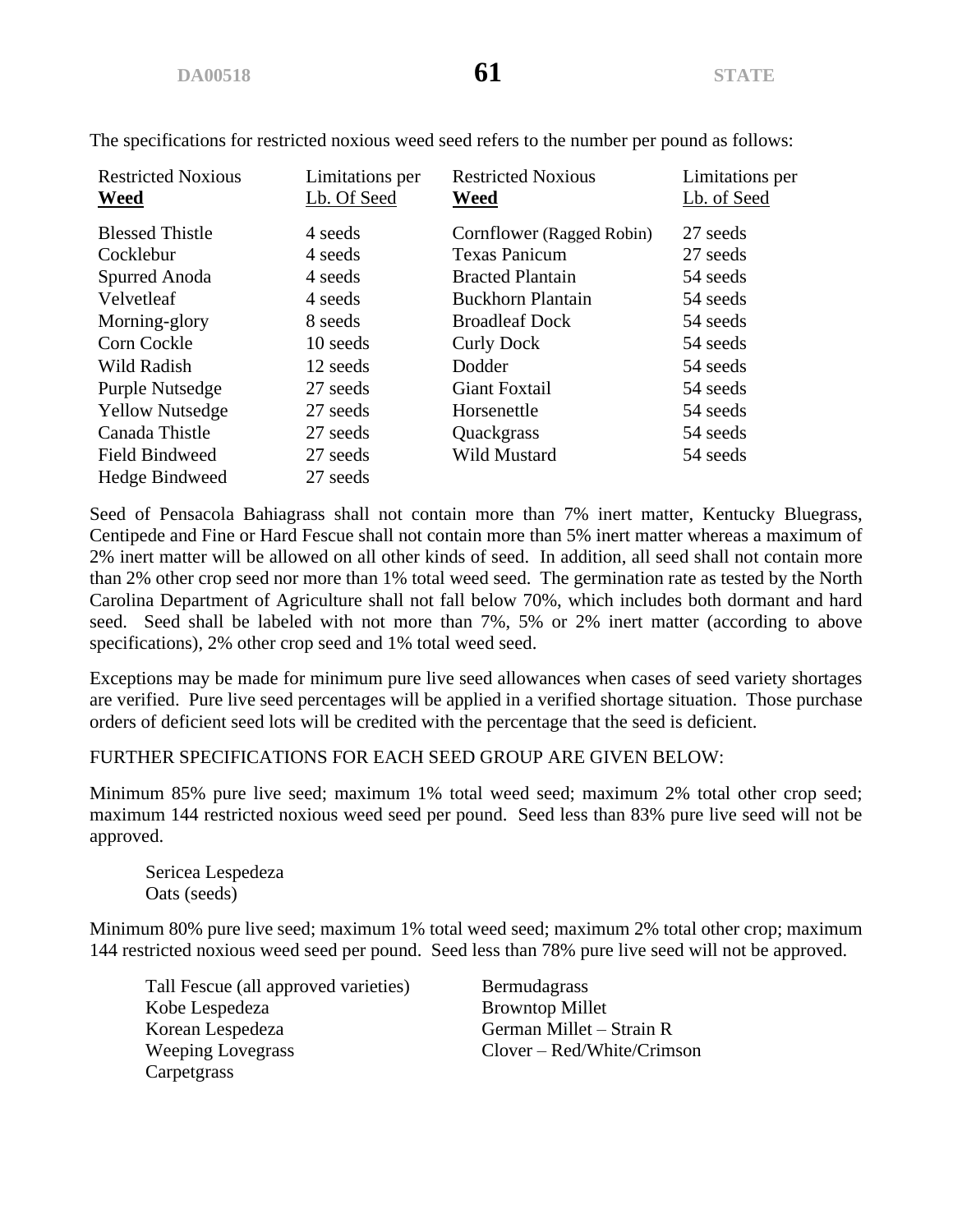| <b>Restricted Noxious</b><br>Weed | Limitations per<br>Lb. Of Seed | <b>Restricted Noxious</b><br>Weed | Limitations per<br>Lb. of Seed |
|-----------------------------------|--------------------------------|-----------------------------------|--------------------------------|
| <b>Blessed Thistle</b>            | 4 seeds                        | Cornflower (Ragged Robin)         | 27 seeds                       |
| Cocklebur                         | 4 seeds                        | <b>Texas Panicum</b>              | 27 seeds                       |
| Spurred Anoda                     | 4 seeds                        | <b>Bracted Plantain</b>           | 54 seeds                       |
| Velvetleaf                        | 4 seeds                        | <b>Buckhorn Plantain</b>          | 54 seeds                       |
| Morning-glory                     | 8 seeds                        | <b>Broadleaf Dock</b>             | 54 seeds                       |
| Corn Cockle                       | 10 seeds                       | <b>Curly Dock</b>                 | 54 seeds                       |
| Wild Radish                       | 12 seeds                       | Dodder                            | 54 seeds                       |
| Purple Nutsedge                   | 27 seeds                       | Giant Foxtail                     | 54 seeds                       |
| <b>Yellow Nutsedge</b>            | 27 seeds                       | Horsenettle                       | 54 seeds                       |
| Canada Thistle                    | 27 seeds                       | Quackgrass                        | 54 seeds                       |
| <b>Field Bindweed</b>             | 27 seeds                       | Wild Mustard                      | 54 seeds                       |
| Hedge Bindweed                    | 27 seeds                       |                                   |                                |

The specifications for restricted noxious weed seed refers to the number per pound as follows:

Seed of Pensacola Bahiagrass shall not contain more than 7% inert matter, Kentucky Bluegrass, Centipede and Fine or Hard Fescue shall not contain more than 5% inert matter whereas a maximum of 2% inert matter will be allowed on all other kinds of seed. In addition, all seed shall not contain more than 2% other crop seed nor more than 1% total weed seed. The germination rate as tested by the North Carolina Department of Agriculture shall not fall below 70%, which includes both dormant and hard seed. Seed shall be labeled with not more than 7%, 5% or 2% inert matter (according to above specifications), 2% other crop seed and 1% total weed seed.

Exceptions may be made for minimum pure live seed allowances when cases of seed variety shortages are verified. Pure live seed percentages will be applied in a verified shortage situation. Those purchase orders of deficient seed lots will be credited with the percentage that the seed is deficient.

# FURTHER SPECIFICATIONS FOR EACH SEED GROUP ARE GIVEN BELOW:

Minimum 85% pure live seed; maximum 1% total weed seed; maximum 2% total other crop seed; maximum 144 restricted noxious weed seed per pound. Seed less than 83% pure live seed will not be approved.

Sericea Lespedeza Oats (seeds)

Minimum 80% pure live seed; maximum 1% total weed seed; maximum 2% total other crop; maximum 144 restricted noxious weed seed per pound. Seed less than 78% pure live seed will not be approved.

Tall Fescue (all approved varieties) Bermudagrass Kobe Lespedeza Browntop Millet Korean Lespedeza German Millet – Strain R Weeping Lovegrass Clover – Red/White/Crimson Carpetgrass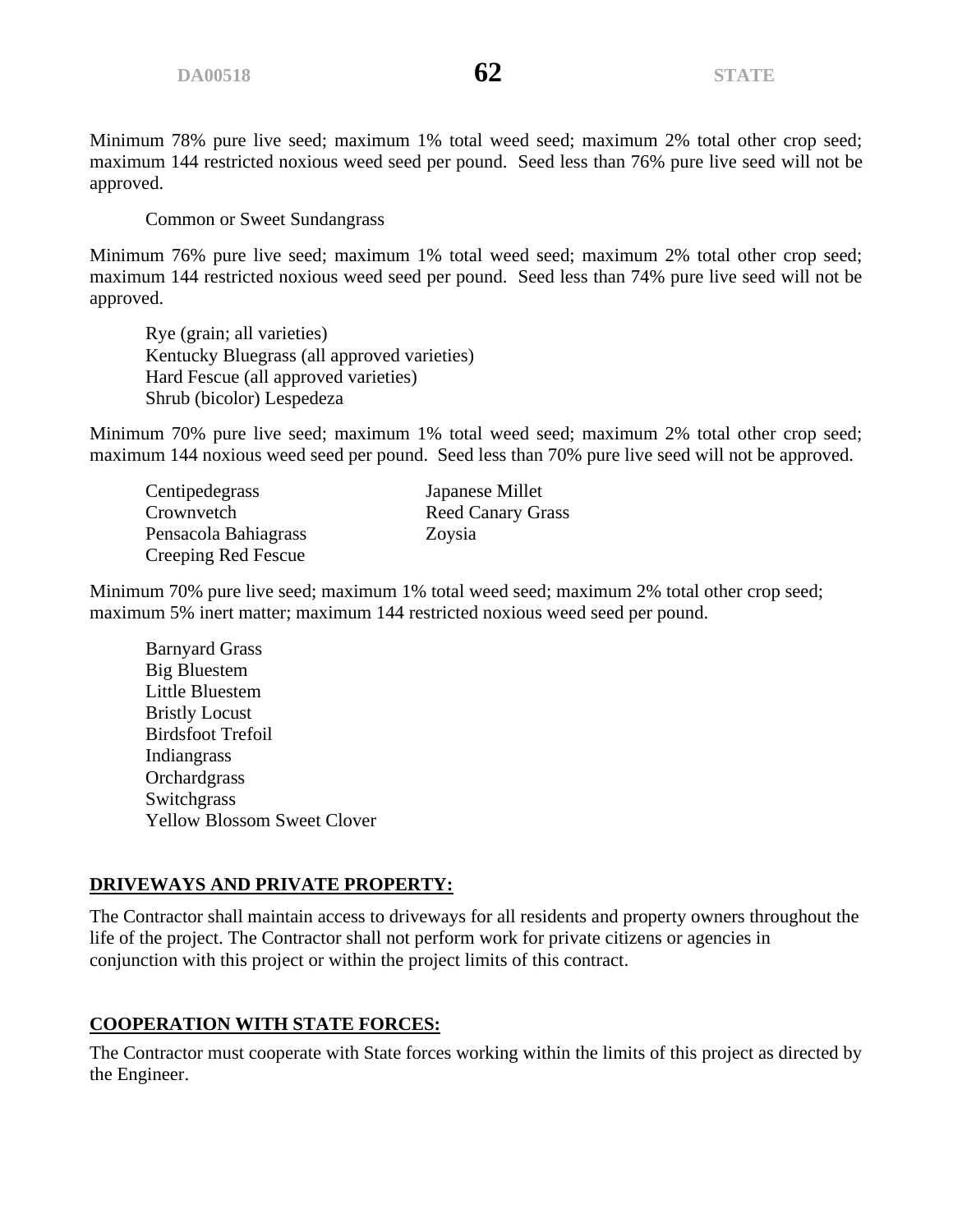Minimum 78% pure live seed; maximum 1% total weed seed; maximum 2% total other crop seed; maximum 144 restricted noxious weed seed per pound. Seed less than 76% pure live seed will not be approved.

Common or Sweet Sundangrass

Minimum 76% pure live seed; maximum 1% total weed seed; maximum 2% total other crop seed; maximum 144 restricted noxious weed seed per pound. Seed less than 74% pure live seed will not be approved.

Rye (grain; all varieties) Kentucky Bluegrass (all approved varieties) Hard Fescue (all approved varieties) Shrub (bicolor) Lespedeza

Minimum 70% pure live seed; maximum 1% total weed seed; maximum 2% total other crop seed; maximum 144 noxious weed seed per pound. Seed less than 70% pure live seed will not be approved.

Centipedegrass Japanese Millet Crownvetch Reed Canary Grass Pensacola Bahiagrass Zoysia Creeping Red Fescue

Minimum 70% pure live seed; maximum 1% total weed seed; maximum 2% total other crop seed; maximum 5% inert matter; maximum 144 restricted noxious weed seed per pound.

Barnyard Grass Big Bluestem Little Bluestem Bristly Locust Birdsfoot Trefoil Indiangrass **Orchardgrass** Switchgrass Yellow Blossom Sweet Clover

# **DRIVEWAYS AND PRIVATE PROPERTY:**

The Contractor shall maintain access to driveways for all residents and property owners throughout the life of the project. The Contractor shall not perform work for private citizens or agencies in conjunction with this project or within the project limits of this contract.

# **COOPERATION WITH STATE FORCES:**

The Contractor must cooperate with State forces working within the limits of this project as directed by the Engineer.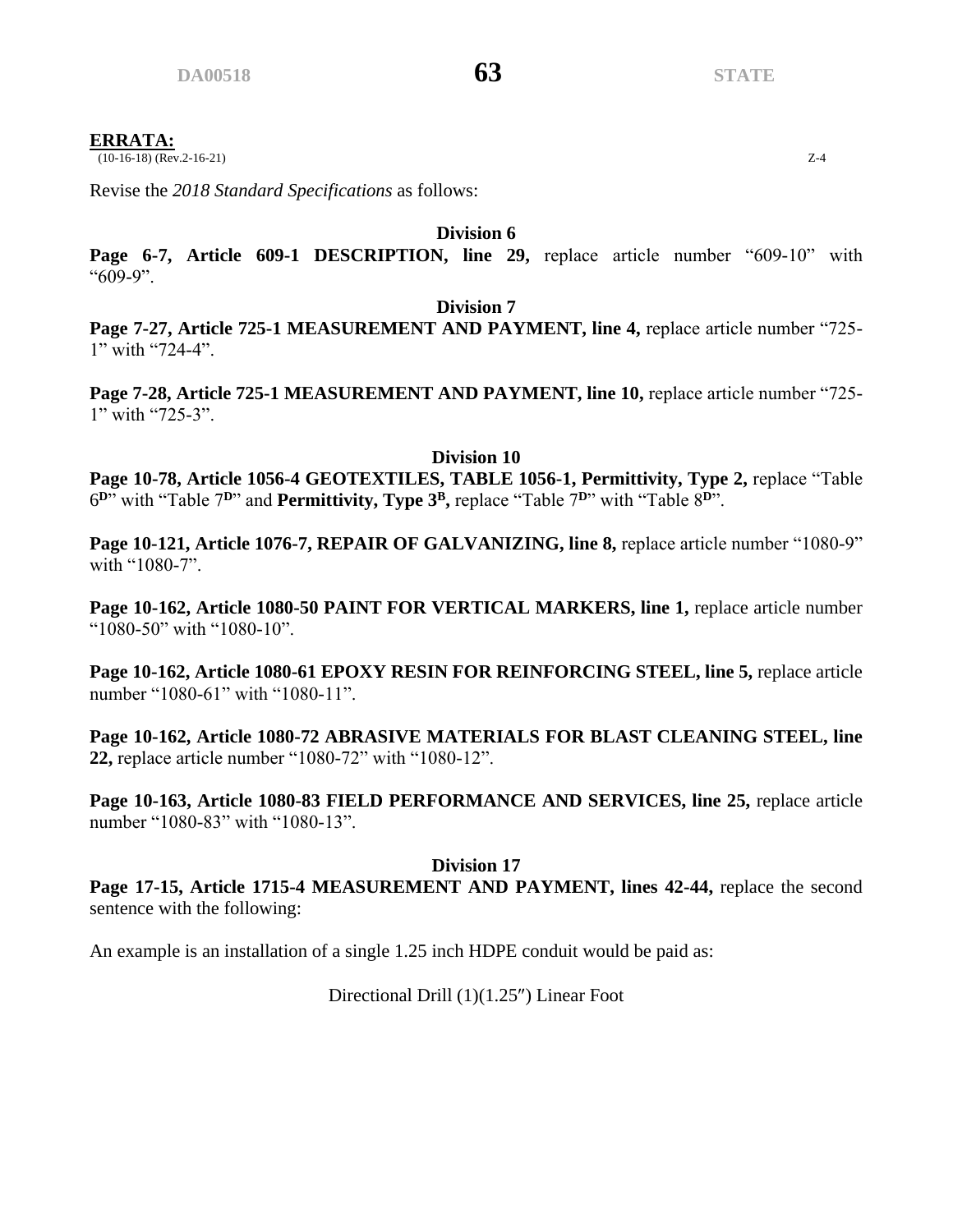# **ERRATA:**

 $(10-16-18)$  (Rev.2-16-21)  $Z-4$ 

Revise the *2018 Standard Specifications* as follows:

**Division 6**

Page 6-7, Article 609-1 DESCRIPTION, line 29, replace article number "609-10" with "609-9".

#### **Division 7**

Page 7-27, Article 725-1 MEASUREMENT AND PAYMENT, line 4, replace article number "725-1" with "724-4".

Page 7-28, Article 725-1 MEASUREMENT AND PAYMENT, line 10, replace article number "725-1" with "725-3".

**Division 10**

**Page 10-78, Article 1056-4 GEOTEXTILES, TABLE 1056-1, Permittivity, Type 2,** replace "Table 6 **<sup>D</sup>**" with "Table 7**<sup>D</sup>**" and **Permittivity, Type 3<sup>B</sup> ,** replace "Table 7**<sup>D</sup>**" with "Table 8**<sup>D</sup>**".

Page 10-121, Article 1076-7, REPAIR OF GALVANIZING, line 8, replace article number "1080-9" with "1080-7".

Page 10-162, Article 1080-50 PAINT FOR VERTICAL MARKERS, line 1, replace article number "1080-50" with "1080-10".

**Page 10-162, Article 1080-61 EPOXY RESIN FOR REINFORCING STEEL, line 5,** replace article number "1080-61" with "1080-11".

**Page 10-162, Article 1080-72 ABRASIVE MATERIALS FOR BLAST CLEANING STEEL, line 22,** replace article number "1080-72" with "1080-12".

**Page 10-163, Article 1080-83 FIELD PERFORMANCE AND SERVICES, line 25, replace article** number "1080-83" with "1080-13".

# **Division 17**

**Page 17-15, Article 1715-4 MEASUREMENT AND PAYMENT, lines 42-44,** replace the second sentence with the following:

An example is an installation of a single 1.25 inch HDPE conduit would be paid as:

# Directional Drill (1)(1.25") Linear Foot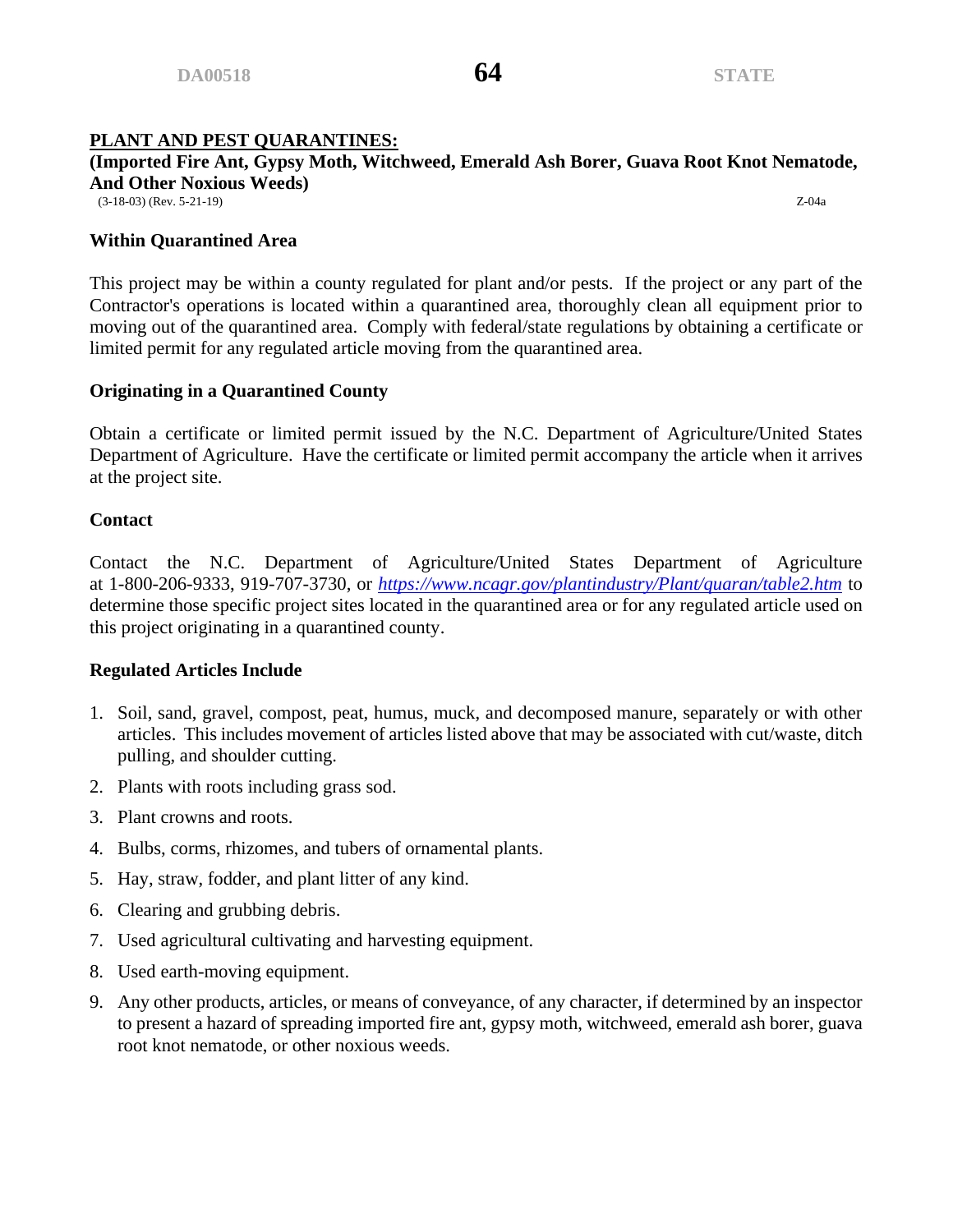# **PLANT AND PEST QUARANTINES:**

# **(Imported Fire Ant, Gypsy Moth, Witchweed, Emerald Ash Borer, Guava Root Knot Nematode, And Other Noxious Weeds)**

(3-18-03) (Rev. 5-21-19) Z-04a

### **Within Quarantined Area**

This project may be within a county regulated for plant and/or pests. If the project or any part of the Contractor's operations is located within a quarantined area, thoroughly clean all equipment prior to moving out of the quarantined area. Comply with federal/state regulations by obtaining a certificate or limited permit for any regulated article moving from the quarantined area.

# **Originating in a Quarantined County**

Obtain a certificate or limited permit issued by the N.C. Department of Agriculture/United States Department of Agriculture. Have the certificate or limited permit accompany the article when it arrives at the project site.

# **Contact**

Contact the N.C. Department of Agriculture/United States Department of Agriculture at 1-800-206-9333, 919-707-3730, or *<https://www.ncagr.gov/plantindustry/Plant/quaran/table2.htm>* to determine those specific project sites located in the quarantined area or for any regulated article used on this project originating in a quarantined county.

# **Regulated Articles Include**

- 1. Soil, sand, gravel, compost, peat, humus, muck, and decomposed manure, separately or with other articles. This includes movement of articles listed above that may be associated with cut/waste, ditch pulling, and shoulder cutting.
- 2. Plants with roots including grass sod.
- 3. Plant crowns and roots.
- 4. Bulbs, corms, rhizomes, and tubers of ornamental plants.
- 5. Hay, straw, fodder, and plant litter of any kind.
- 6. Clearing and grubbing debris.
- 7. Used agricultural cultivating and harvesting equipment.
- 8. Used earth-moving equipment.
- 9. Any other products, articles, or means of conveyance, of any character, if determined by an inspector to present a hazard of spreading imported fire ant, gypsy moth, witchweed, emerald ash borer, guava root knot nematode, or other noxious weeds.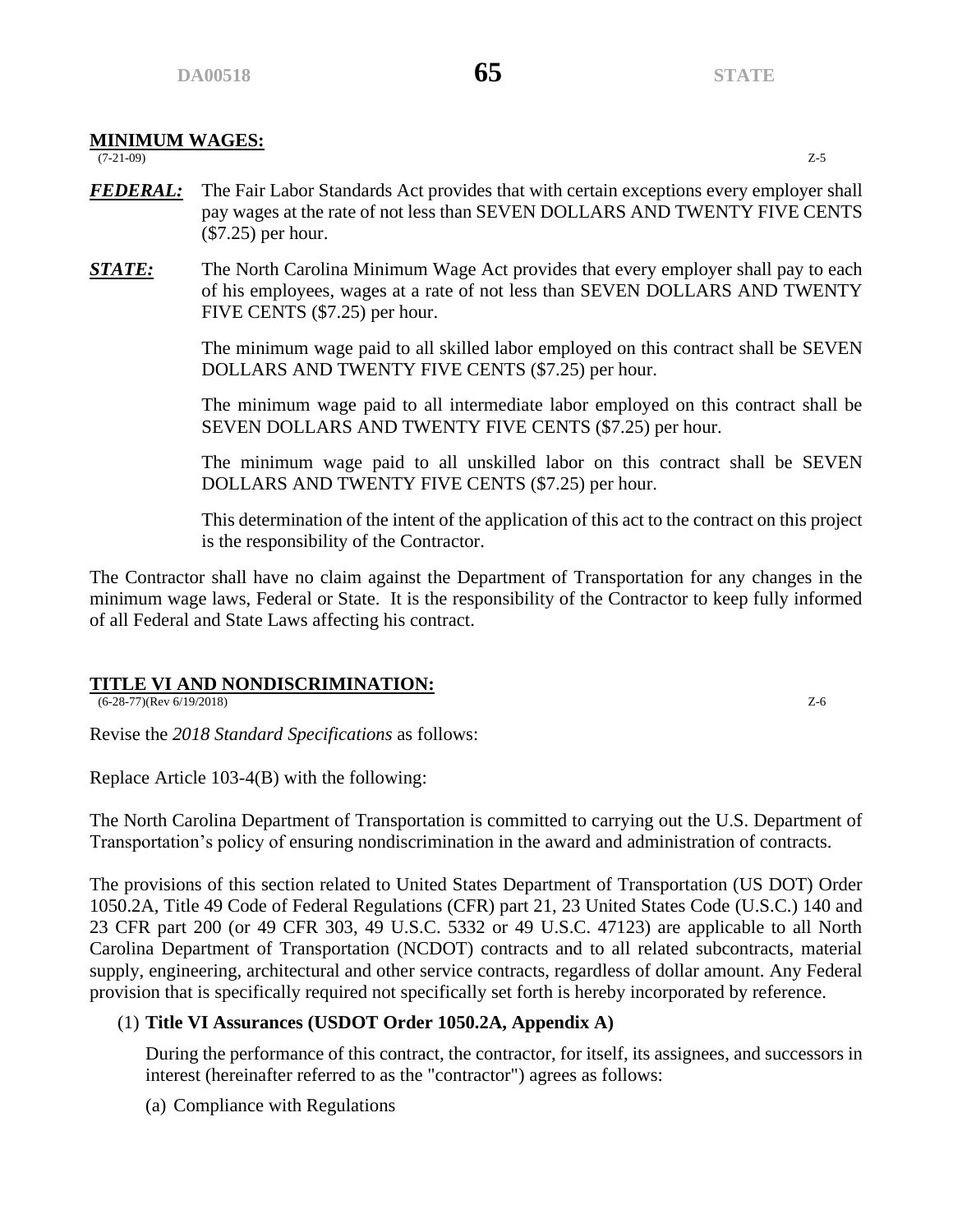# **MINIMUM WAGES:**

(7-21-09) Z-5

- *FEDERAL:* The Fair Labor Standards Act provides that with certain exceptions every employer shall pay wages at the rate of not less than SEVEN DOLLARS AND TWENTY FIVE CENTS (\$7.25) per hour.
- *STATE:* The North Carolina Minimum Wage Act provides that every employer shall pay to each of his employees, wages at a rate of not less than SEVEN DOLLARS AND TWENTY FIVE CENTS (\$7.25) per hour.

The minimum wage paid to all skilled labor employed on this contract shall be SEVEN DOLLARS AND TWENTY FIVE CENTS (\$7.25) per hour.

The minimum wage paid to all intermediate labor employed on this contract shall be SEVEN DOLLARS AND TWENTY FIVE CENTS (\$7.25) per hour.

The minimum wage paid to all unskilled labor on this contract shall be SEVEN DOLLARS AND TWENTY FIVE CENTS (\$7.25) per hour.

This determination of the intent of the application of this act to the contract on this project is the responsibility of the Contractor.

The Contractor shall have no claim against the Department of Transportation for any changes in the minimum wage laws, Federal or State. It is the responsibility of the Contractor to keep fully informed of all Federal and State Laws affecting his contract.

# **TITLE VI AND NONDISCRIMINATION:**

(6-28-77)(Rev 6/19/2018) Z-6

Revise the *2018 Standard Specifications* as follows:

Replace Article 103-4(B) with the following:

The North Carolina Department of Transportation is committed to carrying out the U.S. Department of Transportation's policy of ensuring nondiscrimination in the award and administration of contracts.

The provisions of this section related to United States Department of Transportation (US DOT) Order 1050.2A, Title 49 Code of Federal Regulations (CFR) part 21, 23 United States Code (U.S.C.) 140 and 23 CFR part 200 (or 49 CFR 303, 49 U.S.C. 5332 or 49 U.S.C. 47123) are applicable to all North Carolina Department of Transportation (NCDOT) contracts and to all related subcontracts, material supply, engineering, architectural and other service contracts, regardless of dollar amount. Any Federal provision that is specifically required not specifically set forth is hereby incorporated by reference.

# (1) **Title VI Assurances (USDOT Order 1050.2A, Appendix A)**

During the performance of this contract, the contractor, for itself, its assignees, and successors in interest (hereinafter referred to as the "contractor") agrees as follows:

(a) Compliance with Regulations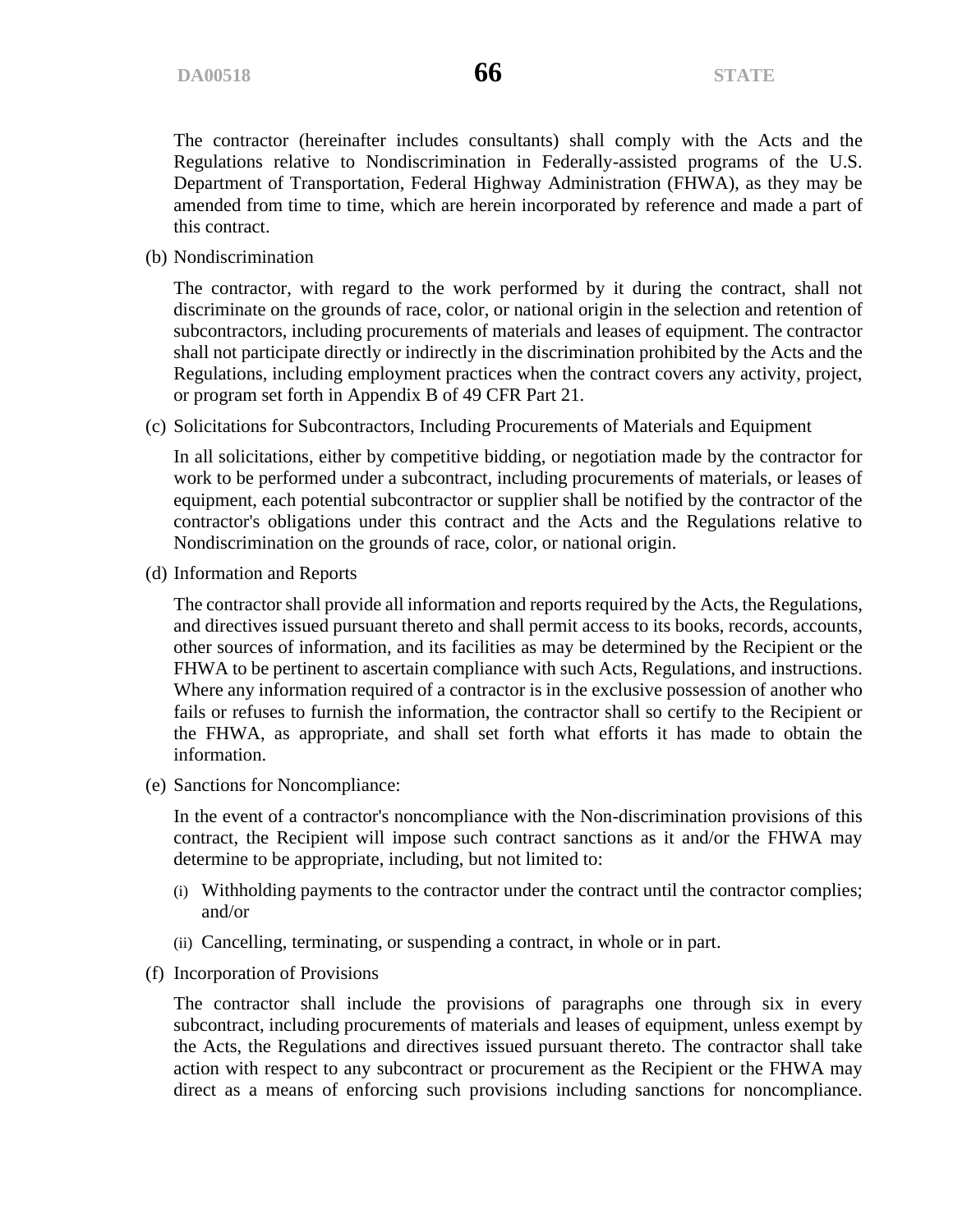The contractor (hereinafter includes consultants) shall comply with the Acts and the Regulations relative to Nondiscrimination in Federally-assisted programs of the U.S. Department of Transportation, Federal Highway Administration (FHWA), as they may be amended from time to time, which are herein incorporated by reference and made a part of this contract.

(b) Nondiscrimination

The contractor, with regard to the work performed by it during the contract, shall not discriminate on the grounds of race, color, or national origin in the selection and retention of subcontractors, including procurements of materials and leases of equipment. The contractor shall not participate directly or indirectly in the discrimination prohibited by the Acts and the Regulations, including employment practices when the contract covers any activity, project, or program set forth in Appendix B of 49 CFR Part 21.

(c) Solicitations for Subcontractors, Including Procurements of Materials and Equipment

In all solicitations, either by competitive bidding, or negotiation made by the contractor for work to be performed under a subcontract, including procurements of materials, or leases of equipment, each potential subcontractor or supplier shall be notified by the contractor of the contractor's obligations under this contract and the Acts and the Regulations relative to Nondiscrimination on the grounds of race, color, or national origin.

(d) Information and Reports

The contractor shall provide all information and reports required by the Acts, the Regulations, and directives issued pursuant thereto and shall permit access to its books, records, accounts, other sources of information, and its facilities as may be determined by the Recipient or the FHWA to be pertinent to ascertain compliance with such Acts, Regulations, and instructions. Where any information required of a contractor is in the exclusive possession of another who fails or refuses to furnish the information, the contractor shall so certify to the Recipient or the FHWA, as appropriate, and shall set forth what efforts it has made to obtain the information.

(e) Sanctions for Noncompliance:

In the event of a contractor's noncompliance with the Non-discrimination provisions of this contract, the Recipient will impose such contract sanctions as it and/or the FHWA may determine to be appropriate, including, but not limited to:

- (i) Withholding payments to the contractor under the contract until the contractor complies; and/or
- (ii) Cancelling, terminating, or suspending a contract, in whole or in part.
- (f) Incorporation of Provisions

The contractor shall include the provisions of paragraphs one through six in every subcontract, including procurements of materials and leases of equipment, unless exempt by the Acts, the Regulations and directives issued pursuant thereto. The contractor shall take action with respect to any subcontract or procurement as the Recipient or the FHWA may direct as a means of enforcing such provisions including sanctions for noncompliance.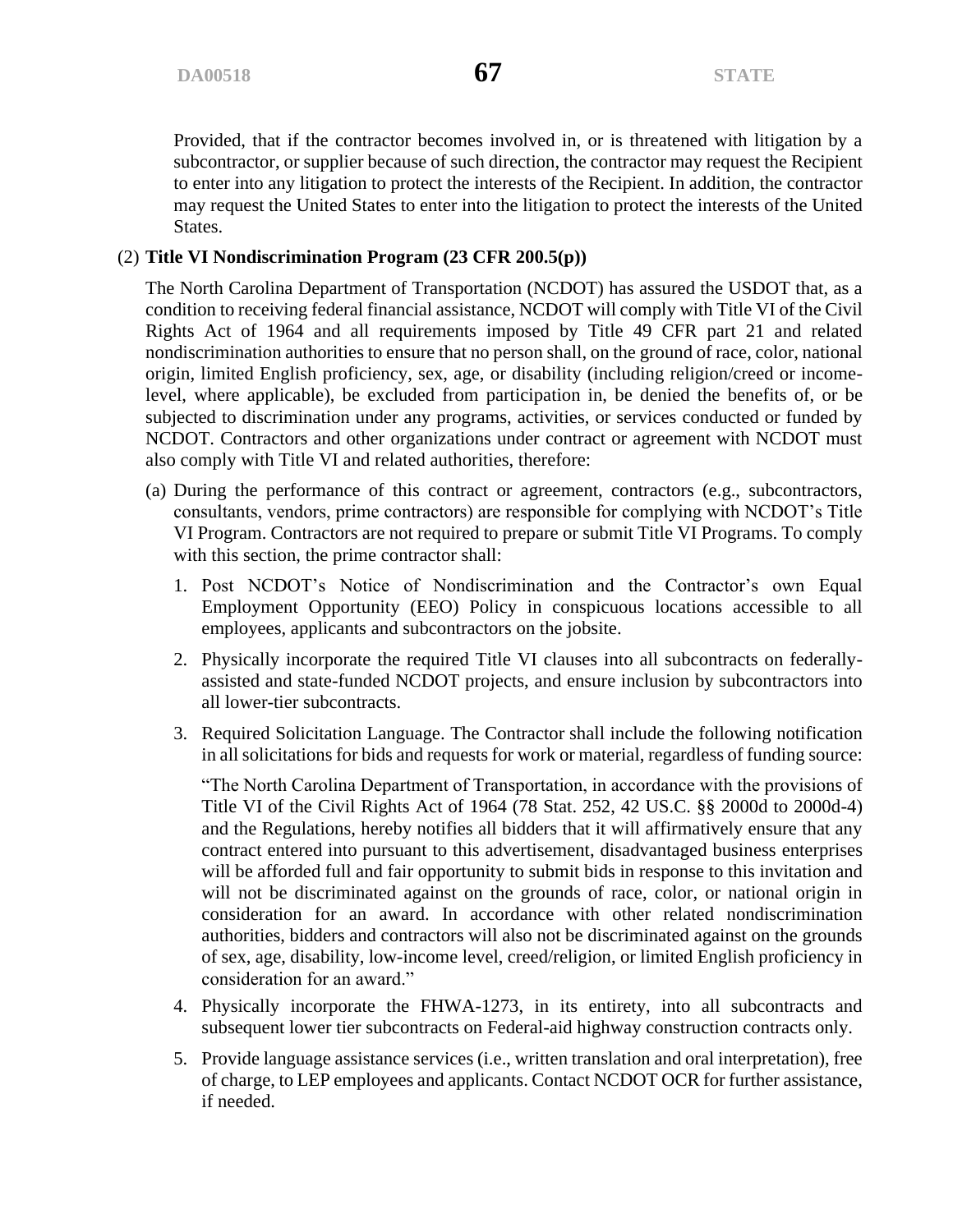Provided, that if the contractor becomes involved in, or is threatened with litigation by a subcontractor, or supplier because of such direction, the contractor may request the Recipient to enter into any litigation to protect the interests of the Recipient. In addition, the contractor may request the United States to enter into the litigation to protect the interests of the United States.

# (2) **Title VI Nondiscrimination Program (23 CFR 200.5(p))**

The North Carolina Department of Transportation (NCDOT) has assured the USDOT that, as a condition to receiving federal financial assistance, NCDOT will comply with Title VI of the Civil Rights Act of 1964 and all requirements imposed by Title 49 CFR part 21 and related nondiscrimination authorities to ensure that no person shall, on the ground of race, color, national origin, limited English proficiency, sex, age, or disability (including religion/creed or incomelevel, where applicable), be excluded from participation in, be denied the benefits of, or be subjected to discrimination under any programs, activities, or services conducted or funded by NCDOT. Contractors and other organizations under contract or agreement with NCDOT must also comply with Title VI and related authorities, therefore:

- (a) During the performance of this contract or agreement, contractors (e.g., subcontractors, consultants, vendors, prime contractors) are responsible for complying with NCDOT's Title VI Program. Contractors are not required to prepare or submit Title VI Programs. To comply with this section, the prime contractor shall:
	- 1. Post NCDOT's Notice of Nondiscrimination and the Contractor's own Equal Employment Opportunity (EEO) Policy in conspicuous locations accessible to all employees, applicants and subcontractors on the jobsite.
	- 2. Physically incorporate the required Title VI clauses into all subcontracts on federallyassisted and state-funded NCDOT projects, and ensure inclusion by subcontractors into all lower-tier subcontracts.
	- 3. Required Solicitation Language. The Contractor shall include the following notification in all solicitations for bids and requests for work or material, regardless of funding source:

"The North Carolina Department of Transportation, in accordance with the provisions of Title VI of the Civil Rights Act of 1964 (78 Stat. 252, 42 US.C. §§ 2000d to 2000d-4) and the Regulations, hereby notifies all bidders that it will affirmatively ensure that any contract entered into pursuant to this advertisement, disadvantaged business enterprises will be afforded full and fair opportunity to submit bids in response to this invitation and will not be discriminated against on the grounds of race, color, or national origin in consideration for an award. In accordance with other related nondiscrimination authorities, bidders and contractors will also not be discriminated against on the grounds of sex, age, disability, low-income level, creed/religion, or limited English proficiency in consideration for an award."

- 4. Physically incorporate the FHWA-1273, in its entirety, into all subcontracts and subsequent lower tier subcontracts on Federal-aid highway construction contracts only.
- 5. Provide language assistance services (i.e., written translation and oral interpretation), free of charge, to LEP employees and applicants. Contact NCDOT OCR for further assistance, if needed.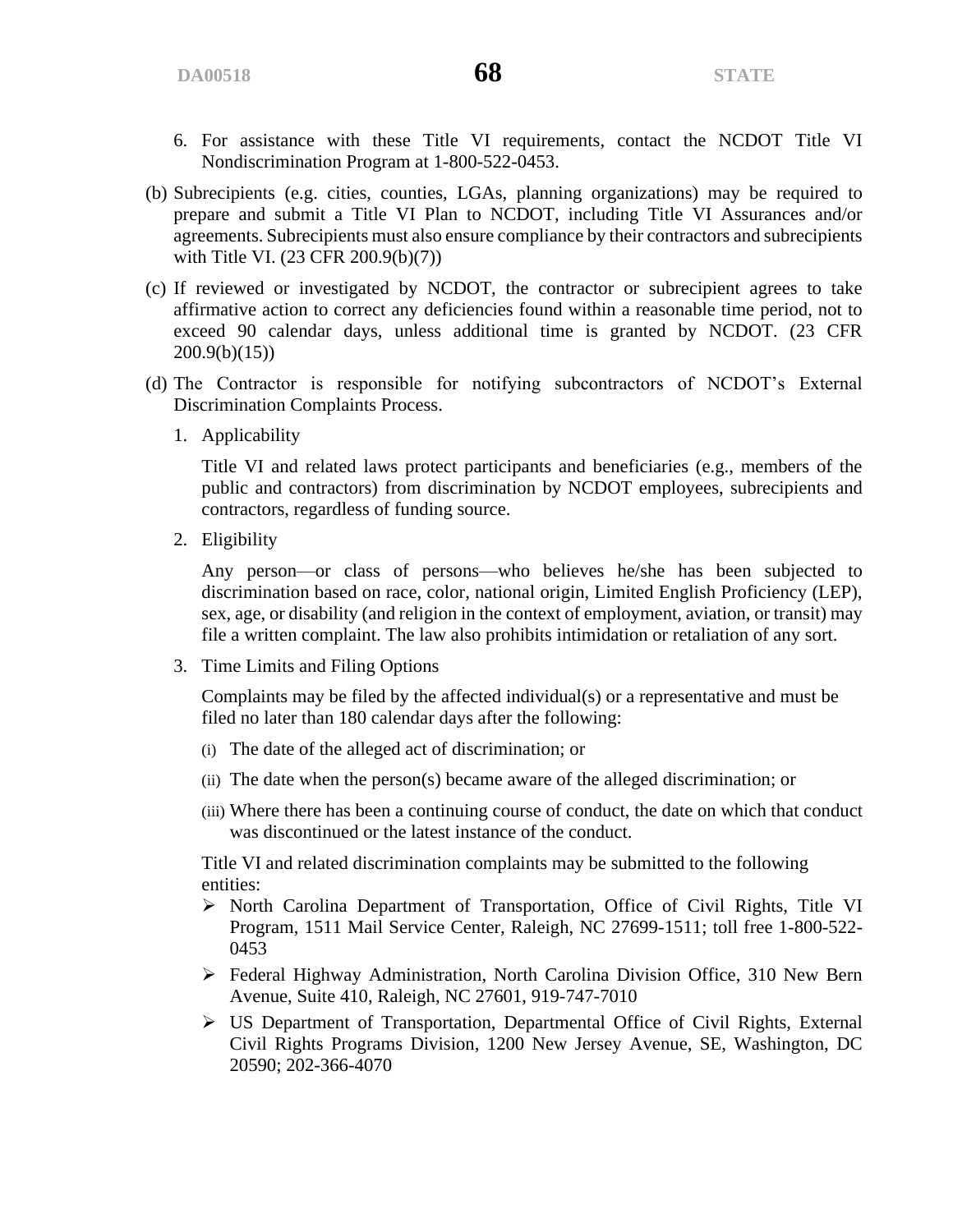- 6. For assistance with these Title VI requirements, contact the NCDOT Title VI Nondiscrimination Program at 1-800-522-0453.
- (b) Subrecipients (e.g. cities, counties, LGAs, planning organizations) may be required to prepare and submit a Title VI Plan to NCDOT, including Title VI Assurances and/or agreements. Subrecipients must also ensure compliance by their contractors and subrecipients with Title VI. (23 CFR 200.9(b)(7))
- (c) If reviewed or investigated by NCDOT, the contractor or subrecipient agrees to take affirmative action to correct any deficiencies found within a reasonable time period, not to exceed 90 calendar days, unless additional time is granted by NCDOT. (23 CFR 200.9(b)(15))
- (d) The Contractor is responsible for notifying subcontractors of NCDOT's External Discrimination Complaints Process.
	- 1. Applicability

Title VI and related laws protect participants and beneficiaries (e.g., members of the public and contractors) from discrimination by NCDOT employees, subrecipients and contractors, regardless of funding source.

2. Eligibility

Any person—or class of persons—who believes he/she has been subjected to discrimination based on race, color, national origin, Limited English Proficiency (LEP), sex, age, or disability (and religion in the context of employment, aviation, or transit) may file a written complaint. The law also prohibits intimidation or retaliation of any sort.

3. Time Limits and Filing Options

Complaints may be filed by the affected individual(s) or a representative and must be filed no later than 180 calendar days after the following:

- (i) The date of the alleged act of discrimination; or
- (ii) The date when the person(s) became aware of the alleged discrimination; or
- (iii) Where there has been a continuing course of conduct, the date on which that conduct was discontinued or the latest instance of the conduct.

Title VI and related discrimination complaints may be submitted to the following entities:

- ➢ North Carolina Department of Transportation, Office of Civil Rights, Title VI Program, 1511 Mail Service Center, Raleigh, NC 27699-1511; toll free 1-800-522- 0453
- ➢ Federal Highway Administration, North Carolina Division Office, 310 New Bern Avenue, Suite 410, Raleigh, NC 27601, 919-747-7010
- ➢ US Department of Transportation, Departmental Office of Civil Rights, External Civil Rights Programs Division, 1200 New Jersey Avenue, SE, Washington, DC 20590; 202-366-4070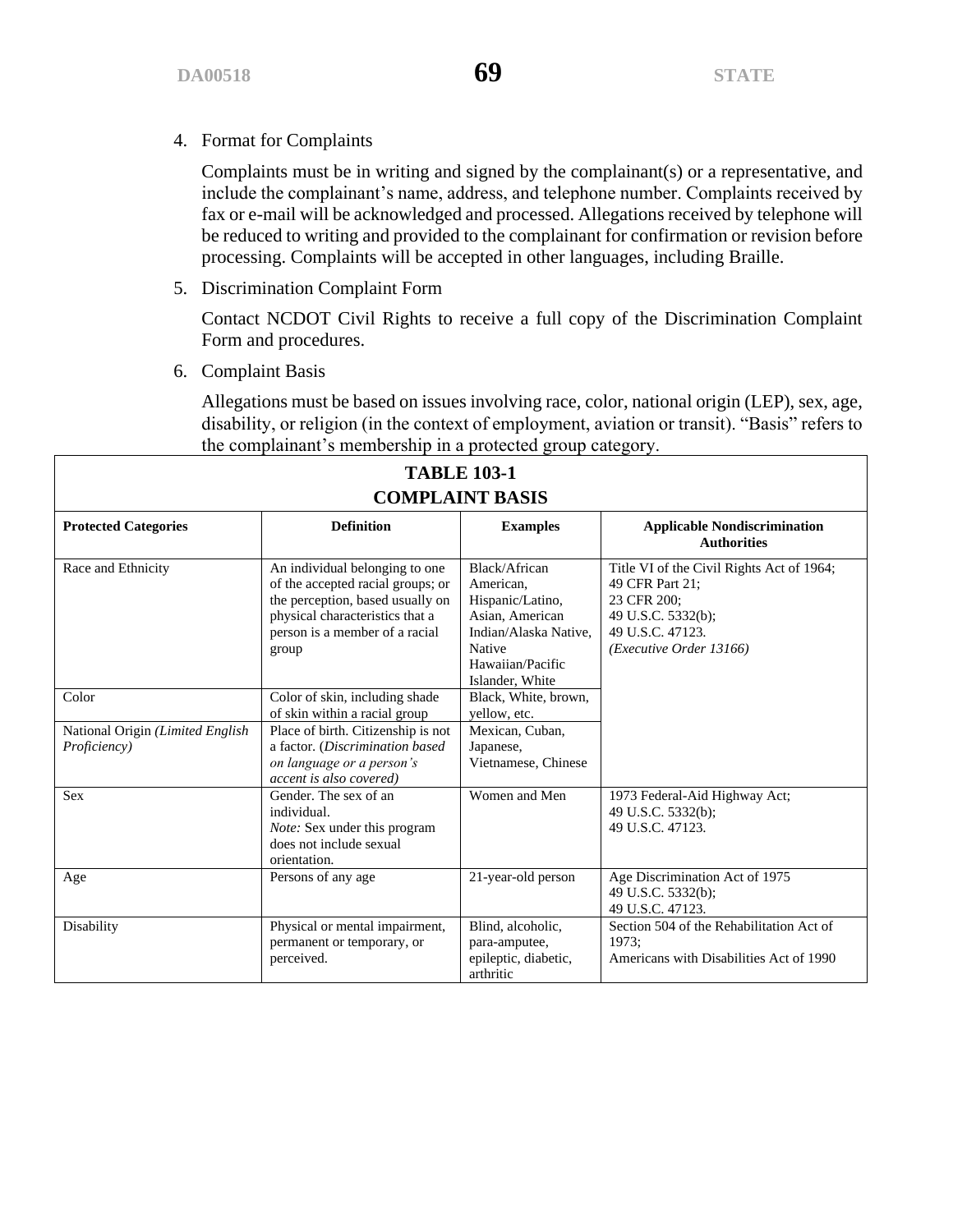4. Format for Complaints

Complaints must be in writing and signed by the complainant(s) or a representative, and include the complainant's name, address, and telephone number. Complaints received by fax or e-mail will be acknowledged and processed. Allegations received by telephone will be reduced to writing and provided to the complainant for confirmation or revision before processing. Complaints will be accepted in other languages, including Braille.

5. Discrimination Complaint Form

Contact NCDOT Civil Rights to receive a full copy of the Discrimination Complaint Form and procedures.

6. Complaint Basis

Allegations must be based on issues involving race, color, national origin (LEP), sex, age, disability, or religion (in the context of employment, aviation or transit). "Basis" refers to the complainant's membership in a protected group category.

| <b>TABLE 103-1</b><br><b>COMPLAINT BASIS</b>     |                                                                                                                                                                                       |                                                                                                                                             |                                                                                                                                                  |  |  |
|--------------------------------------------------|---------------------------------------------------------------------------------------------------------------------------------------------------------------------------------------|---------------------------------------------------------------------------------------------------------------------------------------------|--------------------------------------------------------------------------------------------------------------------------------------------------|--|--|
| <b>Protected Categories</b>                      | <b>Definition</b>                                                                                                                                                                     | <b>Examples</b>                                                                                                                             | <b>Applicable Nondiscrimination</b><br><b>Authorities</b>                                                                                        |  |  |
| Race and Ethnicity                               | An individual belonging to one<br>of the accepted racial groups; or<br>the perception, based usually on<br>physical characteristics that a<br>person is a member of a racial<br>group | Black/African<br>American.<br>Hispanic/Latino,<br>Asian, American<br>Indian/Alaska Native.<br>Native<br>Hawaiian/Pacific<br>Islander, White | Title VI of the Civil Rights Act of 1964;<br>49 CFR Part 21:<br>23 CFR 200:<br>49 U.S.C. 5332(b);<br>49 U.S.C. 47123.<br>(Executive Order 13166) |  |  |
| Color                                            | Color of skin, including shade<br>of skin within a racial group                                                                                                                       | Black, White, brown,<br>vellow, etc.                                                                                                        |                                                                                                                                                  |  |  |
| National Origin (Limited English<br>Proficiency) | Place of birth. Citizenship is not<br>a factor. (Discrimination based<br>on language or a person's<br>accent is also covered)                                                         | Mexican, Cuban,<br>Japanese,<br>Vietnamese, Chinese                                                                                         |                                                                                                                                                  |  |  |
| <b>Sex</b>                                       | Gender. The sex of an<br>individual.<br>Note: Sex under this program<br>does not include sexual<br>orientation.                                                                       | Women and Men                                                                                                                               | 1973 Federal-Aid Highway Act;<br>49 U.S.C. 5332(b);<br>49 U.S.C. 47123.                                                                          |  |  |
| Age                                              | Persons of any age                                                                                                                                                                    | 21-year-old person                                                                                                                          | Age Discrimination Act of 1975<br>49 U.S.C. 5332(b);<br>49 U.S.C. 47123.                                                                         |  |  |
| Disability                                       | Physical or mental impairment,<br>permanent or temporary, or<br>perceived.                                                                                                            | Blind, alcoholic,<br>para-amputee,<br>epileptic, diabetic,<br>arthritic                                                                     | Section 504 of the Rehabilitation Act of<br>1973:<br>Americans with Disabilities Act of 1990                                                     |  |  |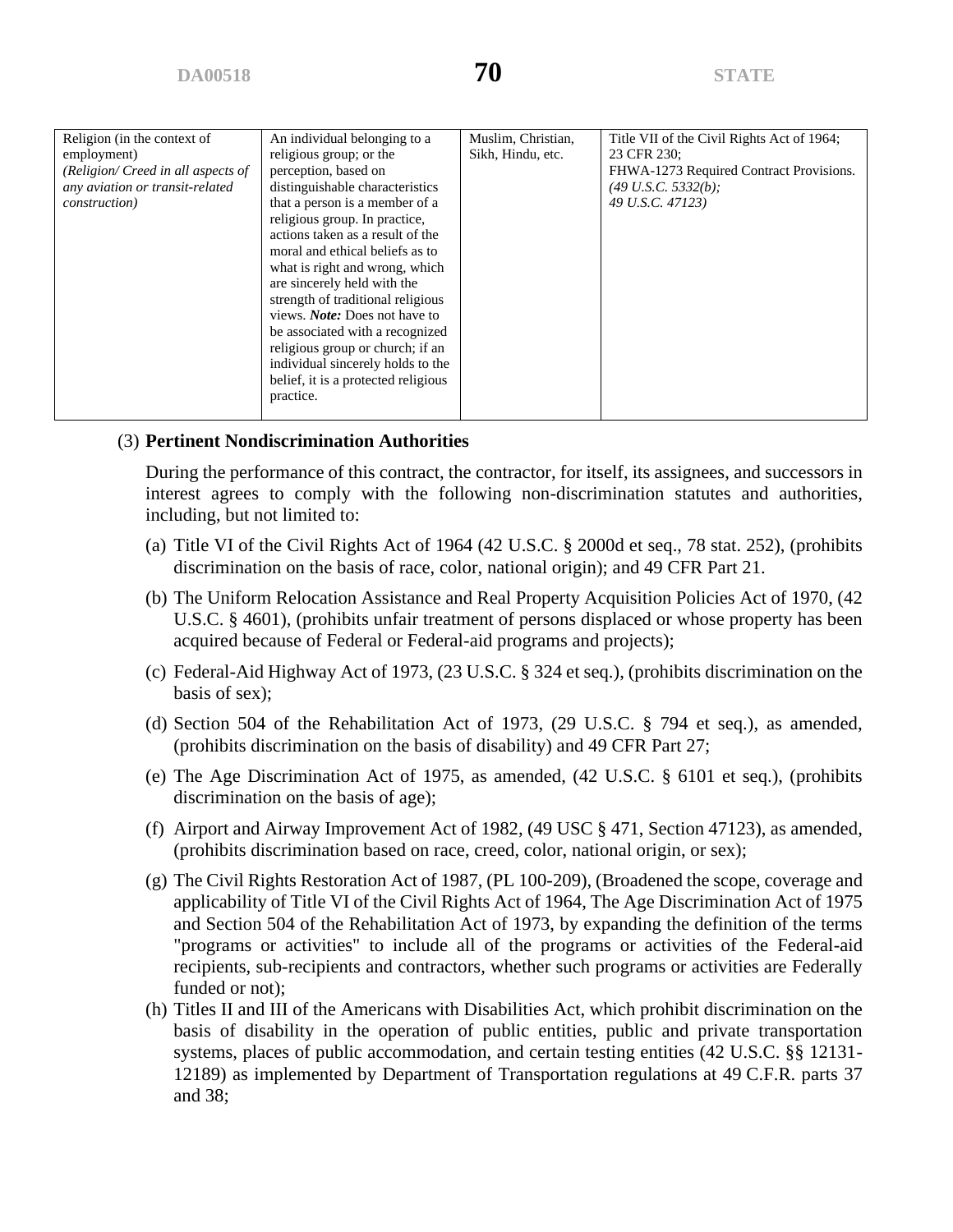| Religion (in the context of<br>employment)<br>(Religion/ Creed in all aspects of<br>any aviation or transit-related<br><i>construction</i> ) | An individual belonging to a<br>religious group; or the<br>perception, based on<br>distinguishable characteristics<br>that a person is a member of a<br>religious group. In practice,<br>actions taken as a result of the<br>moral and ethical beliefs as to<br>what is right and wrong, which<br>are sincerely held with the<br>strength of traditional religious<br>views. <i>Note:</i> Does not have to<br>be associated with a recognized<br>religious group or church; if an<br>individual sincerely holds to the<br>belief, it is a protected religious<br>practice. | Muslim, Christian,<br>Sikh, Hindu, etc. | Title VII of the Civil Rights Act of 1964;<br>23 CFR 230:<br>FHWA-1273 Required Contract Provisions.<br>$(49 U.S.C. 5332(b))$ ;<br>49 U.S.C. 47123) |
|----------------------------------------------------------------------------------------------------------------------------------------------|----------------------------------------------------------------------------------------------------------------------------------------------------------------------------------------------------------------------------------------------------------------------------------------------------------------------------------------------------------------------------------------------------------------------------------------------------------------------------------------------------------------------------------------------------------------------------|-----------------------------------------|-----------------------------------------------------------------------------------------------------------------------------------------------------|
|----------------------------------------------------------------------------------------------------------------------------------------------|----------------------------------------------------------------------------------------------------------------------------------------------------------------------------------------------------------------------------------------------------------------------------------------------------------------------------------------------------------------------------------------------------------------------------------------------------------------------------------------------------------------------------------------------------------------------------|-----------------------------------------|-----------------------------------------------------------------------------------------------------------------------------------------------------|

# (3) **Pertinent Nondiscrimination Authorities**

During the performance of this contract, the contractor, for itself, its assignees, and successors in interest agrees to comply with the following non-discrimination statutes and authorities, including, but not limited to:

- (a) Title VI of the Civil Rights Act of 1964 (42 U.S.C. § 2000d et seq., 78 stat. 252), (prohibits discrimination on the basis of race, color, national origin); and 49 CFR Part 21.
- (b) The Uniform Relocation Assistance and Real Property Acquisition Policies Act of 1970, (42 U.S.C. § 4601), (prohibits unfair treatment of persons displaced or whose property has been acquired because of Federal or Federal-aid programs and projects);
- (c) Federal-Aid Highway Act of 1973, (23 U.S.C. § 324 et seq.), (prohibits discrimination on the basis of sex);
- (d) Section 504 of the Rehabilitation Act of 1973, (29 U.S.C. § 794 et seq.), as amended, (prohibits discrimination on the basis of disability) and 49 CFR Part 27;
- (e) The Age Discrimination Act of 1975, as amended, (42 U.S.C. § 6101 et seq.), (prohibits discrimination on the basis of age);
- (f) Airport and Airway Improvement Act of 1982, (49 USC § 471, Section 47123), as amended, (prohibits discrimination based on race, creed, color, national origin, or sex);
- (g) The Civil Rights Restoration Act of 1987, (PL 100-209), (Broadened the scope, coverage and applicability of Title VI of the Civil Rights Act of 1964, The Age Discrimination Act of 1975 and Section 504 of the Rehabilitation Act of 1973, by expanding the definition of the terms "programs or activities" to include all of the programs or activities of the Federal-aid recipients, sub-recipients and contractors, whether such programs or activities are Federally funded or not);
- (h) Titles II and III of the Americans with Disabilities Act, which prohibit discrimination on the basis of disability in the operation of public entities, public and private transportation systems, places of public accommodation, and certain testing entities (42 U.S.C. §§ 12131- 12189) as implemented by Department of Transportation regulations at 49 C.F.R. parts 37 and 38;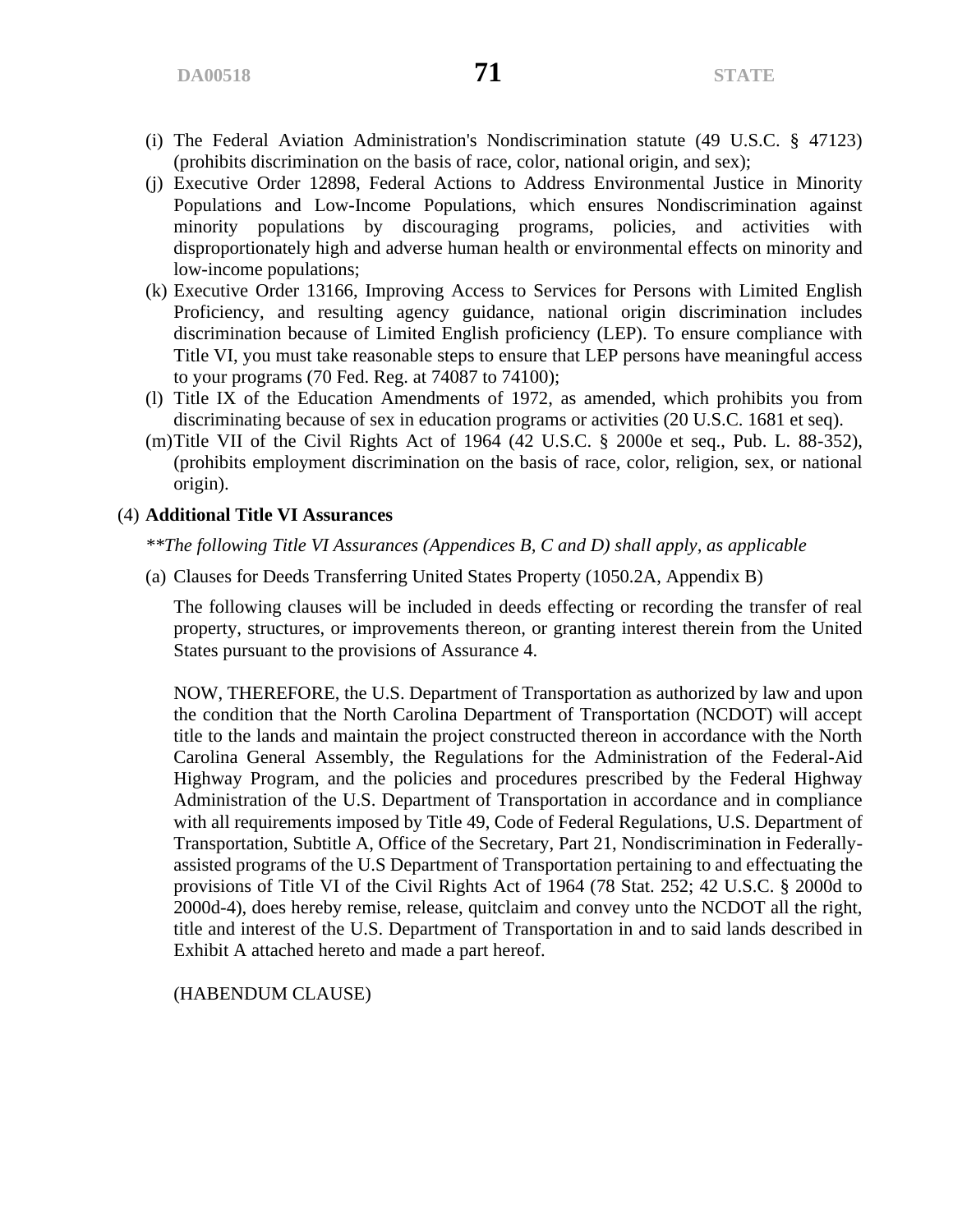- (i) The Federal Aviation Administration's Nondiscrimination statute (49 U.S.C. § 47123) (prohibits discrimination on the basis of race, color, national origin, and sex);
- (j) Executive Order 12898, Federal Actions to Address Environmental Justice in Minority Populations and Low-Income Populations, which ensures Nondiscrimination against minority populations by discouraging programs, policies, and activities with disproportionately high and adverse human health or environmental effects on minority and low-income populations;
- (k) Executive Order 13166, Improving Access to Services for Persons with Limited English Proficiency, and resulting agency guidance, national origin discrimination includes discrimination because of Limited English proficiency (LEP). To ensure compliance with Title VI, you must take reasonable steps to ensure that LEP persons have meaningful access to your programs (70 Fed. Reg. at 74087 to 74100);
- (l) Title IX of the Education Amendments of 1972, as amended, which prohibits you from discriminating because of sex in education programs or activities (20 U.S.C. 1681 et seq).
- (m)Title VII of the Civil Rights Act of 1964 (42 U.S.C. § 2000e et seq., Pub. L. 88-352), (prohibits employment discrimination on the basis of race, color, religion, sex, or national origin).

#### (4) **Additional Title VI Assurances**

*\*\*The following Title VI Assurances (Appendices B, C and D) shall apply, as applicable*

(a) Clauses for Deeds Transferring United States Property (1050.2A, Appendix B)

The following clauses will be included in deeds effecting or recording the transfer of real property, structures, or improvements thereon, or granting interest therein from the United States pursuant to the provisions of Assurance 4.

NOW, THEREFORE, the U.S. Department of Transportation as authorized by law and upon the condition that the North Carolina Department of Transportation (NCDOT) will accept title to the lands and maintain the project constructed thereon in accordance with the North Carolina General Assembly, the Regulations for the Administration of the Federal-Aid Highway Program, and the policies and procedures prescribed by the Federal Highway Administration of the U.S. Department of Transportation in accordance and in compliance with all requirements imposed by Title 49, Code of Federal Regulations, U.S. Department of Transportation, Subtitle A, Office of the Secretary, Part 21, Nondiscrimination in Federallyassisted programs of the U.S Department of Transportation pertaining to and effectuating the provisions of Title VI of the Civil Rights Act of 1964 (78 Stat. 252; 42 U.S.C. § 2000d to 2000d-4), does hereby remise, release, quitclaim and convey unto the NCDOT all the right, title and interest of the U.S. Department of Transportation in and to said lands described in Exhibit A attached hereto and made a part hereof.

(HABENDUM CLAUSE)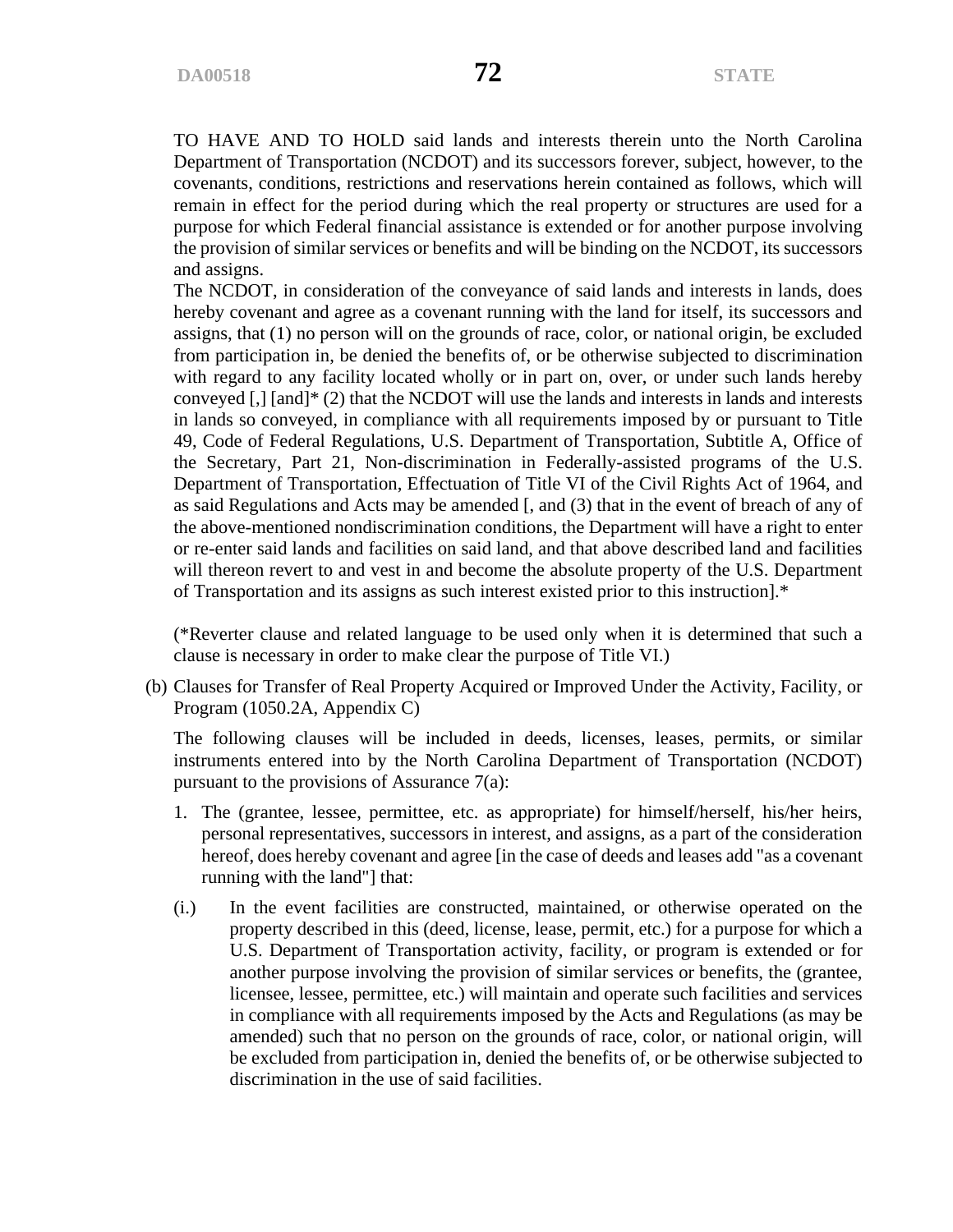TO HAVE AND TO HOLD said lands and interests therein unto the North Carolina Department of Transportation (NCDOT) and its successors forever, subject, however, to the covenants, conditions, restrictions and reservations herein contained as follows, which will remain in effect for the period during which the real property or structures are used for a purpose for which Federal financial assistance is extended or for another purpose involving the provision of similar services or benefits and will be binding on the NCDOT, its successors and assigns.

The NCDOT, in consideration of the conveyance of said lands and interests in lands, does hereby covenant and agree as a covenant running with the land for itself, its successors and assigns, that (1) no person will on the grounds of race, color, or national origin, be excluded from participation in, be denied the benefits of, or be otherwise subjected to discrimination with regard to any facility located wholly or in part on, over, or under such lands hereby conveyed [,] [and]\* (2) that the NCDOT will use the lands and interests in lands and interests in lands so conveyed, in compliance with all requirements imposed by or pursuant to Title 49, Code of Federal Regulations, U.S. Department of Transportation, Subtitle A, Office of the Secretary, Part 21, Non-discrimination in Federally-assisted programs of the U.S. Department of Transportation, Effectuation of Title VI of the Civil Rights Act of 1964, and as said Regulations and Acts may be amended [, and (3) that in the event of breach of any of the above-mentioned nondiscrimination conditions, the Department will have a right to enter or re-enter said lands and facilities on said land, and that above described land and facilities will thereon revert to and vest in and become the absolute property of the U.S. Department of Transportation and its assigns as such interest existed prior to this instruction].\*

(\*Reverter clause and related language to be used only when it is determined that such a clause is necessary in order to make clear the purpose of Title VI.)

(b) Clauses for Transfer of Real Property Acquired or Improved Under the Activity, Facility, or Program (1050.2A, Appendix C)

The following clauses will be included in deeds, licenses, leases, permits, or similar instruments entered into by the North Carolina Department of Transportation (NCDOT) pursuant to the provisions of Assurance 7(a):

- 1. The (grantee, lessee, permittee, etc. as appropriate) for himself/herself, his/her heirs, personal representatives, successors in interest, and assigns, as a part of the consideration hereof, does hereby covenant and agree [in the case of deeds and leases add "as a covenant running with the land"] that:
- (i.) In the event facilities are constructed, maintained, or otherwise operated on the property described in this (deed, license, lease, permit, etc.) for a purpose for which a U.S. Department of Transportation activity, facility, or program is extended or for another purpose involving the provision of similar services or benefits, the (grantee, licensee, lessee, permittee, etc.) will maintain and operate such facilities and services in compliance with all requirements imposed by the Acts and Regulations (as may be amended) such that no person on the grounds of race, color, or national origin, will be excluded from participation in, denied the benefits of, or be otherwise subjected to discrimination in the use of said facilities.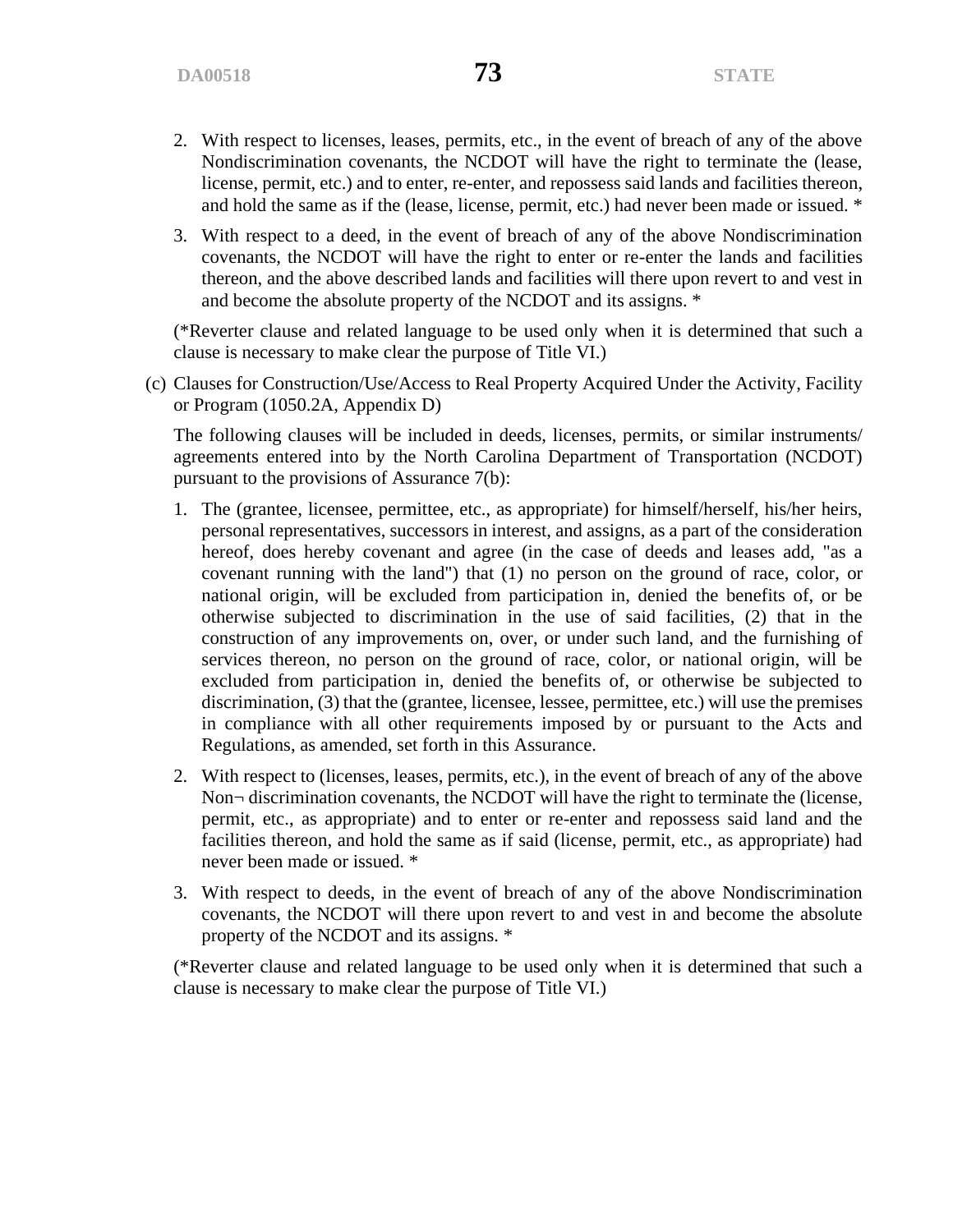- 2. With respect to licenses, leases, permits, etc., in the event of breach of any of the above Nondiscrimination covenants, the NCDOT will have the right to terminate the (lease, license, permit, etc.) and to enter, re-enter, and repossess said lands and facilities thereon, and hold the same as if the (lease, license, permit, etc.) had never been made or issued. \*
- 3. With respect to a deed, in the event of breach of any of the above Nondiscrimination covenants, the NCDOT will have the right to enter or re-enter the lands and facilities thereon, and the above described lands and facilities will there upon revert to and vest in and become the absolute property of the NCDOT and its assigns. \*

(\*Reverter clause and related language to be used only when it is determined that such a clause is necessary to make clear the purpose of Title VI.)

(c) Clauses for Construction/Use/Access to Real Property Acquired Under the Activity, Facility or Program (1050.2A, Appendix D)

The following clauses will be included in deeds, licenses, permits, or similar instruments/ agreements entered into by the North Carolina Department of Transportation (NCDOT) pursuant to the provisions of Assurance 7(b):

- 1. The (grantee, licensee, permittee, etc., as appropriate) for himself/herself, his/her heirs, personal representatives, successors in interest, and assigns, as a part of the consideration hereof, does hereby covenant and agree (in the case of deeds and leases add, "as a covenant running with the land") that (1) no person on the ground of race, color, or national origin, will be excluded from participation in, denied the benefits of, or be otherwise subjected to discrimination in the use of said facilities, (2) that in the construction of any improvements on, over, or under such land, and the furnishing of services thereon, no person on the ground of race, color, or national origin, will be excluded from participation in, denied the benefits of, or otherwise be subjected to discrimination, (3) that the (grantee, licensee, lessee, permittee, etc.) will use the premises in compliance with all other requirements imposed by or pursuant to the Acts and Regulations, as amended, set forth in this Assurance.
- 2. With respect to (licenses, leases, permits, etc.), in the event of breach of any of the above Non¬ discrimination covenants, the NCDOT will have the right to terminate the (license, permit, etc., as appropriate) and to enter or re-enter and repossess said land and the facilities thereon, and hold the same as if said (license, permit, etc., as appropriate) had never been made or issued. \*
- 3. With respect to deeds, in the event of breach of any of the above Nondiscrimination covenants, the NCDOT will there upon revert to and vest in and become the absolute property of the NCDOT and its assigns. \*

(\*Reverter clause and related language to be used only when it is determined that such a clause is necessary to make clear the purpose of Title VI.)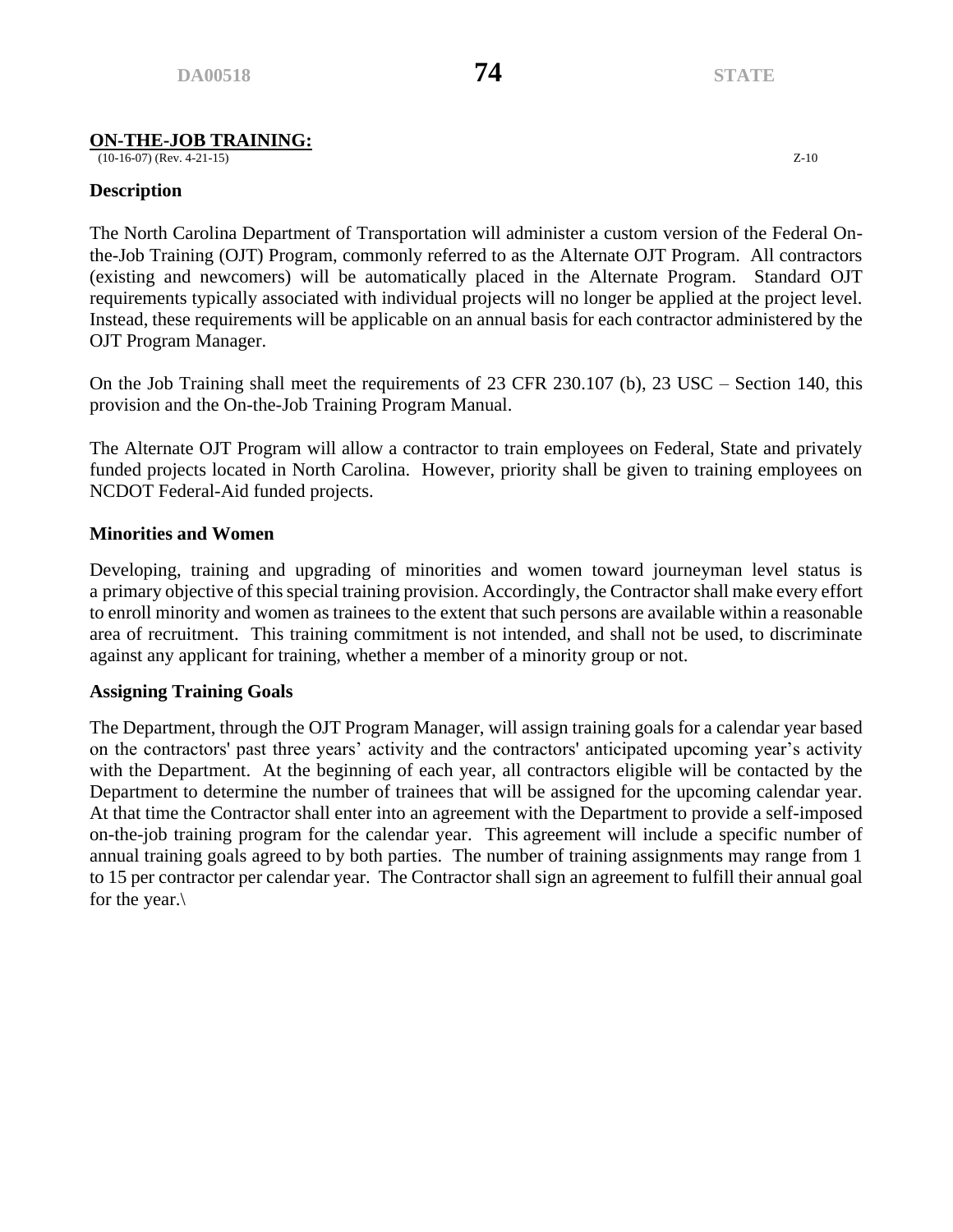# **ON-THE-JOB TRAINING:**

 $(10-16-07)$  (Rev. 4-21-15)  $Z-10$ 

### **Description**

The North Carolina Department of Transportation will administer a custom version of the Federal Onthe-Job Training (OJT) Program, commonly referred to as the Alternate OJT Program. All contractors (existing and newcomers) will be automatically placed in the Alternate Program. Standard OJT requirements typically associated with individual projects will no longer be applied at the project level. Instead, these requirements will be applicable on an annual basis for each contractor administered by the OJT Program Manager.

On the Job Training shall meet the requirements of 23 CFR 230.107 (b), 23 USC – Section 140, this provision and the On-the-Job Training Program Manual.

The Alternate OJT Program will allow a contractor to train employees on Federal, State and privately funded projects located in North Carolina. However, priority shall be given to training employees on NCDOT Federal-Aid funded projects.

# **Minorities and Women**

Developing, training and upgrading of minorities and women toward journeyman level status is a primary objective of this special training provision. Accordingly, the Contractor shall make every effort to enroll minority and women as trainees to the extent that such persons are available within a reasonable area of recruitment. This training commitment is not intended, and shall not be used, to discriminate against any applicant for training, whether a member of a minority group or not.

### **Assigning Training Goals**

The Department, through the OJT Program Manager, will assign training goals for a calendar year based on the contractors' past three years' activity and the contractors' anticipated upcoming year's activity with the Department. At the beginning of each year, all contractors eligible will be contacted by the Department to determine the number of trainees that will be assigned for the upcoming calendar year. At that time the Contractor shall enter into an agreement with the Department to provide a self-imposed on-the-job training program for the calendar year. This agreement will include a specific number of annual training goals agreed to by both parties. The number of training assignments may range from 1 to 15 per contractor per calendar year. The Contractor shall sign an agreement to fulfill their annual goal for the year.\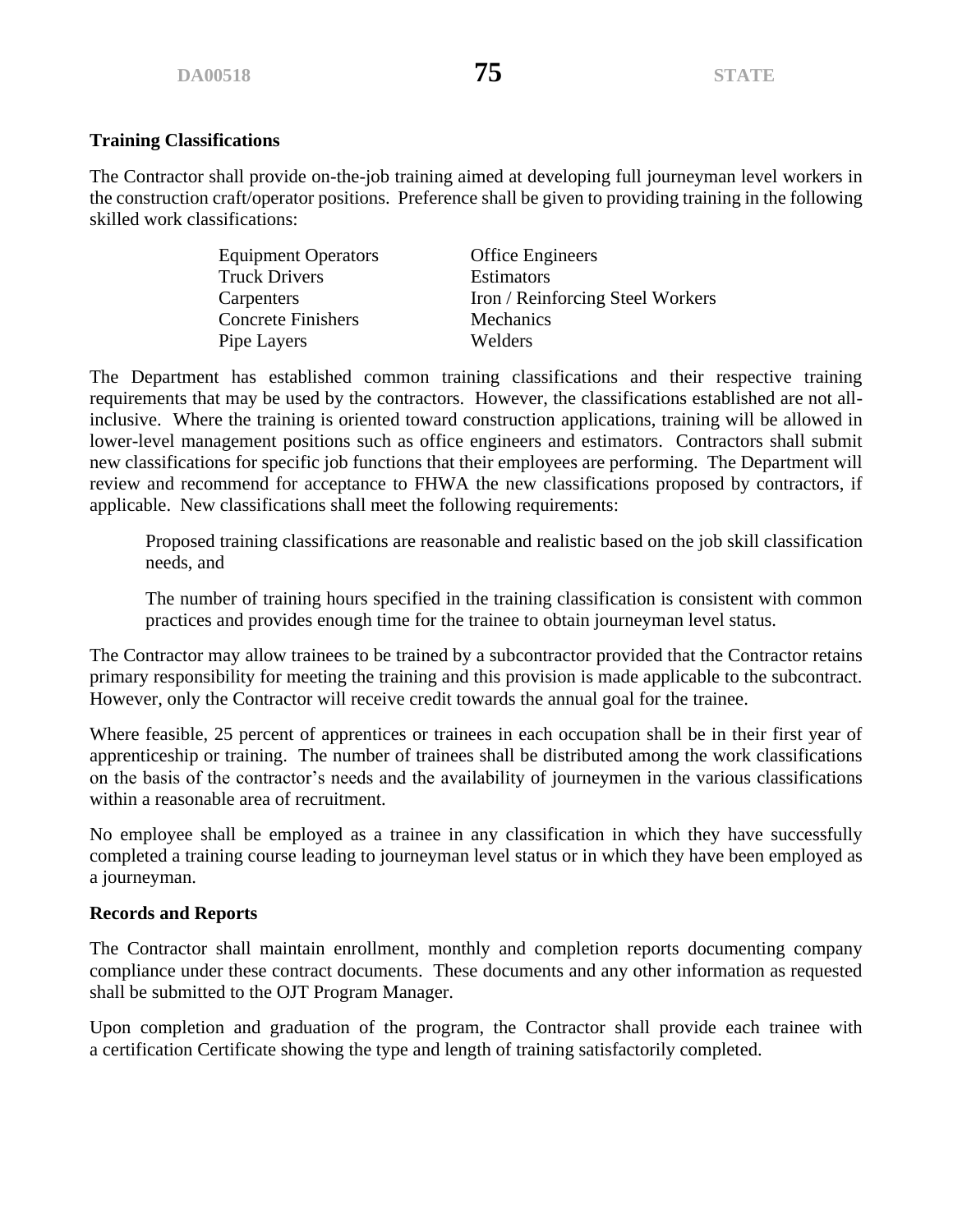# **Training Classifications**

The Contractor shall provide on-the-job training aimed at developing full journeyman level workers in the construction craft/operator positions. Preference shall be given to providing training in the following skilled work classifications:

> Equipment Operators Office Engineers Truck Drivers Estimators Concrete Finishers Mechanics Pipe Layers Welders

Carpenters Iron / Reinforcing Steel Workers

The Department has established common training classifications and their respective training requirements that may be used by the contractors. However, the classifications established are not allinclusive. Where the training is oriented toward construction applications, training will be allowed in lower-level management positions such as office engineers and estimators. Contractors shall submit new classifications for specific job functions that their employees are performing. The Department will review and recommend for acceptance to FHWA the new classifications proposed by contractors, if applicable. New classifications shall meet the following requirements:

Proposed training classifications are reasonable and realistic based on the job skill classification needs, and

The number of training hours specified in the training classification is consistent with common practices and provides enough time for the trainee to obtain journeyman level status.

The Contractor may allow trainees to be trained by a subcontractor provided that the Contractor retains primary responsibility for meeting the training and this provision is made applicable to the subcontract. However, only the Contractor will receive credit towards the annual goal for the trainee.

Where feasible, 25 percent of apprentices or trainees in each occupation shall be in their first year of apprenticeship or training. The number of trainees shall be distributed among the work classifications on the basis of the contractor's needs and the availability of journeymen in the various classifications within a reasonable area of recruitment.

No employee shall be employed as a trainee in any classification in which they have successfully completed a training course leading to journeyman level status or in which they have been employed as a journeyman.

### **Records and Reports**

The Contractor shall maintain enrollment, monthly and completion reports documenting company compliance under these contract documents. These documents and any other information as requested shall be submitted to the OJT Program Manager.

Upon completion and graduation of the program, the Contractor shall provide each trainee with a certification Certificate showing the type and length of training satisfactorily completed.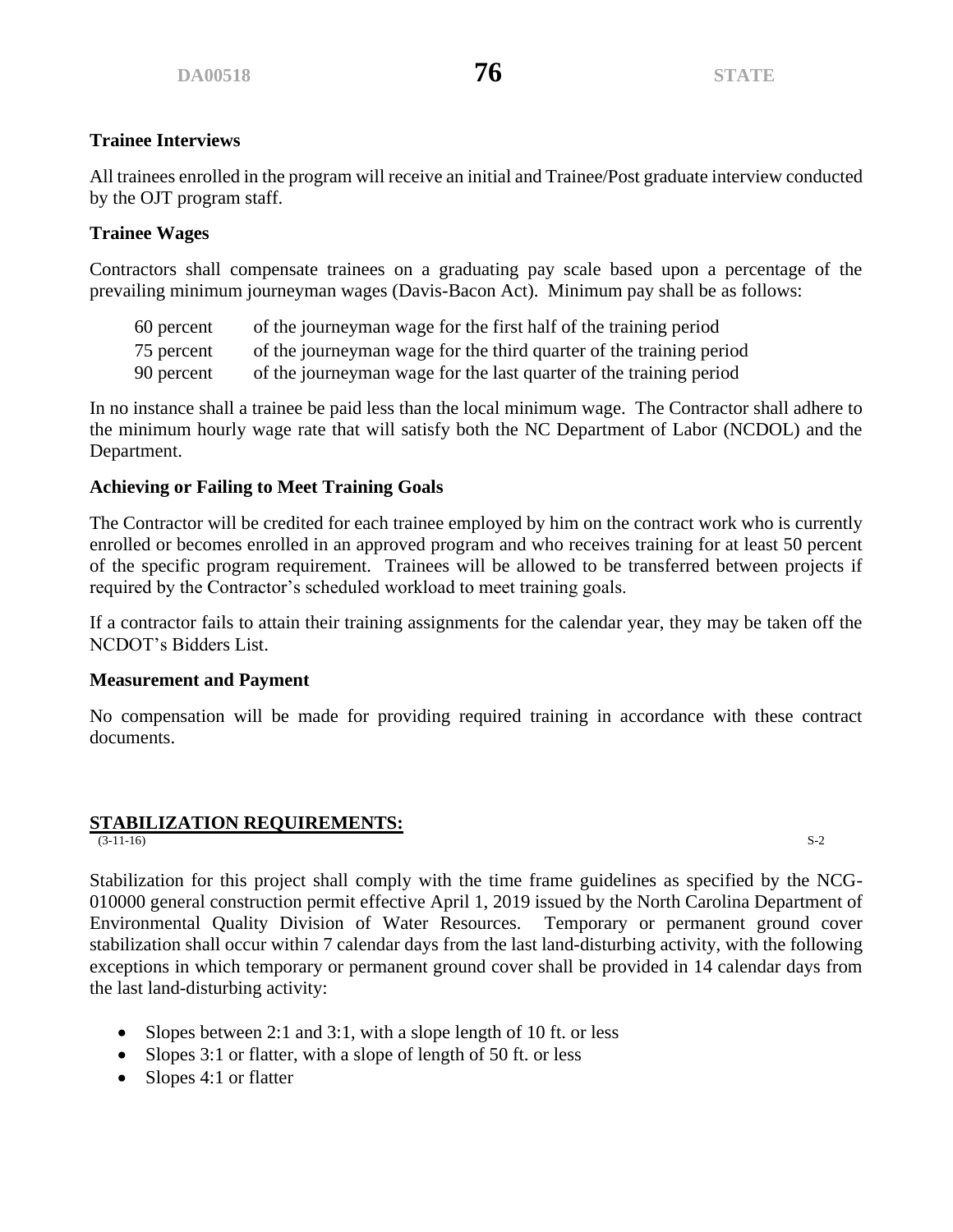# **Trainee Interviews**

All trainees enrolled in the program will receive an initial and Trainee/Post graduate interview conducted by the OJT program staff.

# **Trainee Wages**

Contractors shall compensate trainees on a graduating pay scale based upon a percentage of the prevailing minimum journeyman wages (Davis-Bacon Act). Minimum pay shall be as follows:

| of the journeyman wage for the first half of the training period |
|------------------------------------------------------------------|
|                                                                  |

- 75 percent of the journeyman wage for the third quarter of the training period
- 90 percent of the journeyman wage for the last quarter of the training period

In no instance shall a trainee be paid less than the local minimum wage. The Contractor shall adhere to the minimum hourly wage rate that will satisfy both the NC Department of Labor (NCDOL) and the Department.

# **Achieving or Failing to Meet Training Goals**

The Contractor will be credited for each trainee employed by him on the contract work who is currently enrolled or becomes enrolled in an approved program and who receives training for at least 50 percent of the specific program requirement. Trainees will be allowed to be transferred between projects if required by the Contractor's scheduled workload to meet training goals.

If a contractor fails to attain their training assignments for the calendar year, they may be taken off the NCDOT's Bidders List.

### **Measurement and Payment**

No compensation will be made for providing required training in accordance with these contract documents.

# **STABILIZATION REQUIREMENTS:**<br>(3-11-16)

 $(S-11-16)$   $S-2$ 

Stabilization for this project shall comply with the time frame guidelines as specified by the NCG-010000 general construction permit effective April 1, 2019 issued by the North Carolina Department of Environmental Quality Division of Water Resources. Temporary or permanent ground cover stabilization shall occur within 7 calendar days from the last land-disturbing activity, with the following exceptions in which temporary or permanent ground cover shall be provided in 14 calendar days from the last land-disturbing activity:

- Slopes between 2:1 and 3:1, with a slope length of 10 ft. or less
- Slopes 3:1 or flatter, with a slope of length of 50 ft. or less
- Slopes 4:1 or flatter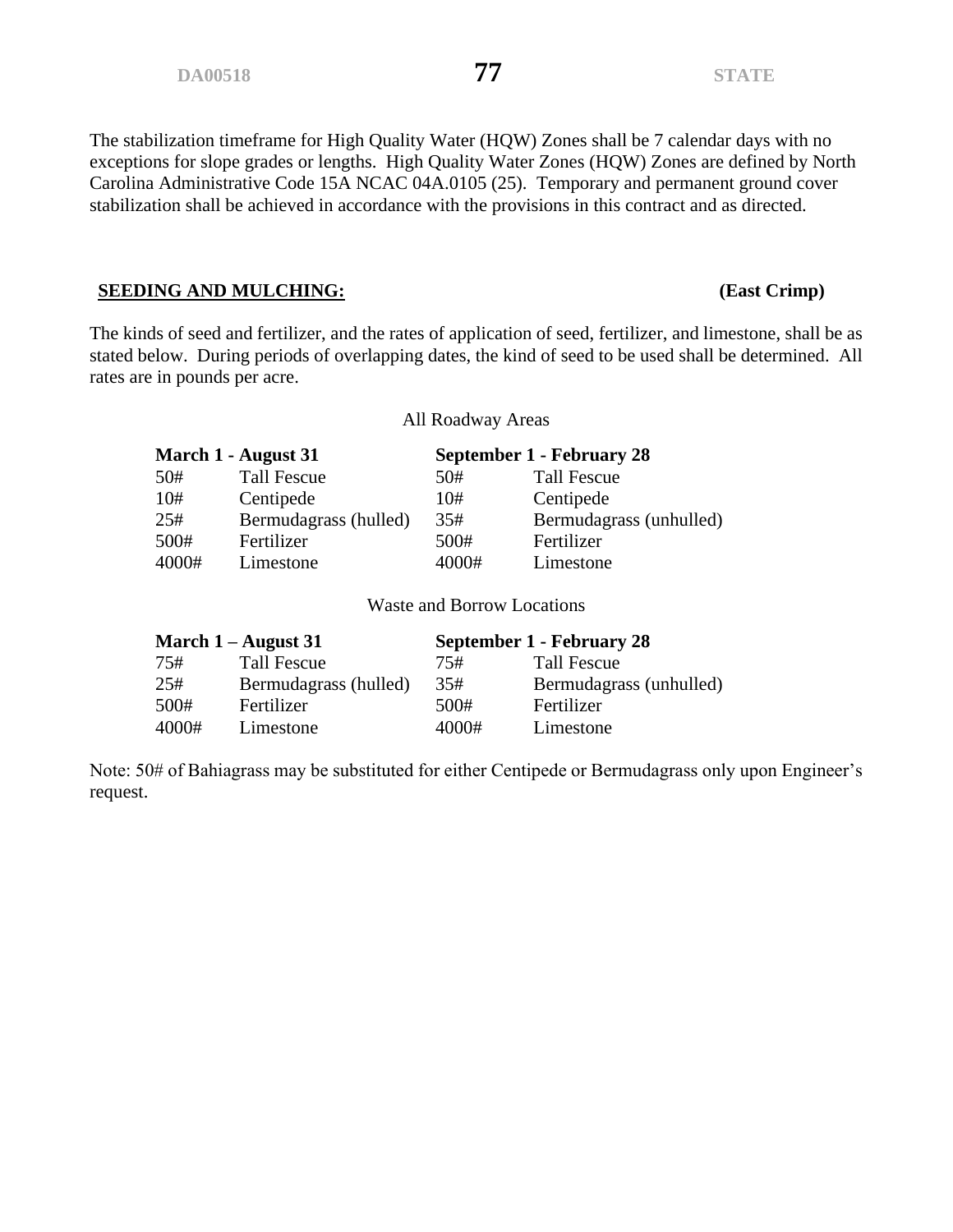The stabilization timeframe for High Quality Water (HQW) Zones shall be 7 calendar days with no exceptions for slope grades or lengths. High Quality Water Zones (HQW) Zones are defined by North Carolina Administrative Code 15A NCAC 04A.0105 (25). Temporary and permanent ground cover stabilization shall be achieved in accordance with the provisions in this contract and as directed.

### **SEEDING AND MULCHING: (East Crimp)**

The kinds of seed and fertilizer, and the rates of application of seed, fertilizer, and limestone, shall be as stated below. During periods of overlapping dates, the kind of seed to be used shall be determined. All rates are in pounds per acre.

All Roadway Areas

| March 1 - August 31 |                       | September 1 - February 28 |                         |
|---------------------|-----------------------|---------------------------|-------------------------|
| 50#                 | <b>Tall Fescue</b>    | 50#                       | <b>Tall Fescue</b>      |
| 10#                 | Centipede             | 10#                       | Centipede               |
| 25#                 | Bermudagrass (hulled) | 35#                       | Bermudagrass (unhulled) |
| 500#                | Fertilizer            | 500#                      | Fertilizer              |
| 4000#               | Limestone             | 4000#                     | Limestone               |

Waste and Borrow Locations

| March $1 -$ August 31 |                       | September 1 - February 28 |                         |
|-----------------------|-----------------------|---------------------------|-------------------------|
| 75#                   | Tall Fescue           | 75#                       | <b>Tall Fescue</b>      |
| 25#                   | Bermudagrass (hulled) | 35#                       | Bermudagrass (unhulled) |
| 500#                  | Fertilizer            | 500#                      | Fertilizer              |
| 4000#                 | Limestone             | 4000#                     | Limestone               |

Note: 50# of Bahiagrass may be substituted for either Centipede or Bermudagrass only upon Engineer's request.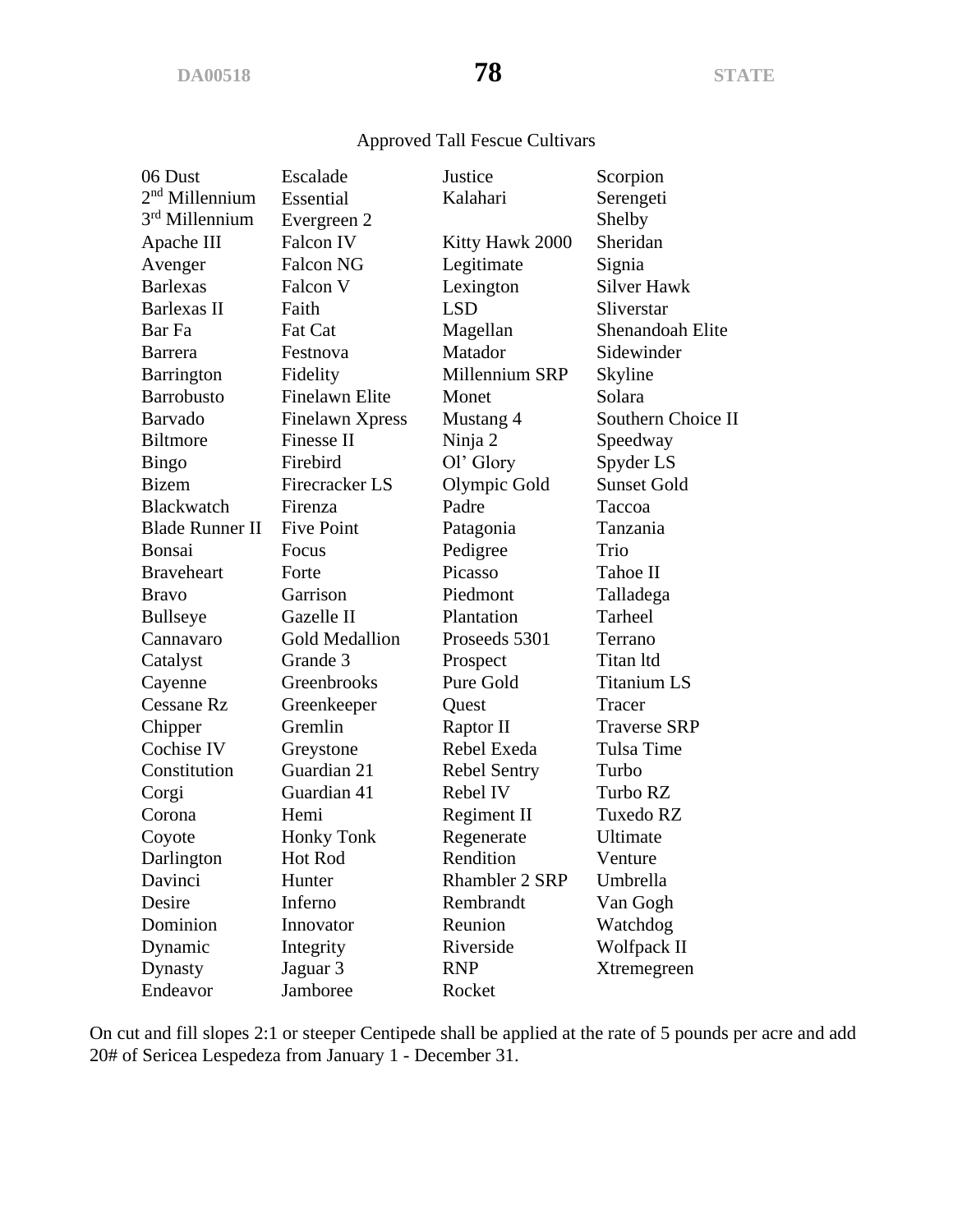# Approved Tall Fescue Cultivars

| 06 Dust                | Escalade               | Justice         | Scorpion            |
|------------------------|------------------------|-----------------|---------------------|
| $2nd$ Millennium       | Essential              | Kalahari        | Serengeti           |
| 3rd Millennium         | Evergreen 2            |                 | Shelby              |
| Apache III             | Falcon IV              | Kitty Hawk 2000 | Sheridan            |
| Avenger                | <b>Falcon NG</b>       | Legitimate      | Signia              |
| <b>Barlexas</b>        | Falcon V               | Lexington       | <b>Silver Hawk</b>  |
| Barlexas II            | Faith                  | <b>LSD</b>      | Sliverstar          |
| Bar Fa                 | <b>Fat Cat</b>         | Magellan        | Shenandoah Elite    |
| <b>Barrera</b>         | Festnova               | Matador         | Sidewinder          |
| Barrington             | Fidelity               | Millennium SRP  | Skyline             |
| <b>Barrobusto</b>      | <b>Finelawn Elite</b>  | Monet           | Solara              |
| Barvado                | <b>Finelawn Xpress</b> | Mustang 4       | Southern Choice II  |
| <b>Biltmore</b>        | Finesse II             | Ninja 2         | Speedway            |
| <b>Bingo</b>           | Firebird               | Ol' Glory       | Spyder LS           |
| <b>Bizem</b>           | Firecracker LS         | Olympic Gold    | <b>Sunset Gold</b>  |
| <b>Blackwatch</b>      | Firenza                | Padre           | Taccoa              |
| <b>Blade Runner II</b> | <b>Five Point</b>      | Patagonia       | Tanzania            |
| Bonsai                 | Focus                  | Pedigree        | Trio                |
| <b>Braveheart</b>      | Forte                  | Picasso         | Tahoe II            |
| <b>Bravo</b>           | Garrison               | Piedmont        | Talladega           |
| <b>Bullseye</b>        | Gazelle II             | Plantation      | Tarheel             |
| Cannavaro              | <b>Gold Medallion</b>  | Proseeds 5301   | Terrano             |
| Catalyst               | Grande 3               | Prospect        | Titan Itd           |
| Cayenne                | Greenbrooks            | Pure Gold       | <b>Titanium LS</b>  |
| <b>Cessane Rz</b>      | Greenkeeper            | Quest           | Tracer              |
| Chipper                | Gremlin                | Raptor II       | <b>Traverse SRP</b> |
| Cochise IV             | Greystone              | Rebel Exeda     | Tulsa Time          |
| Constitution           | Guardian 21            | Rebel Sentry    | Turbo               |
| Corgi                  | Guardian 41            | Rebel IV        | Turbo RZ            |
| Corona                 | Hemi                   | Regiment II     | Tuxedo RZ           |
| Coyote                 | <b>Honky Tonk</b>      | Regenerate      | Ultimate            |
| Darlington             | Hot Rod                | Rendition       | Venture             |
| Davinci                | Hunter                 | Rhambler 2 SRP  | Umbrella            |
| Desire                 | Inferno                | Rembrandt       | Van Gogh            |
| Dominion               | Innovator              | Reunion         | Watchdog            |
| Dynamic                | Integrity              | Riverside       | Wolfpack II         |
| Dynasty                | Jaguar 3               | <b>RNP</b>      | Xtremegreen         |
| Endeavor               | Jamboree               | Rocket          |                     |

On cut and fill slopes 2:1 or steeper Centipede shall be applied at the rate of 5 pounds per acre and add 20# of Sericea Lespedeza from January 1 - December 31.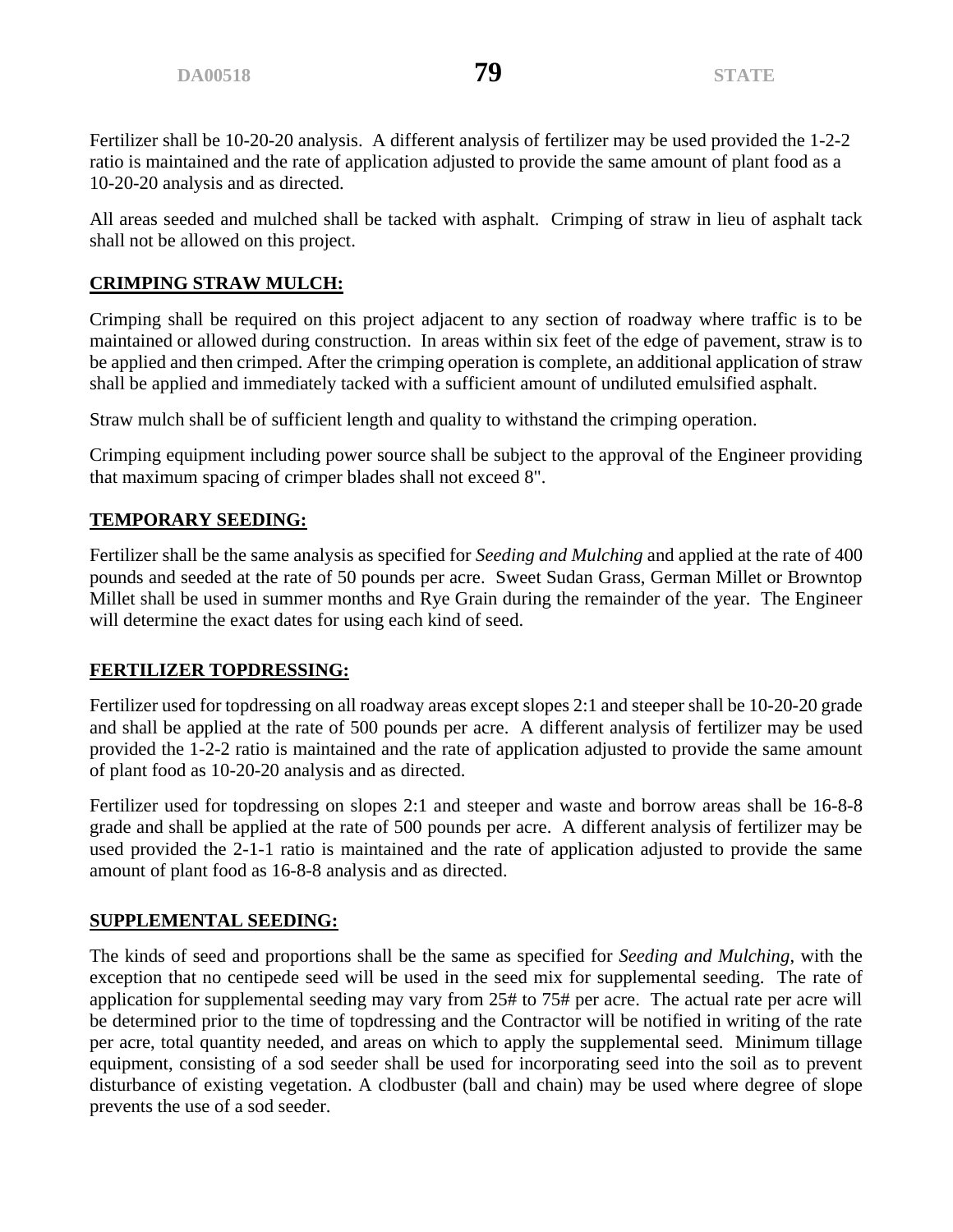Fertilizer shall be 10-20-20 analysis. A different analysis of fertilizer may be used provided the 1-2-2 ratio is maintained and the rate of application adjusted to provide the same amount of plant food as a 10-20-20 analysis and as directed.

All areas seeded and mulched shall be tacked with asphalt. Crimping of straw in lieu of asphalt tack shall not be allowed on this project.

# **CRIMPING STRAW MULCH:**

Crimping shall be required on this project adjacent to any section of roadway where traffic is to be maintained or allowed during construction. In areas within six feet of the edge of pavement, straw is to be applied and then crimped. After the crimping operation is complete, an additional application of straw shall be applied and immediately tacked with a sufficient amount of undiluted emulsified asphalt.

Straw mulch shall be of sufficient length and quality to withstand the crimping operation.

Crimping equipment including power source shall be subject to the approval of the Engineer providing that maximum spacing of crimper blades shall not exceed 8".

# **TEMPORARY SEEDING:**

Fertilizer shall be the same analysis as specified for *Seeding and Mulching* and applied at the rate of 400 pounds and seeded at the rate of 50 pounds per acre. Sweet Sudan Grass, German Millet or Browntop Millet shall be used in summer months and Rye Grain during the remainder of the year. The Engineer will determine the exact dates for using each kind of seed.

# **FERTILIZER TOPDRESSING:**

Fertilizer used for topdressing on all roadway areas except slopes 2:1 and steeper shall be 10-20-20 grade and shall be applied at the rate of 500 pounds per acre. A different analysis of fertilizer may be used provided the 1-2-2 ratio is maintained and the rate of application adjusted to provide the same amount of plant food as 10-20-20 analysis and as directed.

Fertilizer used for topdressing on slopes 2:1 and steeper and waste and borrow areas shall be 16-8-8 grade and shall be applied at the rate of 500 pounds per acre. A different analysis of fertilizer may be used provided the 2-1-1 ratio is maintained and the rate of application adjusted to provide the same amount of plant food as 16-8-8 analysis and as directed.

# **SUPPLEMENTAL SEEDING:**

The kinds of seed and proportions shall be the same as specified for *Seeding and Mulching*, with the exception that no centipede seed will be used in the seed mix for supplemental seeding. The rate of application for supplemental seeding may vary from 25# to 75# per acre. The actual rate per acre will be determined prior to the time of topdressing and the Contractor will be notified in writing of the rate per acre, total quantity needed, and areas on which to apply the supplemental seed. Minimum tillage equipment, consisting of a sod seeder shall be used for incorporating seed into the soil as to prevent disturbance of existing vegetation. A clodbuster (ball and chain) may be used where degree of slope prevents the use of a sod seeder.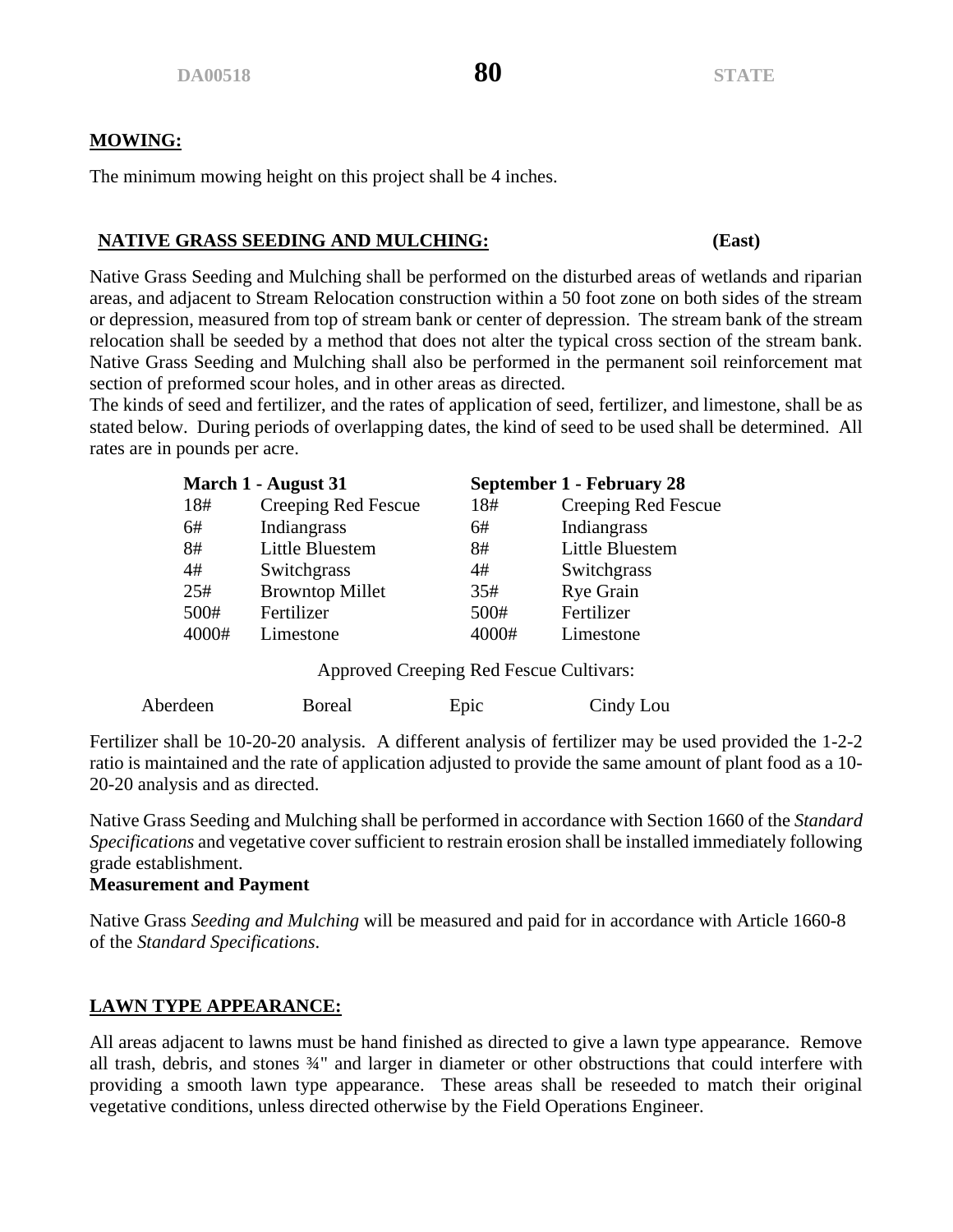# **MOWING:**

The minimum mowing height on this project shall be 4 inches.

# **NATIVE GRASS SEEDING AND MULCHING: (East)**

Native Grass Seeding and Mulching shall be performed on the disturbed areas of wetlands and riparian areas, and adjacent to Stream Relocation construction within a 50 foot zone on both sides of the stream or depression, measured from top of stream bank or center of depression. The stream bank of the stream relocation shall be seeded by a method that does not alter the typical cross section of the stream bank. Native Grass Seeding and Mulching shall also be performed in the permanent soil reinforcement mat section of preformed scour holes, and in other areas as directed.

The kinds of seed and fertilizer, and the rates of application of seed, fertilizer, and limestone, shall be as stated below. During periods of overlapping dates, the kind of seed to be used shall be determined. All rates are in pounds per acre.

|       | March 1 - August 31    |       | September 1 - February 28 |
|-------|------------------------|-------|---------------------------|
| 18#   | Creeping Red Fescue    | 18#   | Creeping Red Fescue       |
| 6#    | Indiangrass            | 6#    | Indiangrass               |
| 8#    | Little Bluestem        | 8#    | Little Bluestem           |
| 4#    | Switchgrass            | 4#    | Switchgrass               |
| 25#   | <b>Browntop Millet</b> | 35#   | <b>Rye Grain</b>          |
| 500#  | Fertilizer             | 500#  | Fertilizer                |
| 4000# | Limestone              | 4000# | Limestone                 |

Approved Creeping Red Fescue Cultivars:

| Aberdeen | <b>Boreal</b> | Epic | Cindy Lou |
|----------|---------------|------|-----------|
|          |               |      |           |

Fertilizer shall be 10-20-20 analysis. A different analysis of fertilizer may be used provided the 1-2-2 ratio is maintained and the rate of application adjusted to provide the same amount of plant food as a 10- 20-20 analysis and as directed.

Native Grass Seeding and Mulching shall be performed in accordance with Section 1660 of the *Standard Specifications* and vegetative cover sufficient to restrain erosion shall be installed immediately following grade establishment.

# **Measurement and Payment**

Native Grass *Seeding and Mulching* will be measured and paid for in accordance with Article 1660-8 of the *Standard Specifications*.

# **LAWN TYPE APPEARANCE:**

All areas adjacent to lawns must be hand finished as directed to give a lawn type appearance. Remove all trash, debris, and stones ¾" and larger in diameter or other obstructions that could interfere with providing a smooth lawn type appearance. These areas shall be reseeded to match their original vegetative conditions, unless directed otherwise by the Field Operations Engineer.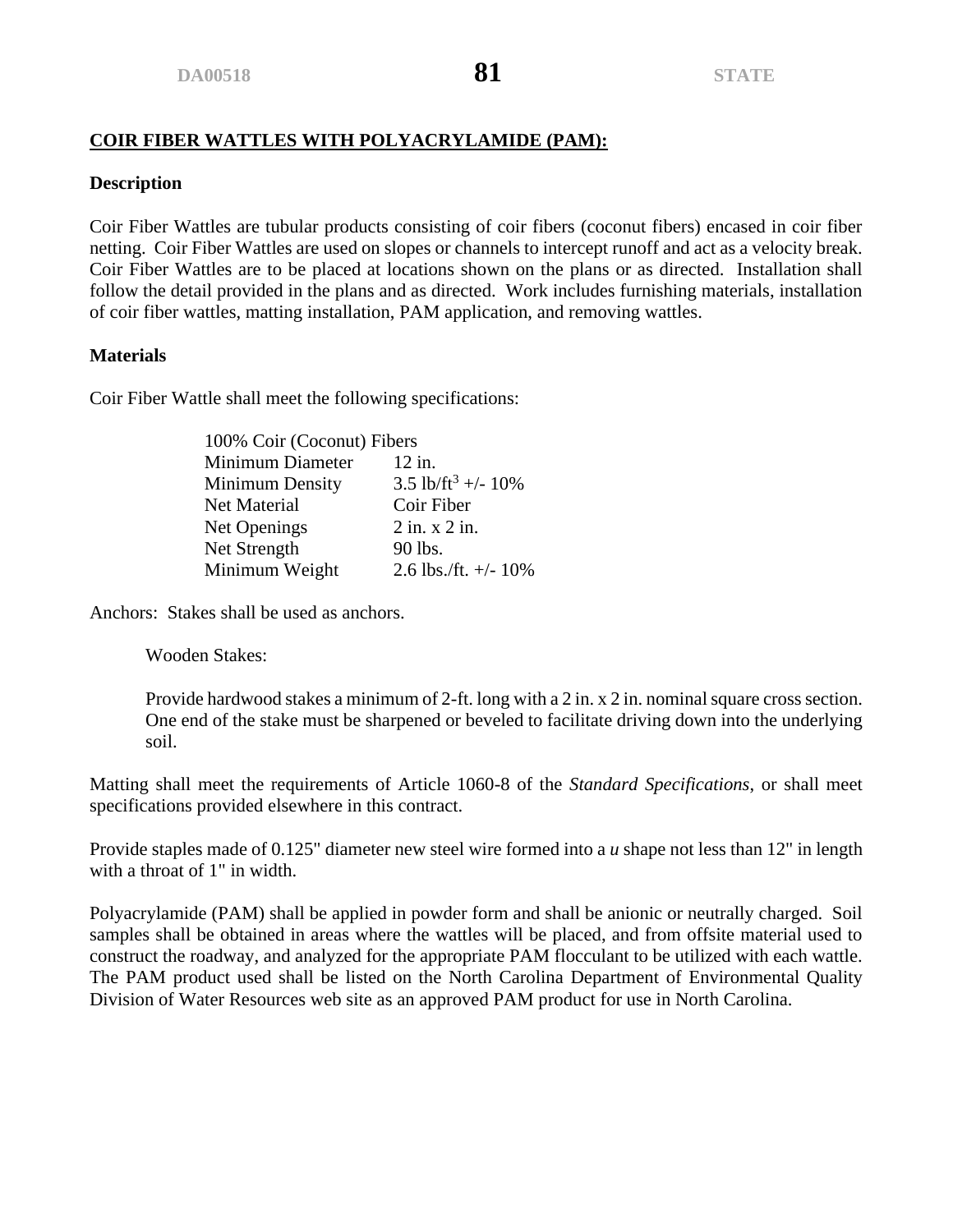# **COIR FIBER WATTLES WITH POLYACRYLAMIDE (PAM):**

#### **Description**

Coir Fiber Wattles are tubular products consisting of coir fibers (coconut fibers) encased in coir fiber netting. Coir Fiber Wattles are used on slopes or channels to intercept runoff and act as a velocity break. Coir Fiber Wattles are to be placed at locations shown on the plans or as directed. Installation shall follow the detail provided in the plans and as directed. Work includes furnishing materials, installation of coir fiber wattles, matting installation, PAM application, and removing wattles.

### **Materials**

Coir Fiber Wattle shall meet the following specifications:

| 100% Coir (Coconut) Fibers |                                |  |
|----------------------------|--------------------------------|--|
| <b>Minimum Diameter</b>    | 12 in.                         |  |
| <b>Minimum Density</b>     | 3.5 lb/ft <sup>3</sup> +/- 10% |  |
| Net Material               | Coir Fiber                     |  |
| Net Openings               | $2$ in. $x$ $2$ in.            |  |
| Net Strength               | 90 lbs.                        |  |
| Minimum Weight             | 2.6 lbs./ft. $+/- 10\%$        |  |

Anchors: Stakes shall be used as anchors.

Wooden Stakes:

Provide hardwood stakes a minimum of 2-ft. long with a 2 in. x 2 in. nominal square cross section. One end of the stake must be sharpened or beveled to facilitate driving down into the underlying soil.

Matting shall meet the requirements of Article 1060-8 of the *Standard Specifications*, or shall meet specifications provided elsewhere in this contract.

Provide staples made of 0.125" diameter new steel wire formed into a *u* shape not less than 12" in length with a throat of 1" in width.

Polyacrylamide (PAM) shall be applied in powder form and shall be anionic or neutrally charged. Soil samples shall be obtained in areas where the wattles will be placed, and from offsite material used to construct the roadway, and analyzed for the appropriate PAM flocculant to be utilized with each wattle. The PAM product used shall be listed on the North Carolina Department of Environmental Quality Division of Water Resources web site as an approved PAM product for use in North Carolina.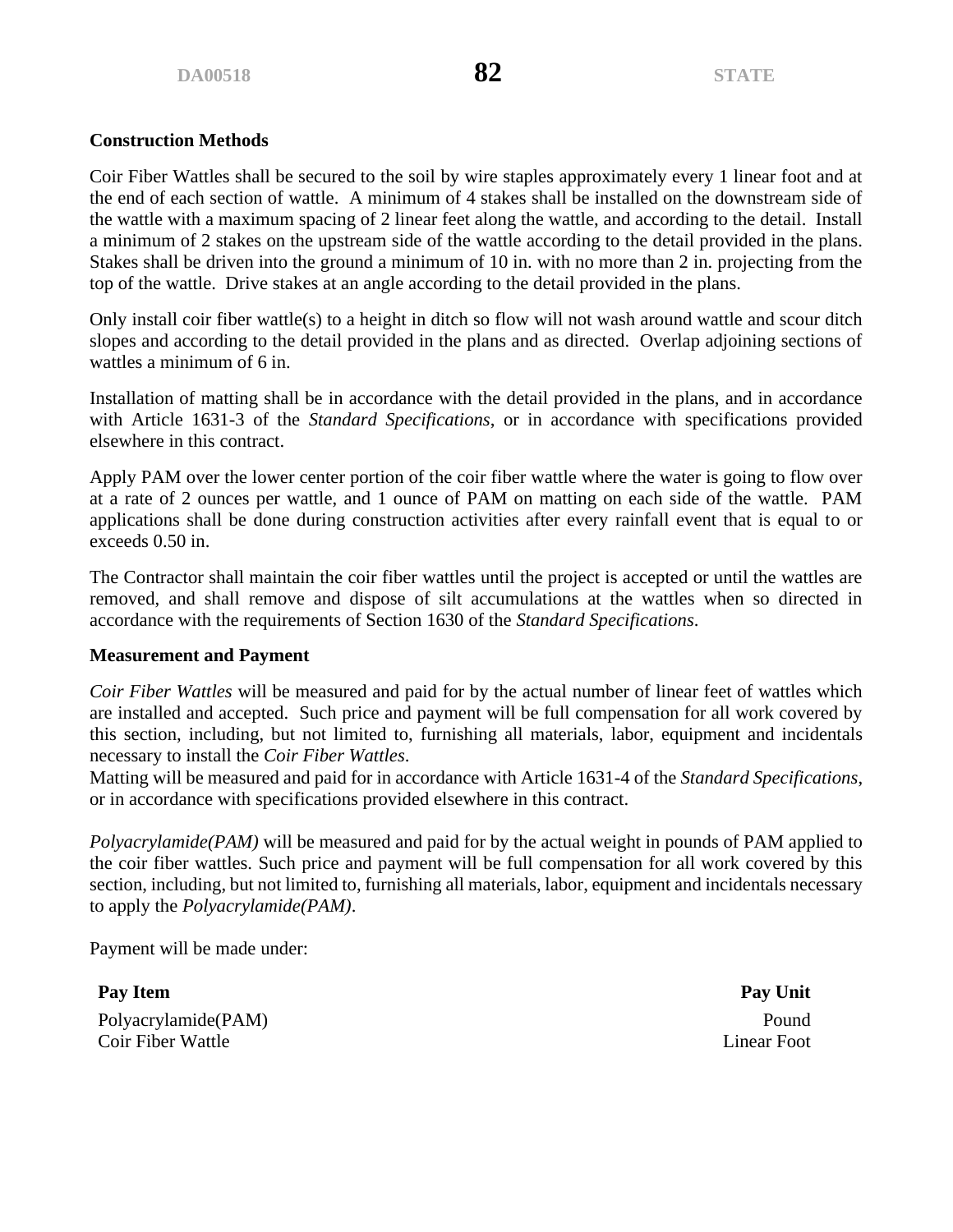Coir Fiber Wattles shall be secured to the soil by wire staples approximately every 1 linear foot and at the end of each section of wattle. A minimum of 4 stakes shall be installed on the downstream side of the wattle with a maximum spacing of 2 linear feet along the wattle, and according to the detail. Install a minimum of 2 stakes on the upstream side of the wattle according to the detail provided in the plans. Stakes shall be driven into the ground a minimum of 10 in. with no more than 2 in. projecting from the top of the wattle. Drive stakes at an angle according to the detail provided in the plans.

Only install coir fiber wattle(s) to a height in ditch so flow will not wash around wattle and scour ditch slopes and according to the detail provided in the plans and as directed. Overlap adjoining sections of wattles a minimum of 6 in.

Installation of matting shall be in accordance with the detail provided in the plans, and in accordance with Article 1631-3 of the *Standard Specifications*, or in accordance with specifications provided elsewhere in this contract.

Apply PAM over the lower center portion of the coir fiber wattle where the water is going to flow over at a rate of 2 ounces per wattle, and 1 ounce of PAM on matting on each side of the wattle. PAM applications shall be done during construction activities after every rainfall event that is equal to or exceeds 0.50 in.

The Contractor shall maintain the coir fiber wattles until the project is accepted or until the wattles are removed, and shall remove and dispose of silt accumulations at the wattles when so directed in accordance with the requirements of Section 1630 of the *Standard Specifications*.

### **Measurement and Payment**

*Coir Fiber Wattles* will be measured and paid for by the actual number of linear feet of wattles which are installed and accepted. Such price and payment will be full compensation for all work covered by this section, including, but not limited to, furnishing all materials, labor, equipment and incidentals necessary to install the *Coir Fiber Wattles*.

Matting will be measured and paid for in accordance with Article 1631-4 of the *Standard Specifications*, or in accordance with specifications provided elsewhere in this contract.

*Polyacrylamide(PAM)* will be measured and paid for by the actual weight in pounds of PAM applied to the coir fiber wattles. Such price and payment will be full compensation for all work covered by this section, including, but not limited to, furnishing all materials, labor, equipment and incidentals necessary to apply the *Polyacrylamide(PAM)*.

Payment will be made under:

Polyacrylamide(PAM) Pound **Coir Fiber Wattle Linear Foot** Linear Foot

**Pay Item Pay Unit**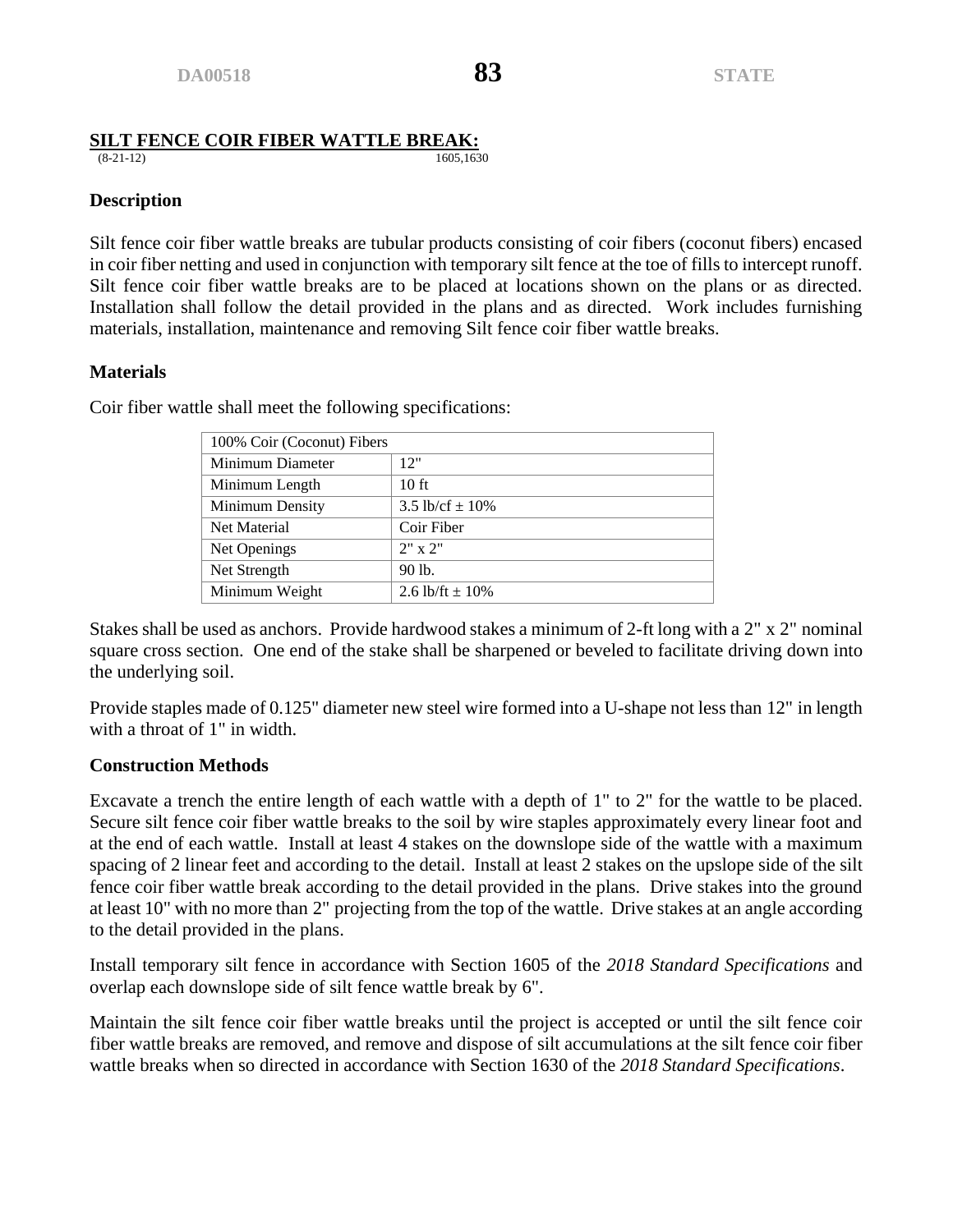# **SILT FENCE COIR FIBER WATTLE BREAK:**<br>(8-21-12)<br>1605.1630

(8-21-12) 1605,1630

# **Description**

Silt fence coir fiber wattle breaks are tubular products consisting of coir fibers (coconut fibers) encased in coir fiber netting and used in conjunction with temporary silt fence at the toe of fills to intercept runoff. Silt fence coir fiber wattle breaks are to be placed at locations shown on the plans or as directed. Installation shall follow the detail provided in the plans and as directed. Work includes furnishing materials, installation, maintenance and removing Silt fence coir fiber wattle breaks.

# **Materials**

| 100% Coir (Coconut) Fibers |                     |  |
|----------------------------|---------------------|--|
| Minimum Diameter           | 12"                 |  |
| Minimum Length             | 10 <sub>ft</sub>    |  |
| Minimum Density            | 3.5 lb/cf $\pm$ 10% |  |
| Net Material               | Coir Fiber          |  |
| Net Openings               | $2" \times 2"$      |  |
| Net Strength               | 90 lb.              |  |
| Minimum Weight             | 2.6 lb/ft $\pm$ 10% |  |

Coir fiber wattle shall meet the following specifications:

Stakes shall be used as anchors. Provide hardwood stakes a minimum of 2-ft long with a 2" x 2" nominal square cross section. One end of the stake shall be sharpened or beveled to facilitate driving down into the underlying soil.

Provide staples made of 0.125" diameter new steel wire formed into a U-shape not less than 12" in length with a throat of 1" in width.

### **Construction Methods**

Excavate a trench the entire length of each wattle with a depth of 1" to 2" for the wattle to be placed. Secure silt fence coir fiber wattle breaks to the soil by wire staples approximately every linear foot and at the end of each wattle. Install at least 4 stakes on the downslope side of the wattle with a maximum spacing of 2 linear feet and according to the detail. Install at least 2 stakes on the upslope side of the silt fence coir fiber wattle break according to the detail provided in the plans. Drive stakes into the ground at least 10" with no more than 2" projecting from the top of the wattle. Drive stakes at an angle according to the detail provided in the plans.

Install temporary silt fence in accordance with Section 1605 of the *2018 Standard Specifications* and overlap each downslope side of silt fence wattle break by 6".

Maintain the silt fence coir fiber wattle breaks until the project is accepted or until the silt fence coir fiber wattle breaks are removed, and remove and dispose of silt accumulations at the silt fence coir fiber wattle breaks when so directed in accordance with Section 1630 of the *2018 Standard Specifications*.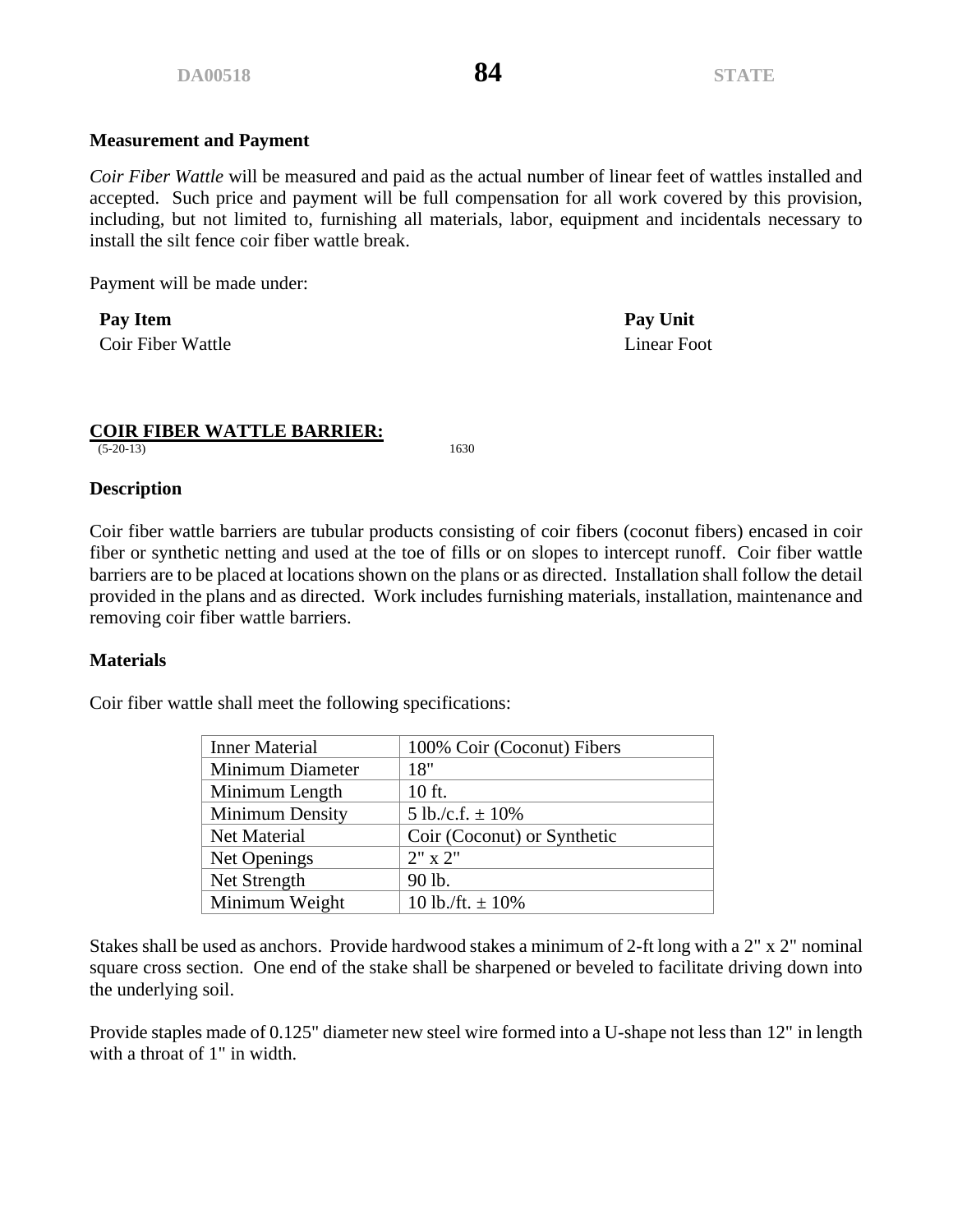### **Measurement and Payment**

*Coir Fiber Wattle* will be measured and paid as the actual number of linear feet of wattles installed and accepted. Such price and payment will be full compensation for all work covered by this provision, including, but not limited to, furnishing all materials, labor, equipment and incidentals necessary to install the silt fence coir fiber wattle break.

Payment will be made under:

**Pay Item Pay Unit** Coir Fiber Wattle Linear Foot

### **COIR FIBER WATTLE BARRIER:**

(5-20-13) 1630

#### **Description**

Coir fiber wattle barriers are tubular products consisting of coir fibers (coconut fibers) encased in coir fiber or synthetic netting and used at the toe of fills or on slopes to intercept runoff. Coir fiber wattle barriers are to be placed at locations shown on the plans or as directed. Installation shall follow the detail provided in the plans and as directed. Work includes furnishing materials, installation, maintenance and removing coir fiber wattle barriers.

### **Materials**

Coir fiber wattle shall meet the following specifications:

| <b>Inner Material</b> | 100% Coir (Coconut) Fibers  |
|-----------------------|-----------------------------|
| Minimum Diameter      | 18"                         |
| Minimum Length        | 10 ft.                      |
| Minimum Density       | 5 lb./c.f. $\pm$ 10%        |
| Net Material          | Coir (Coconut) or Synthetic |
| Net Openings          | $2" \times 2"$              |
| Net Strength          | 90 lb.                      |
| Minimum Weight        | 10 lb./ft. $\pm$ 10%        |

Stakes shall be used as anchors. Provide hardwood stakes a minimum of 2-ft long with a 2" x 2" nominal square cross section. One end of the stake shall be sharpened or beveled to facilitate driving down into the underlying soil.

Provide staples made of 0.125" diameter new steel wire formed into a U-shape not less than 12" in length with a throat of 1" in width.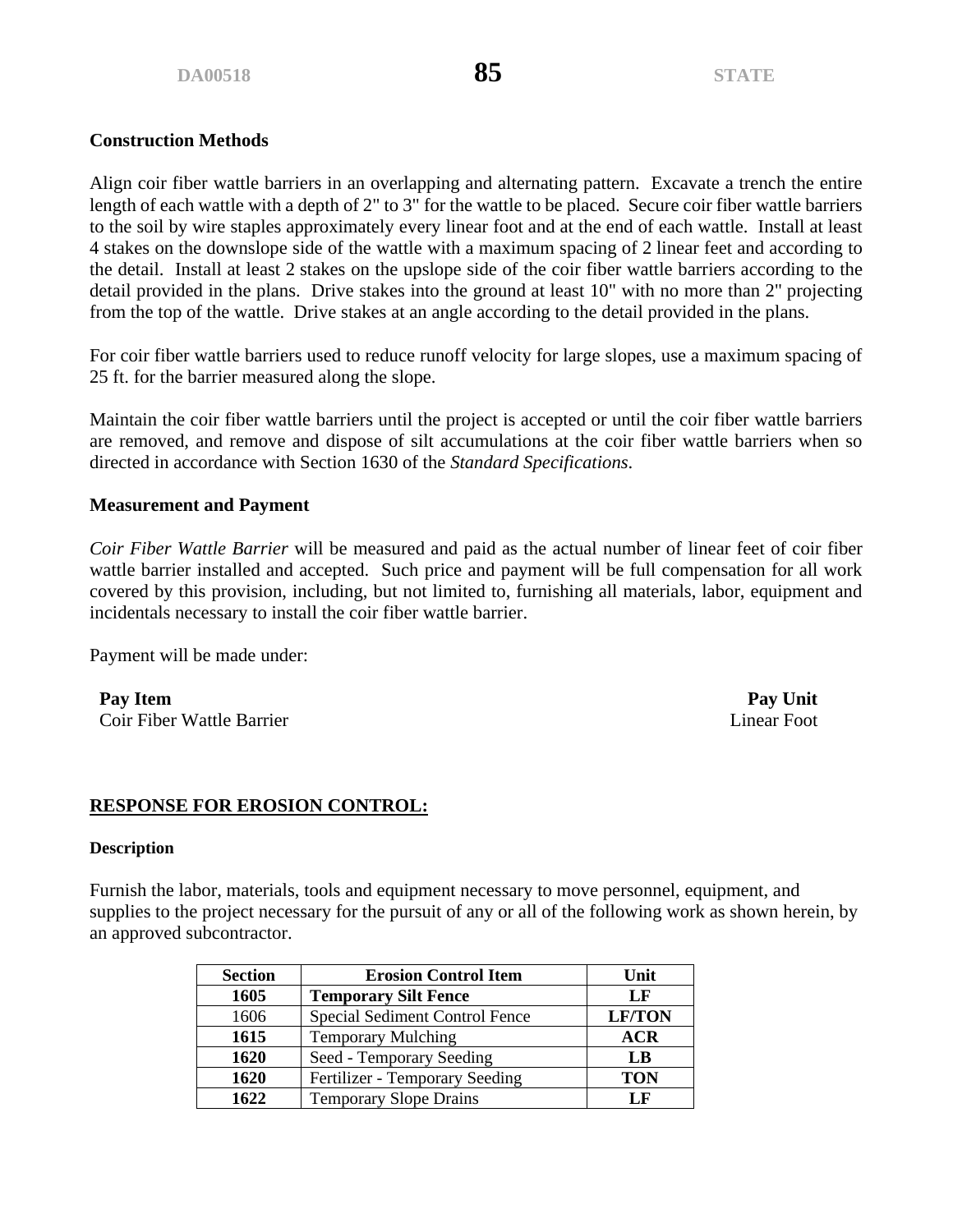Align coir fiber wattle barriers in an overlapping and alternating pattern. Excavate a trench the entire length of each wattle with a depth of 2" to 3" for the wattle to be placed. Secure coir fiber wattle barriers to the soil by wire staples approximately every linear foot and at the end of each wattle. Install at least 4 stakes on the downslope side of the wattle with a maximum spacing of 2 linear feet and according to the detail. Install at least 2 stakes on the upslope side of the coir fiber wattle barriers according to the detail provided in the plans. Drive stakes into the ground at least 10" with no more than 2" projecting from the top of the wattle. Drive stakes at an angle according to the detail provided in the plans.

For coir fiber wattle barriers used to reduce runoff velocity for large slopes, use a maximum spacing of 25 ft. for the barrier measured along the slope.

Maintain the coir fiber wattle barriers until the project is accepted or until the coir fiber wattle barriers are removed, and remove and dispose of silt accumulations at the coir fiber wattle barriers when so directed in accordance with Section 1630 of the *Standard Specifications*.

### **Measurement and Payment**

*Coir Fiber Wattle Barrier* will be measured and paid as the actual number of linear feet of coir fiber wattle barrier installed and accepted. Such price and payment will be full compensation for all work covered by this provision, including, but not limited to, furnishing all materials, labor, equipment and incidentals necessary to install the coir fiber wattle barrier.

Payment will be made under:

**Pay Item Pay Unit** Coir Fiber Wattle Barrier Linear Foot

### **RESPONSE FOR EROSION CONTROL:**

#### **Description**

Furnish the labor, materials, tools and equipment necessary to move personnel, equipment, and supplies to the project necessary for the pursuit of any or all of the following work as shown herein, by an approved subcontractor.

| <b>Section</b> | <b>Erosion Control Item</b>           | Unit          |
|----------------|---------------------------------------|---------------|
| 1605           | <b>Temporary Silt Fence</b>           | LF            |
| 1606           | <b>Special Sediment Control Fence</b> | <b>LF/TON</b> |
| 1615           | <b>Temporary Mulching</b>             | <b>ACR</b>    |
| 1620           | Seed - Temporary Seeding              | LB            |
| 1620           | Fertilizer - Temporary Seeding        | <b>TON</b>    |
| 1622           | <b>Temporary Slope Drains</b>         | LF            |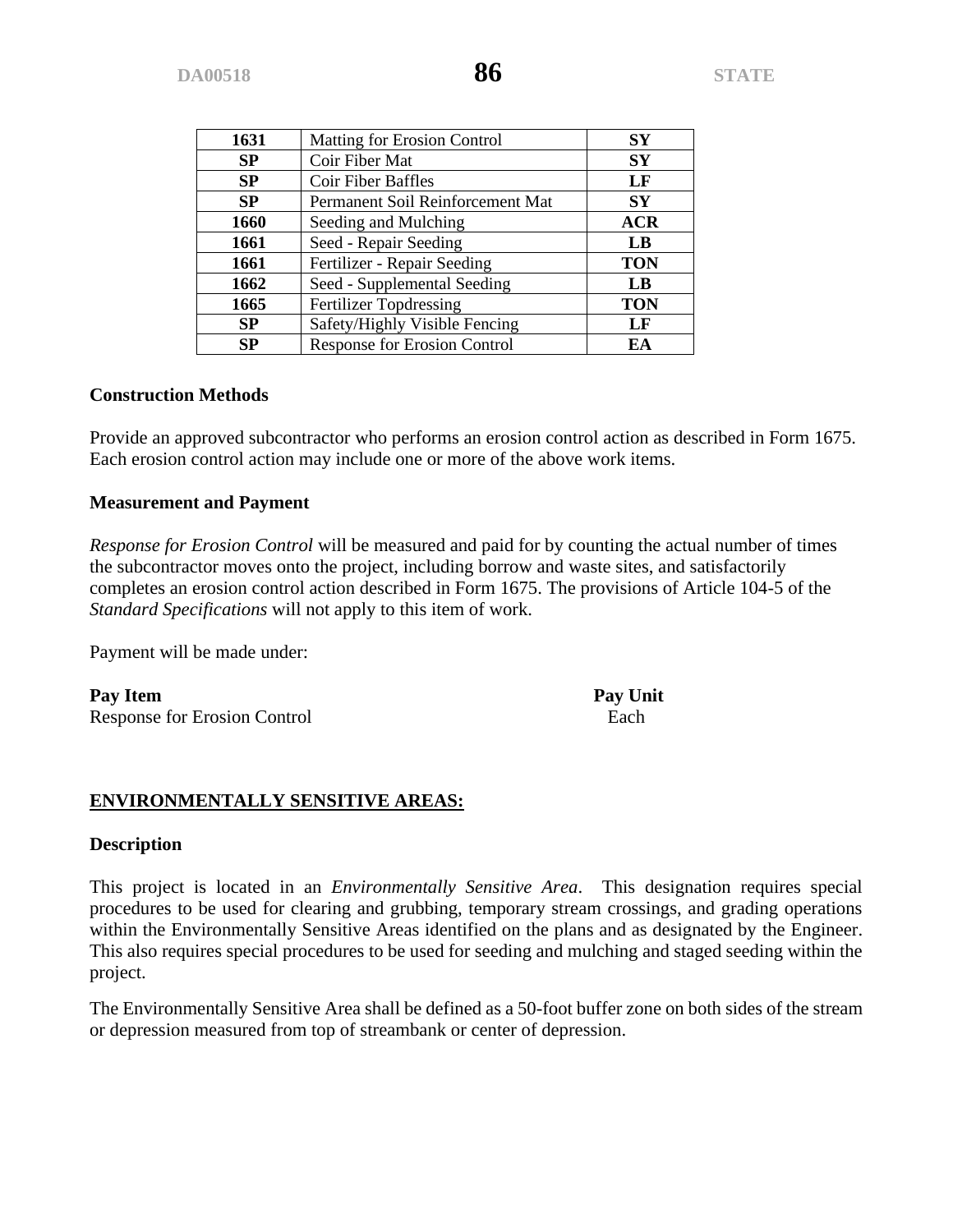| 1631        | Matting for Erosion Control         | SY         |
|-------------|-------------------------------------|------------|
| SP          | Coir Fiber Mat                      | SY         |
| SP          | Coir Fiber Baffles                  | LF         |
| <b>SP</b>   | Permanent Soil Reinforcement Mat    | <b>SY</b>  |
| <b>1660</b> | Seeding and Mulching                | <b>ACR</b> |
| 1661        | Seed - Repair Seeding               | LB         |
| 1661        | Fertilizer - Repair Seeding         | <b>TON</b> |
| 1662        | Seed - Supplemental Seeding         | LB         |
| 1665        | <b>Fertilizer Topdressing</b>       | <b>TON</b> |
| SP          | Safety/Highly Visible Fencing       | LF         |
| <b>SP</b>   | <b>Response for Erosion Control</b> | EA         |

Provide an approved subcontractor who performs an erosion control action as described in Form 1675. Each erosion control action may include one or more of the above work items.

#### **Measurement and Payment**

*Response for Erosion Control* will be measured and paid for by counting the actual number of times the subcontractor moves onto the project, including borrow and waste sites, and satisfactorily completes an erosion control action described in Form 1675. The provisions of Article 104-5 of the *Standard Specifications* will not apply to this item of work.

Payment will be made under:

Pay Item Pay Unit Response for Erosion Control **Each** 

**ENVIRONMENTALLY SENSITIVE AREAS:**

#### **Description**

This project is located in an *Environmentally Sensitive Area*. This designation requires special procedures to be used for clearing and grubbing, temporary stream crossings, and grading operations within the Environmentally Sensitive Areas identified on the plans and as designated by the Engineer. This also requires special procedures to be used for seeding and mulching and staged seeding within the project.

The Environmentally Sensitive Area shall be defined as a 50-foot buffer zone on both sides of the stream or depression measured from top of streambank or center of depression.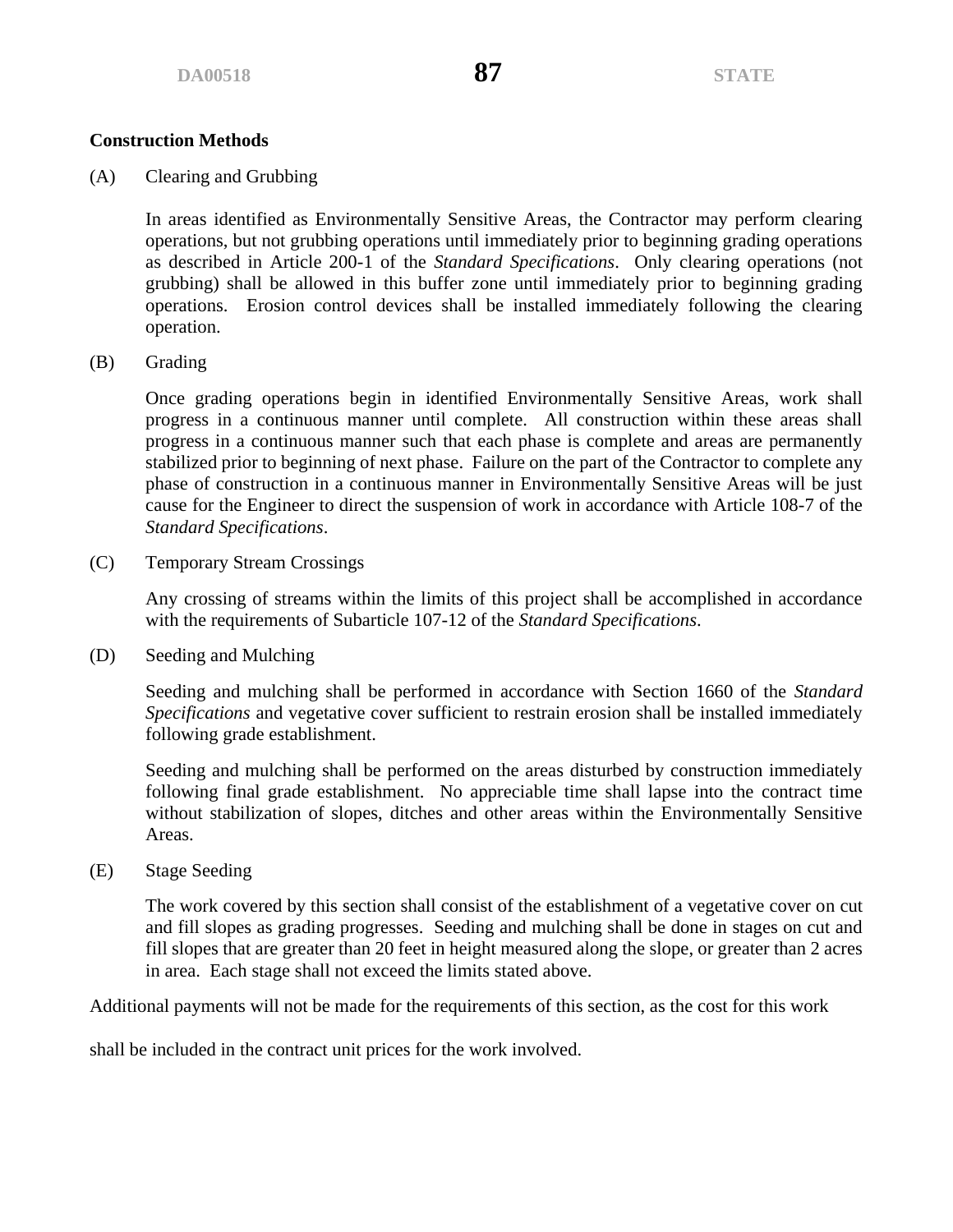(A) Clearing and Grubbing

In areas identified as Environmentally Sensitive Areas, the Contractor may perform clearing operations, but not grubbing operations until immediately prior to beginning grading operations as described in Article 200-1 of the *Standard Specifications*. Only clearing operations (not grubbing) shall be allowed in this buffer zone until immediately prior to beginning grading operations. Erosion control devices shall be installed immediately following the clearing operation.

(B) Grading

Once grading operations begin in identified Environmentally Sensitive Areas, work shall progress in a continuous manner until complete. All construction within these areas shall progress in a continuous manner such that each phase is complete and areas are permanently stabilized prior to beginning of next phase. Failure on the part of the Contractor to complete any phase of construction in a continuous manner in Environmentally Sensitive Areas will be just cause for the Engineer to direct the suspension of work in accordance with Article 108-7 of the *Standard Specifications*.

(C) Temporary Stream Crossings

Any crossing of streams within the limits of this project shall be accomplished in accordance with the requirements of Subarticle 107-12 of the *Standard Specifications*.

(D) Seeding and Mulching

Seeding and mulching shall be performed in accordance with Section 1660 of the *Standard Specifications* and vegetative cover sufficient to restrain erosion shall be installed immediately following grade establishment.

Seeding and mulching shall be performed on the areas disturbed by construction immediately following final grade establishment. No appreciable time shall lapse into the contract time without stabilization of slopes, ditches and other areas within the Environmentally Sensitive Areas.

(E) Stage Seeding

The work covered by this section shall consist of the establishment of a vegetative cover on cut and fill slopes as grading progresses. Seeding and mulching shall be done in stages on cut and fill slopes that are greater than 20 feet in height measured along the slope, or greater than 2 acres in area. Each stage shall not exceed the limits stated above.

Additional payments will not be made for the requirements of this section, as the cost for this work

shall be included in the contract unit prices for the work involved.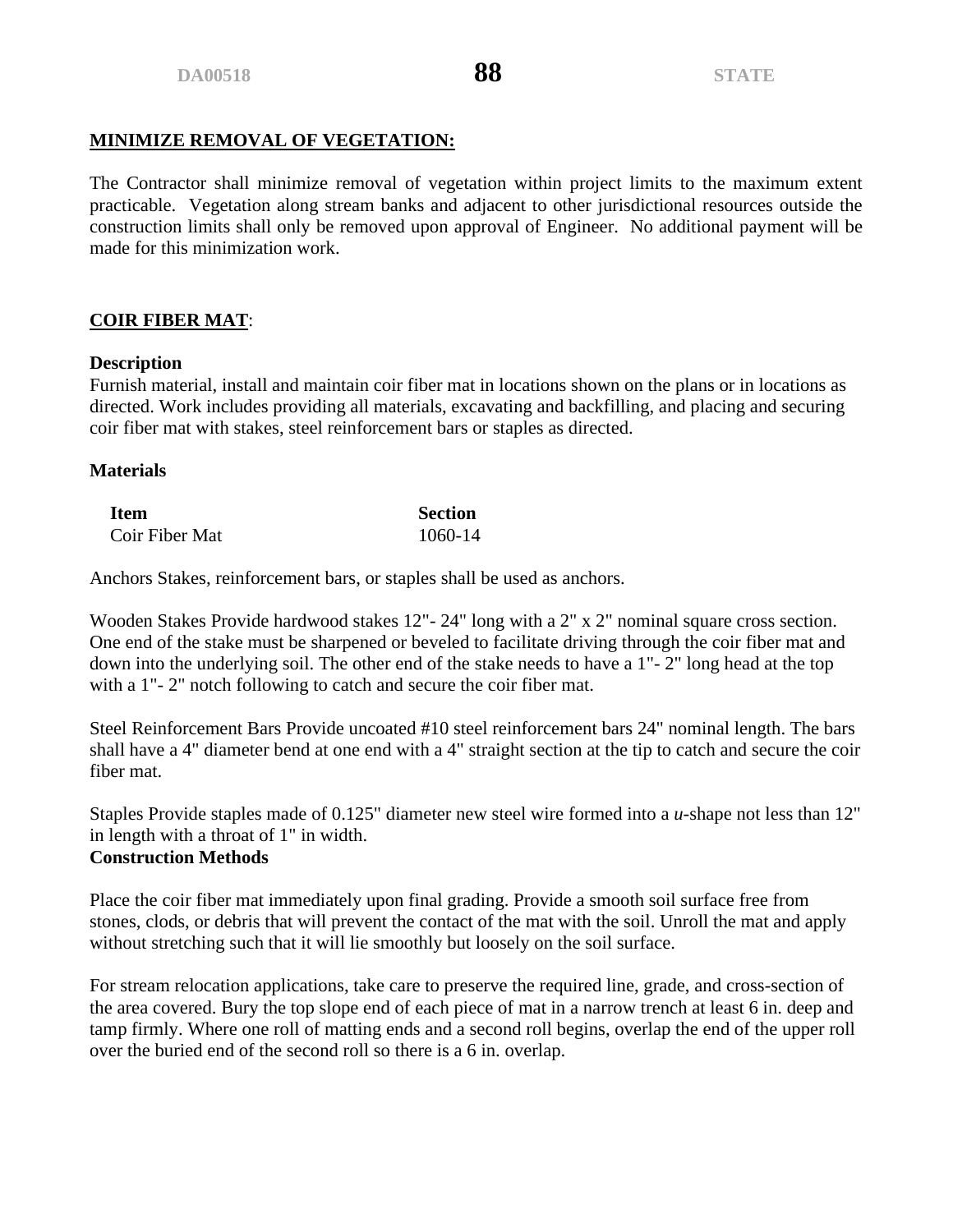# **MINIMIZE REMOVAL OF VEGETATION:**

The Contractor shall minimize removal of vegetation within project limits to the maximum extent practicable. Vegetation along stream banks and adjacent to other jurisdictional resources outside the construction limits shall only be removed upon approval of Engineer. No additional payment will be made for this minimization work.

# **COIR FIBER MAT**:

### **Description**

Furnish material, install and maintain coir fiber mat in locations shown on the plans or in locations as directed. Work includes providing all materials, excavating and backfilling, and placing and securing coir fiber mat with stakes, steel reinforcement bars or staples as directed.

# **Materials**

| <b>Item</b>    | <b>Section</b> |
|----------------|----------------|
| Coir Fiber Mat | 1060-14        |

Anchors Stakes, reinforcement bars, or staples shall be used as anchors.

Wooden Stakes Provide hardwood stakes 12"- 24" long with a 2" x 2" nominal square cross section. One end of the stake must be sharpened or beveled to facilitate driving through the coir fiber mat and down into the underlying soil. The other end of the stake needs to have a 1"- 2" long head at the top with a 1"-2" notch following to catch and secure the coir fiber mat.

Steel Reinforcement Bars Provide uncoated #10 steel reinforcement bars 24" nominal length. The bars shall have a 4" diameter bend at one end with a 4" straight section at the tip to catch and secure the coir fiber mat.

Staples Provide staples made of 0.125" diameter new steel wire formed into a *u-*shape not less than 12" in length with a throat of 1" in width.

### **Construction Methods**

Place the coir fiber mat immediately upon final grading. Provide a smooth soil surface free from stones, clods, or debris that will prevent the contact of the mat with the soil. Unroll the mat and apply without stretching such that it will lie smoothly but loosely on the soil surface.

For stream relocation applications, take care to preserve the required line, grade, and cross-section of the area covered. Bury the top slope end of each piece of mat in a narrow trench at least 6 in. deep and tamp firmly. Where one roll of matting ends and a second roll begins, overlap the end of the upper roll over the buried end of the second roll so there is a 6 in. overlap.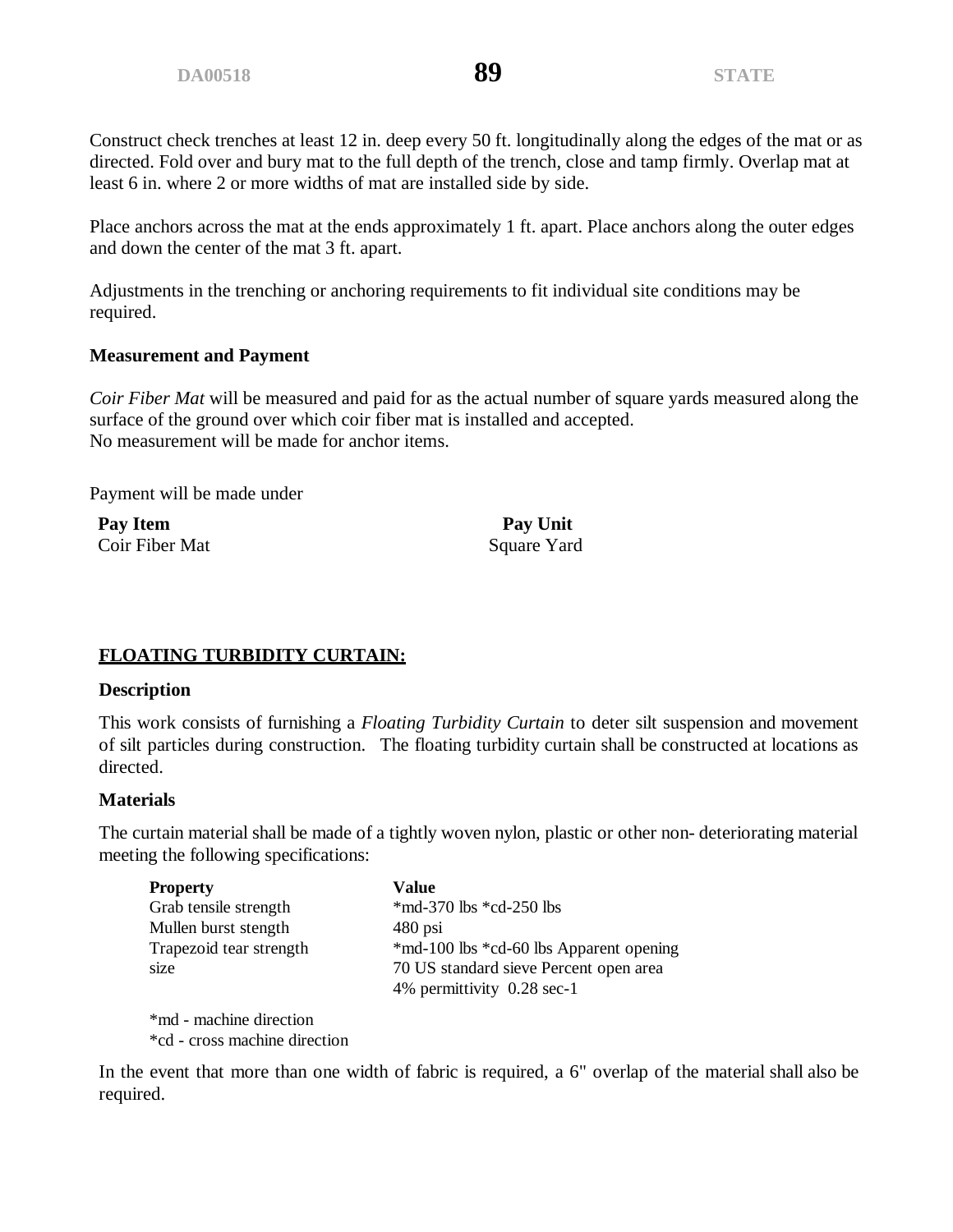Construct check trenches at least 12 in. deep every 50 ft. longitudinally along the edges of the mat or as directed. Fold over and bury mat to the full depth of the trench, close and tamp firmly. Overlap mat at least 6 in. where 2 or more widths of mat are installed side by side.

Place anchors across the mat at the ends approximately 1 ft. apart. Place anchors along the outer edges and down the center of the mat 3 ft. apart.

Adjustments in the trenching or anchoring requirements to fit individual site conditions may be required.

#### **Measurement and Payment**

*Coir Fiber Mat* will be measured and paid for as the actual number of square yards measured along the surface of the ground over which coir fiber mat is installed and accepted. No measurement will be made for anchor items.

Payment will be made under

Pay Item **Pay Unit** Coir Fiber Mat Square Yard

### **FLOATING TURBIDITY CURTAIN:**

#### **Description**

This work consists of furnishing a *Floating Turbidity Curtain* to deter silt suspension and movement of silt particles during construction. The floating turbidity curtain shall be constructed at locations as directed.

#### **Materials**

The curtain material shall be made of a tightly woven nylon, plastic or other non- deteriorating material meeting the following specifications:

| <b>Property</b>         | Value                                   |
|-------------------------|-----------------------------------------|
| Grab tensile strength   | *md-370 lbs *cd-250 lbs                 |
| Mullen burst stength    | $480$ psi                               |
| Trapezoid tear strength | *md-100 lbs *cd-60 lbs Apparent opening |
| size                    | 70 US standard sieve Percent open area  |
|                         | 4% permittivity 0.28 sec-1              |
|                         |                                         |

\*md - machine direction \*cd - cross machine direction

In the event that more than one width of fabric is required, a 6" overlap of the material shall also be required.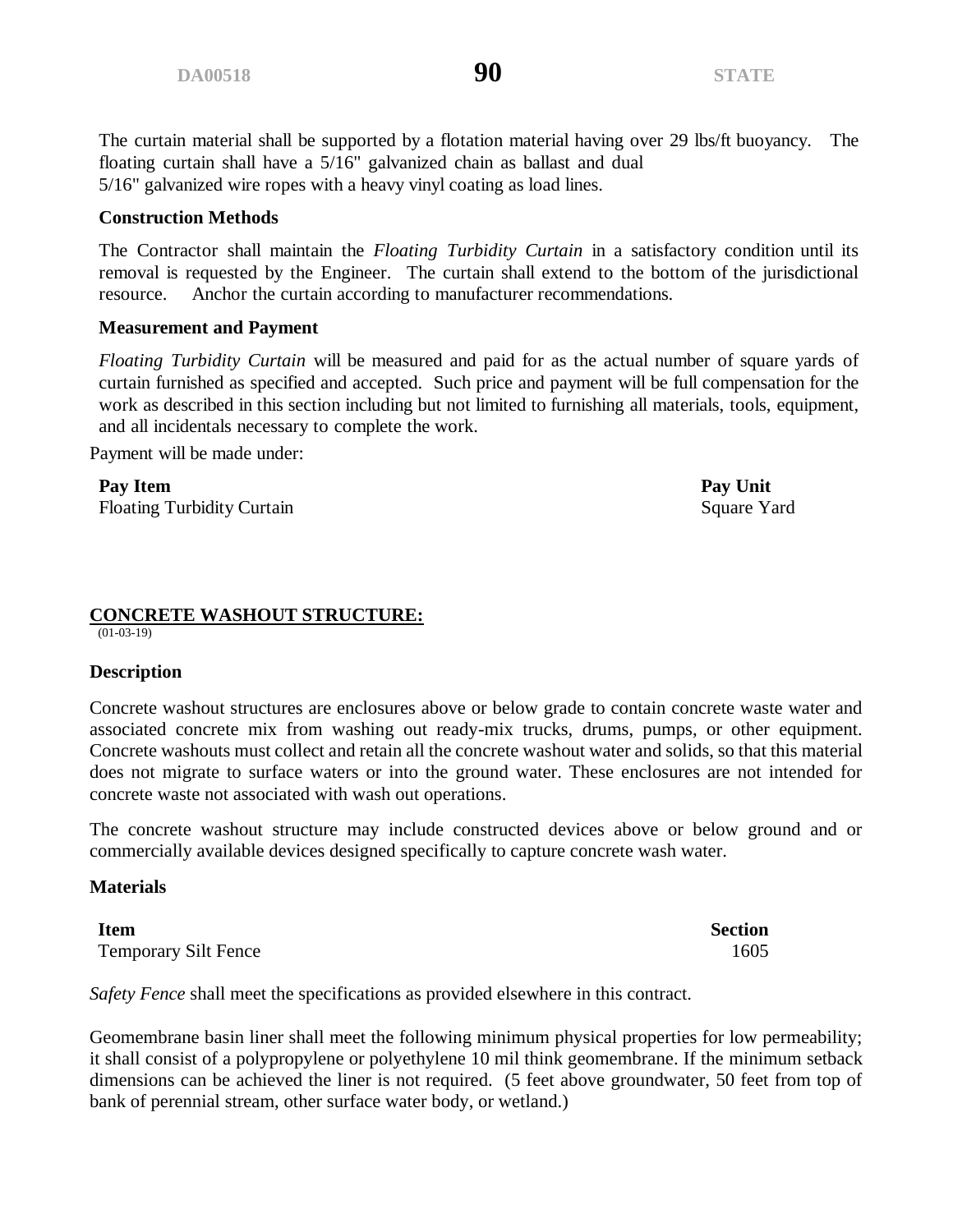The curtain material shall be supported by a flotation material having over 29 lbs/ft buoyancy. The floating curtain shall have a 5/16" galvanized chain as ballast and dual 5/16" galvanized wire ropes with a heavy vinyl coating as load lines.

#### **Construction Methods**

The Contractor shall maintain the *Floating Turbidity Curtain* in a satisfactory condition until its removal is requested by the Engineer. The curtain shall extend to the bottom of the jurisdictional resource. Anchor the curtain according to manufacturer recommendations.

#### **Measurement and Payment**

*Floating Turbidity Curtain* will be measured and paid for as the actual number of square yards of curtain furnished as specified and accepted. Such price and payment will be full compensation for the work as described in this section including but not limited to furnishing all materials, tools, equipment, and all incidentals necessary to complete the work.

Payment will be made under:

**Pay Item Pay Unit** Floating Turbidity Curtain Square Yard

# **CONCRETE WASHOUT STRUCTURE:**

 $(01-03-19)$ 

#### **Description**

Concrete washout structures are enclosures above or below grade to contain concrete waste water and associated concrete mix from washing out ready-mix trucks, drums, pumps, or other equipment. Concrete washouts must collect and retain all the concrete washout water and solids, so that this material does not migrate to surface waters or into the ground water. These enclosures are not intended for concrete waste not associated with wash out operations.

The concrete washout structure may include constructed devices above or below ground and or commercially available devices designed specifically to capture concrete wash water.

#### **Materials**

**Item Section** Temporary Silt Fence 1605

*Safety Fence* shall meet the specifications as provided elsewhere in this contract.

Geomembrane basin liner shall meet the following minimum physical properties for low permeability; it shall consist of a polypropylene or polyethylene 10 mil think geomembrane. If the minimum setback dimensions can be achieved the liner is not required. (5 feet above groundwater, 50 feet from top of bank of perennial stream, other surface water body, or wetland.)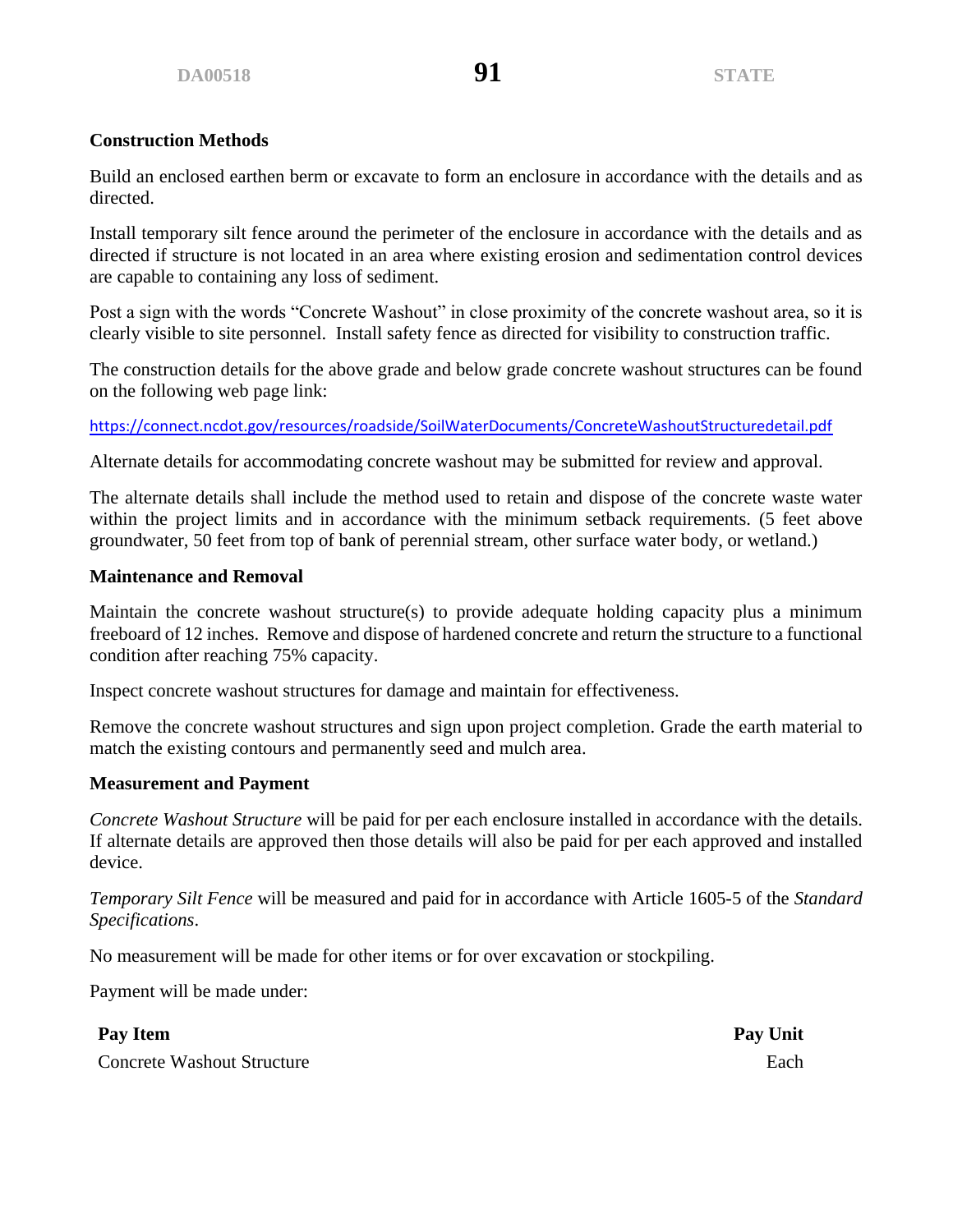Build an enclosed earthen berm or excavate to form an enclosure in accordance with the details and as directed.

Install temporary silt fence around the perimeter of the enclosure in accordance with the details and as directed if structure is not located in an area where existing erosion and sedimentation control devices are capable to containing any loss of sediment.

Post a sign with the words "Concrete Washout" in close proximity of the concrete washout area, so it is clearly visible to site personnel. Install safety fence as directed for visibility to construction traffic.

The construction details for the above grade and below grade concrete washout structures can be found on the following web page link:

<https://connect.ncdot.gov/resources/roadside/SoilWaterDocuments/ConcreteWashoutStructuredetail.pdf>

Alternate details for accommodating concrete washout may be submitted for review and approval.

The alternate details shall include the method used to retain and dispose of the concrete waste water within the project limits and in accordance with the minimum setback requirements. (5 feet above groundwater, 50 feet from top of bank of perennial stream, other surface water body, or wetland.)

### **Maintenance and Removal**

Maintain the concrete washout structure(s) to provide adequate holding capacity plus a minimum freeboard of 12 inches. Remove and dispose of hardened concrete and return the structure to a functional condition after reaching 75% capacity.

Inspect concrete washout structures for damage and maintain for effectiveness.

Remove the concrete washout structures and sign upon project completion. Grade the earth material to match the existing contours and permanently seed and mulch area.

### **Measurement and Payment**

*Concrete Washout Structure* will be paid for per each enclosure installed in accordance with the details. If alternate details are approved then those details will also be paid for per each approved and installed device.

*Temporary Silt Fence* will be measured and paid for in accordance with Article 1605-5 of the *Standard Specifications*.

No measurement will be made for other items or for over excavation or stockpiling.

Payment will be made under:

**Pay Item Pay Unit**

**Concrete Washout Structure** Each **Each**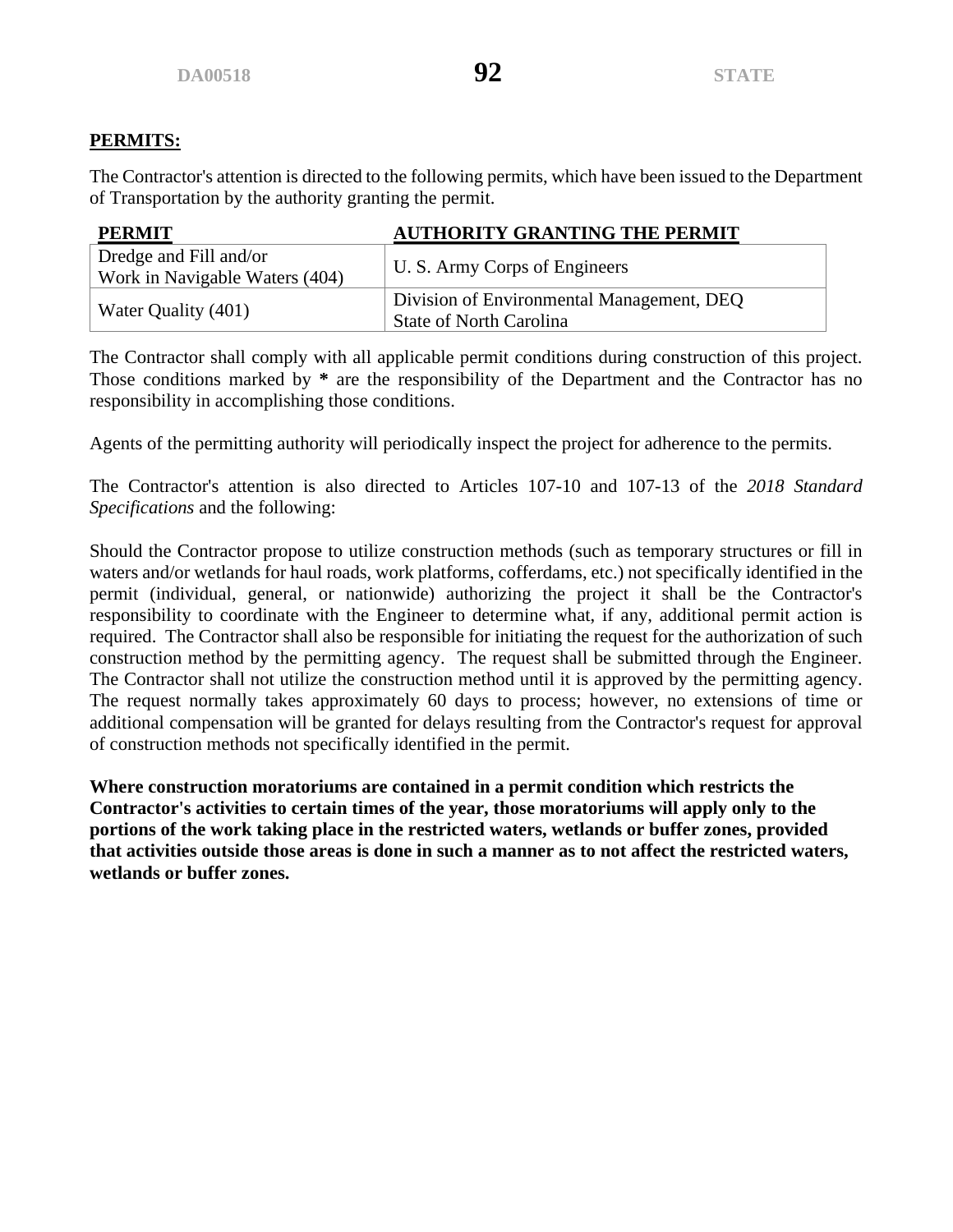# **PERMITS:**

The Contractor's attention is directed to the following permits, which have been issued to the Department of Transportation by the authority granting the permit.

| <b>PERMIT</b>                  | <b>AUTHORITY GRANTING THE PERMIT</b>      |  |
|--------------------------------|-------------------------------------------|--|
| Dredge and Fill and/or         | U. S. Army Corps of Engineers             |  |
| Work in Navigable Waters (404) |                                           |  |
|                                | Division of Environmental Management, DEQ |  |
| Water Quality (401)            | <b>State of North Carolina</b>            |  |

The Contractor shall comply with all applicable permit conditions during construction of this project. Those conditions marked by **\*** are the responsibility of the Department and the Contractor has no responsibility in accomplishing those conditions.

Agents of the permitting authority will periodically inspect the project for adherence to the permits.

The Contractor's attention is also directed to Articles 107-10 and 107-13 of the *2018 Standard Specifications* and the following:

Should the Contractor propose to utilize construction methods (such as temporary structures or fill in waters and/or wetlands for haul roads, work platforms, cofferdams, etc.) not specifically identified in the permit (individual, general, or nationwide) authorizing the project it shall be the Contractor's responsibility to coordinate with the Engineer to determine what, if any, additional permit action is required. The Contractor shall also be responsible for initiating the request for the authorization of such construction method by the permitting agency. The request shall be submitted through the Engineer. The Contractor shall not utilize the construction method until it is approved by the permitting agency. The request normally takes approximately 60 days to process; however, no extensions of time or additional compensation will be granted for delays resulting from the Contractor's request for approval of construction methods not specifically identified in the permit.

**Where construction moratoriums are contained in a permit condition which restricts the Contractor's activities to certain times of the year, those moratoriums will apply only to the portions of the work taking place in the restricted waters, wetlands or buffer zones, provided that activities outside those areas is done in such a manner as to not affect the restricted waters, wetlands or buffer zones.**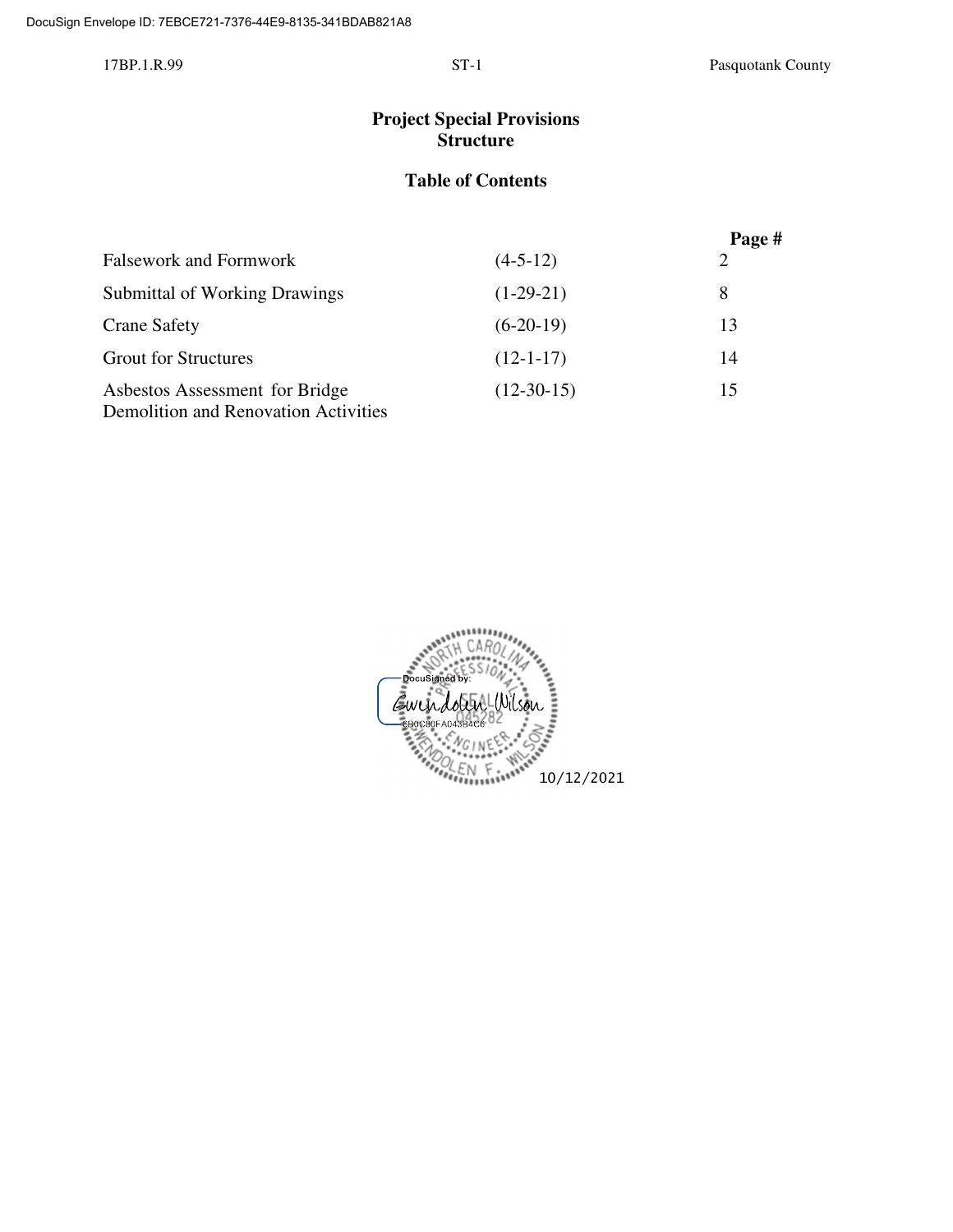# **Project Special Provisions Structure**

# **Table of Contents**

|                                                                               |              | Page # |
|-------------------------------------------------------------------------------|--------------|--------|
| <b>Falsework and Formwork</b>                                                 | $(4-5-12)$   | 2      |
| <b>Submittal of Working Drawings</b>                                          | $(1-29-21)$  | 8      |
| <b>Crane Safety</b>                                                           | $(6-20-19)$  | 13     |
| <b>Grout for Structures</b>                                                   | $(12-1-17)$  | 14     |
| Asbestos Assessment for Bridge<br><b>Demolition and Renovation Activities</b> | $(12-30-15)$ | 15     |

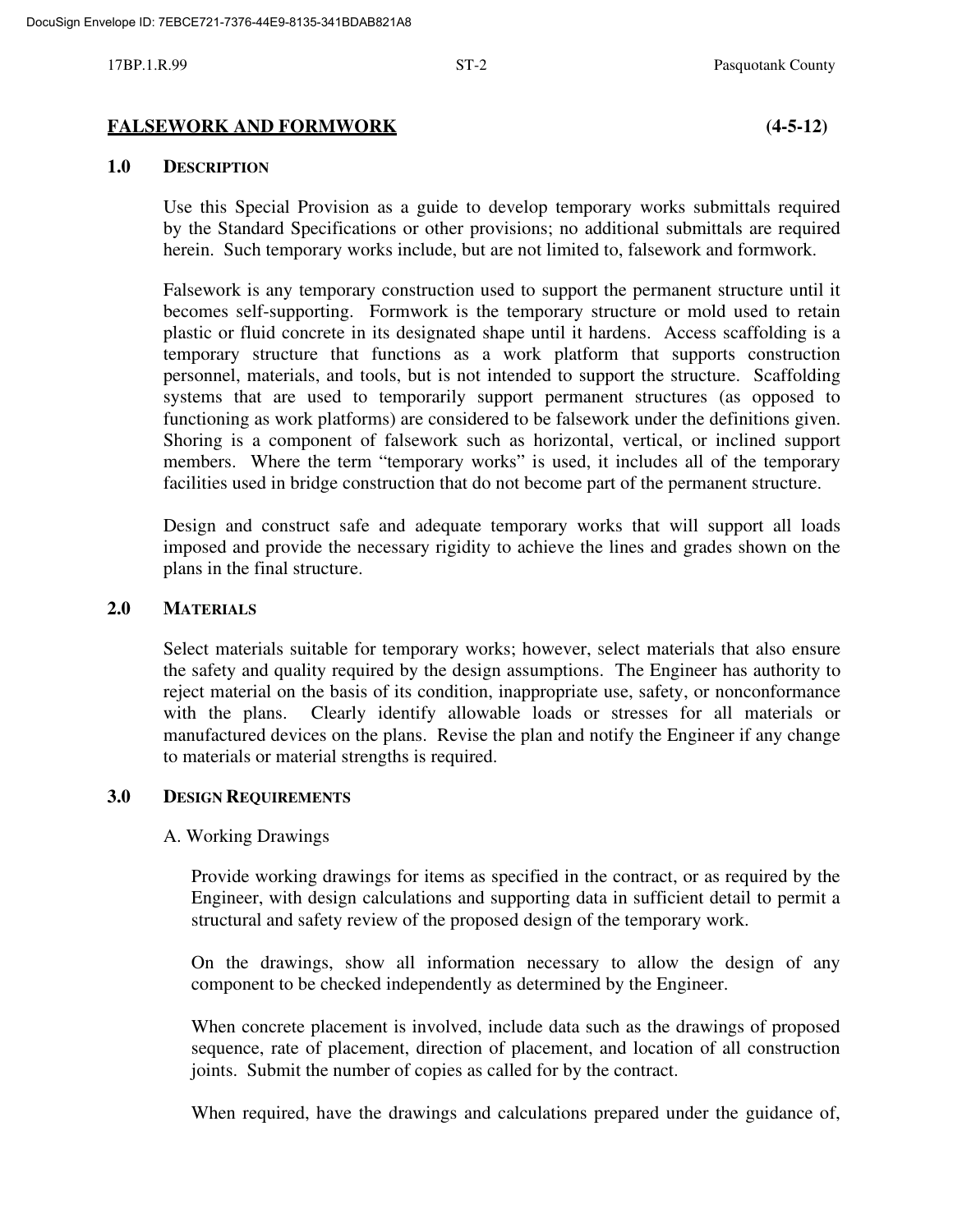#### **FALSEWORK AND FORMWORK (4-5-12)**

#### **1.0 DESCRIPTION**

Use this Special Provision as a guide to develop temporary works submittals required by the Standard Specifications or other provisions; no additional submittals are required herein. Such temporary works include, but are not limited to, falsework and formwork.

Falsework is any temporary construction used to support the permanent structure until it becomes self-supporting. Formwork is the temporary structure or mold used to retain plastic or fluid concrete in its designated shape until it hardens. Access scaffolding is a temporary structure that functions as a work platform that supports construction personnel, materials, and tools, but is not intended to support the structure. Scaffolding systems that are used to temporarily support permanent structures (as opposed to functioning as work platforms) are considered to be falsework under the definitions given. Shoring is a component of falsework such as horizontal, vertical, or inclined support members. Where the term "temporary works" is used, it includes all of the temporary facilities used in bridge construction that do not become part of the permanent structure.

Design and construct safe and adequate temporary works that will support all loads imposed and provide the necessary rigidity to achieve the lines and grades shown on the plans in the final structure.

#### **2.0 MATERIALS**

Select materials suitable for temporary works; however, select materials that also ensure the safety and quality required by the design assumptions. The Engineer has authority to reject material on the basis of its condition, inappropriate use, safety, or nonconformance with the plans. Clearly identify allowable loads or stresses for all materials or manufactured devices on the plans. Revise the plan and notify the Engineer if any change to materials or material strengths is required.

#### **3.0 DESIGN REQUIREMENTS**

#### A. Working Drawings

Provide working drawings for items as specified in the contract, or as required by the Engineer, with design calculations and supporting data in sufficient detail to permit a structural and safety review of the proposed design of the temporary work.

On the drawings, show all information necessary to allow the design of any component to be checked independently as determined by the Engineer.

When concrete placement is involved, include data such as the drawings of proposed sequence, rate of placement, direction of placement, and location of all construction joints. Submit the number of copies as called for by the contract.

When required, have the drawings and calculations prepared under the guidance of,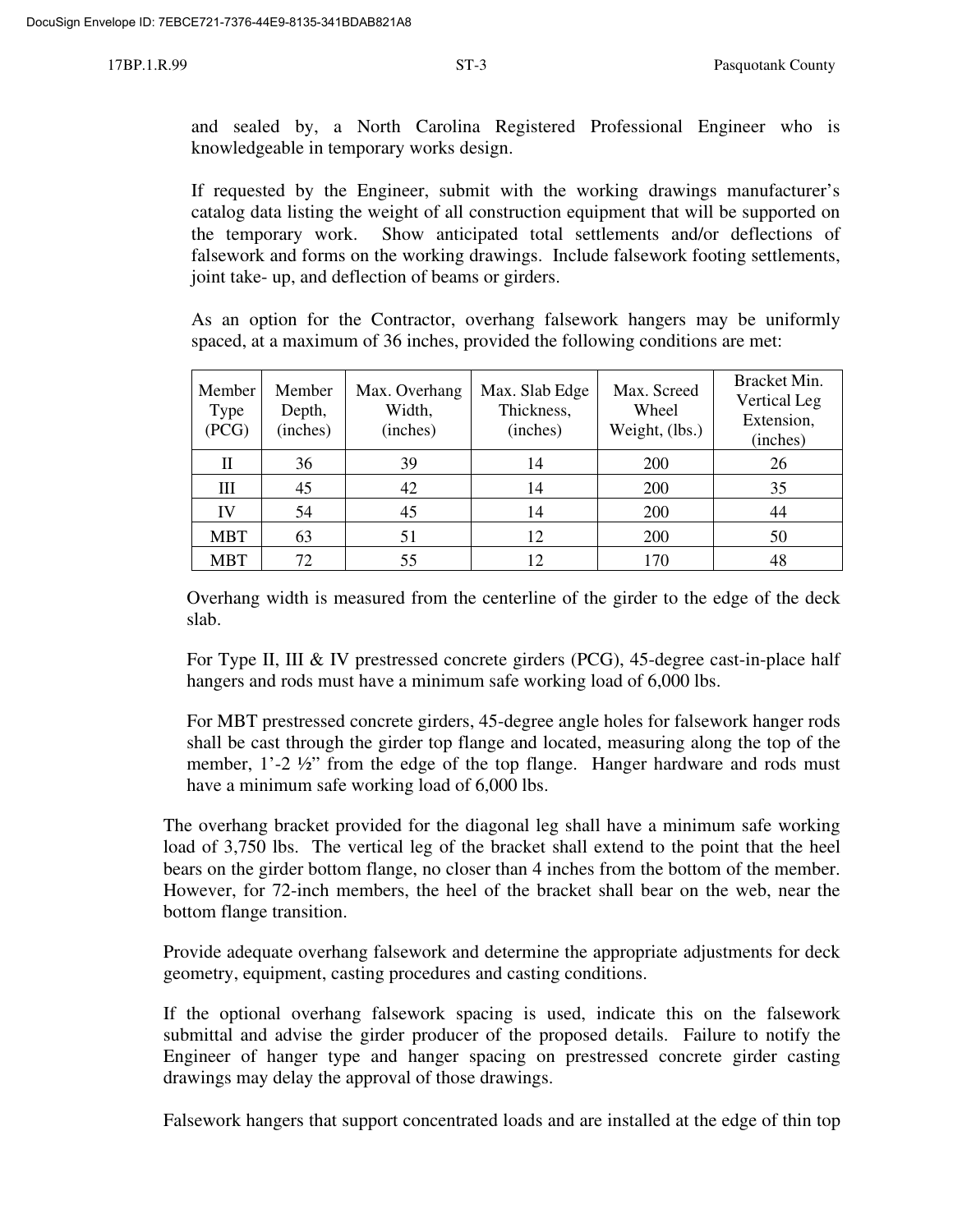and sealed by, a North Carolina Registered Professional Engineer who is knowledgeable in temporary works design.

If requested by the Engineer, submit with the working drawings manufacturer's catalog data listing the weight of all construction equipment that will be supported on the temporary work. Show anticipated total settlements and/or deflections of falsework and forms on the working drawings. Include falsework footing settlements, joint take- up, and deflection of beams or girders.

As an option for the Contractor, overhang falsework hangers may be uniformly spaced, at a maximum of 36 inches, provided the following conditions are met:

| Member<br>Type<br>(PCG) | Member<br>Depth,<br>(inches) | Max. Overhang<br>Width,<br>(inches) | Max. Slab Edge<br>Thickness,<br>(inches) | Max. Screed<br>Wheel<br>Weight, (lbs.) | Bracket Min.<br><b>Vertical Leg</b><br>Extension,<br>(inches) |
|-------------------------|------------------------------|-------------------------------------|------------------------------------------|----------------------------------------|---------------------------------------------------------------|
| П                       | 36                           | 39                                  | 14                                       | 200                                    | 26                                                            |
| Ш                       | 45                           | 42                                  | 14                                       | 200                                    | 35                                                            |
| IV                      | 54                           | 45                                  | 14                                       | <b>200</b>                             | 44                                                            |
| <b>MBT</b>              | 63                           | 51                                  | 12                                       | 200                                    | 50                                                            |
| <b>MBT</b>              | 72.                          | 55                                  | $12 \,$                                  | 170                                    | 48                                                            |

Overhang width is measured from the centerline of the girder to the edge of the deck slab.

For Type II, III & IV prestressed concrete girders (PCG), 45-degree cast-in-place half hangers and rods must have a minimum safe working load of 6,000 lbs.

For MBT prestressed concrete girders, 45-degree angle holes for falsework hanger rods shall be cast through the girder top flange and located, measuring along the top of the member, 1'-2 ½" from the edge of the top flange. Hanger hardware and rods must have a minimum safe working load of 6,000 lbs.

The overhang bracket provided for the diagonal leg shall have a minimum safe working load of 3,750 lbs. The vertical leg of the bracket shall extend to the point that the heel bears on the girder bottom flange, no closer than 4 inches from the bottom of the member. However, for 72-inch members, the heel of the bracket shall bear on the web, near the bottom flange transition.

Provide adequate overhang falsework and determine the appropriate adjustments for deck geometry, equipment, casting procedures and casting conditions.

If the optional overhang falsework spacing is used, indicate this on the falsework submittal and advise the girder producer of the proposed details. Failure to notify the Engineer of hanger type and hanger spacing on prestressed concrete girder casting drawings may delay the approval of those drawings.

Falsework hangers that support concentrated loads and are installed at the edge of thin top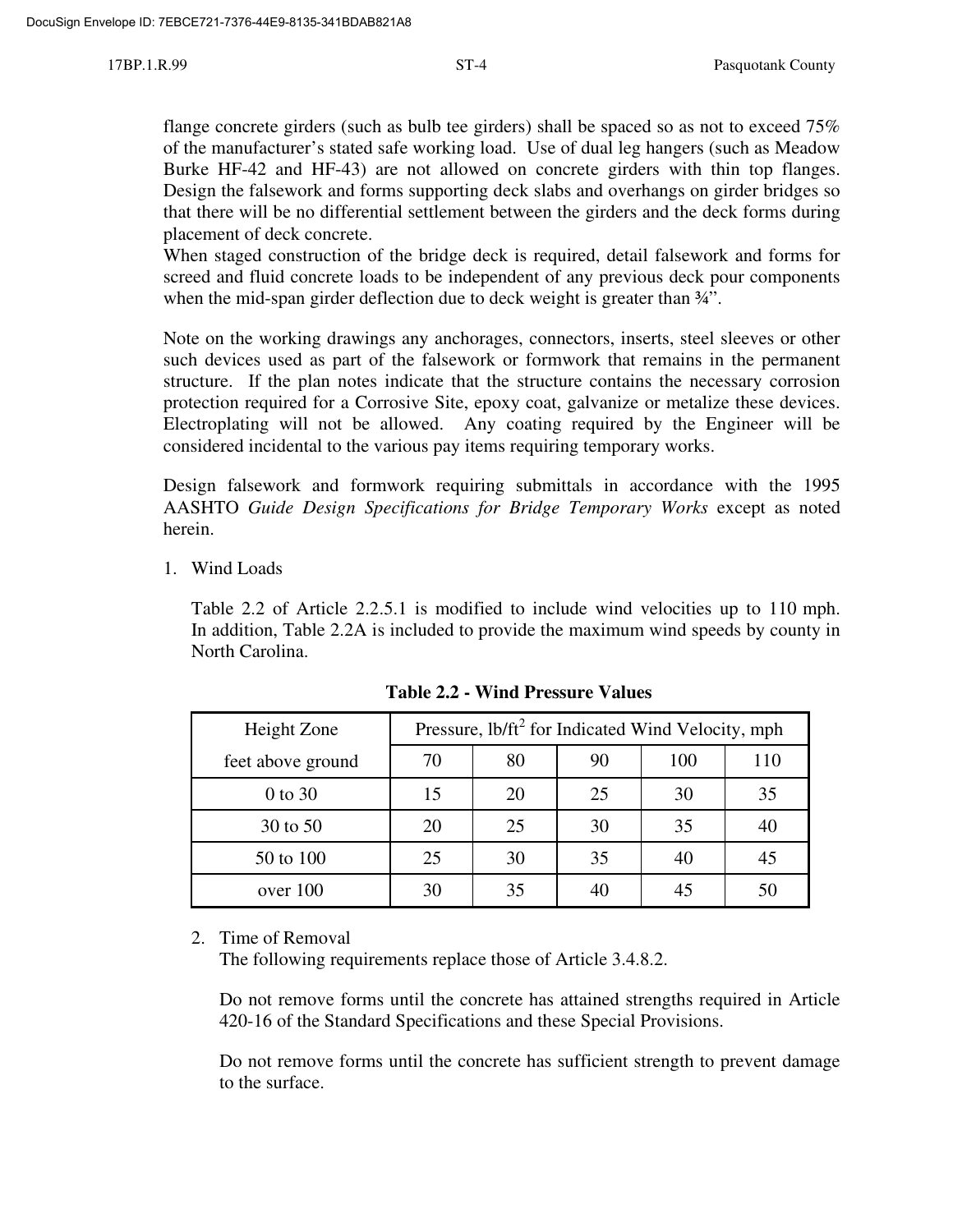flange concrete girders (such as bulb tee girders) shall be spaced so as not to exceed 75% of the manufacturer's stated safe working load. Use of dual leg hangers (such as Meadow Burke HF-42 and HF-43) are not allowed on concrete girders with thin top flanges. Design the falsework and forms supporting deck slabs and overhangs on girder bridges so that there will be no differential settlement between the girders and the deck forms during placement of deck concrete.

When staged construction of the bridge deck is required, detail falsework and forms for screed and fluid concrete loads to be independent of any previous deck pour components when the mid-span girder deflection due to deck weight is greater than  $\frac{3}{4}$ ".

Note on the working drawings any anchorages, connectors, inserts, steel sleeves or other such devices used as part of the falsework or formwork that remains in the permanent structure. If the plan notes indicate that the structure contains the necessary corrosion protection required for a Corrosive Site, epoxy coat, galvanize or metalize these devices. Electroplating will not be allowed. Any coating required by the Engineer will be considered incidental to the various pay items requiring temporary works.

Design falsework and formwork requiring submittals in accordance with the 1995 AASHTO *Guide Design Specifications for Bridge Temporary Works* except as noted herein.

1. Wind Loads

Table 2.2 of Article 2.2.5.1 is modified to include wind velocities up to 110 mph. In addition, Table 2.2A is included to provide the maximum wind speeds by county in North Carolina.

| Height Zone       | Pressure, lb/ft <sup>2</sup> for Indicated Wind Velocity, mph |     |    |    |    |
|-------------------|---------------------------------------------------------------|-----|----|----|----|
| feet above ground | 70                                                            | 110 |    |    |    |
| 0 to 30           | 15                                                            | 20  | 25 | 30 | 35 |
| 30 to 50          | 20                                                            | 25  | 30 | 35 | 40 |
| 50 to 100         | 25                                                            | 30  | 35 | 40 | 45 |
| over 100          | 30                                                            | 35  |    | 45 | 50 |

**Table 2.2 - Wind Pressure Values**

2. Time of Removal

The following requirements replace those of Article 3.4.8.2.

Do not remove forms until the concrete has attained strengths required in Article 420-16 of the Standard Specifications and these Special Provisions.

Do not remove forms until the concrete has sufficient strength to prevent damage to the surface.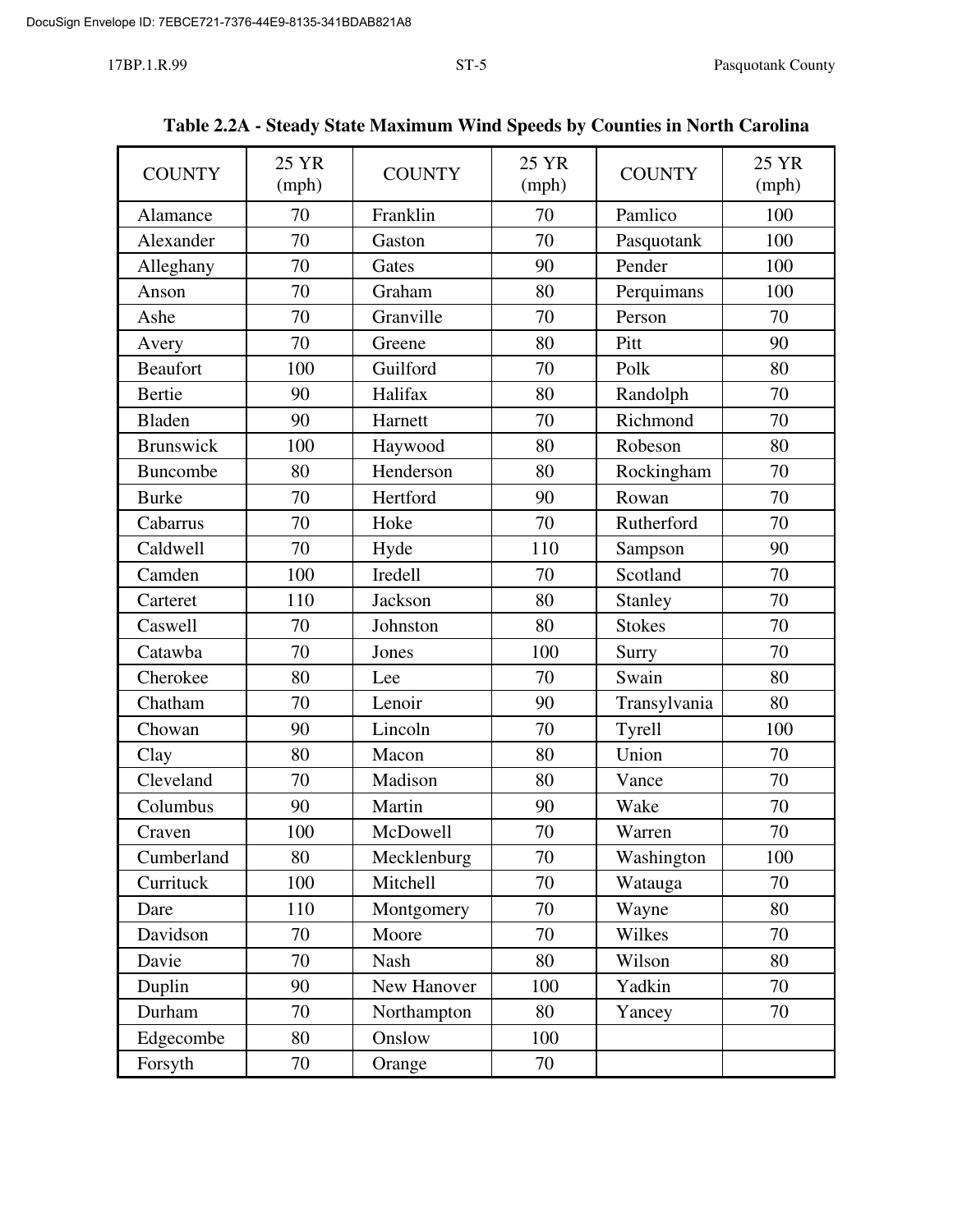| <b>COUNTY</b>    | 25 YR<br>(mph) | <b>COUNTY</b> | 25 YR<br>(mph) | <b>COUNTY</b> | 25 YR<br>(mph) |
|------------------|----------------|---------------|----------------|---------------|----------------|
| Alamance         | 70             | Franklin      | 70             | Pamlico       | 100            |
| Alexander        | 70             | Gaston        | 70             | Pasquotank    | 100            |
| Alleghany        | 70             | Gates         | 90             | Pender        | 100            |
| Anson            | 70             | Graham        | 80             | Perquimans    | 100            |
| Ashe             | 70             | Granville     | 70             | Person        | 70             |
| Avery            | 70             | Greene        | 80             | Pitt          | 90             |
| <b>Beaufort</b>  | 100            | Guilford      | 70             | Polk          | 80             |
| Bertie           | 90             | Halifax       | 80             | Randolph      | 70             |
| <b>Bladen</b>    | 90             | Harnett       | 70             | Richmond      | 70             |
| <b>Brunswick</b> | 100            | Haywood       | 80             | Robeson       | 80             |
| <b>Buncombe</b>  | 80             | Henderson     | 80             | Rockingham    | 70             |
| <b>Burke</b>     | 70             | Hertford      | 90             | Rowan         | 70             |
| Cabarrus         | 70             | Hoke          | 70             | Rutherford    | 70             |
| Caldwell         | 70             | Hyde          | 110            | Sampson       | 90             |
| Camden           | 100            | Iredell       | 70             | Scotland      | 70             |
| Carteret         | 110            | Jackson       | 80             | Stanley       | 70             |
| Caswell          | 70             | Johnston      | 80             | <b>Stokes</b> | 70             |
| Catawba          | 70             | Jones         | 100            | Surry         | 70             |
| Cherokee         | 80             | Lee           | 70             | Swain         | 80             |
| Chatham          | 70             | Lenoir        | 90             | Transylvania  | 80             |
| Chowan           | 90             | Lincoln       | 70             | Tyrell        | 100            |
| Clay             | 80             | Macon         | 80             | Union         | 70             |
| Cleveland        | 70             | Madison       | 80             | Vance         | 70             |
| Columbus         | 90             | Martin        | 90             | Wake          | 70             |
| Craven           | 100            | McDowell      | 70             | Warren        | 70             |
| Cumberland       | 80             | Mecklenburg   | 70             | Washington    | 100            |
| Currituck        | 100            | Mitchell      | 70             | Watauga       | 70             |
| Dare             | 110            | Montgomery    | 70             | Wayne         | 80             |
| Davidson         | 70             | Moore         | 70             | Wilkes        | 70             |
| Davie            | 70             | Nash          | 80             | Wilson        | 80             |
| Duplin           | 90             | New Hanover   | 100            | Yadkin        | 70             |
| Durham           | 70             | Northampton   | 80             | Yancey        | 70             |
| Edgecombe        | 80             | Onslow        | 100            |               |                |
| Forsyth          | 70             | Orange        | 70             |               |                |

**Table 2.2A - Steady State Maximum Wind Speeds by Counties in North Carolina**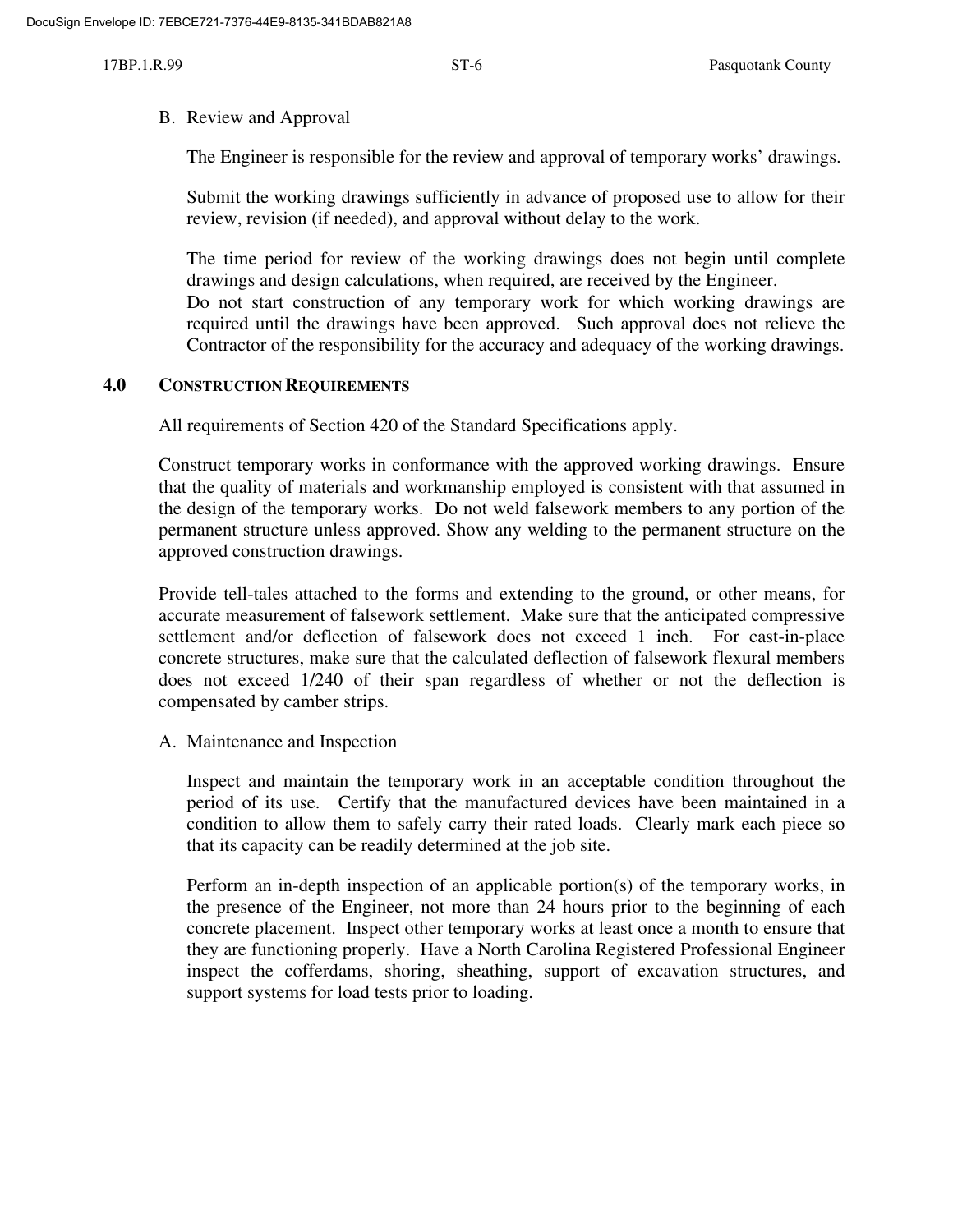#### B. Review and Approval

The Engineer is responsible for the review and approval of temporary works' drawings.

Submit the working drawings sufficiently in advance of proposed use to allow for their review, revision (if needed), and approval without delay to the work.

The time period for review of the working drawings does not begin until complete drawings and design calculations, when required, are received by the Engineer.

Do not start construction of any temporary work for which working drawings are required until the drawings have been approved. Such approval does not relieve the Contractor of the responsibility for the accuracy and adequacy of the working drawings.

### **4.0 CONSTRUCTION REQUIREMENTS**

All requirements of Section 420 of the Standard Specifications apply.

Construct temporary works in conformance with the approved working drawings. Ensure that the quality of materials and workmanship employed is consistent with that assumed in the design of the temporary works. Do not weld falsework members to any portion of the permanent structure unless approved. Show any welding to the permanent structure on the approved construction drawings.

Provide tell-tales attached to the forms and extending to the ground, or other means, for accurate measurement of falsework settlement. Make sure that the anticipated compressive settlement and/or deflection of falsework does not exceed 1 inch. For cast-in-place concrete structures, make sure that the calculated deflection of falsework flexural members does not exceed 1/240 of their span regardless of whether or not the deflection is compensated by camber strips.

A. Maintenance and Inspection

Inspect and maintain the temporary work in an acceptable condition throughout the period of its use. Certify that the manufactured devices have been maintained in a condition to allow them to safely carry their rated loads. Clearly mark each piece so that its capacity can be readily determined at the job site.

Perform an in-depth inspection of an applicable portion(s) of the temporary works, in the presence of the Engineer, not more than 24 hours prior to the beginning of each concrete placement. Inspect other temporary works at least once a month to ensure that they are functioning properly. Have a North Carolina Registered Professional Engineer inspect the cofferdams, shoring, sheathing, support of excavation structures, and support systems for load tests prior to loading.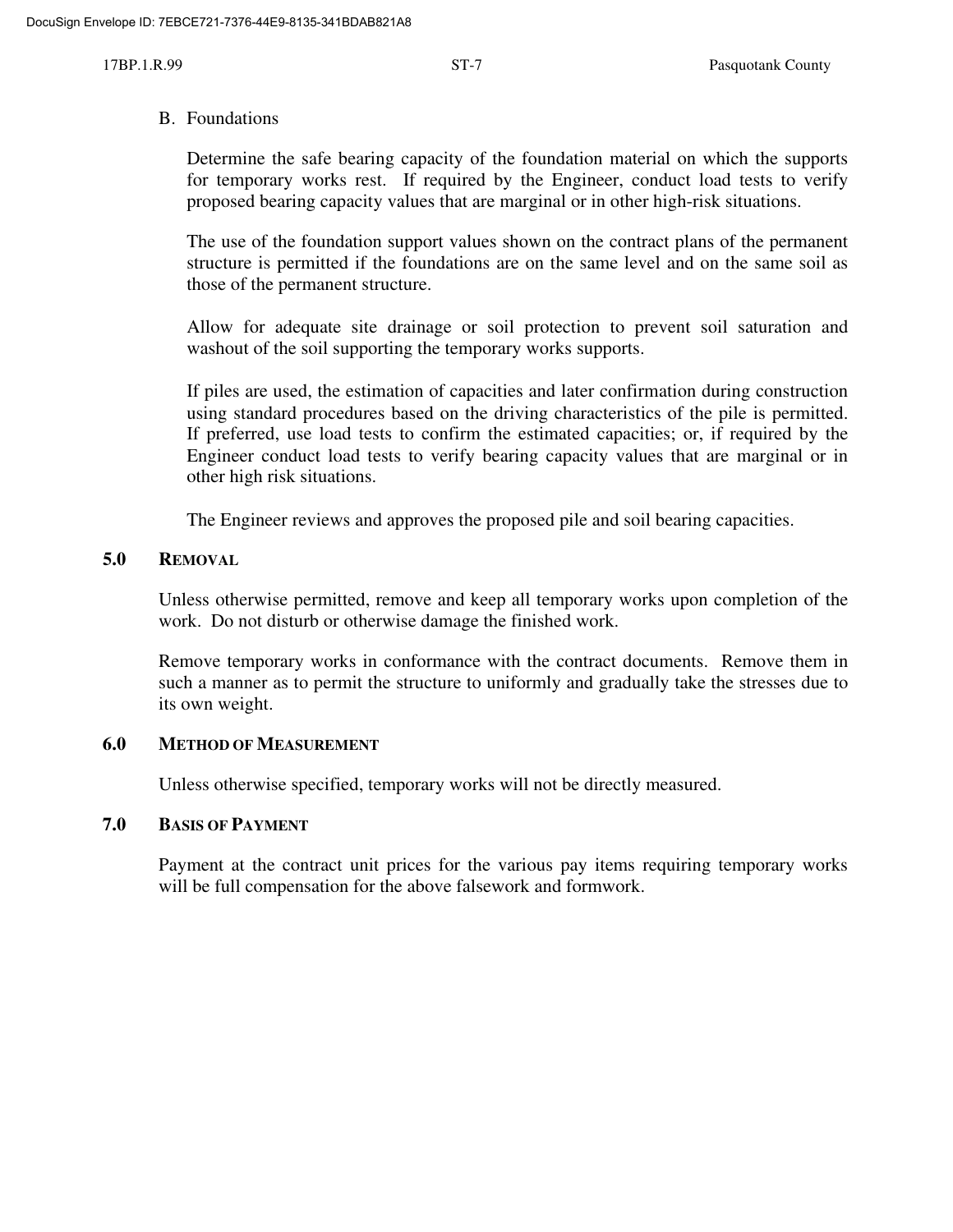#### B. Foundations

Determine the safe bearing capacity of the foundation material on which the supports for temporary works rest. If required by the Engineer, conduct load tests to verify proposed bearing capacity values that are marginal or in other high-risk situations.

The use of the foundation support values shown on the contract plans of the permanent structure is permitted if the foundations are on the same level and on the same soil as those of the permanent structure.

Allow for adequate site drainage or soil protection to prevent soil saturation and washout of the soil supporting the temporary works supports.

If piles are used, the estimation of capacities and later confirmation during construction using standard procedures based on the driving characteristics of the pile is permitted. If preferred, use load tests to confirm the estimated capacities; or, if required by the Engineer conduct load tests to verify bearing capacity values that are marginal or in other high risk situations.

The Engineer reviews and approves the proposed pile and soil bearing capacities.

### **5.0 REMOVAL**

Unless otherwise permitted, remove and keep all temporary works upon completion of the work. Do not disturb or otherwise damage the finished work.

Remove temporary works in conformance with the contract documents. Remove them in such a manner as to permit the structure to uniformly and gradually take the stresses due to its own weight.

### **6.0 METHOD OF MEASUREMENT**

Unless otherwise specified, temporary works will not be directly measured.

### **7.0 BASIS OF PAYMENT**

Payment at the contract unit prices for the various pay items requiring temporary works will be full compensation for the above falsework and formwork.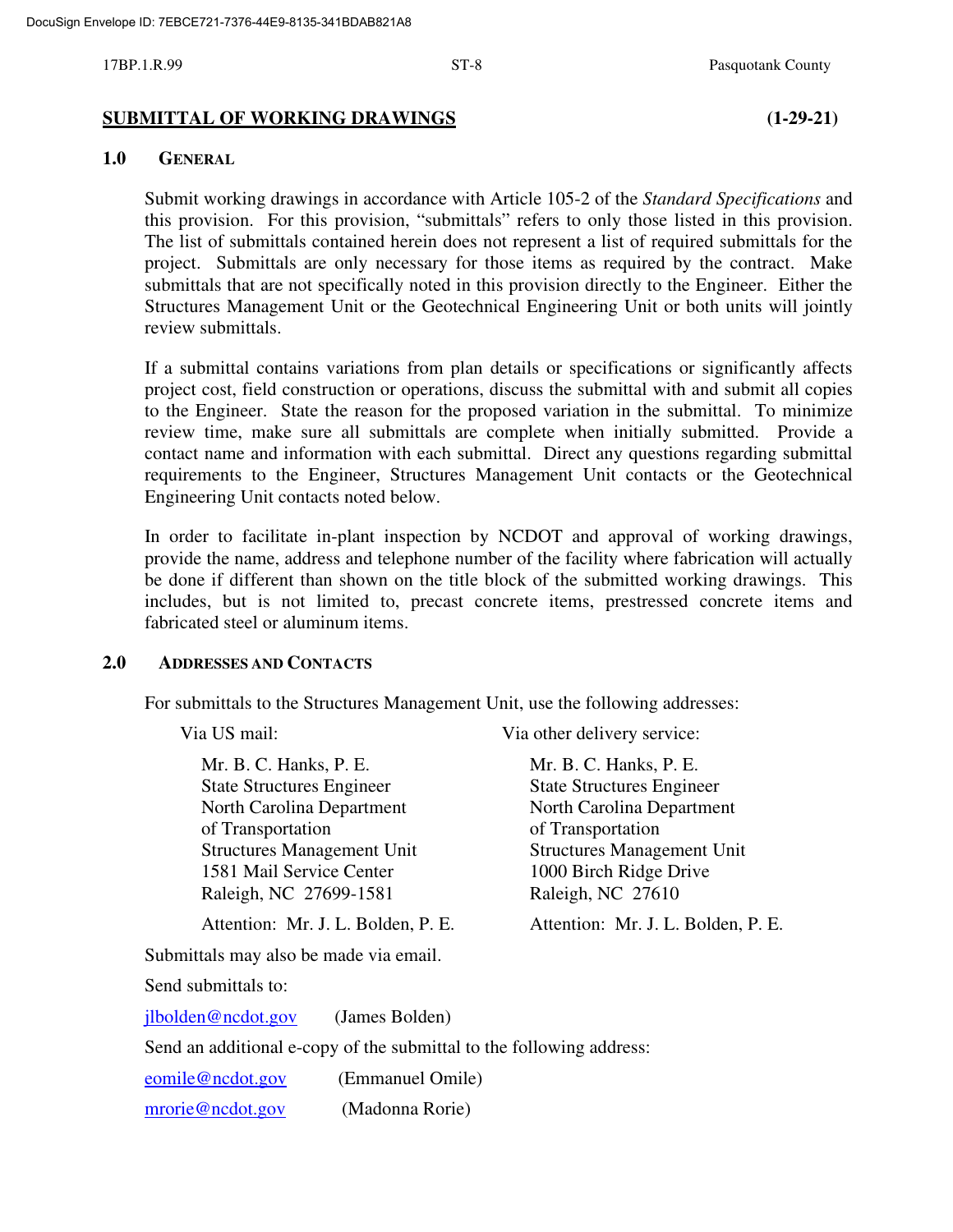#### **SUBMITTAL OF WORKING DRAWINGS (1-29-21)**

#### **1.0 GENERAL**

Submit working drawings in accordance with Article 105-2 of the *Standard Specifications* and this provision. For this provision, "submittals" refers to only those listed in this provision. The list of submittals contained herein does not represent a list of required submittals for the project. Submittals are only necessary for those items as required by the contract. Make submittals that are not specifically noted in this provision directly to the Engineer. Either the Structures Management Unit or the Geotechnical Engineering Unit or both units will jointly review submittals.

If a submittal contains variations from plan details or specifications or significantly affects project cost, field construction or operations, discuss the submittal with and submit all copies to the Engineer. State the reason for the proposed variation in the submittal. To minimize review time, make sure all submittals are complete when initially submitted. Provide a contact name and information with each submittal. Direct any questions regarding submittal requirements to the Engineer, Structures Management Unit contacts or the Geotechnical Engineering Unit contacts noted below.

In order to facilitate in-plant inspection by NCDOT and approval of working drawings, provide the name, address and telephone number of the facility where fabrication will actually be done if different than shown on the title block of the submitted working drawings. This includes, but is not limited to, precast concrete items, prestressed concrete items and fabricated steel or aluminum items.

#### **2.0 ADDRESSES AND CONTACTS**

For submittals to the Structures Management Unit, use the following addresses:

Via US mail: Via other delivery service:

Mr. B. C. Hanks, P. E. Mr. B. C. Hanks, P. E. State Structures Engineer State Structures Engineer North Carolina Department North Carolina Department of Transportation of Transportation Structures Management Unit Structures Management Unit 1581 Mail Service Center 1000 Birch Ridge Drive Raleigh, NC 27699-1581 Raleigh, NC 27610

Attention: Mr. J. L. Bolden, P. E. Attention: Mr. J. L. Bolden, P. E.

Submittals may also be made via email.

Send submittals to:

jlbolden@ncdot.gov (James Bolden)

Send an additional e-copy of the submittal to the following address:

eomile@ncdot.gov (Emmanuel Omile) mrorie@ncdot.gov (Madonna Rorie)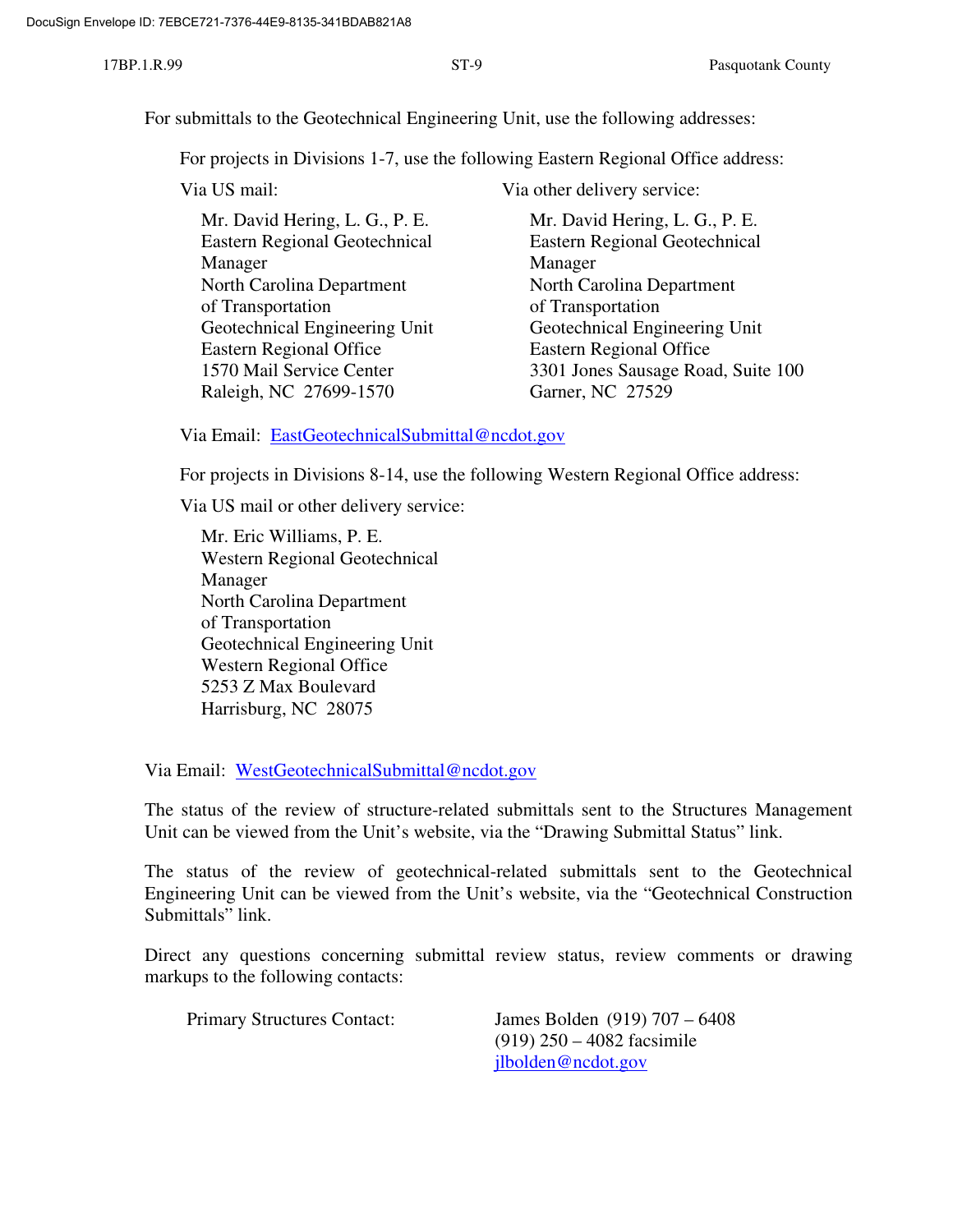For submittals to the Geotechnical Engineering Unit, use the following addresses:

For projects in Divisions 1-7, use the following Eastern Regional Office address:

| Mr. David Hering, l |
|---------------------|
| Eastern Regional G  |
| Manager             |
| North Carolina Dep  |
| of Transportation   |
| Geotechnical Engin  |
| Eastern Regional O  |
| 3301 Jones Sausage  |
| Garner, NC 27529    |
|                     |

Via US mail: Via other delivery service:

Mr. David Hering, L. G., P. E. Eastern Regional Geotechnical Eastern Regional Geotechnical Manager North Carolina Department of Transportation Geotechnical Engineering Unit Eastern Regional Office 3301 Jones Sausage Road, Suite 100

Via Email: EastGeotechnicalSubmittal@ncdot.gov

For projects in Divisions 8-14, use the following Western Regional Office address:

Via US mail or other delivery service:

Mr. Eric Williams, P. E. Western Regional Geotechnical Manager North Carolina Department of Transportation Geotechnical Engineering Unit Western Regional Office 5253 Z Max Boulevard Harrisburg, NC 28075

Via Email: WestGeotechnicalSubmittal@ncdot.gov

The status of the review of structure-related submittals sent to the Structures Management Unit can be viewed from the Unit's website, via the "Drawing Submittal Status" link.

The status of the review of geotechnical-related submittals sent to the Geotechnical Engineering Unit can be viewed from the Unit's website, via the "Geotechnical Construction Submittals" link.

Direct any questions concerning submittal review status, review comments or drawing markups to the following contacts:

Primary Structures Contact: James Bolden (919) 707 – 6408 (919) 250 – 4082 facsimile jlbolden@ncdot.gov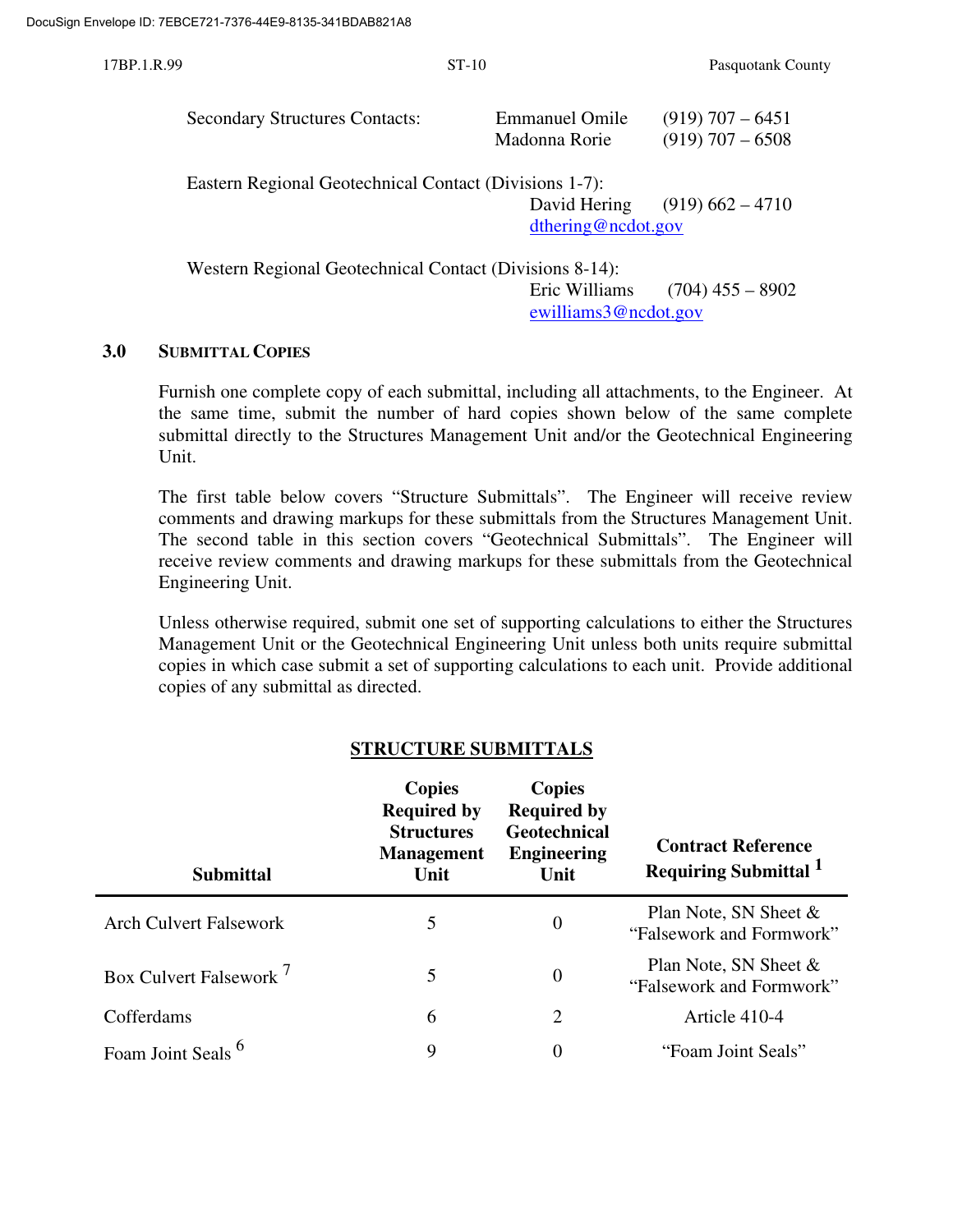| 17BP.1.R.99 |                                                         | $ST-10$                                | Pasquotank County                        |
|-------------|---------------------------------------------------------|----------------------------------------|------------------------------------------|
|             | <b>Secondary Structures Contacts:</b>                   | <b>Emmanuel Omile</b><br>Madonna Rorie | $(919)$ 707 – 6451<br>$(919)$ 707 – 6508 |
|             | Eastern Regional Geotechnical Contact (Divisions 1-7):  | David Hering<br>dthering@ncdot.gov     | $(919)$ 662 – 4710                       |
|             | Western Regional Geotechnical Contact (Divisions 8-14): | Eric Williams                          | $(704)$ 455 – 8902                       |

# **3.0 SUBMITTAL COPIES**

Furnish one complete copy of each submittal, including all attachments, to the Engineer. At the same time, submit the number of hard copies shown below of the same complete submittal directly to the Structures Management Unit and/or the Geotechnical Engineering Unit.

ewilliams3@ncdot.gov

The first table below covers "Structure Submittals". The Engineer will receive review comments and drawing markups for these submittals from the Structures Management Unit. The second table in this section covers "Geotechnical Submittals". The Engineer will receive review comments and drawing markups for these submittals from the Geotechnical Engineering Unit.

Unless otherwise required, submit one set of supporting calculations to either the Structures Management Unit or the Geotechnical Engineering Unit unless both units require submittal copies in which case submit a set of supporting calculations to each unit. Provide additional copies of any submittal as directed.

| <b>Submittal</b>                   | <b>Copies</b><br><b>Required by</b><br><b>Structures</b><br><b>Management</b><br>Unit | <b>Copies</b><br><b>Required by</b><br><b>Geotechnical</b><br><b>Engineering</b><br>Unit | <b>Contract Reference</b><br>Requiring Submittal 1   |
|------------------------------------|---------------------------------------------------------------------------------------|------------------------------------------------------------------------------------------|------------------------------------------------------|
| <b>Arch Culvert Falsework</b>      | 5                                                                                     | $\Omega$                                                                                 | Plan Note, SN Sheet $\&$<br>"Falsework and Formwork" |
| Box Culvert Falsework <sup>7</sup> | 5                                                                                     | $\overline{0}$                                                                           | Plan Note, SN Sheet $\&$<br>"Falsework and Formwork" |
| Cofferdams                         | 6                                                                                     | 2                                                                                        | Article 410-4                                        |
| Foam Joint Seals                   | 9                                                                                     | 0                                                                                        | "Foam Joint Seals"                                   |

# **STRUCTURE SUBMITTALS**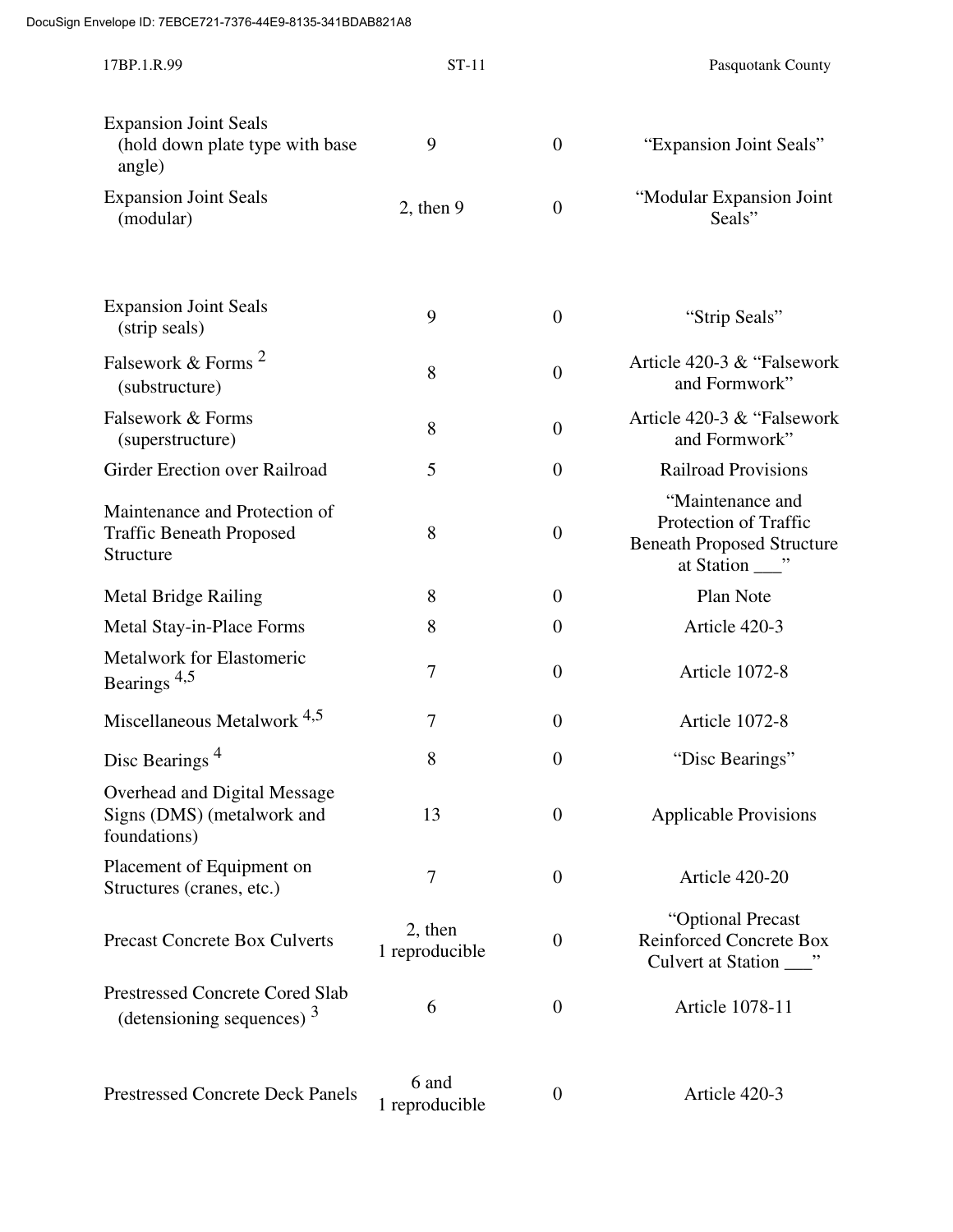| 17BP.1.R.99                                                                   | $ST-11$                   |                  | Pasquotank County                                                              |
|-------------------------------------------------------------------------------|---------------------------|------------------|--------------------------------------------------------------------------------|
| <b>Expansion Joint Seals</b><br>(hold down plate type with base<br>angle)     | 9                         | $\boldsymbol{0}$ | "Expansion Joint Seals"                                                        |
| <b>Expansion Joint Seals</b><br>(modular)                                     | $2$ , then $9$            | $\boldsymbol{0}$ | "Modular Expansion Joint<br>Seals"                                             |
| <b>Expansion Joint Seals</b><br>(strip seals)                                 | 9                         | $\boldsymbol{0}$ | "Strip Seals"                                                                  |
| Falsework & Forms <sup>2</sup><br>(substructure)                              | 8                         | $\boldsymbol{0}$ | Article 420-3 & "Falsework"<br>and Formwork"                                   |
| Falsework & Forms<br>(superstructure)                                         | 8                         | $\boldsymbol{0}$ | Article 420-3 & "Falsework"<br>and Formwork"                                   |
| Girder Erection over Railroad                                                 | 5                         | $\boldsymbol{0}$ | <b>Railroad Provisions</b>                                                     |
| Maintenance and Protection of<br><b>Traffic Beneath Proposed</b><br>Structure | 8                         | $\boldsymbol{0}$ | "Maintenance and<br>Protection of Traffic<br><b>Beneath Proposed Structure</b> |
| <b>Metal Bridge Railing</b>                                                   | 8                         | $\boldsymbol{0}$ | Plan Note                                                                      |
| Metal Stay-in-Place Forms                                                     | 8                         | $\boldsymbol{0}$ | Article 420-3                                                                  |
| Metalwork for Elastomeric<br>Bearings <sup>4,5</sup>                          | $\overline{7}$            | $\overline{0}$   | Article 1072-8                                                                 |
| Miscellaneous Metalwork <sup>4,5</sup>                                        | 7                         | $\boldsymbol{0}$ | Article 1072-8                                                                 |
| Disc Bearings <sup>4</sup>                                                    | $\Omega$<br>8             | $\boldsymbol{0}$ | "Disc Bearings"                                                                |
| Overhead and Digital Message<br>Signs (DMS) (metalwork and<br>foundations)    | 13                        | $\boldsymbol{0}$ | <b>Applicable Provisions</b>                                                   |
| Placement of Equipment on<br>Structures (cranes, etc.)                        | $\overline{7}$            | $\boldsymbol{0}$ | Article 420-20                                                                 |
| <b>Precast Concrete Box Culverts</b>                                          | 2, then<br>1 reproducible | $\boldsymbol{0}$ | "Optional Precast<br><b>Reinforced Concrete Box</b>                            |
| <b>Prestressed Concrete Cored Slab</b><br>(detensioning sequences) $3$        | 6                         | $\boldsymbol{0}$ | Article 1078-11                                                                |
| <b>Prestressed Concrete Deck Panels</b>                                       | 6 and<br>1 reproducible   | $\boldsymbol{0}$ | Article 420-3                                                                  |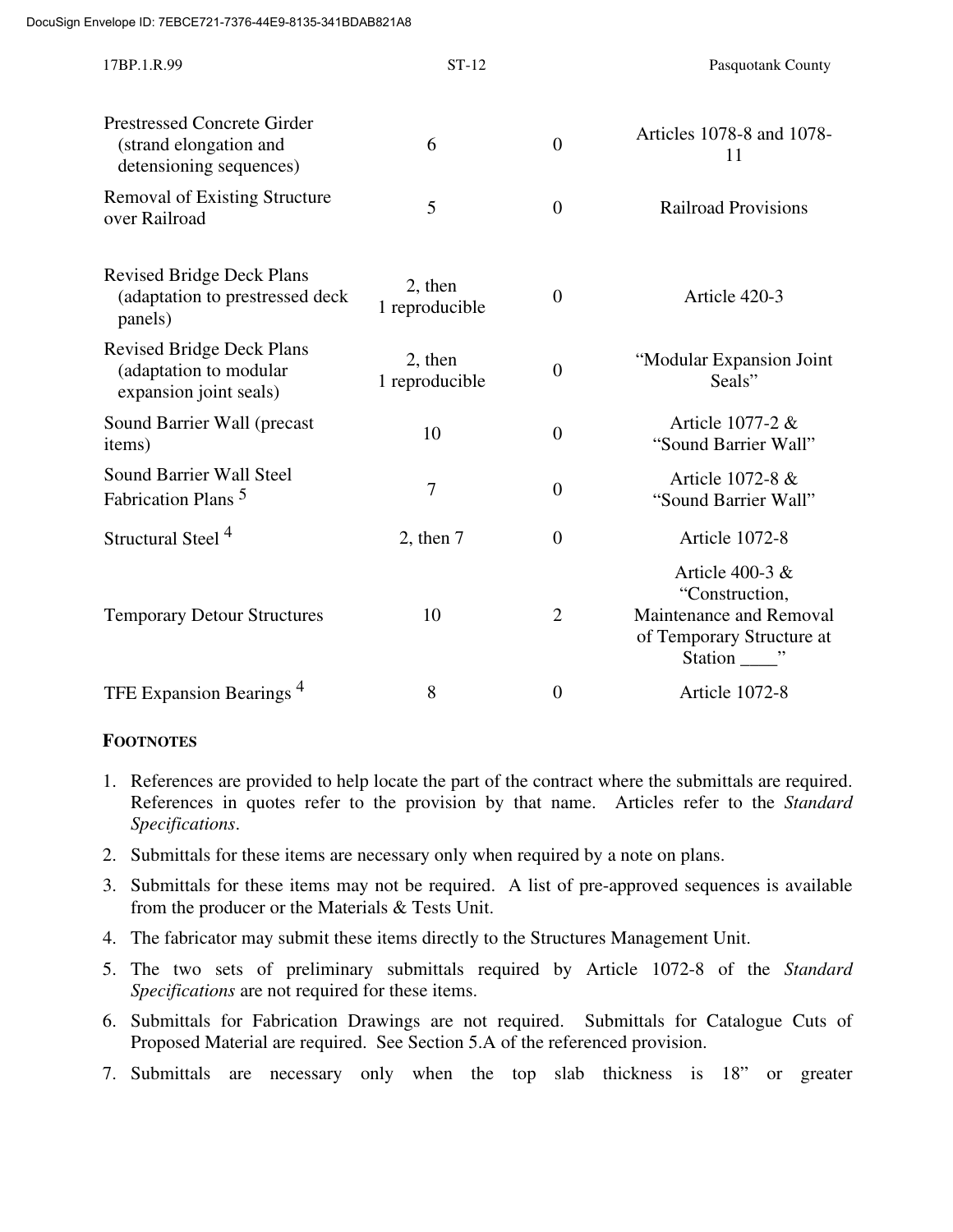| 17BP.1.R.99                                                                             | $ST-12$                   |                  | Pasquotank County                                                                           |
|-----------------------------------------------------------------------------------------|---------------------------|------------------|---------------------------------------------------------------------------------------------|
| <b>Prestressed Concrete Girder</b><br>(strand elongation and<br>detensioning sequences) | 6                         | $\overline{0}$   | Articles 1078-8 and 1078-<br>11                                                             |
| <b>Removal of Existing Structure</b><br>over Railroad                                   | 5                         | $\overline{0}$   | <b>Railroad Provisions</b>                                                                  |
| <b>Revised Bridge Deck Plans</b><br>(adaptation to prestressed deck<br>panels)          | 2, then<br>1 reproducible | $\overline{0}$   | Article 420-3                                                                               |
| <b>Revised Bridge Deck Plans</b><br>(adaptation to modular<br>expansion joint seals)    | 2, then<br>1 reproducible | $\boldsymbol{0}$ | "Modular Expansion Joint<br>Seals"                                                          |
| Sound Barrier Wall (precast<br>items)                                                   | 10                        | $\overline{0}$   | Article 1077-2 &<br>"Sound Barrier Wall"                                                    |
| Sound Barrier Wall Steel<br>Fabrication Plans <sup>5</sup>                              | 7                         | $\boldsymbol{0}$ | Article 1072-8 &<br>"Sound Barrier Wall"                                                    |
| Structural Steel <sup>4</sup>                                                           | $2$ , then $7$            | $\overline{0}$   | Article 1072-8                                                                              |
| <b>Temporary Detour Structures</b>                                                      | 10                        | $\overline{2}$   | Article 400-3 $&$<br>"Construction,<br>Maintenance and Removal<br>of Temporary Structure at |
| TFE Expansion Bearings <sup>4</sup>                                                     | 8                         | $\boldsymbol{0}$ | Article 1072-8                                                                              |

# **FOOTNOTES**

- 1. References are provided to help locate the part of the contract where the submittals are required. References in quotes refer to the provision by that name. Articles refer to the *Standard Specifications*.
- 2. Submittals for these items are necessary only when required by a note on plans.
- 3. Submittals for these items may not be required. A list of pre-approved sequences is available from the producer or the Materials & Tests Unit.
- 4. The fabricator may submit these items directly to the Structures Management Unit.
- 5. The two sets of preliminary submittals required by Article 1072-8 of the *Standard Specifications* are not required for these items.
- 6. Submittals for Fabrication Drawings are not required. Submittals for Catalogue Cuts of Proposed Material are required. See Section 5.A of the referenced provision.
- 7. Submittals are necessary only when the top slab thickness is 18" or greater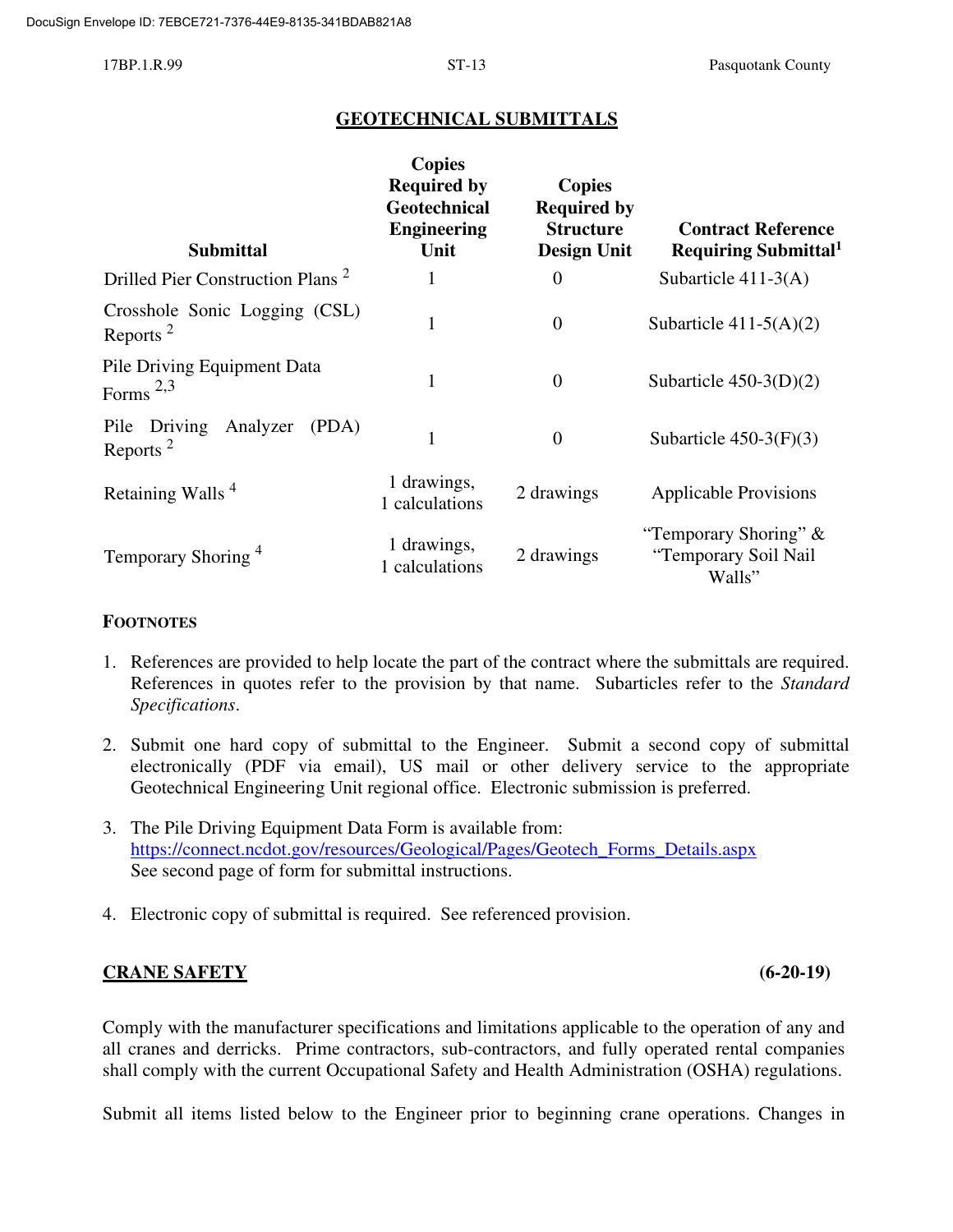# **GEOTECHNICAL SUBMITTALS**

| <b>Submittal</b>                                          | <b>Copies</b><br><b>Required by</b><br>Geotechnical<br><b>Engineering</b><br>Unit | <b>Copies</b><br><b>Required by</b><br><b>Structure</b><br><b>Design Unit</b> | <b>Contract Reference</b><br>Requiring Submittal <sup>1</sup> |
|-----------------------------------------------------------|-----------------------------------------------------------------------------------|-------------------------------------------------------------------------------|---------------------------------------------------------------|
| Drilled Pier Construction Plans <sup>2</sup>              |                                                                                   | $\theta$                                                                      | Subarticle $411-3(A)$                                         |
| Crosshole Sonic Logging (CSL)<br>Reports <sup>2</sup>     | $\mathbf{1}$                                                                      | $\theta$                                                                      | Subarticle $411-5(A)(2)$                                      |
| Pile Driving Equipment Data<br>Forms $^{2,3}$             | 1                                                                                 | $\theta$                                                                      | Subarticle $450-3(D)(2)$                                      |
| Analyzer<br>Pile Driving<br>(PDA)<br>Reports <sup>2</sup> |                                                                                   | $\theta$                                                                      | Subarticle $450-3(F)(3)$                                      |
| Retaining Walls <sup>4</sup>                              | 1 drawings,<br>1 calculations                                                     | 2 drawings                                                                    | <b>Applicable Provisions</b>                                  |
| Temporary Shoring <sup>4</sup>                            | 1 drawings,<br>1 calculations                                                     | 2 drawings                                                                    | "Temporary Shoring" $&$<br>"Temporary Soil Nail<br>Walls"     |

#### **FOOTNOTES**

- 1. References are provided to help locate the part of the contract where the submittals are required. References in quotes refer to the provision by that name. Subarticles refer to the *Standard Specifications*.
- 2. Submit one hard copy of submittal to the Engineer. Submit a second copy of submittal electronically (PDF via email), US mail or other delivery service to the appropriate Geotechnical Engineering Unit regional office. Electronic submission is preferred.
- 3. The Pile Driving Equipment Data Form is available from: https://connect.ncdot.gov/resources/Geological/Pages/Geotech\_Forms\_Details.aspx See second page of form for submittal instructions.
- 4. Electronic copy of submittal is required. See referenced provision.

### **CRANE SAFETY (6-20-19)**

Comply with the manufacturer specifications and limitations applicable to the operation of any and all cranes and derricks. Prime contractors, sub-contractors, and fully operated rental companies shall comply with the current Occupational Safety and Health Administration (OSHA) regulations.

Submit all items listed below to the Engineer prior to beginning crane operations. Changes in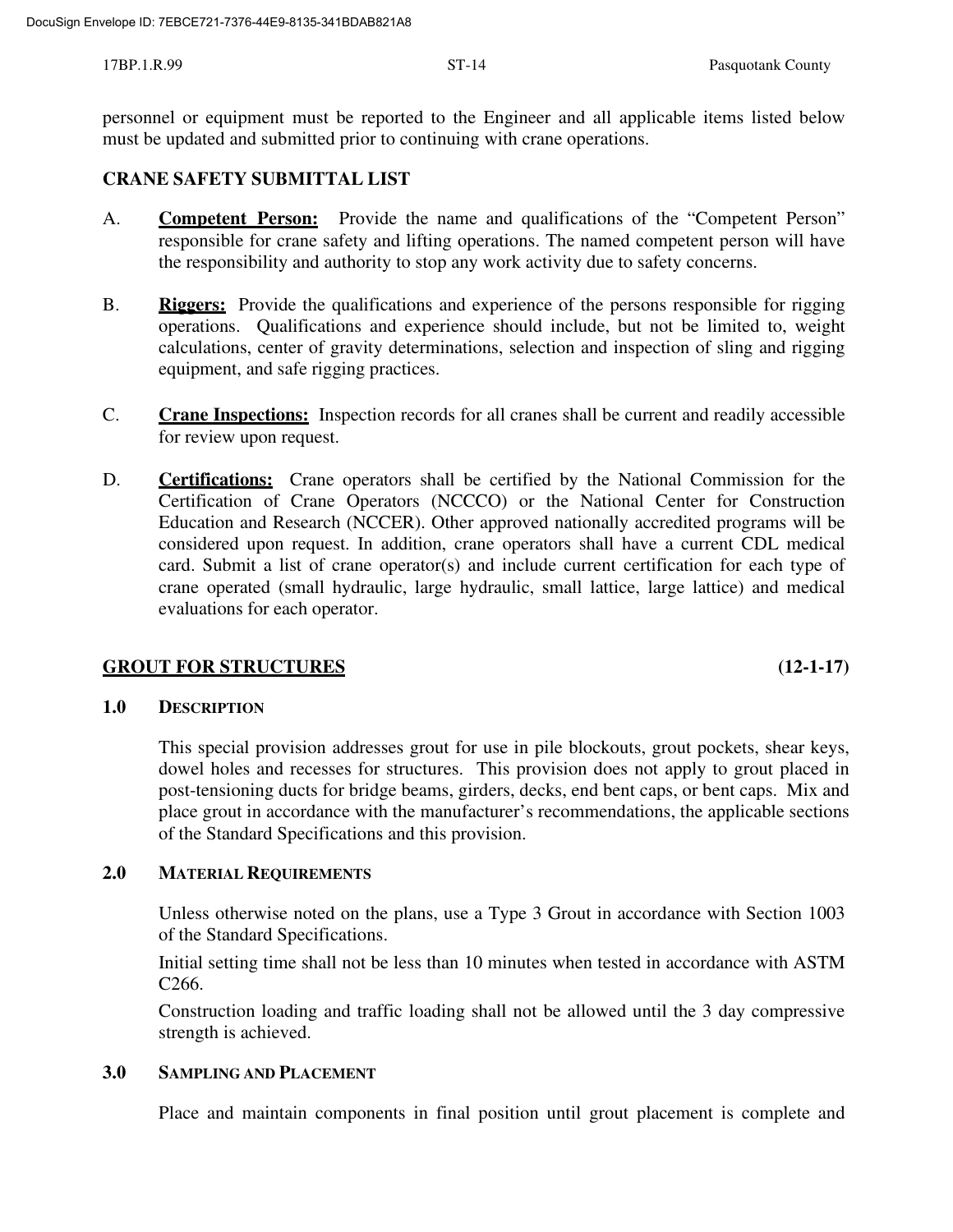personnel or equipment must be reported to the Engineer and all applicable items listed below must be updated and submitted prior to continuing with crane operations.

#### **CRANE SAFETY SUBMITTAL LIST**

- A. **Competent Person:** Provide the name and qualifications of the "Competent Person" responsible for crane safety and lifting operations. The named competent person will have the responsibility and authority to stop any work activity due to safety concerns.
- B. **Riggers:** Provide the qualifications and experience of the persons responsible for rigging operations. Qualifications and experience should include, but not be limited to, weight calculations, center of gravity determinations, selection and inspection of sling and rigging equipment, and safe rigging practices.
- C. **Crane Inspections:** Inspection records for all cranes shall be current and readily accessible for review upon request.
- D. **Certifications:** Crane operators shall be certified by the National Commission for the Certification of Crane Operators (NCCCO) or the National Center for Construction Education and Research (NCCER). Other approved nationally accredited programs will be considered upon request. In addition, crane operators shall have a current CDL medical card. Submit a list of crane operator(s) and include current certification for each type of crane operated (small hydraulic, large hydraulic, small lattice, large lattice) and medical evaluations for each operator.

### **GROUT FOR STRUCTURES (12-1-17)**

#### **1.0 DESCRIPTION**

This special provision addresses grout for use in pile blockouts, grout pockets, shear keys, dowel holes and recesses for structures. This provision does not apply to grout placed in post-tensioning ducts for bridge beams, girders, decks, end bent caps, or bent caps. Mix and place grout in accordance with the manufacturer's recommendations, the applicable sections of the Standard Specifications and this provision.

#### **2.0 MATERIAL REQUIREMENTS**

Unless otherwise noted on the plans, use a Type 3 Grout in accordance with Section 1003 of the Standard Specifications.

Initial setting time shall not be less than 10 minutes when tested in accordance with ASTM C266.

Construction loading and traffic loading shall not be allowed until the 3 day compressive strength is achieved.

#### **3.0 SAMPLING AND PLACEMENT**

Place and maintain components in final position until grout placement is complete and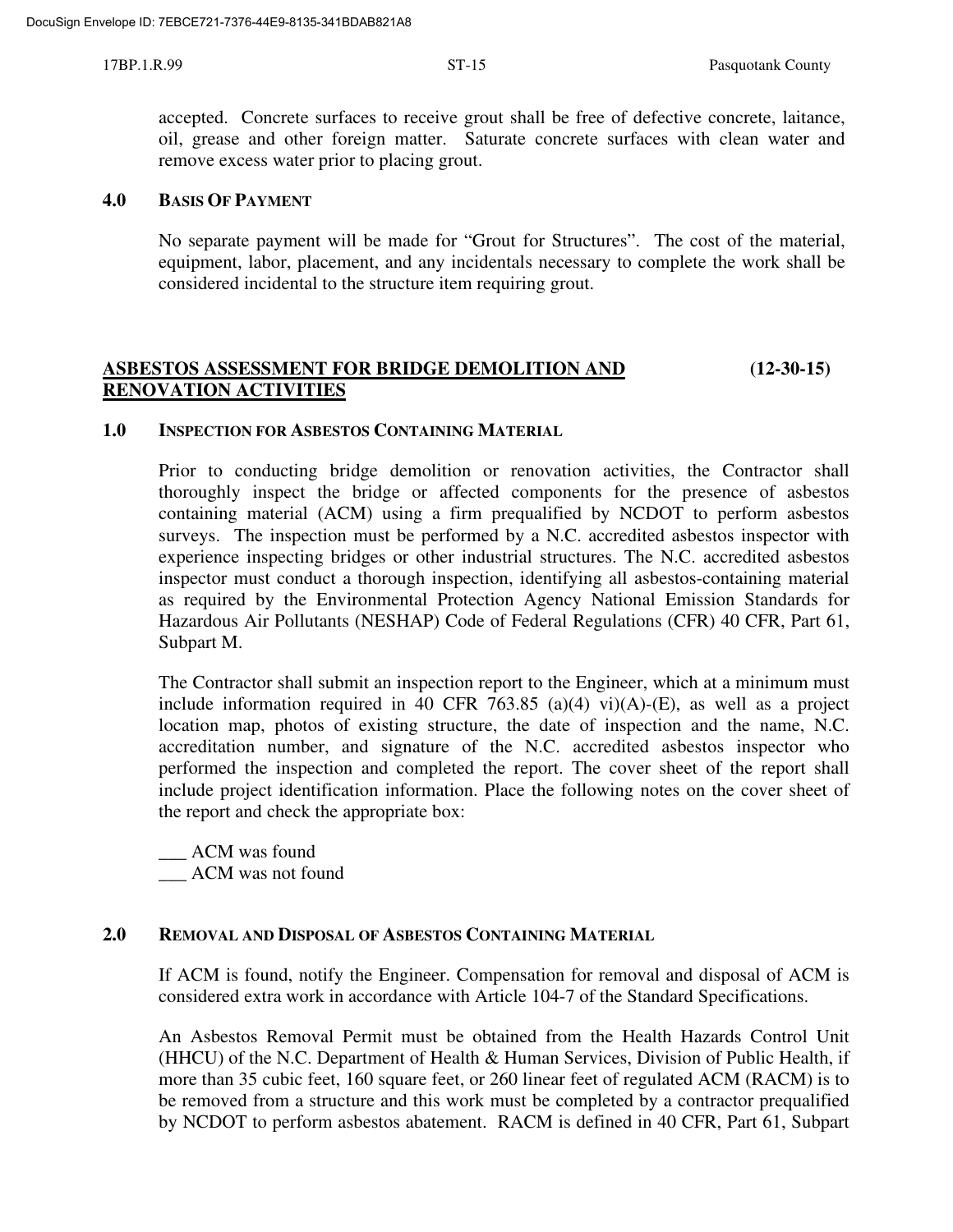accepted. Concrete surfaces to receive grout shall be free of defective concrete, laitance, oil, grease and other foreign matter. Saturate concrete surfaces with clean water and remove excess water prior to placing grout.

#### **4.0 BASIS OF PAYMENT**

No separate payment will be made for "Grout for Structures". The cost of the material, equipment, labor, placement, and any incidentals necessary to complete the work shall be considered incidental to the structure item requiring grout.

# **ASBESTOS ASSESSMENT FOR BRIDGE DEMOLITION AND (12-30-15) RENOVATION ACTIVITIES**

#### **1.0 INSPECTION FOR ASBESTOS CONTAINING MATERIAL**

Prior to conducting bridge demolition or renovation activities, the Contractor shall thoroughly inspect the bridge or affected components for the presence of asbestos containing material (ACM) using a firm prequalified by NCDOT to perform asbestos surveys. The inspection must be performed by a N.C. accredited asbestos inspector with experience inspecting bridges or other industrial structures. The N.C. accredited asbestos inspector must conduct a thorough inspection, identifying all asbestos-containing material as required by the Environmental Protection Agency National Emission Standards for Hazardous Air Pollutants (NESHAP) Code of Federal Regulations (CFR) 40 CFR, Part 61, Subpart M.

The Contractor shall submit an inspection report to the Engineer, which at a minimum must include information required in 40 CFR 763.85 (a)(4) vi)(A)- $(E)$ , as well as a project location map, photos of existing structure, the date of inspection and the name, N.C. accreditation number, and signature of the N.C. accredited asbestos inspector who performed the inspection and completed the report. The cover sheet of the report shall include project identification information. Place the following notes on the cover sheet of the report and check the appropriate box:

ACM was found \_\_\_ ACM was not found

### **2.0 REMOVAL AND DISPOSAL OF ASBESTOS CONTAINING MATERIAL**

If ACM is found, notify the Engineer. Compensation for removal and disposal of ACM is considered extra work in accordance with Article 104-7 of the Standard Specifications.

An Asbestos Removal Permit must be obtained from the Health Hazards Control Unit (HHCU) of the N.C. Department of Health & Human Services, Division of Public Health, if more than 35 cubic feet, 160 square feet, or 260 linear feet of regulated ACM (RACM) is to be removed from a structure and this work must be completed by a contractor prequalified by NCDOT to perform asbestos abatement. RACM is defined in 40 CFR, Part 61, Subpart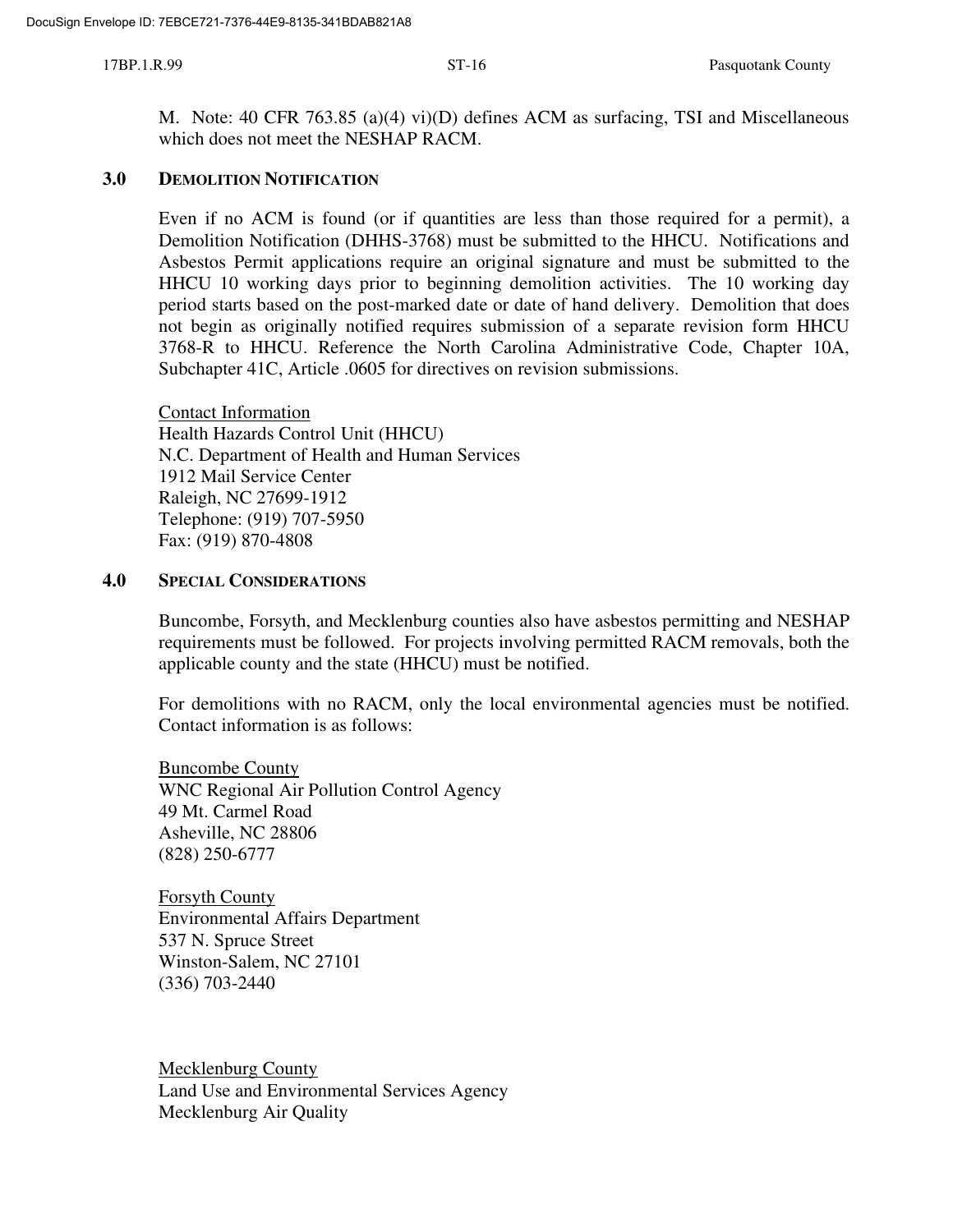M. Note: 40 CFR 763.85 (a)(4) vi)(D) defines ACM as surfacing, TSI and Miscellaneous which does not meet the NESHAP RACM.

#### **3.0 DEMOLITION NOTIFICATION**

Even if no ACM is found (or if quantities are less than those required for a permit), a Demolition Notification (DHHS-3768) must be submitted to the HHCU. Notifications and Asbestos Permit applications require an original signature and must be submitted to the HHCU 10 working days prior to beginning demolition activities. The 10 working day period starts based on the post-marked date or date of hand delivery. Demolition that does not begin as originally notified requires submission of a separate revision form HHCU 3768-R to HHCU. Reference the North Carolina Administrative Code, Chapter 10A, Subchapter 41C, Article .0605 for directives on revision submissions.

Contact Information Health Hazards Control Unit (HHCU) N.C. Department of Health and Human Services 1912 Mail Service Center Raleigh, NC 27699-1912 Telephone: (919) 707-5950 Fax: (919) 870-4808

#### **4.0 SPECIAL CONSIDERATIONS**

Buncombe, Forsyth, and Mecklenburg counties also have asbestos permitting and NESHAP requirements must be followed. For projects involving permitted RACM removals, both the applicable county and the state (HHCU) must be notified.

For demolitions with no RACM, only the local environmental agencies must be notified. Contact information is as follows:

Buncombe County WNC Regional Air Pollution Control Agency 49 Mt. Carmel Road Asheville, NC 28806 (828) 250-6777

Forsyth County Environmental Affairs Department 537 N. Spruce Street Winston-Salem, NC 27101 (336) 703-2440

Mecklenburg County Land Use and Environmental Services Agency Mecklenburg Air Quality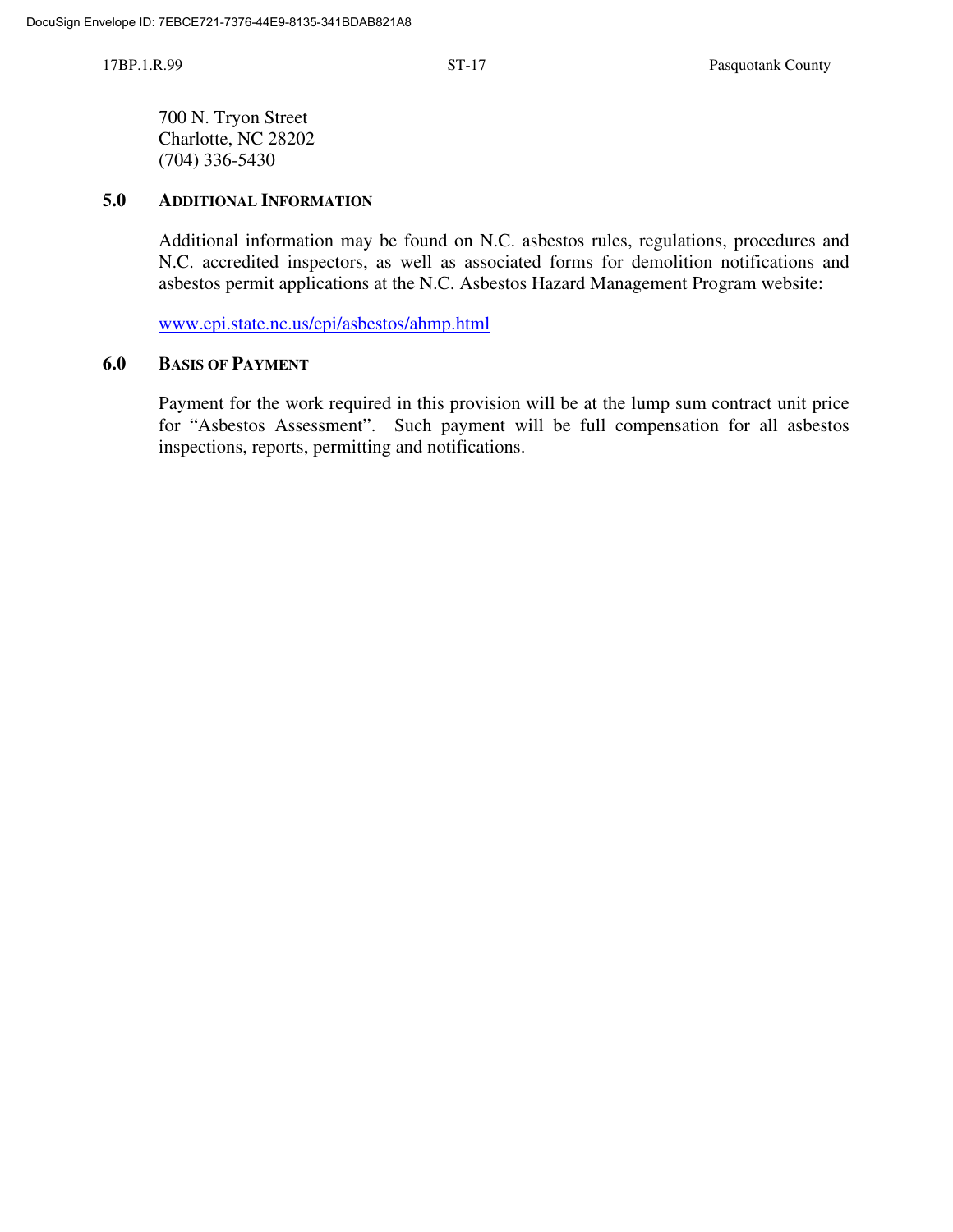700 N. Tryon Street Charlotte, NC 28202 (704) 336-5430

#### **5.0 ADDITIONAL INFORMATION**

Additional information may be found on N.C. asbestos rules, regulations, procedures and N.C. accredited inspectors, as well as associated forms for demolition notifications and asbestos permit applications at the N.C. Asbestos Hazard Management Program website:

www.epi.state.nc.us/epi/asbestos/ahmp.html

#### **6.0 BASIS OF PAYMENT**

Payment for the work required in this provision will be at the lump sum contract unit price for "Asbestos Assessment". Such payment will be full compensation for all asbestos inspections, reports, permitting and notifications.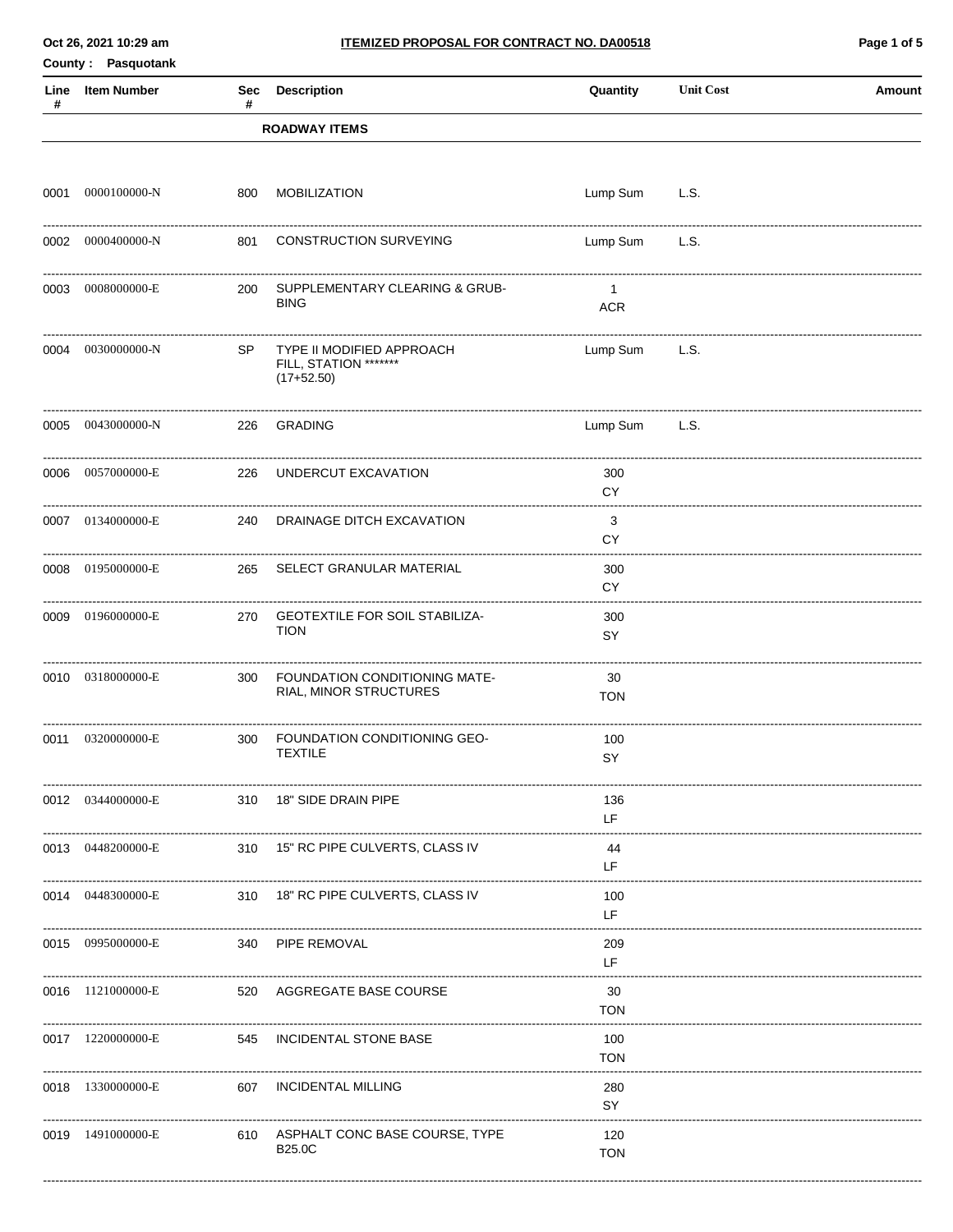Oct 26, 2021 10:29 am

Quantity

**Unit Cost** 

Page 1 of 5

Amount

County: Pasquotank Sec Description Line Item Number

| # |                   | #   |                                                                    |                              |      |  |
|---|-------------------|-----|--------------------------------------------------------------------|------------------------------|------|--|
|   |                   |     | <b>ROADWAY ITEMS</b>                                               |                              |      |  |
|   |                   |     |                                                                    |                              |      |  |
|   | 0001 0000100000-N |     | 800 MOBILIZATION                                                   | Lump Sum                     | L.S. |  |
|   | 0002 0000400000-N |     | 801 CONSTRUCTION SURVEYING                                         | Lump Sum                     | L.S. |  |
|   | 0003 0008000000-E |     | 200 SUPPLEMENTARY CLEARING & GRUB-<br><b>BING</b>                  | $\overline{1}$<br><b>ACR</b> |      |  |
|   | 0004 0030000000-N | SP  | TYPE II MODIFIED APPROACH<br>FILL, STATION *******<br>$(17+52.50)$ | Lump Sum L.S.                |      |  |
|   | 0005 0043000000-N |     | 226 GRADING                                                        | Lump Sum                     | L.S. |  |
|   | 0006 0057000000-E |     | 226 UNDERCUT EXCAVATION                                            | 300<br>CY                    |      |  |
|   | 0007 0134000000-E |     | 240 DRAINAGE DITCH EXCAVATION                                      | 3<br><b>CY</b>               |      |  |
|   | 0008 0195000000-E |     | 265 SELECT GRANULAR MATERIAL                                       | 300<br>CY.                   |      |  |
|   | 0009 0196000000-E |     | 270 GEOTEXTILE FOR SOIL STABILIZA-<br><b>TION</b>                  | 300<br>SY                    |      |  |
|   | 0010 0318000000-E | 300 | FOUNDATION CONDITIONING MATE-<br>RIAL, MINOR STRUCTURES            | 30<br><b>TON</b>             |      |  |
|   | 0011 0320000000-E | 300 | FOUNDATION CONDITIONING GEO-<br><b>TEXTILE</b>                     | 100<br>SY                    |      |  |
|   | 0012 0344000000-E |     | 310 18" SIDE DRAIN PIPE                                            | 136<br>LF                    |      |  |
|   | 0013 0448200000-E |     | 310 15" RC PIPE CULVERTS, CLASS IV                                 | 44<br>LF                     |      |  |
|   | 0014 0448300000-E |     | 310 18" RC PIPE CULVERTS, CLASS IV                                 | 100<br>LF                    |      |  |
|   | 0015 0995000000-E |     | 340 PIPE REMOVAL                                                   | 209<br>LF                    |      |  |
|   | 0016 1121000000-E |     | 520 AGGREGATE BASE COURSE                                          | 30<br><b>TON</b>             |      |  |
|   | 0017 1220000000-E |     | 545 INCIDENTAL STONE BASE                                          | 100<br><b>TON</b>            |      |  |
|   | 0018 1330000000-E | 607 | <b>INCIDENTAL MILLING</b>                                          | 280<br>SY                    |      |  |
|   | 0019 1491000000-E |     | 610 ASPHALT CONC BASE COURSE, TYPE<br><b>B25.0C</b>                | 120<br><b>TON</b>            |      |  |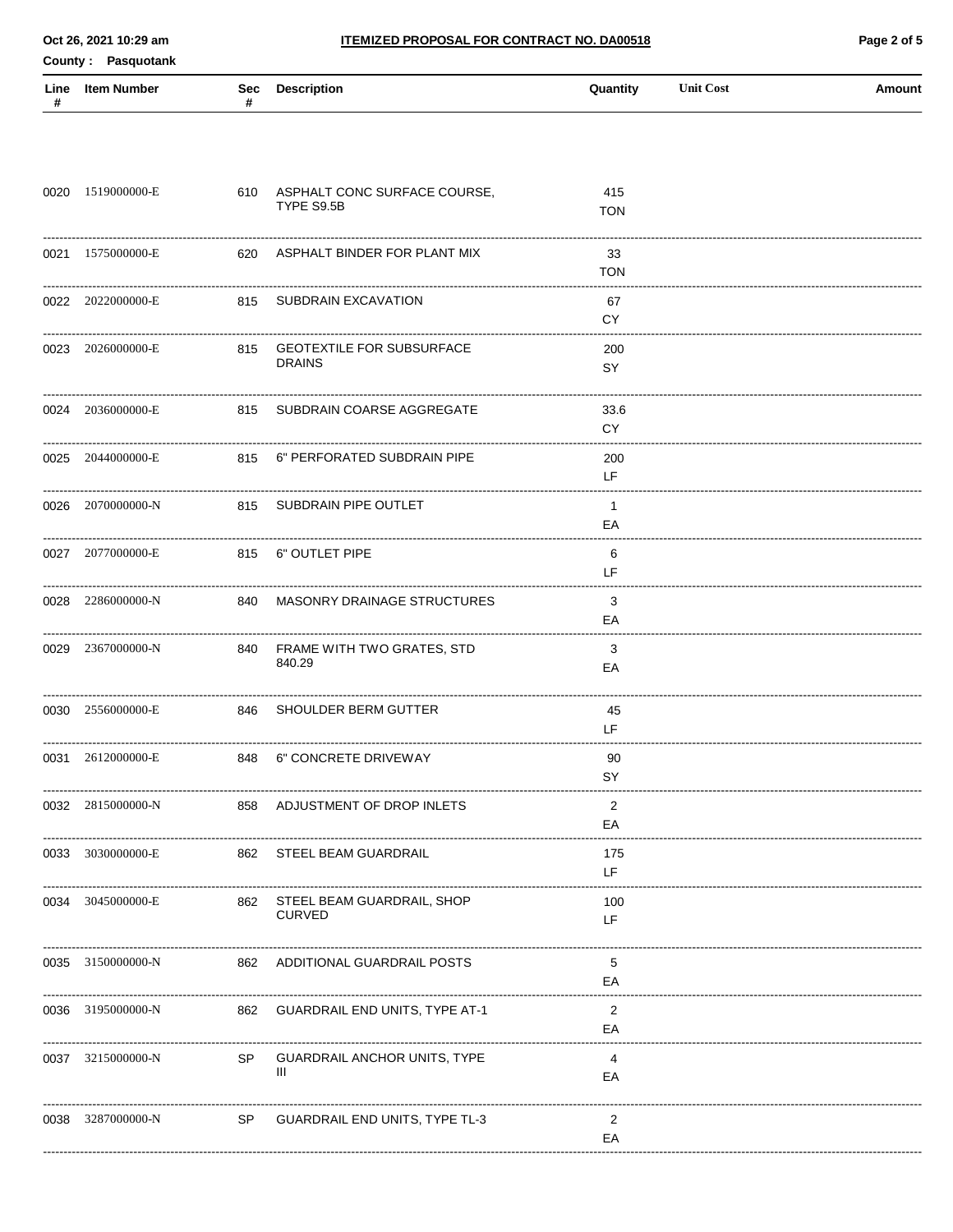County: Pasquotank

| # | Line Item Number      | # | Sec Description                                      | Quantity                                          | <b>Unit Cost</b> | Amount |
|---|-----------------------|---|------------------------------------------------------|---------------------------------------------------|------------------|--------|
|   |                       |   |                                                      |                                                   |                  |        |
|   | 0020 1519000000-E     |   | 610 ASPHALT CONC SURFACE COURSE,<br>TYPE S9.5B       | 415<br><b>TON</b>                                 |                  |        |
|   | 0021 1575000000-E     |   | 620 ASPHALT BINDER FOR PLANT MIX                     | 33<br><b>TON</b>                                  |                  |        |
|   | 0022 2022000000-E     |   | 815 SUBDRAIN EXCAVATION                              | 67<br>CY.                                         |                  |        |
|   | 0023 2026000000-E     |   | 815 GEOTEXTILE FOR SUBSURFACE<br><b>DRAINS</b>       | 200<br>SY                                         |                  |        |
|   | 0024 2036000000-E     |   | 815 SUBDRAIN COARSE AGGREGATE                        | 33.6<br>CY.                                       |                  |        |
|   | 0025 2044000000-E     |   | 815 6" PERFORATED SUBDRAIN PIPE                      | 200<br>LF.                                        |                  |        |
|   | 0026 2070000000-N     |   | 815 SUBDRAIN PIPE OUTLET                             | $\mathbf{1}$<br>EA                                |                  |        |
|   | 0027 2077000000-E     |   | 815 6" OUTLET PIPE                                   | 6<br>LF.                                          |                  |        |
|   | 0028 2286000000-N     |   | 840 MASONRY DRAINAGE STRUCTURES                      | 3<br>EA<br>-------------------------------------- |                  |        |
|   | 0029 2367000000-N     |   | 840 FRAME WITH TWO GRATES, STD<br>840.29             | 3<br>EA                                           |                  |        |
|   | 0030 2556000000-E     |   | 846 SHOULDER BERM GUTTER                             | 45<br>LF.                                         |                  |        |
|   | 0031 2612000000-E     |   | 848 6" CONCRETE DRIVEWAY                             | 90<br>SY                                          |                  |        |
|   | 0032 2815000000-N     |   | 858 ADJUSTMENT OF DROP INLETS                        | 2<br>EA                                           |                  |        |
|   | 0033 3030000000-E     |   | 862 STEEL BEAM GUARDRAIL                             | 175<br>LF.                                        |                  |        |
|   | 0034 3045000000-E     |   | 862 STEEL BEAM GUARDRAIL, SHOP<br><b>CURVED</b>      | 100<br>LF                                         |                  |        |
|   | <br>0035 3150000000-N |   | 862 ADDITIONAL GUARDRAIL POSTS                       | 5<br>EA                                           |                  |        |
|   |                       |   | 0036 3195000000-N 862 GUARDRAIL END UNITS, TYPE AT-1 | 2<br>EA                                           |                  |        |
|   | 0037 3215000000-N     |   | SP GUARDRAIL ANCHOR UNITS, TYPE<br>Ш                 | 4<br>ЕA                                           |                  |        |
|   |                       |   | 0038 3287000000-N SP GUARDRAIL END UNITS, TYPE TL-3  | $\overline{2}$<br>EA                              |                  |        |
|   |                       |   |                                                      |                                                   |                  |        |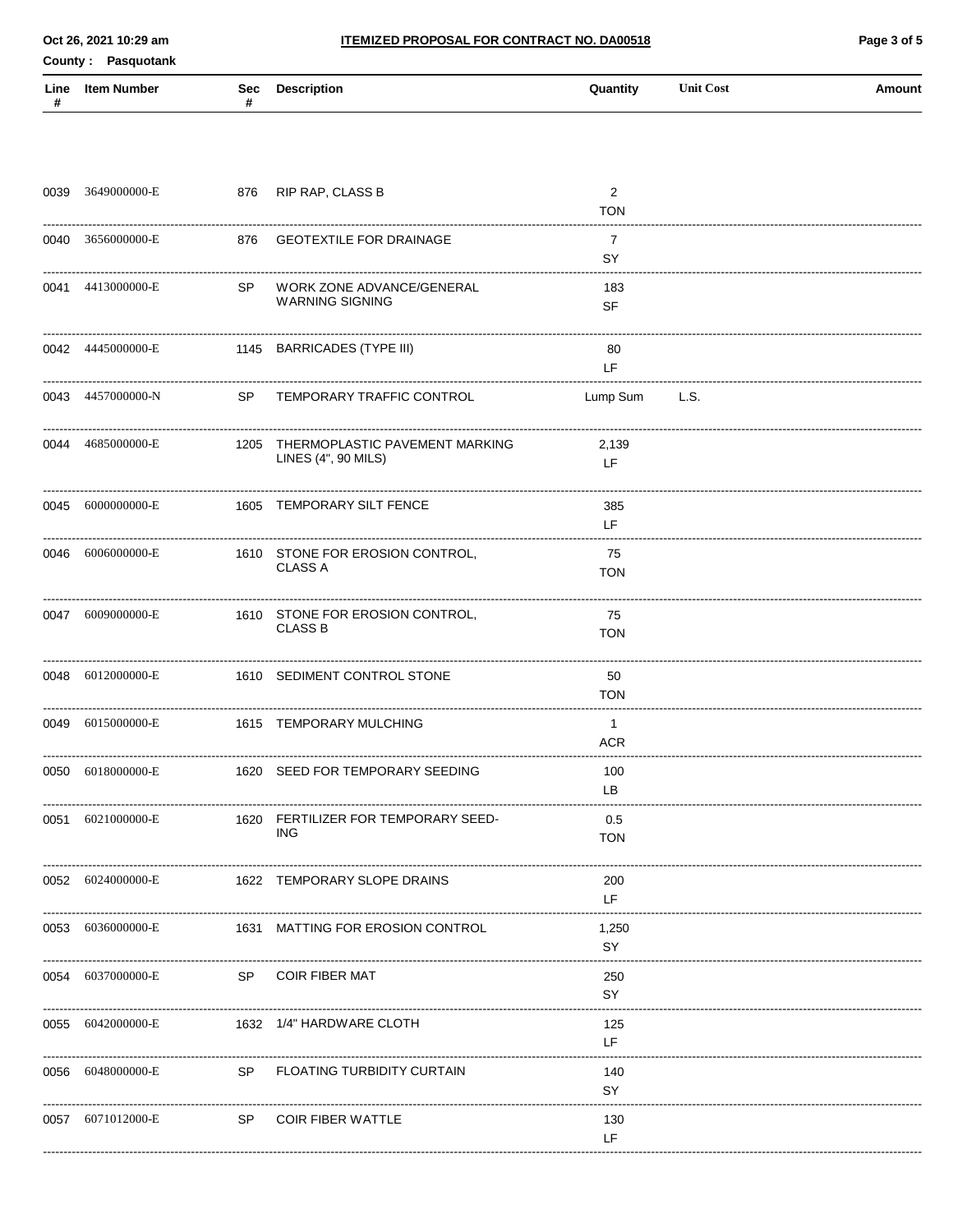County: Pasquotank

| Line<br># | Item Number<br>Sec | Description | Quantity | <b>Unit Cost</b> | Amount |
|-----------|--------------------|-------------|----------|------------------|--------|
|           |                    |             |          |                  |        |

| 0039 3649000000-E |     | 876 RIP RAP, CLASS B                                       | $\overline{2}$<br><b>TON</b> |  |
|-------------------|-----|------------------------------------------------------------|------------------------------|--|
| 0040 3656000000-E |     | 876 GEOTEXTILE FOR DRAINAGE                                | $\overline{7}$<br>SY         |  |
| 0041 4413000000-E | SP. | WORK ZONE ADVANCE/GENERAL<br><b>WARNING SIGNING</b>        | 183<br><b>SF</b>             |  |
| 0042 4445000000-E |     | 1145 BARRICADES (TYPE III)                                 | 80<br>LF.                    |  |
| 0043 4457000000-N |     | SP TEMPORARY TRAFFIC CONTROL                               | Lump Sum L.S.                |  |
| 0044 4685000000-E |     | 1205 THERMOPLASTIC PAVEMENT MARKING<br>LINES (4", 90 MILS) | 2,139<br>LF.                 |  |
| 0045 6000000000-E |     | 1605 TEMPORARY SILT FENCE                                  | 385<br>LF.                   |  |
| 0046 6006000000-E |     | 1610 STONE FOR EROSION CONTROL,<br><b>CLASS A</b>          | 75<br><b>TON</b>             |  |
| 0047 6009000000-E |     | 1610 STONE FOR EROSION CONTROL,<br><b>CLASS B</b>          | 75<br><b>TON</b>             |  |
| 0048 6012000000-E |     | 1610 SEDIMENT CONTROL STONE                                | 50<br><b>TON</b>             |  |
| 0049 6015000000-E |     | 1615 TEMPORARY MULCHING                                    | $\overline{1}$<br><b>ACR</b> |  |
| 0050 6018000000-E |     | 1620 SEED FOR TEMPORARY SEEDING                            | 100<br>LB                    |  |
| 0051 6021000000-E |     | 1620 FERTILIZER FOR TEMPORARY SEED-<br>ING.                | 0.5<br><b>TON</b>            |  |
| 0052 6024000000-E |     | 1622 TEMPORARY SLOPE DRAINS                                | 200<br>LF                    |  |
| 0053 6036000000-E |     | 1631 MATTING FOR EROSION CONTROL                           | 1,250<br>SY                  |  |
| 0054 6037000000-E | SP  | <b>COIR FIBER MAT</b>                                      | 250<br>SY                    |  |
| 0055 6042000000-E |     | 1632 1/4" HARDWARE CLOTH                                   | 125<br>LF                    |  |
| 0056 6048000000-E | SP  | <b>FLOATING TURBIDITY CURTAIN</b>                          | 140<br>SY                    |  |
| 0057 6071012000-E | SP  | <b>COIR FIBER WATTLE</b>                                   | 130<br>LF                    |  |
|                   |     |                                                            |                              |  |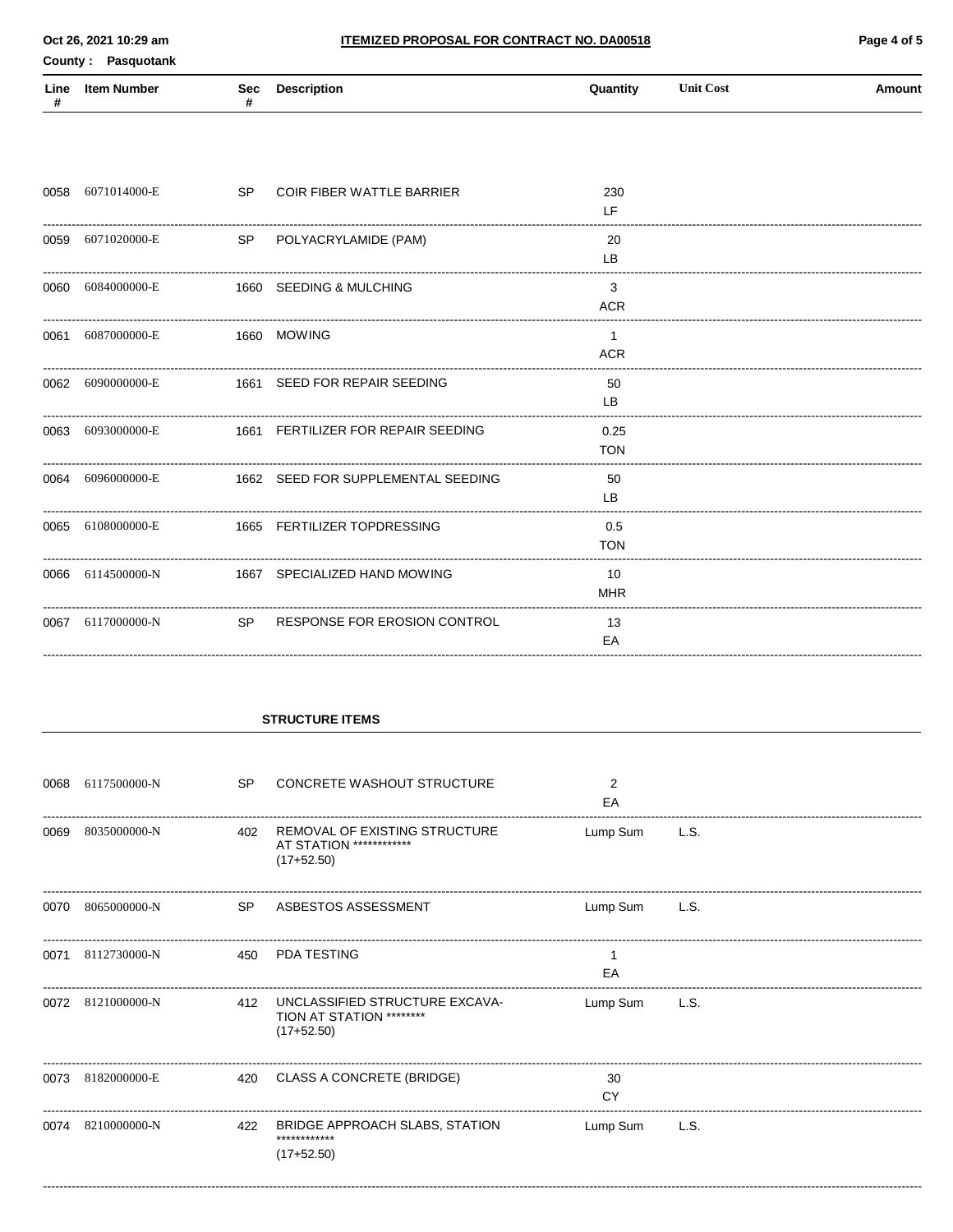Page 4 of 5

County: Pasquotank

| Line | ltem Number<br>Sec | <b>Description</b> | <b>Quantity</b> | <b>Unit Cost</b> | <b>\mount</b> |
|------|--------------------|--------------------|-----------------|------------------|---------------|
|      |                    |                    |                 |                  |               |

|      | 0058 6071014000-E | <b>SP</b> | <b>COIR FIBER WATTLE BARRIER</b>   | 230<br>LF.         |  |
|------|-------------------|-----------|------------------------------------|--------------------|--|
|      | 0059 6071020000-E | SP        | POLYACRYLAMIDE (PAM)               | 20<br>LB           |  |
|      | 0060 6084000000-E |           | 1660 SEEDING & MULCHING            | 3<br><b>ACR</b>    |  |
|      | 0061 6087000000-E |           | 1660 MOWING                        | -1<br><b>ACR</b>   |  |
|      | 0062 6090000000-E |           | 1661 SEED FOR REPAIR SEEDING       | 50<br>LB           |  |
|      | 0063 6093000000-E |           | 1661 FERTILIZER FOR REPAIR SEEDING | 0.25<br><b>TON</b> |  |
|      | 0064 6096000000-E |           | 1662 SEED FOR SUPPLEMENTAL SEEDING | 50<br>LB           |  |
|      | 0065 6108000000-E |           | 1665 FERTILIZER TOPDRESSING        | 0.5<br><b>TON</b>  |  |
|      | 0066 6114500000-N |           | 1667 SPECIALIZED HAND MOWING       | 10<br><b>MHR</b>   |  |
| 0067 | 6117000000-N      | <b>SP</b> | RESPONSE FOR EROSION CONTROL       | 13<br>EA           |  |

#### **STRUCTURE ITEMS**

| 0068 | 6117500000-N      | <b>SP</b> | CONCRETE WASHOUT STRUCTURE                                                  | 2<br>EA  |      |
|------|-------------------|-----------|-----------------------------------------------------------------------------|----------|------|
| 0069 | 8035000000-N      | 402       | REMOVAL OF EXISTING STRUCTURE<br>AT STATION *************<br>$(17+52.50)$   | Lump Sum | L.S. |
| 0070 | 8065000000-N      | SP.       | ASBESTOS ASSESSMENT                                                         | Lump Sum | L.S. |
| 0071 | 8112730000-N      | 450       | <b>PDA TESTING</b>                                                          | EA       |      |
|      | 0072 8121000000-N | 412       | UNCLASSIFIED STRUCTURE EXCAVA-<br>TION AT STATION *********<br>$(17+52.50)$ | Lump Sum | L.S. |
| 0073 | 8182000000-E      |           | 420 CLASS A CONCRETE (BRIDGE)                                               | 30<br>CY |      |
|      | 0074 8210000000-N |           | 422 BRIDGE APPROACH SLABS, STATION<br>************<br>$(17+52.50)$          | Lump Sum | L.S. |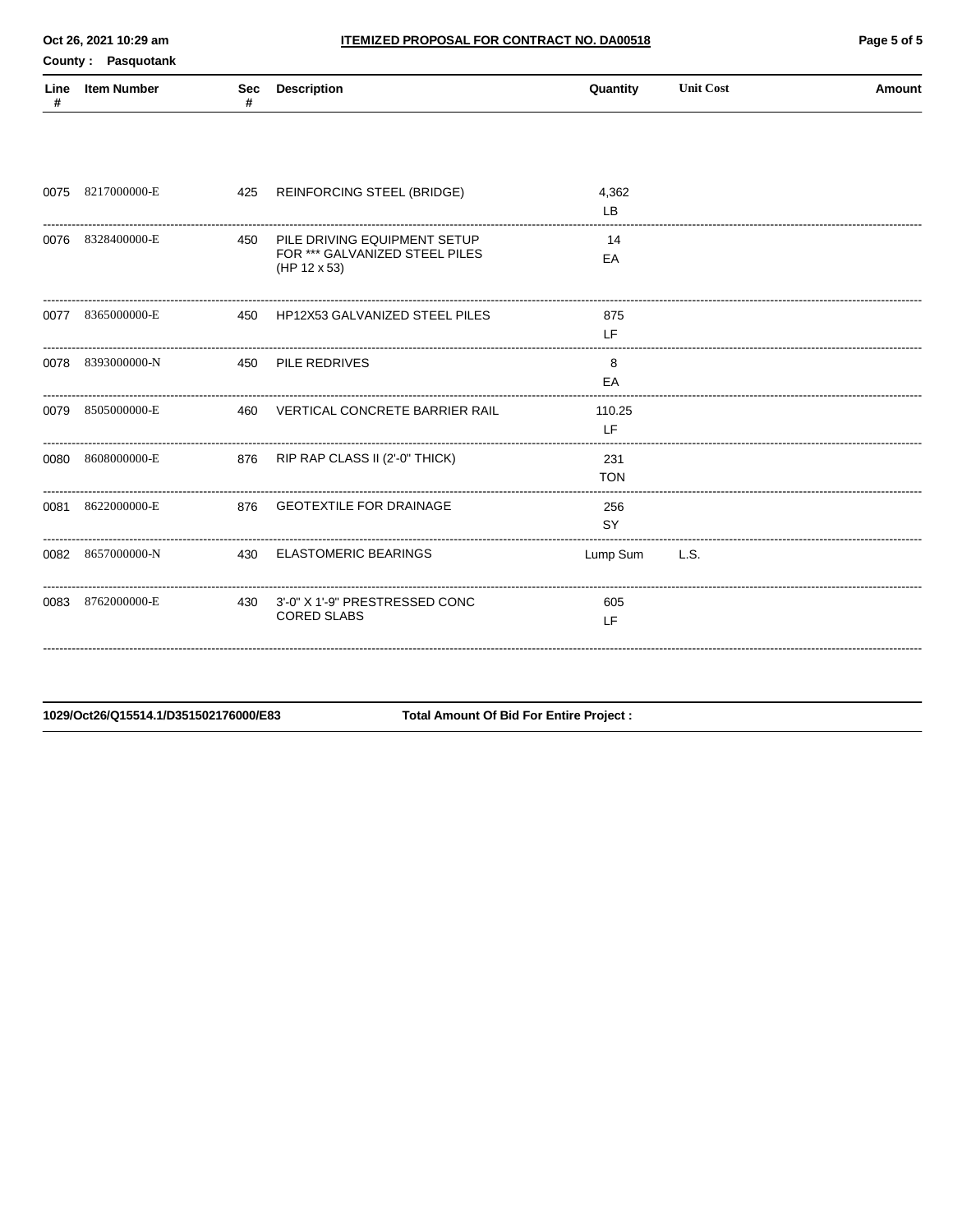County: Pasquotank

| Line | ltem Number<br>Sec | <b>Description</b> | Quantity | <b>Unit Cost</b><br>. | Amount |
|------|--------------------|--------------------|----------|-----------------------|--------|
|      |                    |                    |          |                       |        |

| 0075 | 8217000000-E      | 425 | REINFORCING STEEL (BRIDGE)                                                     | 4,362<br>LB         |      |
|------|-------------------|-----|--------------------------------------------------------------------------------|---------------------|------|
| 0076 | 8328400000-E      | 450 | PILE DRIVING EQUIPMENT SETUP<br>FOR *** GALVANIZED STEEL PILES<br>(HP 12 x 53) | 14<br>EA            |      |
|      | 0077 8365000000-E |     | 450 HP12X53 GALVANIZED STEEL PILES                                             | 875<br><b>IF</b>    |      |
|      | 0078 8393000000-N |     | 450 PILE REDRIVES                                                              | 8<br>EA             |      |
| 0079 | 8505000000-E      | 460 | VERTICAL CONCRETE BARRIER RAIL                                                 | 110.25<br><b>IF</b> |      |
| 0080 | 8608000000-E      |     | 876 RIP RAP CLASS II (2'-0" THICK)                                             | 231<br><b>TON</b>   |      |
| 0081 | 8622000000-E      |     | 876 GEOTEXTILE FOR DRAINAGE                                                    | 256<br><b>SY</b>    |      |
| 0082 | 8657000000-N      |     | 430 ELASTOMERIC BEARINGS                                                       | Lump Sum            | L.S. |
| 0083 | 8762000000-E      | 430 | 3'-0" X 1'-9" PRESTRESSED CONC<br><b>CORED SLABS</b>                           | 605<br>LF           |      |

1029/Oct26/Q15514.1/D351502176000/E83

**Total Amount Of Bid For Entire Project:**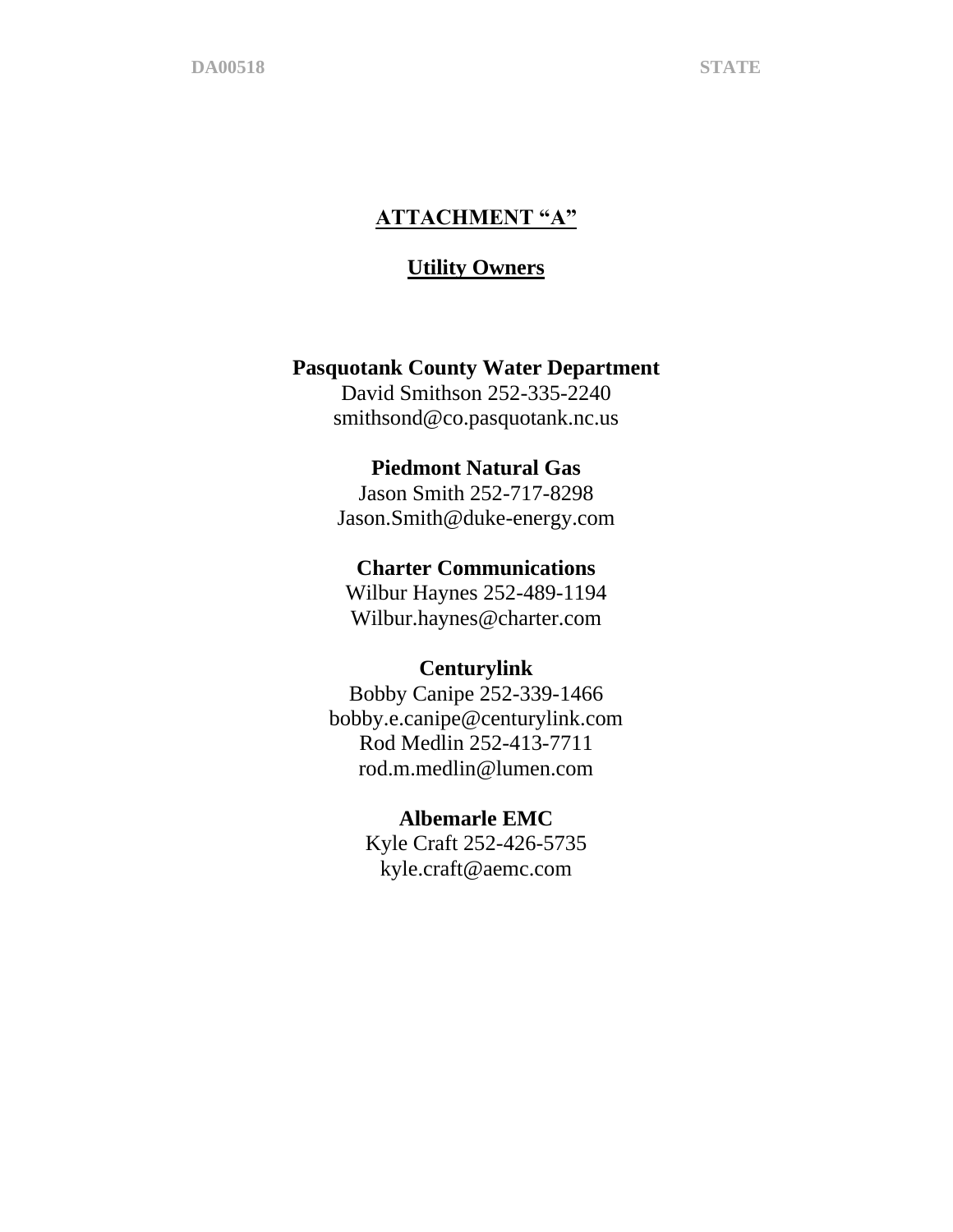## **ATTACHMENT "A"**

### **Utility Owners**

### **Pasquotank County Water Department**

David Smithson 252-335-2240 smithsond@co.pasquotank.nc.us

### **Piedmont Natural Gas**

Jason Smith 252-717-8298 Jason.Smith@duke-energy.com

#### **Charter Communications**

Wilbur Haynes 252-489-1194 Wilbur.haynes@charter.com

### **Centurylink**

Bobby Canipe 252-339-1466 bobby.e.canipe@centurylink.com Rod Medlin 252-413-7711 rod.m.medlin@lumen.com

#### **Albemarle EMC**

Kyle Craft 252-426-5735 kyle.craft@aemc.com